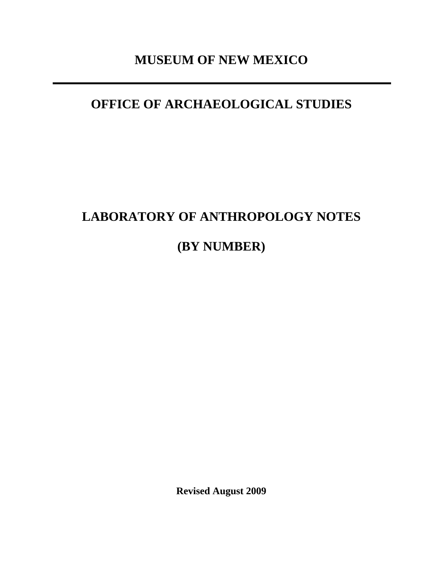# **MUSEUM OF NEW MEXICO**

# **OFFICE OF ARCHAEOLOGICAL STUDIES**

# **LABORATORY OF ANTHROPOLOGY NOTES**

**(BY NUMBER)**

**Revised August 2009**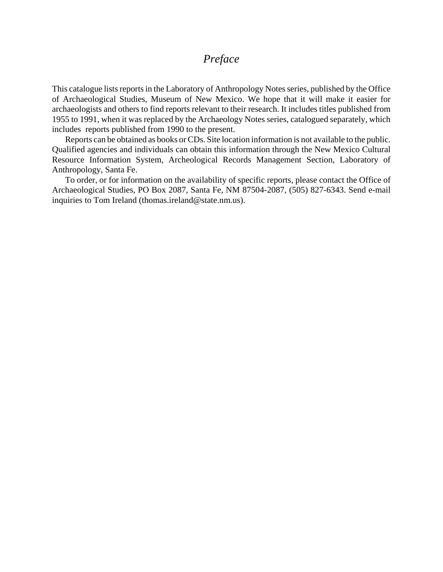## *Preface*

This catalogue lists reports in the Laboratory of Anthropology Notes series, published by the Office of Archaeological Studies, Museum of New Mexico. We hope that it will make it easier for archaeologists and others to find reports relevant to their research. It includes titles published from 1955 to 1991, when it was replaced by the Archaeology Notes series, catalogued separately, which includes reports published from 1990 to the present.

Reports can be obtained as books or CDs. Site location information is not available to the public. Qualified agencies and individuals can obtain this information through the New Mexico Cultural Resource Information System, Archeological Records Management Section, Laboratory of Anthropology, Santa Fe.

To order, or for information on the availability of specific reports, please contact the Office of Archaeological Studies, PO Box 2087, Santa Fe, NM 87504-2087, (505) 827-6343. Send e-mail inquiries to Tom Ireland (thomas.ireland@state.nm.us).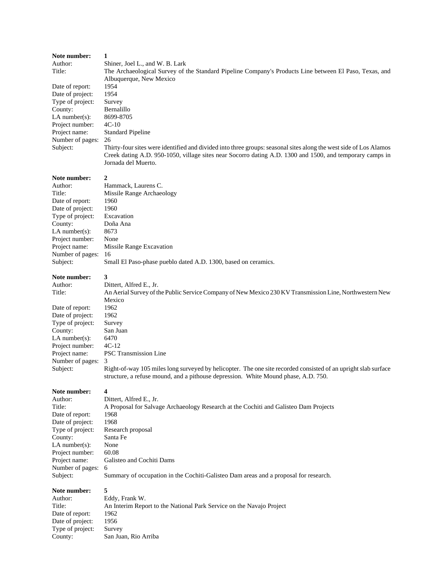| Note number:      | 1                                                                                                                 |  |  |
|-------------------|-------------------------------------------------------------------------------------------------------------------|--|--|
| Author:           | Shiner, Joel L., and W. B. Lark                                                                                   |  |  |
| Title:            | The Archaeological Survey of the Standard Pipeline Company's Products Line between El Paso, Texas, and            |  |  |
|                   | Albuquerque, New Mexico                                                                                           |  |  |
| Date of report:   | 1954                                                                                                              |  |  |
| Date of project:  | 1954                                                                                                              |  |  |
| Type of project:  | Survey                                                                                                            |  |  |
| County:           | Bernalillo                                                                                                        |  |  |
| LA number $(s)$ : | 8699-8705                                                                                                         |  |  |
| Project number:   | $4C-10$                                                                                                           |  |  |
| Project name:     | <b>Standard Pipeline</b>                                                                                          |  |  |
| Number of pages:  | 26                                                                                                                |  |  |
| Subject:          | Thirty-four sites were identified and divided into three groups: seasonal sites along the west side of Los Alamos |  |  |
|                   | Creek dating A.D. 950-1050, village sites near Socorro dating A.D. 1300 and 1500, and temporary camps in          |  |  |
|                   | Jornada del Muerto.                                                                                               |  |  |
|                   |                                                                                                                   |  |  |
| Note number:      | 2                                                                                                                 |  |  |
| Author:           | Hammack, Laurens C.                                                                                               |  |  |
| Title:            | Missile Range Archaeology                                                                                         |  |  |
| Date of report:   | 1960                                                                                                              |  |  |
| Date of project:  | 1960                                                                                                              |  |  |
| Type of project:  | Excavation                                                                                                        |  |  |
| County:           | Doña Ana                                                                                                          |  |  |
| LA number $(s)$ : | 8673                                                                                                              |  |  |
| Project number:   | None                                                                                                              |  |  |
| Project name:     | Missile Range Excavation                                                                                          |  |  |
| Number of pages:  | 16                                                                                                                |  |  |
| Subject:          | Small El Paso-phase pueblo dated A.D. 1300, based on ceramics.                                                    |  |  |
| Note number:      | 3                                                                                                                 |  |  |
| Author:           | Dittert, Alfred E., Jr.                                                                                           |  |  |
| Title:            | An Aerial Survey of the Public Service Company of New Mexico 230 KV Transmission Line, Northwestern New           |  |  |
|                   | Mexico                                                                                                            |  |  |
| Date of report:   | 1962                                                                                                              |  |  |
| Date of project:  | 1962                                                                                                              |  |  |
| Type of project:  | Survey                                                                                                            |  |  |
| County:           | San Juan                                                                                                          |  |  |
| LA number $(s)$ : | 6470                                                                                                              |  |  |
| Project number:   | $4C-12$                                                                                                           |  |  |
| Project name:     | <b>PSC</b> Transmission Line                                                                                      |  |  |
| Number of pages:  | 3                                                                                                                 |  |  |
| Subject:          | Right-of-way 105 miles long surveyed by helicopter. The one site recorded consisted of an upright slab surface    |  |  |
|                   | structure, a refuse mound, and a pithouse depression. White Mound phase, A.D. 750.                                |  |  |
|                   |                                                                                                                   |  |  |
| Note number:      | 4                                                                                                                 |  |  |
| Author:           | Dittert, Alfred E., Jr.                                                                                           |  |  |
| Title:            | A Proposal for Salvage Archaeology Research at the Cochiti and Galisteo Dam Projects                              |  |  |
| Date of report:   | 1968                                                                                                              |  |  |
| Date of project:  | 1968                                                                                                              |  |  |
| Type of project:  | Research proposal                                                                                                 |  |  |
| County:           | Santa Fe                                                                                                          |  |  |
| LA number $(s)$ : | None                                                                                                              |  |  |
| Project number:   | 60.08                                                                                                             |  |  |
| Project name:     | Galisteo and Cochiti Dams                                                                                         |  |  |
| Number of pages:  | 6                                                                                                                 |  |  |
| Subject:          | Summary of occupation in the Cochiti-Galisteo Dam areas and a proposal for research.                              |  |  |
|                   |                                                                                                                   |  |  |
| Note number:      | 5                                                                                                                 |  |  |
| Author:           | Eddy, Frank W.                                                                                                    |  |  |
| Title:            | An Interim Report to the National Park Service on the Navajo Project                                              |  |  |
| Date of report:   | 1962                                                                                                              |  |  |
| Date of project:  | 1956                                                                                                              |  |  |
| Type of project:  | Survey                                                                                                            |  |  |
| County:           | San Juan, Rio Arriba                                                                                              |  |  |
|                   |                                                                                                                   |  |  |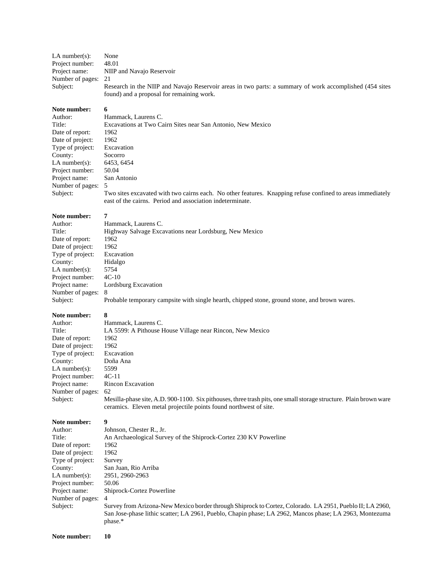| LA number $(s)$ :   | None                                                                                                    |  |
|---------------------|---------------------------------------------------------------------------------------------------------|--|
| Project number:     | 48.01                                                                                                   |  |
| Project name:       | NIIP and Navajo Reservoir                                                                               |  |
| Number of pages: 21 |                                                                                                         |  |
| Subject:            | Research in the NIIP and Navajo Reservoir areas in two parts: a summary of work accomplished (454 sites |  |
|                     | found) and a proposal for remaining work.                                                               |  |

#### **Note number: 6**

| Author:            | Hammack, Laurens C.                                                                                                                                                     |  |
|--------------------|-------------------------------------------------------------------------------------------------------------------------------------------------------------------------|--|
| Title:             | Excavations at Two Cairn Sites near San Antonio, New Mexico                                                                                                             |  |
| Date of report:    | 1962                                                                                                                                                                    |  |
| Date of project:   | 1962                                                                                                                                                                    |  |
| Type of project:   | Excavation                                                                                                                                                              |  |
| County:            | Socorro                                                                                                                                                                 |  |
| LA number $(s)$ :  | 6453, 6454                                                                                                                                                              |  |
| Project number:    | 50.04                                                                                                                                                                   |  |
| Project name:      | San Antonio                                                                                                                                                             |  |
| Number of pages: 5 |                                                                                                                                                                         |  |
| Subject:           | Two sites excavated with two cairns each. No other features. Knapping refuse confined to areas immediately<br>east of the cairns. Period and association indeterminate. |  |

#### **Note number: 7**

| Author:           | Hammack, Laurens C.                                                                           |
|-------------------|-----------------------------------------------------------------------------------------------|
| Title:            | Highway Salvage Excavations near Lordsburg, New Mexico                                        |
| Date of report:   | 1962                                                                                          |
| Date of project:  | 1962                                                                                          |
| Type of project:  | Excavation                                                                                    |
| County:           | Hidalgo                                                                                       |
| LA number $(s)$ : | 5754                                                                                          |
| Project number:   | $4C-10$                                                                                       |
| Project name:     | Lordsburg Excavation                                                                          |
| Number of pages:  | 8                                                                                             |
| Subject:          | Probable temporary campsite with single hearth, chipped stone, ground stone, and brown wares. |
|                   |                                                                                               |

| Note number:      | 8                                                                                                                 |  |
|-------------------|-------------------------------------------------------------------------------------------------------------------|--|
| Author:           | Hammack, Laurens C.                                                                                               |  |
| Title:            | LA 5599: A Pithouse House Village near Rincon, New Mexico                                                         |  |
| Date of report:   | 1962                                                                                                              |  |
| Date of project:  | 1962                                                                                                              |  |
| Type of project:  | Excavation                                                                                                        |  |
| County:           | Doña Ana                                                                                                          |  |
| LA number $(s)$ : | 5599                                                                                                              |  |
| Project number:   | $4C-11$                                                                                                           |  |
| Project name:     | Rincon Excavation                                                                                                 |  |
| Number of pages:  | -62                                                                                                               |  |
| Subject:          | Mesilla-phase site, A.D. 900-1100. Six pithouses, three trash pits, one small storage structure. Plain brown ware |  |

ceramics. Eleven metal projectile points found northwest of site.

| Author:          | Johnson. Chester R., Jr.                                                                                 |  |
|------------------|----------------------------------------------------------------------------------------------------------|--|
| Title:           | An Archaeological Survey of the Shiprock-Cortez 230 KV Powerline                                         |  |
| Date of report:  | 1962                                                                                                     |  |
| Date of project: | 1962                                                                                                     |  |
| Type of project: | Survey                                                                                                   |  |
| County:          | San Juan, Rio Arriba                                                                                     |  |
| $LA$ number(s):  | 2951, 2960-2963                                                                                          |  |
| Project number:  | 50.06                                                                                                    |  |
| Project name:    | Shiprock-Cortez Powerline                                                                                |  |
| Number of pages: | $\overline{4}$                                                                                           |  |
| Subject:         | Survey from Arizona-New Mexico border through Shiprock to Cortez, Colorado. LA 2951, Pueblo II; LA 2960, |  |
|                  | San Jose-phase lithic scatter; LA 2961, Pueblo, Chapin phase; LA 2962, Mancos phase; LA 2963, Montezuma  |  |
|                  | phase.*                                                                                                  |  |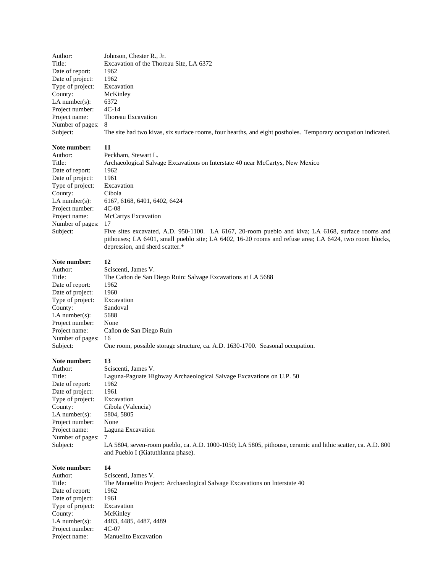| Author:                                                                                                                                                                                        | Johnson, Chester R., Jr.                                                                                                                                                                                                                                                                                                                                                                                                                                                   |
|------------------------------------------------------------------------------------------------------------------------------------------------------------------------------------------------|----------------------------------------------------------------------------------------------------------------------------------------------------------------------------------------------------------------------------------------------------------------------------------------------------------------------------------------------------------------------------------------------------------------------------------------------------------------------------|
| Title:                                                                                                                                                                                         | Excavation of the Thoreau Site, LA 6372                                                                                                                                                                                                                                                                                                                                                                                                                                    |
| Date of report:                                                                                                                                                                                | 1962                                                                                                                                                                                                                                                                                                                                                                                                                                                                       |
| Date of project:                                                                                                                                                                               | 1962                                                                                                                                                                                                                                                                                                                                                                                                                                                                       |
| Type of project:                                                                                                                                                                               | Excavation                                                                                                                                                                                                                                                                                                                                                                                                                                                                 |
| County:                                                                                                                                                                                        | McKinley                                                                                                                                                                                                                                                                                                                                                                                                                                                                   |
| $LA$ number(s):                                                                                                                                                                                | 6372                                                                                                                                                                                                                                                                                                                                                                                                                                                                       |
| Project number:                                                                                                                                                                                | $4C-14$                                                                                                                                                                                                                                                                                                                                                                                                                                                                    |
| Project name:                                                                                                                                                                                  | Thoreau Excavation                                                                                                                                                                                                                                                                                                                                                                                                                                                         |
| Number of pages:                                                                                                                                                                               | 8                                                                                                                                                                                                                                                                                                                                                                                                                                                                          |
| Subject:                                                                                                                                                                                       | The site had two kivas, six surface rooms, four hearths, and eight postholes. Temporary occupation indicated.                                                                                                                                                                                                                                                                                                                                                              |
| Note number:<br>Author:<br>Title:<br>Date of report:<br>Date of project:<br>Type of project:<br>County:<br>$LA$ number(s):<br>Project number:<br>Project name:<br>Number of pages:<br>Subject: | 11<br>Peckham, Stewart L.<br>Archaeological Salvage Excavations on Interstate 40 near McCartys, New Mexico<br>1962<br>1961<br>Excavation<br>Cibola<br>6167, 6168, 6401, 6402, 6424<br>4C-08<br>McCartys Excavation<br>17<br>Five sites excavated, A.D. 950-1100. LA 6167, 20-room pueblo and kiva; LA 6168, surface rooms and<br>pithouses; LA 6401, small pueblo site; LA 6402, 16-20 rooms and refuse area; LA 6424, two room blocks,<br>depression, and sherd scatter.* |
| Note number:                                                                                                                                                                                   | 12                                                                                                                                                                                                                                                                                                                                                                                                                                                                         |
| Author:                                                                                                                                                                                        | Sciscenti, James V.                                                                                                                                                                                                                                                                                                                                                                                                                                                        |
| Title:                                                                                                                                                                                         | The Cañon de San Diego Ruin: Salvage Excavations at LA 5688                                                                                                                                                                                                                                                                                                                                                                                                                |
| Date of report:                                                                                                                                                                                | 1962                                                                                                                                                                                                                                                                                                                                                                                                                                                                       |
| Date of project:                                                                                                                                                                               | 1960                                                                                                                                                                                                                                                                                                                                                                                                                                                                       |
| Type of project:                                                                                                                                                                               | Excavation                                                                                                                                                                                                                                                                                                                                                                                                                                                                 |
| County:                                                                                                                                                                                        | Sandoval                                                                                                                                                                                                                                                                                                                                                                                                                                                                   |
| $LA$ number(s):                                                                                                                                                                                | 5688                                                                                                                                                                                                                                                                                                                                                                                                                                                                       |
| Project number:                                                                                                                                                                                | None                                                                                                                                                                                                                                                                                                                                                                                                                                                                       |
| Project name:                                                                                                                                                                                  | Cañon de San Diego Ruin                                                                                                                                                                                                                                                                                                                                                                                                                                                    |
| Number of pages:                                                                                                                                                                               | 16                                                                                                                                                                                                                                                                                                                                                                                                                                                                         |
| Subject:                                                                                                                                                                                       | One room, possible storage structure, ca. A.D. 1630-1700. Seasonal occupation.                                                                                                                                                                                                                                                                                                                                                                                             |
| Note number:<br>Author:<br>Title:<br>Date of report:<br>Date of project:<br>Type of project:<br>County:<br>$LA$ number(s):<br>Project number:<br>Project name:<br>Number of pages:<br>Subject: | 13<br>Sciscenti, James V.<br>Laguna-Paguate Highway Archaeological Salvage Excavations on U.P. 50<br>1962<br>1961<br>Excavation<br>Cibola (Valencia)<br>5804, 5805<br>None<br>Laguna Excavation<br>7<br>LA 5804, seven-room pueblo, ca. A.D. 1000-1050; LA 5805, pithouse, ceramic and lithic scatter, ca. A.D. 800<br>and Pueblo I (Kiatuthlanna phase).                                                                                                                  |
| Note number:                                                                                                                                                                                   | 14                                                                                                                                                                                                                                                                                                                                                                                                                                                                         |
| Author:                                                                                                                                                                                        | Sciscenti, James V.                                                                                                                                                                                                                                                                                                                                                                                                                                                        |
| Title:                                                                                                                                                                                         | The Manuelito Project: Archaeological Salvage Excavations on Interstate 40                                                                                                                                                                                                                                                                                                                                                                                                 |
| Date of report:                                                                                                                                                                                | 1962                                                                                                                                                                                                                                                                                                                                                                                                                                                                       |
| Date of project:                                                                                                                                                                               | 1961                                                                                                                                                                                                                                                                                                                                                                                                                                                                       |
| Type of project:                                                                                                                                                                               | Excavation                                                                                                                                                                                                                                                                                                                                                                                                                                                                 |
| County:                                                                                                                                                                                        | McKinley                                                                                                                                                                                                                                                                                                                                                                                                                                                                   |
| LA number(s):                                                                                                                                                                                  | 4483, 4485, 4487, 4489                                                                                                                                                                                                                                                                                                                                                                                                                                                     |
| Project number:                                                                                                                                                                                | $4C-07$                                                                                                                                                                                                                                                                                                                                                                                                                                                                    |
| Project name:                                                                                                                                                                                  | Manuelito Excavation                                                                                                                                                                                                                                                                                                                                                                                                                                                       |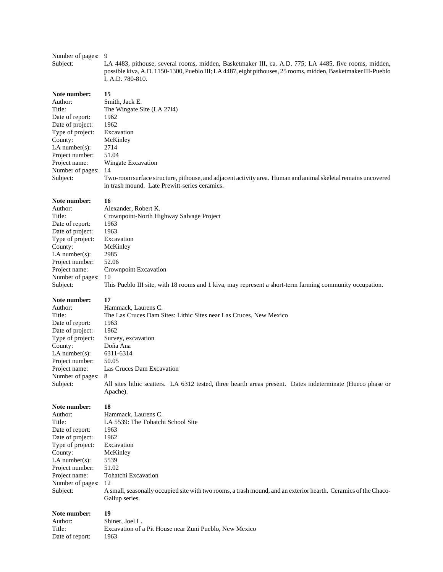# Number of pages: 9<br>Subject: L

LA 4483, pithouse, several rooms, midden, Basketmaker III, ca. A.D. 775; LA 4485, five rooms, midden, possible kiva, A.D. 1150-1300, Pueblo III; LA 4487, eight pithouses, 25 rooms, midden, Basketmaker III-Pueblo I, A.D. 780-810.

#### Note number: 15

| Author:           | Smith, Jack E.                                                                                                |  |
|-------------------|---------------------------------------------------------------------------------------------------------------|--|
| Title:            | The Wingate Site (LA 2714)                                                                                    |  |
| Date of report:   | 1962                                                                                                          |  |
| Date of project:  | 1962                                                                                                          |  |
| Type of project:  | Excavation                                                                                                    |  |
| County:           | McKinley                                                                                                      |  |
| LA number $(s)$ : | 2714                                                                                                          |  |
| Project number:   | 51.04                                                                                                         |  |
| Project name:     | Wingate Excavation                                                                                            |  |
| Number of pages:  | 14                                                                                                            |  |
| Subject:          | Two-room surface structure, pithouse, and adjacent activity area. Human and animal skeletal remains uncovered |  |
|                   | in trash mound. Late Prewitt-series ceramics.                                                                 |  |

#### Note number: 16

| Author:          | Alexander, Robert K.                                                                                     |  |
|------------------|----------------------------------------------------------------------------------------------------------|--|
| Title:           | Crownpoint-North Highway Salvage Project                                                                 |  |
| Date of report:  | 1963                                                                                                     |  |
| Date of project: | 1963                                                                                                     |  |
| Type of project: | Excavation                                                                                               |  |
| County:          | McKinley                                                                                                 |  |
| $LA$ number(s):  | 2985                                                                                                     |  |
| Project number:  | 52.06                                                                                                    |  |
| Project name:    | Crownpoint Excavation                                                                                    |  |
| Number of pages: | 10                                                                                                       |  |
| Subject:         | This Pueblo III site, with 18 rooms and 1 kiva, may represent a short-term farming community occupation. |  |
|                  |                                                                                                          |  |

### **Note number: 17**

| Author:            | Hammack, Laurens C.                                                                                                    |  |  |
|--------------------|------------------------------------------------------------------------------------------------------------------------|--|--|
| Title:             | The Las Cruces Dam Sites: Lithic Sites near Las Cruces, New Mexico                                                     |  |  |
| Date of report:    | 1963                                                                                                                   |  |  |
| Date of project:   | 1962                                                                                                                   |  |  |
| Type of project:   | Survey, excavation                                                                                                     |  |  |
| County:            | Doña Ana                                                                                                               |  |  |
| LA number $(s)$ :  | 6311-6314                                                                                                              |  |  |
| Project number:    | 50.05                                                                                                                  |  |  |
| Project name:      | Las Cruces Dam Excavation                                                                                              |  |  |
| Number of pages: 8 |                                                                                                                        |  |  |
| Subject:           | All sites lithic scatters. LA 6312 tested, three hearth areas present. Dates indeterminate (Hueco phase or<br>Apache). |  |  |

#### **Note number: 18**

| 1 1000 MUMMOL 1   |                                                                                                                 |  |
|-------------------|-----------------------------------------------------------------------------------------------------------------|--|
| Author:           | Hammack, Laurens C.                                                                                             |  |
| Title:            | LA 5539: The Tohatchi School Site                                                                               |  |
| Date of report:   | 1963                                                                                                            |  |
| Date of project:  | 1962                                                                                                            |  |
| Type of project:  | Excavation                                                                                                      |  |
| County:           | McKinley                                                                                                        |  |
| LA number $(s)$ : | 5539                                                                                                            |  |
| Project number:   | 51.02                                                                                                           |  |
| Project name:     | Tohatchi Excavation                                                                                             |  |
| Number of pages:  | -12                                                                                                             |  |
| Subject:          | A small, seasonally occupied site with two rooms, a trash mound, and an exterior hearth. Ceramics of the Chaco- |  |
|                   | Gallup series.                                                                                                  |  |
|                   |                                                                                                                 |  |

| Author:         | Shiner, Joel L.                                        |
|-----------------|--------------------------------------------------------|
| Title:          | Excavation of a Pit House near Zuni Pueblo, New Mexico |
| Date of report: | 1963                                                   |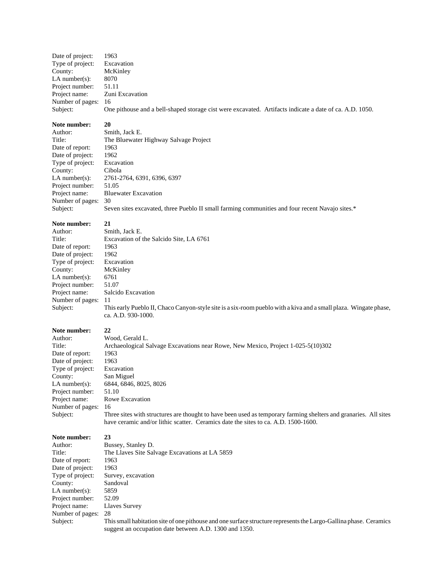Date of project: 1963 Type of project: Excavation<br>County: McKinley McKinley LA number(s):  $8070$ Project number: 51.11 Project name: Zuni Excavation Number of pages: 16 Subject: One pithouse and a bell-shaped storage cist were excavated. Artifacts indicate a date of ca. A.D. 1050.

#### **Note number: 20**

Author: Smith, Jack E. Title: The Bluewater Highway Salvage Project Date of report: 1963 Date of project: 1962 Type of project: Excavation County: Cibola<br>LA number(s): 2761-2 LA number(s): 2761-2764, 6391, 6396, 6397 Project number: 51.05 Project name: Bluewater Excavation Number of pages: 30 Subject: Seven sites excavated, three Pueblo II small farming communities and four recent Navajo sites.\*

#### **Note number: 21**

Author: Smith, Jack E. Title: Excavation of the Salcido Site, LA 6761 Date of report: 1963 Date of project: 1962 Type of project: Excavation County: McKinley LA number(s): 6761 Project number: 51.07 Number of pages: 11

Project name: Salcido Excavation Subject: This early Pueblo II, Chaco Canyon-style site is a six-room pueblo with a kiva and a small plaza. Wingate phase, ca. A.D. 930-1000.

# **Note number:** 22<br>Author: We

Title: Archaeological Salvage Excavations near Rowe, New Mexico, Project 1-025-5(10)302 Date of report: 1963 Date of project: 1963 Type of project: Excavation County: San Miguel Project number: 51.10 Number of pages: 16

LA number(s): 6844, 6846, 8025, 8026 Project name: Rowe Excavation Subject: Three sites with structures are thought to have been used as temporary farming shelters and granaries. All sites

have ceramic and/or lithic scatter. Ceramics date the sites to ca. A.D. 1500-1600.

# **Note number:** 23<br>Author: Bu

Bussey, Stanley D. Date of report: 1963 Date of project: 1963 County: Sandoval LA number(s):  $5859$ Project number: 52.09 Project name: Llaves Survey Number of pages: 28

Title: The Llaves Site Salvage Excavations at LA 5859 Type of project: Survey, excavation

Wood, Gerald L.

Subject: This small habitation site of one pithouse and one surface structure represents the Largo-Gallina phase. Ceramics suggest an occupation date between A.D. 1300 and 1350.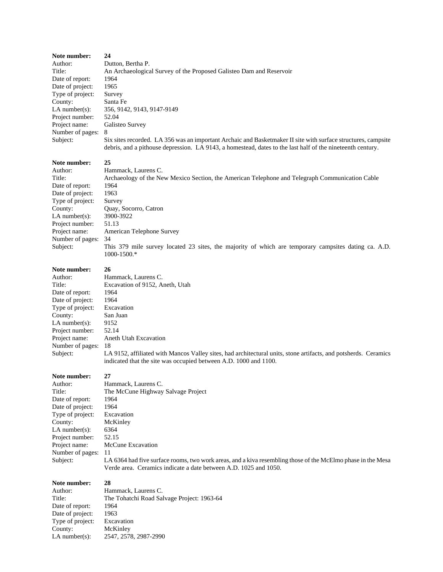| Note number:<br>Author:<br>Title:<br>Date of report:<br>Date of project:<br>Type of project:<br>County:<br>LA number $(s)$ :<br>Project number:<br>Project name:<br>Number of pages:<br>Subject: | 24<br>Dutton, Bertha P.<br>An Archaeological Survey of the Proposed Galisteo Dam and Reservoir<br>1964<br>1965<br>Survey<br>Santa Fe<br>356, 9142, 9143, 9147-9149<br>52.04<br>Galisteo Survey<br>8<br>Six sites recorded. LA 356 was an important Archaic and Basketmaker II site with surface structures, campsite<br>debris, and a pithouse depression. LA 9143, a homestead, dates to the last half of the nineteenth century. |
|--------------------------------------------------------------------------------------------------------------------------------------------------------------------------------------------------|------------------------------------------------------------------------------------------------------------------------------------------------------------------------------------------------------------------------------------------------------------------------------------------------------------------------------------------------------------------------------------------------------------------------------------|
| Note number:<br>Author:<br>Title:<br>Date of report:<br>Date of project:<br>Type of project:<br>County:<br>LA number $(s)$ :<br>Project number:<br>Project name:<br>Number of pages:<br>Subject: | 25<br>Hammack, Laurens C.<br>Archaeology of the New Mexico Section, the American Telephone and Telegraph Communication Cable<br>1964<br>1963<br>Survey<br>Quay, Socorro, Catron<br>3900-3922<br>51.13<br>American Telephone Survey<br>34<br>This 379 mile survey located 23 sites, the majority of which are temporary campsites dating ca. A.D.<br>1000-1500.*                                                                    |
| Note number:<br>Author:<br>Title:<br>Date of report:<br>Date of project:<br>Type of project:<br>County:<br>LA number $(s)$ :<br>Project number:<br>Project name:<br>Number of pages:<br>Subject: | 26<br>Hammack, Laurens C.<br>Excavation of 9152, Aneth, Utah<br>1964<br>1964<br>Excavation<br>San Juan<br>9152<br>52.14<br>Aneth Utah Excavation<br>-18<br>LA 9152, affiliated with Mancos Valley sites, had architectural units, stone artifacts, and potsherds. Ceramics<br>indicated that the site was occupied between A.D. 1000 and 1100.                                                                                     |
| Note number:<br>Author:<br>Title:<br>Date of report:<br>Date of project:<br>Type of project:<br>County:<br>LA number $(s)$ :<br>Project number:<br>Project name:<br>Number of pages:<br>Subject: | 27<br>Hammack, Laurens C.<br>The McCune Highway Salvage Project<br>1964<br>1964<br>Excavation<br>McKinley<br>6364<br>52.15<br>McCune Excavation<br>11<br>LA 6364 had five surface rooms, two work areas, and a kiva resembling those of the McElmo phase in the Mesa<br>Verde area. Ceramics indicate a date between A.D. 1025 and 1050.                                                                                           |
| Note number:<br>Author:<br>Title:<br>Date of report:<br>Date of project:<br>Type of project:<br>County:<br>$LA$ number(s):                                                                       | 28<br>Hammack, Laurens C.<br>The Tohatchi Road Salvage Project: 1963-64<br>1964<br>1963<br>Excavation<br>McKinley<br>2547, 2578, 2987-2990                                                                                                                                                                                                                                                                                         |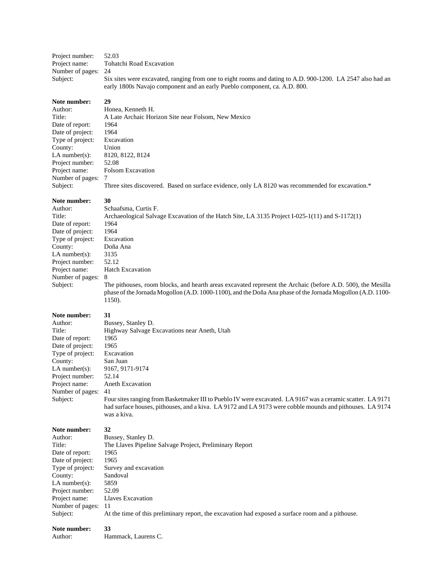Project number: 52.03<br>Project name: Tohat Tohatchi Road Excavation Number of pages: 24 Subject: Six sites were excavated, ranging from one to eight rooms and dating to A.D. 900-1200. LA 2547 also had an early 1800s Navajo component and an early Pueblo component, ca. A.D. 800.

# **Note number:** 29<br>Author: Ho

| Author:          | Honea, Kenneth H.                                                                                |
|------------------|--------------------------------------------------------------------------------------------------|
| Title:           | A Late Archaic Horizon Site near Folsom, New Mexico                                              |
| Date of report:  | 1964                                                                                             |
| Date of project: | 1964                                                                                             |
| Type of project: | Excavation                                                                                       |
| County:          | Union                                                                                            |
| LA number(s):    | 8120, 8122, 8124                                                                                 |
| Project number:  | 52.08                                                                                            |
| Project name:    | <b>Folsom Excavation</b>                                                                         |
| Number of pages: |                                                                                                  |
| Subject:         | Three sites discovered. Based on surface evidence, only LA 8120 was recommended for excavation.* |

#### Note number: 30

| Author:           | Schaafsma, Curtis F.                                                                                        |
|-------------------|-------------------------------------------------------------------------------------------------------------|
| Title:            | Archaeological Salvage Excavation of the Hatch Site, LA 3135 Project I-025-1(11) and S-1172(1)              |
| Date of report:   | 1964                                                                                                        |
| Date of project:  | 1964                                                                                                        |
| Type of project:  | Excavation                                                                                                  |
| County:           | Doña Ana                                                                                                    |
| LA number $(s)$ : | 3135                                                                                                        |
| Project number:   | 52.12                                                                                                       |
| Project name:     | <b>Hatch Excavation</b>                                                                                     |
| Number of pages:  | 8                                                                                                           |
| Subject:          | The pithouses, room blocks, and hearth areas excavated represent the Archaic (before A.D. 500), the Mesilla |
|                   | phase of the Jornada Mogollon (A.D. 1000-1100), and the Doña Ana phase of the Jornada Mogollon (A.D. 1100-  |
|                   | 1150).                                                                                                      |
| Note number:      | 31                                                                                                          |
| Author:           | Bussey, Stanley D.                                                                                          |
| Title:            | Highway Salvage Excavations near Aneth, Utah                                                                |
| Date of report:   | 1965                                                                                                        |
| Date of project:  | 1965                                                                                                        |
| Type of project:  | Excavation                                                                                                  |
| County:           | San Juan                                                                                                    |
| $LA$ number(s):   | 9167, 9171-9174                                                                                             |
| Project number:   | 52.14                                                                                                       |
| Project name:     | <b>Aneth Excavation</b>                                                                                     |
| Number of pages:  | 41                                                                                                          |
| Subject:          | Four sites ranging from Basketmaker III to Pueblo IV were excavated. LA 9167 was a ceramic scatter. LA 9171 |
|                   | had surface houses, pithouses, and a kiva. LA 9172 and LA 9173 were cobble mounds and pithouses. LA 9174    |
|                   | was a kiva.                                                                                                 |
| Note number:      | 32                                                                                                          |
| Author:           | Bussey, Stanley D.                                                                                          |
| Title:            | The Llaves Pipeline Salvage Project, Preliminary Report                                                     |
| Date of report:   | 1965                                                                                                        |
| Date of project:  | 1965                                                                                                        |
| Type of project:  | Survey and excavation                                                                                       |
| County:           | Sandoval                                                                                                    |
| $LA$ number(s):   | 5859                                                                                                        |
| Project number:   | 52.09                                                                                                       |
| Project name:     | Llaves Excavation                                                                                           |
| Number of pages:  | 11                                                                                                          |
| Subject:          | At the time of this preliminary report, the excavation had exposed a surface room and a pithouse.           |
| Note number:      | 33                                                                                                          |
| Author:           | Hammack, Laurens C.                                                                                         |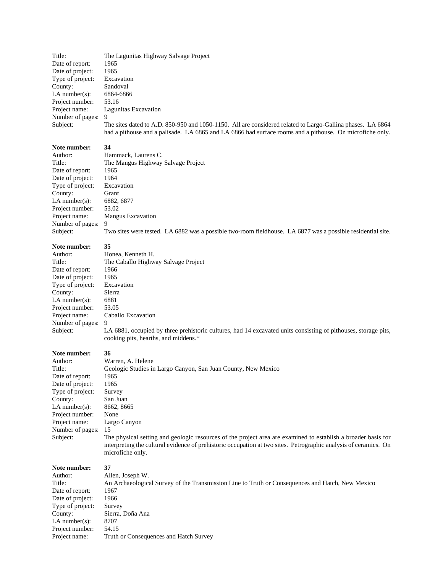Title: The Lagunitas Highway Salvage Project<br>Date of report: 1965 Date of report: 1965<br>Date of project: 1965 Date of project: Type of project: Excavation County: Sandoval LA number(s): 6864-6866 Project number: 53.16 Project name: Lagunitas Excavation Number of pages: 9

Subject: The sites dated to A.D. 850-950 and 1050-1150. All are considered related to Largo-Gallina phases. LA 6864 had a pithouse and a palisade. LA 6865 and LA 6866 had surface rooms and a pithouse. On microfiche only.

#### **Note number: 34**

Author:<br>Title:

| Author:            | Hammack, Laurens C.                                                                                         |
|--------------------|-------------------------------------------------------------------------------------------------------------|
| Title:             | The Mangus Highway Salvage Project                                                                          |
| Date of report:    | 1965                                                                                                        |
| Date of project:   | 1964                                                                                                        |
| Type of project:   | Excavation                                                                                                  |
| County:            | Grant                                                                                                       |
| LA number $(s)$ :  | 6882, 6877                                                                                                  |
| Project number:    | 53.02                                                                                                       |
| Project name:      | <b>Mangus Excavation</b>                                                                                    |
| Number of pages: 9 |                                                                                                             |
| Subject:           | Two sites were tested. LA 6882 was a possible two-room fieldhouse. LA 6877 was a possible residential site. |

## **Note number: 35** Author:<br>Title:

| Author:           | Honea, Kenneth H.                                                                                              |
|-------------------|----------------------------------------------------------------------------------------------------------------|
| Title:            | The Caballo Highway Salvage Project                                                                            |
| Date of report:   | 1966                                                                                                           |
| Date of project:  | 1965                                                                                                           |
| Type of project:  | Excavation                                                                                                     |
| County:           | Sierra                                                                                                         |
| LA number $(s)$ : | 6881                                                                                                           |
| Project number:   | 53.05                                                                                                          |
| Project name:     | Caballo Excavation                                                                                             |
| Number of pages:  | -9                                                                                                             |
| Subject:          | LA 6881, occupied by three prehistoric cultures, had 14 excavated units consisting of pithouses, storage pits, |
|                   | cooking pits, hearths, and middens.*                                                                           |

#### **Note number: 36**

Project name: Truth or Consequences and Hatch Survey

| Author:          | Warren, A. Helene                                                                                                                                                                                                                                     |
|------------------|-------------------------------------------------------------------------------------------------------------------------------------------------------------------------------------------------------------------------------------------------------|
| Title:           | Geologic Studies in Largo Canyon, San Juan County, New Mexico                                                                                                                                                                                         |
| Date of report:  | 1965                                                                                                                                                                                                                                                  |
| Date of project: | 1965                                                                                                                                                                                                                                                  |
| Type of project: | Survey                                                                                                                                                                                                                                                |
| County:          | San Juan                                                                                                                                                                                                                                              |
| $LA$ number(s):  | 8662, 8665                                                                                                                                                                                                                                            |
| Project number:  | None                                                                                                                                                                                                                                                  |
| Project name:    | Largo Canyon                                                                                                                                                                                                                                          |
| Number of pages: | 15                                                                                                                                                                                                                                                    |
| Subject:         | The physical setting and geologic resources of the project area are examined to establish a broader basis for<br>interpreting the cultural evidence of prehistoric occupation at two sites. Petrographic analysis of ceramics. On<br>microfiche only. |
| Note number:     | 37                                                                                                                                                                                                                                                    |
| Author:          | Allen, Joseph W.                                                                                                                                                                                                                                      |
| Title:           | An Archaeological Survey of the Transmission Line to Truth or Consequences and Hatch, New Mexico                                                                                                                                                      |
| Date of report:  | 1967                                                                                                                                                                                                                                                  |
| Date of project: | 1966                                                                                                                                                                                                                                                  |
| Type of project: | Survey                                                                                                                                                                                                                                                |
| County:          | Sierra, Doña Ana                                                                                                                                                                                                                                      |
| $LA$ number(s):  | 8707                                                                                                                                                                                                                                                  |
| Project number:  | 54.15                                                                                                                                                                                                                                                 |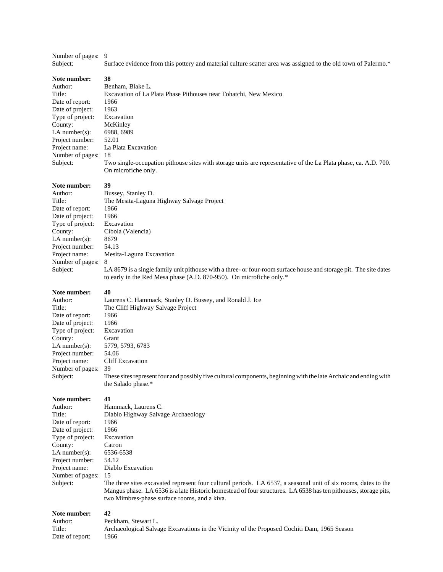| Number of pages: 9 |  |
|--------------------|--|
|                    |  |

Subject: Surface evidence from this pottery and material culture scatter area was assigned to the old town of Palermo.\*

| Note number:        | 38                                                                                                                                                                                                                                                                                |  |  |
|---------------------|-----------------------------------------------------------------------------------------------------------------------------------------------------------------------------------------------------------------------------------------------------------------------------------|--|--|
| Author:             | Benham, Blake L.                                                                                                                                                                                                                                                                  |  |  |
| Title:              | Excavation of La Plata Phase Pithouses near Tohatchi, New Mexico                                                                                                                                                                                                                  |  |  |
| Date of report:     | 1966                                                                                                                                                                                                                                                                              |  |  |
| Date of project:    | 1963                                                                                                                                                                                                                                                                              |  |  |
| Type of project:    | Excavation                                                                                                                                                                                                                                                                        |  |  |
| County:             | McKinley                                                                                                                                                                                                                                                                          |  |  |
| $LA$ number(s):     | 6988, 6989                                                                                                                                                                                                                                                                        |  |  |
| Project number:     | 52.01                                                                                                                                                                                                                                                                             |  |  |
| Project name:       | La Plata Excavation                                                                                                                                                                                                                                                               |  |  |
| Number of pages:    | 18                                                                                                                                                                                                                                                                                |  |  |
| Subject:            | Two single-occupation pithouse sites with storage units are representative of the La Plata phase, ca. A.D. 700.<br>On microfiche only.                                                                                                                                            |  |  |
| Note number:        | 39                                                                                                                                                                                                                                                                                |  |  |
| Author:             | Bussey, Stanley D.                                                                                                                                                                                                                                                                |  |  |
| Title:              | The Mesita-Laguna Highway Salvage Project                                                                                                                                                                                                                                         |  |  |
| Date of report:     | 1966                                                                                                                                                                                                                                                                              |  |  |
| Date of project:    | 1966                                                                                                                                                                                                                                                                              |  |  |
| Type of project:    | Excavation                                                                                                                                                                                                                                                                        |  |  |
| County:             | Cibola (Valencia)                                                                                                                                                                                                                                                                 |  |  |
| LA number $(s)$ :   | 8679                                                                                                                                                                                                                                                                              |  |  |
| Project number:     | 54.13                                                                                                                                                                                                                                                                             |  |  |
| Project name:       | Mesita-Laguna Excavation                                                                                                                                                                                                                                                          |  |  |
| Number of pages:    | 8                                                                                                                                                                                                                                                                                 |  |  |
| Subject:            | LA 8679 is a single family unit pithouse with a three- or four-room surface house and storage pit. The site dates<br>to early in the Red Mesa phase (A.D. 870-950). On microfiche only.*                                                                                          |  |  |
| Note number:        | 40                                                                                                                                                                                                                                                                                |  |  |
| Author:             | Laurens C. Hammack, Stanley D. Bussey, and Ronald J. Ice                                                                                                                                                                                                                          |  |  |
| Title:              | The Cliff Highway Salvage Project                                                                                                                                                                                                                                                 |  |  |
| Date of report:     | 1966                                                                                                                                                                                                                                                                              |  |  |
| Date of project:    | 1966                                                                                                                                                                                                                                                                              |  |  |
| Type of project:    | Excavation                                                                                                                                                                                                                                                                        |  |  |
| County:             | Grant                                                                                                                                                                                                                                                                             |  |  |
| $LA$ number $(s)$ : | 5779, 5793, 6783                                                                                                                                                                                                                                                                  |  |  |
| Project number:     | 54.06                                                                                                                                                                                                                                                                             |  |  |
| Project name:       | Cliff Excavation                                                                                                                                                                                                                                                                  |  |  |
| Number of pages:    | 39                                                                                                                                                                                                                                                                                |  |  |
| Subject:            | These sites represent four and possibly five cultural components, beginning with the late Archaic and ending with<br>the Salado phase.*                                                                                                                                           |  |  |
| Note number:        | 41                                                                                                                                                                                                                                                                                |  |  |
| Author:             | Hammack, Laurens C.                                                                                                                                                                                                                                                               |  |  |
| Title:              | Diablo Highway Salvage Archaeology                                                                                                                                                                                                                                                |  |  |
| Date of report:     | 1966                                                                                                                                                                                                                                                                              |  |  |
| Date of project:    | 1966                                                                                                                                                                                                                                                                              |  |  |
| Type of project:    | Excavation                                                                                                                                                                                                                                                                        |  |  |
| County:             | Catron                                                                                                                                                                                                                                                                            |  |  |
| $LA$ number $(s)$ : | 6536-6538                                                                                                                                                                                                                                                                         |  |  |
| Project number:     | 54.12                                                                                                                                                                                                                                                                             |  |  |
| Project name:       | Diablo Excavation                                                                                                                                                                                                                                                                 |  |  |
| Number of pages:    | 15                                                                                                                                                                                                                                                                                |  |  |
| Subject:            | The three sites excavated represent four cultural periods. LA 6537, a seasonal unit of six rooms, dates to the<br>Mangus phase. LA 6536 is a late Historic homestead of four structures. LA 6538 has ten pithouses, storage pits,<br>two Mimbres-phase surface rooms, and a kiva. |  |  |
| Note number:        | 42                                                                                                                                                                                                                                                                                |  |  |
| Author:             | Peckham, Stewart L.                                                                                                                                                                                                                                                               |  |  |
| Title:              | Archaeological Salvage Excavations in the Vicinity of the Proposed Cochiti Dam, 1965 Season                                                                                                                                                                                       |  |  |
| Date of report:     | 1966                                                                                                                                                                                                                                                                              |  |  |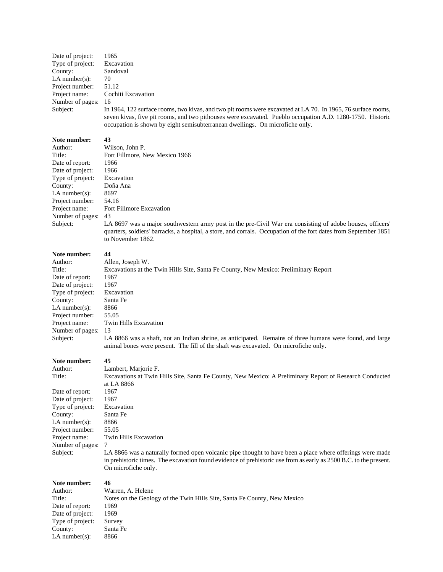Date of project: 1965<br>Type of project: Excavation Type of project: Excavation<br>County: Sandoval  $County:$ LA number(s):  $70$ Project number: 51.12 Project name: Cochiti Excavation Number of pages: 16<br>Subject: In 1

In 1964, 122 surface rooms, two kivas, and two pit rooms were excavated at LA 70. In 1965, 76 surface rooms, seven kivas, five pit rooms, and two pithouses were excavated. Pueblo occupation A.D. 1280-1750. Historic occupation is shown by eight semisubterranean dwellings. On microfiche only.

### **Note number: 43**

| Author:           | Wilson, John P.                                                                         |
|-------------------|-----------------------------------------------------------------------------------------|
| Title:            | Fort Fillmore, New Mexico 1966                                                          |
| Date of report:   | 1966                                                                                    |
| Date of project:  | 1966                                                                                    |
| Type of project:  | Excavation                                                                              |
| County:           | Doña Ana                                                                                |
| LA number $(s)$ : | 8697                                                                                    |
| Project number:   | 54.16                                                                                   |
| Project name:     | Fort Fillmore Excavation                                                                |
| Number of pages:  | 43                                                                                      |
| Subject:          | LA 8697 was a major southwestern army<br>quarters, soldiers' barracks, a hospital, a st |

post in the pre-Civil War era consisting of adobe houses, officers' spital, a store, and corrals. Occupation of the fort dates from September 1851 to November 1862.

### **Note number: 44**

| Author:           | Allen, Joseph W.                                                                                                                                                                                |
|-------------------|-------------------------------------------------------------------------------------------------------------------------------------------------------------------------------------------------|
| Title:            | Excavations at the Twin Hills Site, Santa Fe County, New Mexico: Preliminary Report                                                                                                             |
| Date of report:   | 1967                                                                                                                                                                                            |
| Date of project:  | 1967                                                                                                                                                                                            |
| Type of project:  | Excavation                                                                                                                                                                                      |
| County:           | Santa Fe                                                                                                                                                                                        |
| LA number $(s)$ : | 8866                                                                                                                                                                                            |
| Project number:   | 55.05                                                                                                                                                                                           |
| Project name:     | Twin Hills Excavation                                                                                                                                                                           |
| Number of pages:  | 13                                                                                                                                                                                              |
| Subject:          | LA 8866 was a shaft, not an Indian shrine, as anticipated. Remains of three humans were found, and large<br>animal bones were present. The fill of the shaft was excavated. On microfiche only. |
| Note number:      | 45                                                                                                                                                                                              |
| Author:           | Lambert, Marjorie F.                                                                                                                                                                            |
| Title:            | Excavations at Twin Hills Site, Santa Fe County, New Mexico: A Preliminary Report of Research Conducted<br>at LA 8866                                                                           |
| Date of report:   | 1967                                                                                                                                                                                            |
| Date of project:  | 1967                                                                                                                                                                                            |
| Type of project:  | Excavation                                                                                                                                                                                      |
| County:           | Santa Fe                                                                                                                                                                                        |
| LA number $(s)$ : | 8866                                                                                                                                                                                            |
| Project number:   | 55.05                                                                                                                                                                                           |
| Project name:     | Twin Hills Excavation                                                                                                                                                                           |
| Number of pages:  | 7                                                                                                                                                                                               |
| Subject:          | LA 8866 was a naturally formed open volcanic pipe thought to have been a place where offerings were made                                                                                        |
|                   | in prehistoric times. The excavation found evidence of prehistoric use from as early as 2500 B.C. to the present.                                                                               |
|                   | On microfiche only.                                                                                                                                                                             |
| Note number:      | 46                                                                                                                                                                                              |
| Author:           | Warren, A. Helene                                                                                                                                                                               |
| Title:            | Notes on the Geology of the Twin Hills Site, Santa Fe County, New Mexico                                                                                                                        |
| Dota of raport:   | 1060.                                                                                                                                                                                           |

Date of report: 1969<br>Date of project: 1969 Date of project: Type of project: Survey<br>County: Santa Fe County: Santa<br>LA number(s): 8866 LA  $number(s)$ :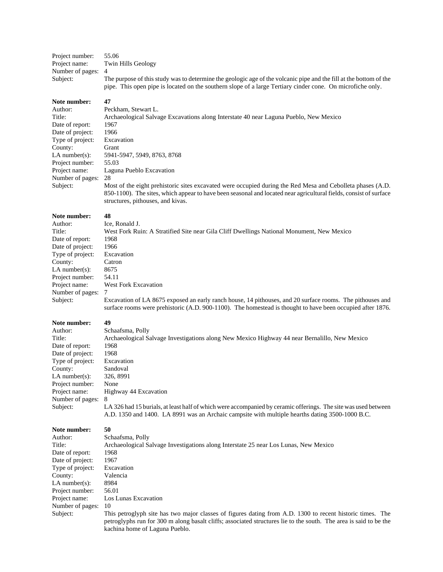| Project number:    | 55.06                                                                                                                                                                                                                            |
|--------------------|----------------------------------------------------------------------------------------------------------------------------------------------------------------------------------------------------------------------------------|
| Project name:      | Twin Hills Geology                                                                                                                                                                                                               |
| Number of pages: 4 |                                                                                                                                                                                                                                  |
| Subject:           | The purpose of this study was to determine the geologic age of the volcanic pipe and the fill at the bottom of the<br>pipe. This open pipe is located on the southern slope of a large Tertiary cinder cone. On microfiche only. |

#### **Note number: 47**

Peckham, Stewart L.

structures, pithouses, and kivas.

Archaeological Salvage Excavations along Interstate 40 near Laguna Pueblo, New Mexico 1967 1966 **Excavation** Grant LA number(s): 5941-5947, 5949, 8763, 8768 55.03 Laguna Pueblo Excavation 28 Most of the eight prehistoric sites excavated were occupied during the Red Mesa and Cebolleta phases (A.D. 850-1100). The sites, which appear to have been seasonal and located near agricultural fields, consist of surface

#### **Note number: 48**

| Author:             | Ice, Ronald J.       |
|---------------------|----------------------|
| Title:              | West Fork Ru         |
| Date of report:     | 1968                 |
| Date of project:    | 1966                 |
| Type of project:    | Excavation           |
| County:             | Catron               |
| $LA$ number $(s)$ : | 8675                 |
| Project number:     | 54.11                |
| Project name:       | West Fork Ex         |
| Number of pages:    | 7                    |
| Subject:            | <b>Excavation</b> of |

| Author:           | Ice. Ronald J.                                                                            |
|-------------------|-------------------------------------------------------------------------------------------|
| Title:            | West Fork Ruin: A Stratified Site near Gila Cliff Dwellings National Monument, New Mexico |
| Date of report:   | 1968                                                                                      |
| Date of project:  | 1966                                                                                      |
| Type of project:  | Excavation                                                                                |
| County:           | Catron                                                                                    |
| LA number $(s)$ : | 8675                                                                                      |
| Project number:   | 54.11                                                                                     |
| Project name:     | <b>West Fork Excavation</b>                                                               |
| Number of pages:  |                                                                                           |

bject: Excavation of LA 8675 exposed an early ranch house, 14 pithouses, and 20 surface rooms. The pithouses and surface rooms were prehistoric (A.D. 900-1100). The homestead is thought to have been occupied after 1876.

#### **Note number: 49**

| Author:            | Schaafsma, Polly                                                                                               |
|--------------------|----------------------------------------------------------------------------------------------------------------|
| Title:             | Archaeological Salvage Investigations along New Mexico Highway 44 near Bernalillo, New Mexico                  |
| Date of report:    | 1968                                                                                                           |
| Date of project:   | 1968                                                                                                           |
| Type of project:   | Excavation                                                                                                     |
| County:            | Sandoval                                                                                                       |
| LA number(s):      | 326, 8991                                                                                                      |
| Project number:    | None                                                                                                           |
| Project name:      | Highway 44 Excavation                                                                                          |
| Number of pages: 8 |                                                                                                                |
| Subject:           | LA 326 had 15 burials, at least half of which were accompanied by ceramic offerings. The site was used between |

A.D. 1350 and 1400. LA 8991 was an Archaic campsite with multiple hearths dating 3500-1000 B.C.

| Author:           | Schaafsma, Polly                                                                                                  |
|-------------------|-------------------------------------------------------------------------------------------------------------------|
| Title:            | Archaeological Salvage Investigations along Interstate 25 near Los Lunas, New Mexico                              |
| Date of report:   | 1968                                                                                                              |
| Date of project:  | 1967                                                                                                              |
| Type of project:  | Excavation                                                                                                        |
| County:           | Valencia                                                                                                          |
| LA number $(s)$ : | 8984                                                                                                              |
| Project number:   | 56.01                                                                                                             |
| Project name:     | Los Lunas Excavation                                                                                              |
| Number of pages:  | 10                                                                                                                |
| Subject:          | This petroglyph site has two major classes of figures dating from A.D. 1300 to recent historic times. The         |
|                   | petroglyphs run for 300 m along basalt cliffs; associated structures lie to the south. The area is said to be the |
|                   | kachina home of Laguna Pueblo.                                                                                    |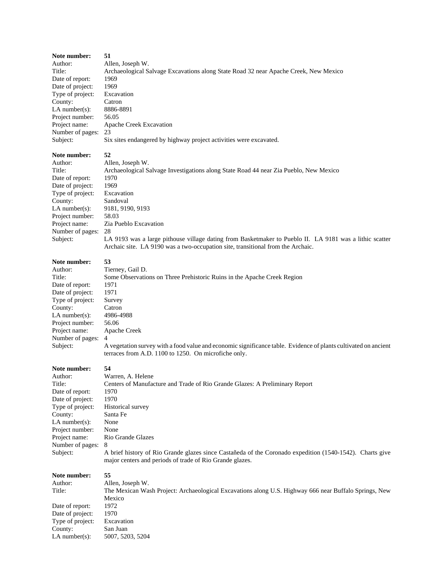| Note number:<br>Author:<br>Title:<br>Date of report:<br>Date of project:<br>Type of project:<br>County:<br>$LA$ number $(s)$ :<br>Project number:<br>Project name:<br>Number of pages:<br>Subject: | 51<br>Allen, Joseph W.<br>Archaeological Salvage Excavations along State Road 32 near Apache Creek, New Mexico<br>1969<br>1969<br>Excavation<br>Catron<br>8886-8891<br>56.05<br>Apache Creek Excavation<br>23<br>Six sites endangered by highway project activities were excavated.                                                                                                                                 |
|----------------------------------------------------------------------------------------------------------------------------------------------------------------------------------------------------|---------------------------------------------------------------------------------------------------------------------------------------------------------------------------------------------------------------------------------------------------------------------------------------------------------------------------------------------------------------------------------------------------------------------|
| Note number:<br>Author:<br>Title:<br>Date of report:<br>Date of project:<br>Type of project:<br>County:<br>$LA$ number(s):<br>Project number:<br>Project name:<br>Number of pages:<br>Subject:     | 52<br>Allen, Joseph W.<br>Archaeological Salvage Investigations along State Road 44 near Zia Pueblo, New Mexico<br>1970<br>1969<br>Excavation<br>Sandoval<br>9181, 9190, 9193<br>58.03<br>Zia Pueblo Excavation<br>28<br>LA 9193 was a large pithouse village dating from Basketmaker to Pueblo II. LA 9181 was a lithic scatter<br>Archaic site. LA 9190 was a two-occupation site, transitional from the Archaic. |
| Note number:<br>Author:<br>Title:<br>Date of report:<br>Date of project:<br>Type of project:<br>County:<br>$LA$ number(s):<br>Project number:<br>Project name:<br>Number of pages:<br>Subject:     | 53<br>Tierney, Gail D.<br>Some Observations on Three Prehistoric Ruins in the Apache Creek Region<br>1971<br>1971<br>Survey<br>Catron<br>4986-4988<br>56.06<br>Apache Creek<br>4<br>A vegetation survey with a food value and economic significance table. Evidence of plants cultivated on ancient<br>terraces from A.D. 1100 to 1250. On microfiche only.                                                         |
| Note number:<br>Author:<br>Title:<br>Date of report:<br>Date of project:<br>Type of project:<br>County:<br>LA number $(s)$ :<br>Project number:<br>Project name:<br>Number of pages:<br>Subject:   | 54<br>Warren, A. Helene<br>Centers of Manufacture and Trade of Rio Grande Glazes: A Preliminary Report<br>1970<br>1970<br>Historical survey<br>Santa Fe<br>None<br>None<br>Rio Grande Glazes<br>8<br>A brief history of Rio Grande glazes since Castañeda of the Coronado expedition (1540-1542). Charts give<br>major centers and periods of trade of Rio Grande glazes.                                           |
| Note number:<br>Author:<br>Title:<br>Date of report:<br>Date of project:<br>Type of project:<br>County:<br>$LA$ number(s):                                                                         | 55<br>Allen, Joseph W.<br>The Mexican Wash Project: Archaeological Excavations along U.S. Highway 666 near Buffalo Springs, New<br>Mexico<br>1972<br>1970<br>Excavation<br>San Juan<br>5007, 5203, 5204                                                                                                                                                                                                             |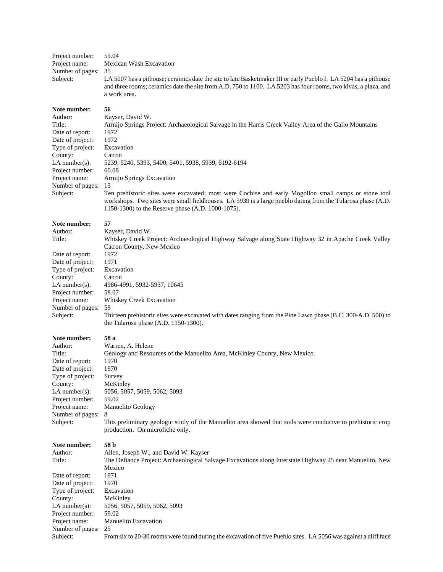| Project number:<br>Project name:<br>Number of pages:<br>Subject:                                                                                                                                 | 59.04<br>Mexican Wash Excavation<br>35<br>LA 5007 has a pithouse; ceramics date the site to late Basketmaker III or early Pueblo I. LA 5204 has a pithouse<br>and three rooms; ceramics date the site from A.D. 750 to 1100. LA 5203 has four rooms, two kivas, a plaza, and<br>a work area.                                                                                                                                                                                                                                                           |
|--------------------------------------------------------------------------------------------------------------------------------------------------------------------------------------------------|--------------------------------------------------------------------------------------------------------------------------------------------------------------------------------------------------------------------------------------------------------------------------------------------------------------------------------------------------------------------------------------------------------------------------------------------------------------------------------------------------------------------------------------------------------|
| Note number:<br>Author:<br>Title:<br>Date of report:<br>Date of project:<br>Type of project:<br>County:<br>LA number(s):<br>Project number:<br>Project name:<br>Number of pages:<br>Subject:     | 56<br>Kayser, David W.<br>Armijo Springs Project: Archaeological Salvage in the Harris Creek Valley Area of the Gallo Mountains<br>1972<br>1972<br>Excavation<br>Catron<br>5239, 5240, 5393, 5400, 5401, 5938, 5939, 6192-6194<br>60.08<br>Armijo Springs Excavation<br>13<br>Ten prehistoric sites were excavated; most were Cochise and early Mogollon small camps or stone tool<br>workshops. Two sites were small fieldhouses. LA 5939 is a large pueblo dating from the Tularosa phase (A.D.<br>1150-1300) to the Reserve phase (A.D. 1000-1075). |
| Note number:<br>Author:<br>Title:                                                                                                                                                                | 57<br>Kayser, David W.<br>Whiskey Creek Project: Archaeological Highway Salvage along State Highway 32 in Apache Creek Valley<br>Catron County, New Mexico                                                                                                                                                                                                                                                                                                                                                                                             |
| Date of report:<br>Date of project:<br>Type of project:<br>County:<br>LA number $(s)$ :<br>Project number:<br>Project name:<br>Number of pages:<br>Subject:                                      | 1972<br>1971<br>Excavation<br>Catron<br>4986-4991, 5932-5937, 10645<br>58.07<br>Whiskey Creek Excavation<br>59<br>Thirteen prehistoric sites were excavated with dates ranging from the Pine Lawn phase (B.C. 300-A.D. 500) to<br>the Tularosa phase $(A.D. 1150-1300)$ .                                                                                                                                                                                                                                                                              |
| Note number:<br>Author:<br>Title:<br>Date of report:<br>Date of project:<br>Type of project:<br>County:<br>LA number $(s)$ :<br>Project number:<br>Project name:<br>Number of pages:<br>Subject: | 58 a<br>Warren, A. Helene<br>Geology and Resources of the Manuelito Area, McKinley County, New Mexico<br>1970<br>1970<br>Survey<br>McKinley<br>5056, 5057, 5059, 5062, 5093<br>59.02<br>Manuelito Geology<br>8<br>This preliminary geologic study of the Manuelito area showed that soils were conducive to prehistoric crop<br>production. On microfiche only.                                                                                                                                                                                        |
| Note number:<br>Author:<br>Title:<br>Date of report:<br>Date of project:<br>Type of project:<br>County:<br>LA number $(s)$ :<br>Project number:<br>Project name:<br>Number of pages:<br>Subject: | 58 b<br>Allen, Joseph W., and David W. Kayser<br>The Defiance Project: Archaeological Salvage Excavations along Interstate Highway 25 near Manuelito, New<br>Mexico<br>1971<br>1970<br>Excavation<br>McKinley<br>5056, 5057, 5059, 5062, 5093<br>59.02<br>Manuelito Excavation<br>25<br>From six to 20-30 rooms were found during the excavation of five Pueblo sites. LA 5056 was against a cliff face                                                                                                                                                |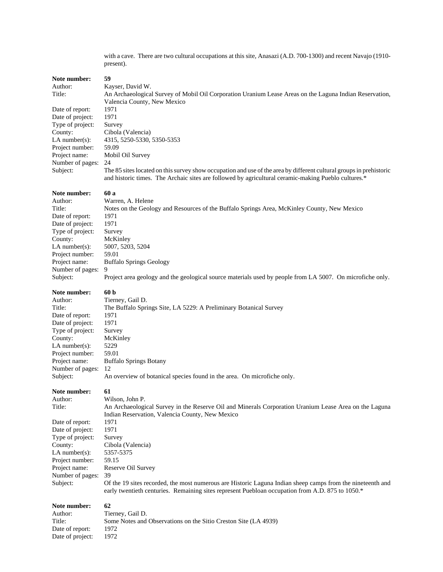with a cave. There are two cultural occupations at this site, Anasazi (A.D. 700-1300) and recent Navajo (1910 present).

| Note number:                         | 59                                                                                                                                                                                                                               |
|--------------------------------------|----------------------------------------------------------------------------------------------------------------------------------------------------------------------------------------------------------------------------------|
| Author:<br>Title:                    | Kayser, David W.<br>An Archaeological Survey of Mobil Oil Corporation Uranium Lease Areas on the Laguna Indian Reservation,                                                                                                      |
| Date of report:                      | Valencia County, New Mexico<br>1971                                                                                                                                                                                              |
| Date of project:<br>Type of project: | 1971<br>Survey                                                                                                                                                                                                                   |
| County:                              | Cibola (Valencia)                                                                                                                                                                                                                |
| LA number(s):                        | 4315, 5250-5330, 5350-5353                                                                                                                                                                                                       |
| Project number:                      | 59.09                                                                                                                                                                                                                            |
| Project name:                        | Mobil Oil Survey                                                                                                                                                                                                                 |
| Number of pages:<br>Subject:         | 24<br>The 85 sites located on this survey show occupation and use of the area by different cultural groups in prehistoric<br>and historic times. The Archaic sites are followed by agricultural ceramic-making Pueblo cultures.* |
| Note number:                         | 60 a                                                                                                                                                                                                                             |
| Author:                              | Warren, A. Helene                                                                                                                                                                                                                |
| Title:<br>Date of report:            | Notes on the Geology and Resources of the Buffalo Springs Area, McKinley County, New Mexico<br>1971                                                                                                                              |
| Date of project:<br>Type of project: | 1971                                                                                                                                                                                                                             |
| County:                              | Survey<br>McKinley                                                                                                                                                                                                               |
| $LA$ number(s):                      | 5007, 5203, 5204                                                                                                                                                                                                                 |
| Project number:                      | 59.01                                                                                                                                                                                                                            |
| Project name:                        | <b>Buffalo Springs Geology</b>                                                                                                                                                                                                   |
| Number of pages:                     | 9                                                                                                                                                                                                                                |
| Subject:                             | Project area geology and the geological source materials used by people from LA 5007. On microfiche only.                                                                                                                        |
| Note number:                         | 60 <sub>b</sub>                                                                                                                                                                                                                  |
| Author:                              | Tierney, Gail D.                                                                                                                                                                                                                 |
| Title:<br>Date of report:            | The Buffalo Springs Site, LA 5229: A Preliminary Botanical Survey<br>1971                                                                                                                                                        |
| Date of project:                     | 1971                                                                                                                                                                                                                             |
| Type of project:                     | Survey                                                                                                                                                                                                                           |
| County:                              | McKinley                                                                                                                                                                                                                         |
| LA number $(s)$ :                    | 5229                                                                                                                                                                                                                             |
| Project number:                      | 59.01                                                                                                                                                                                                                            |
| Project name:<br>Number of pages:    | <b>Buffalo Springs Botany</b><br>12                                                                                                                                                                                              |
| Subject:                             | An overview of botanical species found in the area. On microfiche only.                                                                                                                                                          |
| Note number:                         | 61                                                                                                                                                                                                                               |
| Author:                              | Wilson, John P.                                                                                                                                                                                                                  |
| Title:                               | An Archaeological Survey in the Reserve Oil and Minerals Corporation Uranium Lease Area on the Laguna                                                                                                                            |
| Date of report:                      | Indian Reservation, Valencia County, New Mexico<br>1971                                                                                                                                                                          |
| Date of project:                     | 1971                                                                                                                                                                                                                             |
| Type of project:                     | Survey                                                                                                                                                                                                                           |
| County:                              | Cibola (Valencia)                                                                                                                                                                                                                |
| LA number $(s)$ :                    | 5357-5375                                                                                                                                                                                                                        |
| Project number:                      | 59.15                                                                                                                                                                                                                            |
| Project name:<br>Number of pages:    | Reserve Oil Survey<br>39                                                                                                                                                                                                         |
| Subject:                             | Of the 19 sites recorded, the most numerous are Historic Laguna Indian sheep camps from the nineteenth and                                                                                                                       |
|                                      | early twentieth centuries. Remaining sites represent Puebloan occupation from A.D. 875 to 1050.*                                                                                                                                 |
|                                      | 62                                                                                                                                                                                                                               |

Author: Tierney, Gail D.<br>Title: Some Notes and Some Notes and Observations on the Sitio Creston Site (LA 4939) 1972 Date of report: 1972<br>Date of project: 1972 Date of project: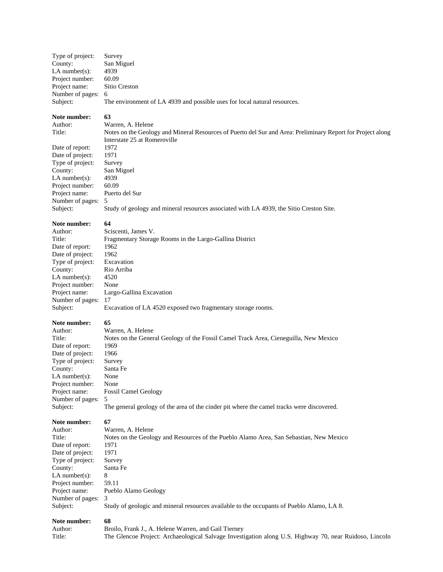| Type of project:   | Survey                                                                    |
|--------------------|---------------------------------------------------------------------------|
| County:            | San Miguel                                                                |
| LA number $(s)$ :  | 4939                                                                      |
| Project number:    | 60.09                                                                     |
| Project name:      | Sitio Creston                                                             |
| Number of pages: 6 |                                                                           |
| Subject:           | The environment of LA 4939 and possible uses for local natural resources. |
|                    |                                                                           |
|                    |                                                                           |

# **Note number:** 63<br>Author: Wa

Date of report: 1972<br>Date of project: 1971 Date of project: 1971<br>Type of project: Survey Type of project:<br>County: LA number(s):  $4939$ Project number: 60.09 Project name: Puerto del Sur Number of pages: 5<br>Subject: St

Author: Warren, A. Helene<br>Title: Notes on the Geolog Notes on the Geology and Mineral Resources of Puerto del Sur and Area: Preliminary Report for Project along Interstate 25 at Romeroville San Miguel Study of geology and mineral resources associated with LA 4939, the Sitio Creston Site.

#### **Note number: 64**

| Author:           | Sciscenti, James V.                                          |
|-------------------|--------------------------------------------------------------|
| Title:            | Fragmentary Storage Rooms in the Largo-Gallina District      |
| Date of report:   | 1962                                                         |
| Date of project:  | 1962                                                         |
| Type of project:  | Excavation                                                   |
| County:           | Rio Arriba                                                   |
| LA number $(s)$ : | 4520                                                         |
| Project number:   | None                                                         |
| Project name:     | Largo-Gallina Excavation                                     |
| Number of pages:  | 17                                                           |
| Subject:          | Excavation of LA 4520 exposed two fragmentary storage rooms. |
|                   |                                                              |

### **Note number: 65**

| w                                                                                         |
|-------------------------------------------------------------------------------------------|
| Warren, A. Helene                                                                         |
| Notes on the General Geology of the Fossil Camel Track Area, Cieneguilla, New Mexico      |
| 1969                                                                                      |
| 1966                                                                                      |
| Survey                                                                                    |
| Santa Fe                                                                                  |
| None                                                                                      |
| None                                                                                      |
| <b>Fossil Camel Geology</b>                                                               |
| Number of pages: 5                                                                        |
| The general geology of the area of the cinder pit where the camel tracks were discovered. |
|                                                                                           |

#### Note number: 67

| Author:          | Warren, A. Helene                                                                         |
|------------------|-------------------------------------------------------------------------------------------|
| Title:           | Notes on the Geology and Resources of the Pueblo Alamo Area, San Sebastian, New Mexico    |
| Date of report:  | 1971                                                                                      |
| Date of project: | 1971                                                                                      |
| Type of project: | Survey                                                                                    |
| County:          | Santa Fe                                                                                  |
| LA number(s):    | 8                                                                                         |
| Project number:  | 59.11                                                                                     |
| Project name:    | Pueblo Alamo Geology                                                                      |
| Number of pages: | $\mathcal{R}$                                                                             |
| Subject:         | Study of geologic and mineral resources available to the occupants of Pueblo Alamo, LA 8. |

| Author: | Broilo, Frank J., A. Helene Warren, and Gail Tierney                                                   |
|---------|--------------------------------------------------------------------------------------------------------|
| Title:  | The Glencoe Project: Archaeological Salvage Investigation along U.S. Highway 70, near Ruidoso, Lincoln |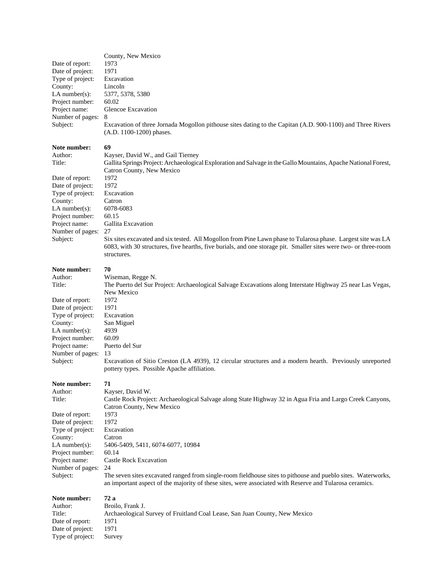| Date of report:<br>Date of project:<br>Type of project:<br>County:<br>$LA$ number(s):<br>Project number:<br>Project name:<br>Number of pages:<br>Subject:                                      | County, New Mexico<br>1973<br>1971<br>Excavation<br>Lincoln<br>5377, 5378, 5380<br>60.02<br><b>Glencoe Excavation</b><br>8<br>Excavation of three Jornada Mogollon pithouse sites dating to the Capitan (A.D. 900-1100) and Three Rivers<br>(A.D. 1100-1200) phases.                                                                                                                                                                                                                                             |
|------------------------------------------------------------------------------------------------------------------------------------------------------------------------------------------------|------------------------------------------------------------------------------------------------------------------------------------------------------------------------------------------------------------------------------------------------------------------------------------------------------------------------------------------------------------------------------------------------------------------------------------------------------------------------------------------------------------------|
| Note number:<br>Author:<br>Title:                                                                                                                                                              | 69<br>Kayser, David W., and Gail Tierney<br>Gallita Springs Project: Archaeological Exploration and Salvage in the Gallo Mountains, Apache National Forest,<br>Catron County, New Mexico                                                                                                                                                                                                                                                                                                                         |
| Date of report:<br>Date of project:<br>Type of project:<br>County:<br>$LA$ number(s):<br>Project number:<br>Project name:<br>Number of pages:<br>Subject:                                      | 1972<br>1972<br>Excavation<br>Catron<br>6078-6083<br>60.15<br>Gallita Excavation<br>27<br>Six sites excavated and six tested. All Mogollon from Pine Lawn phase to Tularosa phase. Largest site was LA<br>6083, with 30 structures, five hearths, five burials, and one storage pit. Smaller sites were two- or three-room<br>structures.                                                                                                                                                                        |
| Note number:<br>Author:<br>Title:<br>Date of report:<br>Date of project:<br>Type of project:<br>County:<br>$LA$ number(s):<br>Project number:<br>Project name:<br>Number of pages:<br>Subject: | 70<br>Wiseman, Regge N.<br>The Puerto del Sur Project: Archaeological Salvage Excavations along Interstate Highway 25 near Las Vegas,<br>New Mexico<br>1972<br>1971<br>Excavation<br>San Miguel<br>4939<br>60.09<br>Puerto del Sur<br>13<br>Excavation of Sitio Creston (LA 4939), 12 circular structures and a modern hearth. Previously unreported<br>pottery types. Possible Apache affiliation.                                                                                                              |
| Note number:<br>Author:<br>Title:<br>Date of report:<br>Date of project:<br>Type of project:<br>County:<br>$LA$ number(s):<br>Project number:<br>Project name:<br>Number of pages:<br>Subject: | 71<br>Kayser, David W.<br>Castle Rock Project: Archaeological Salvage along State Highway 32 in Agua Fria and Largo Creek Canyons,<br>Catron County, New Mexico<br>1973<br>1972<br>Excavation<br>Catron<br>5406-5409, 5411, 6074-6077, 10984<br>60.14<br>Castle Rock Excavation<br>24<br>The seven sites excavated ranged from single-room fieldhouse sites to pithouse and pueblo sites. Waterworks,<br>an important aspect of the majority of these sites, were associated with Reserve and Tularosa ceramics. |
| Note number:<br>Author:<br>Title:<br>Date of report:<br>Date of project:<br>Type of project:                                                                                                   | 72 a<br>Broilo, Frank J.<br>Archaeological Survey of Fruitland Coal Lease, San Juan County, New Mexico<br>1971<br>1971<br>Survey                                                                                                                                                                                                                                                                                                                                                                                 |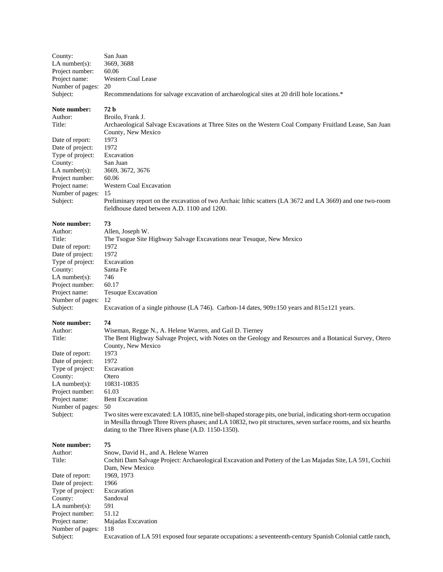| County:<br>LA number $(s)$ :<br>Project number:<br>Project name:<br>Number of pages:<br>Subject:                                                            | San Juan<br>3669, 3688<br>60.06<br>Western Coal Lease<br>20<br>Recommendations for salvage excavation of archaeological sites at 20 drill hole locations.*                                                                                                                                                                                                                             |
|-------------------------------------------------------------------------------------------------------------------------------------------------------------|----------------------------------------------------------------------------------------------------------------------------------------------------------------------------------------------------------------------------------------------------------------------------------------------------------------------------------------------------------------------------------------|
| Note number:<br>Author:<br>Title:                                                                                                                           | 72 b<br>Broilo, Frank J.<br>Archaeological Salvage Excavations at Three Sites on the Western Coal Company Fruitland Lease, San Juan<br>County, New Mexico                                                                                                                                                                                                                              |
| Date of report:<br>Date of project:<br>Type of project:<br>County:<br>LA number $(s)$ :<br>Project number:<br>Project name:<br>Number of pages:<br>Subject: | 1973<br>1972<br>Excavation<br>San Juan<br>3669, 3672, 3676<br>60.06<br><b>Western Coal Excavation</b><br>15<br>Preliminary report on the excavation of two Archaic lithic scatters (LA 3672 and LA 3669) and one two-room<br>fieldhouse dated between A.D. 1100 and 1200.                                                                                                              |
| Note number:<br>Author:<br>Title:<br>Date of report:<br>Date of project:<br>Type of project:<br>County:<br>$LA$ number(s):                                  | 73<br>Allen, Joseph W.<br>The Tsogue Site Highway Salvage Excavations near Tesuque, New Mexico<br>1972<br>1972<br>Excavation<br>Santa Fe<br>746                                                                                                                                                                                                                                        |
| Project number:<br>Project name:<br>Number of pages:<br>Subject:                                                                                            | 60.17<br>Tesuque Excavation<br>-12<br>Excavation of a single pithouse (LA 746). Carbon-14 dates, $909 \pm 150$ years and $815 \pm 121$ years.                                                                                                                                                                                                                                          |
| Note number:<br>Author:<br>Title:                                                                                                                           | 74<br>Wiseman, Regge N., A. Helene Warren, and Gail D. Tierney<br>The Bent Highway Salvage Project, with Notes on the Geology and Resources and a Botanical Survey, Otero<br>County, New Mexico                                                                                                                                                                                        |
| Date of report:<br>Date of project:<br>Type of project:<br>County:<br>LA number $(s)$ :<br>Project number:<br>Project name:<br>Number of pages:<br>Subject: | 1973<br>1972<br>Excavation<br>Otero<br>10831-10835<br>61.03<br><b>Bent Excavation</b><br>50<br>Two sites were excavated: LA 10835, nine bell-shaped storage pits, one burial, indicating short-term occupation<br>in Mesilla through Three Rivers phases; and LA 10832, two pit structures, seven surface rooms, and six hearths<br>dating to the Three Rivers phase (A.D. 1150-1350). |
| Note number:<br>Author:<br>Title:<br>Date of report:<br>Date of project:<br>Type of project:<br>County:<br>LA number $(s)$ :<br>Project number:             | 75<br>Snow, David H., and A. Helene Warren<br>Cochiti Dam Salvage Project: Archaeological Excavation and Pottery of the Las Majadas Site, LA 591, Cochiti<br>Dam, New Mexico<br>1969, 1973<br>1966<br>Excavation<br>Sandoval<br>591<br>51.12                                                                                                                                           |

Project name: Majadas Excavation

Number of pages: 118

Subject: Excavation of LA 591 exposed four separate occupations: a seventeenth-century Spanish Colonial cattle ranch,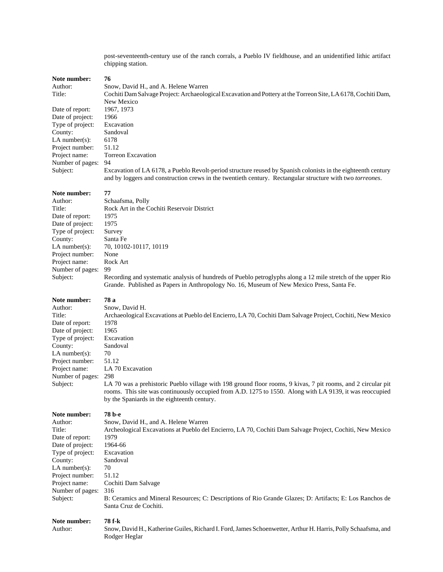post-seventeenth-century use of the ranch corrals, a Pueblo IV fieldhouse, and an unidentified lithic artifact chipping station.

#### Note number: 76

Date of report: 1967, 1973 Date of project: 1966 Type of project: Excavation County: Sandoval<br>LA number(s): 6178 LA number(s): 6178<br>Project number: 51.12 Project number: Project name: Torreon Excavation Number of pages: 94

Author: Snow, David H., and A. Helene Warren Title: Cochiti Dam Salvage Project: Archaeological Excavation and Pottery at the Torreon Site, LA 6178, Cochiti Dam, New Mexico Subject: Excavation of LA 6178, a Pueblo Revolt-period structure reused by Spanish colonists in the eighteenth century

and by loggers and construction crews in the twentieth century. Rectangular structure with two *torreones*.

#### Note number: 77

| Type of project:  | Survey                                                                                                                                                                                                                                                                  |
|-------------------|-------------------------------------------------------------------------------------------------------------------------------------------------------------------------------------------------------------------------------------------------------------------------|
| County:           | Santa Fe                                                                                                                                                                                                                                                                |
| LA number $(s)$ : | 70, 10102-10117, 10119                                                                                                                                                                                                                                                  |
| Project number:   | None                                                                                                                                                                                                                                                                    |
| Project name:     | Rock Art                                                                                                                                                                                                                                                                |
| Number of pages:  | 99                                                                                                                                                                                                                                                                      |
| Subject:          | Recording and systematic analysis of hundreds of Pueblo petroglyphs along a 12 mile stretch of the upper Rio<br>Grande. Published as Papers in Anthropology No. 16, Museum of New Mexico Press, Santa Fe.                                                               |
| Note number:      | 78 a                                                                                                                                                                                                                                                                    |
| Author:           | Snow, David H.                                                                                                                                                                                                                                                          |
| Title:            | Archaeological Excavations at Pueblo del Encierro, LA 70, Cochiti Dam Salvage Project, Cochiti, New Mexico                                                                                                                                                              |
| Date of report:   | 1978                                                                                                                                                                                                                                                                    |
| Date of project:  | 1965                                                                                                                                                                                                                                                                    |
| Type of project:  | Excavation                                                                                                                                                                                                                                                              |
| County:           | Sandoval                                                                                                                                                                                                                                                                |
| LA number $(s)$ : | 70                                                                                                                                                                                                                                                                      |
| Project number:   | 51.12                                                                                                                                                                                                                                                                   |
| Project name:     | LA 70 Excavation                                                                                                                                                                                                                                                        |
| Number of pages:  | 298                                                                                                                                                                                                                                                                     |
| Subject:          | LA 70 was a prehistoric Pueblo village with 198 ground floor rooms, 9 kivas, 7 pit rooms, and 2 circular pit<br>rooms. This site was continuously occupied from A.D. 1275 to 1550. Along with LA 9139, it was reoccupied<br>by the Spaniards in the eighteenth century. |
| Note number:      | 78 b-е                                                                                                                                                                                                                                                                  |

Author: Snow, David H., and A. Helene Warren Title: Archeological Excavations at Pueblo del Encierro, LA 70, Cochiti Dam Salvage Project, Cochiti, New Mexico Date of report: 1979<br>Date of project: 1964-66 Date of project: 1964-66<br>Type of project: Excavation Type of project: County: Sandoval LA number(s):  $70$ Project number: 51.12 Project name: Cochiti Dam Salvage Number of pages: 316 Subject: B: Ceramics and Mineral Resources; C: Descriptions of Rio Grande Glazes; D: Artifacts; E: Los Ranchos de Santa Cruz de Cochiti.

### **Note number: 78 f-k**

Author: Snow, David H., Katherine Guiles, Richard I. Ford, James Schoenwetter, Arthur H. Harris, Polly Schaafsma, and Rodger Heglar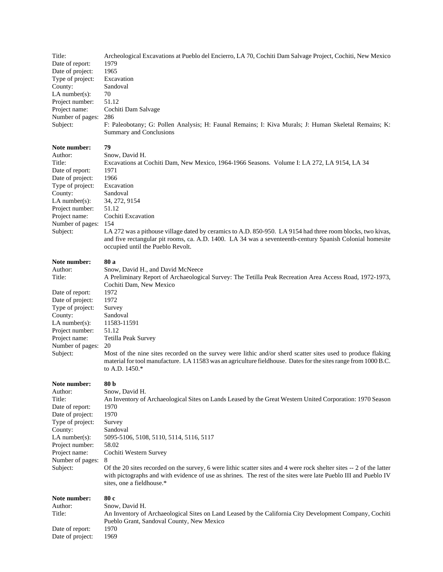| Title:<br>Date of report:<br>Date of project:<br>Type of project:<br>County:<br>$LA$ number(s):<br>Project number:<br>Project name:<br>Number of pages:<br>Subject:                            | Archeological Excavations at Pueblo del Encierro, LA 70, Cochiti Dam Salvage Project, Cochiti, New Mexico<br>1979<br>1965<br>Excavation<br>Sandoval<br>70<br>51.12<br>Cochiti Dam Salvage<br>286<br>F: Paleobotany; G: Pollen Analysis; H: Faunal Remains; I: Kiva Murals; J: Human Skeletal Remains; K:<br>Summary and Conclusions                                                                                                                                                                                                 |
|------------------------------------------------------------------------------------------------------------------------------------------------------------------------------------------------|-------------------------------------------------------------------------------------------------------------------------------------------------------------------------------------------------------------------------------------------------------------------------------------------------------------------------------------------------------------------------------------------------------------------------------------------------------------------------------------------------------------------------------------|
| Note number:<br>Author:<br>Title:<br>Date of report:<br>Date of project:<br>Type of project:<br>County:<br>$LA$ number(s):<br>Project number:<br>Project name:<br>Number of pages:<br>Subject: | 79<br>Snow, David H.<br>Excavations at Cochiti Dam, New Mexico, 1964-1966 Seasons. Volume I: LA 272, LA 9154, LA 34<br>1971<br>1966<br>Excavation<br>Sandoval<br>34, 272, 9154<br>51.12<br>Cochiti Excavation<br>154<br>LA 272 was a pithouse village dated by ceramics to A.D. 850-950. LA 9154 had three room blocks, two kivas,<br>and five rectangular pit rooms, ca. A.D. 1400. LA 34 was a seventeenth-century Spanish Colonial homesite<br>occupied until the Pueblo Revolt.                                                 |
| Note number:<br>Author:<br>Title:<br>Date of report:<br>Date of project:<br>Type of project:<br>County:<br>$LA$ number(s):<br>Project number:<br>Project name:<br>Number of pages:<br>Subject: | 80 a<br>Snow, David H., and David McNeece<br>A Preliminary Report of Archaeological Survey: The Tetilla Peak Recreation Area Access Road, 1972-1973,<br>Cochiti Dam, New Mexico<br>1972<br>1972<br>Survey<br>Sandoval<br>11583-11591<br>51.12<br>Tetilla Peak Survey<br>20<br>Most of the nine sites recorded on the survey were lithic and/or sherd scatter sites used to produce flaking<br>material for tool manufacture. LA 11583 was an agriculture fieldhouse. Dates for the sites range from 1000 B.C.<br>to A.D. 1450.*     |
| Note number:<br>Author:<br>Title:<br>Date of report:<br>Date of project:<br>Type of project:<br>County:<br>$LA$ number(s):<br>Project number:<br>Project name:<br>Number of pages:<br>Subject: | 80 b<br>Snow, David H.<br>An Inventory of Archaeological Sites on Lands Leased by the Great Western United Corporation: 1970 Season<br>1970<br>1970<br>Survey<br>Sandoval<br>5095-5106, 5108, 5110, 5114, 5116, 5117<br>58.02<br>Cochiti Western Survey<br>8<br>Of the 20 sites recorded on the survey, 6 were lithic scatter sites and 4 were rock shelter sites -- 2 of the latter<br>with pictographs and with evidence of use as shrines. The rest of the sites were late Pueblo III and Pueblo IV<br>sites, one a fieldhouse.* |
| Note number:<br>Author:<br>Title:<br>Date of report:<br>Date of project:                                                                                                                       | 80 c<br>Snow, David H.<br>An Inventory of Archaeological Sites on Land Leased by the California City Development Company, Cochiti<br>Pueblo Grant, Sandoval County, New Mexico<br>1970<br>1969                                                                                                                                                                                                                                                                                                                                      |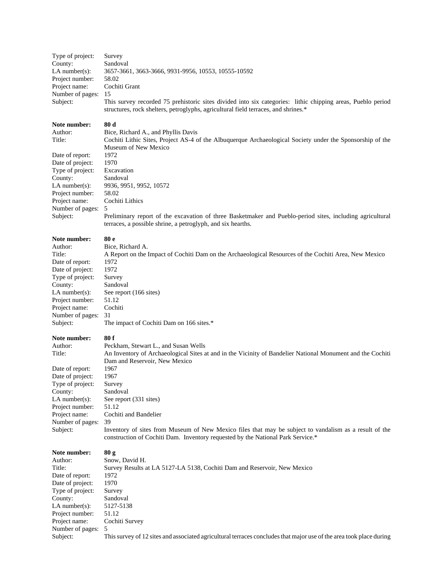| Type of project:                    | Survey                                                                                                                                                                                            |
|-------------------------------------|---------------------------------------------------------------------------------------------------------------------------------------------------------------------------------------------------|
| County:<br>LA number $(s)$ :        | Sandoval<br>3657-3661, 3663-3666, 9931-9956, 10553, 10555-10592                                                                                                                                   |
| Project number:                     | 58.02                                                                                                                                                                                             |
| Project name:                       | Cochiti Grant                                                                                                                                                                                     |
| Number of pages:                    | 15                                                                                                                                                                                                |
| Subject:                            | This survey recorded 75 prehistoric sites divided into six categories: lithic chipping areas, Pueblo period<br>structures, rock shelters, petroglyphs, agricultural field terraces, and shrines.* |
| Note number:                        | 80d                                                                                                                                                                                               |
| Author:                             | Bice, Richard A., and Phyllis Davis                                                                                                                                                               |
| Title:                              | Cochiti Lithic Sites, Project AS-4 of the Albuquerque Archaeological Society under the Sponsorship of the<br>Museum of New Mexico                                                                 |
| Date of report:<br>Date of project: | 1972<br>1970                                                                                                                                                                                      |
| Type of project:                    | Excavation                                                                                                                                                                                        |
| County:                             | Sandoval                                                                                                                                                                                          |
| $LA$ number(s):                     | 9936, 9951, 9952, 10572                                                                                                                                                                           |
| Project number:                     | 58.02                                                                                                                                                                                             |
| Project name:                       | Cochiti Lithics                                                                                                                                                                                   |
| Number of pages:                    | 5                                                                                                                                                                                                 |
| Subject:                            | Preliminary report of the excavation of three Basketmaker and Pueblo-period sites, including agricultural<br>terraces, a possible shrine, a petroglyph, and six hearths.                          |
| Note number:                        | 80 e                                                                                                                                                                                              |
| Author:<br>Title:                   | Bice, Richard A.<br>A Report on the Impact of Cochiti Dam on the Archaeological Resources of the Cochiti Area, New Mexico                                                                         |
| Date of report:                     | 1972                                                                                                                                                                                              |
| Date of project:                    | 1972                                                                                                                                                                                              |
| Type of project:                    | Survey                                                                                                                                                                                            |
| County:                             | Sandoval                                                                                                                                                                                          |
| $LA$ number(s):                     | See report (166 sites)                                                                                                                                                                            |
| Project number:                     | 51.12<br>Cochiti                                                                                                                                                                                  |
| Project name:<br>Number of pages:   | 31                                                                                                                                                                                                |
| Subject:                            | The impact of Cochiti Dam on 166 sites.*                                                                                                                                                          |
| Note number:                        | 80 f                                                                                                                                                                                              |
| Author:                             | Peckham, Stewart L., and Susan Wells                                                                                                                                                              |
| Title:                              | An Inventory of Archaeological Sites at and in the Vicinity of Bandelier National Monument and the Cochiti<br>Dam and Reservoir, New Mexico                                                       |
| Date of report:<br>Date of project: | 1967<br>1967                                                                                                                                                                                      |
| Type of project:                    | Survey                                                                                                                                                                                            |
| County:                             | Sandoval                                                                                                                                                                                          |
| LA number $(s)$ :                   | See report (331 sites)                                                                                                                                                                            |
| Project number:                     | 51.12                                                                                                                                                                                             |
| Project name:                       | Cochiti and Bandelier                                                                                                                                                                             |
| Number of pages:<br>Subject:        | 39<br>Inventory of sites from Museum of New Mexico files that may be subject to vandalism as a result of the<br>construction of Cochiti Dam. Inventory requested by the National Park Service.*   |
| Note number:                        | 80 <sub>g</sub>                                                                                                                                                                                   |
| Author:                             | Snow, David H.                                                                                                                                                                                    |
| Title:<br>Date of report:           | Survey Results at LA 5127-LA 5138, Cochiti Dam and Reservoir, New Mexico<br>1972                                                                                                                  |
| Date of project:                    | 1970                                                                                                                                                                                              |
| Type of project:                    | Survey                                                                                                                                                                                            |
| County:                             | Sandoval                                                                                                                                                                                          |
| LA number $(s)$ :                   | 5127-5138                                                                                                                                                                                         |
| Project number:                     | 51.12                                                                                                                                                                                             |
| Project name:<br>Number of pages:   | Cochiti Survey<br>5                                                                                                                                                                               |
| Subject:                            | This survey of 12 sites and associated agricultural terraces concludes that major use of the area took place during                                                                               |
|                                     |                                                                                                                                                                                                   |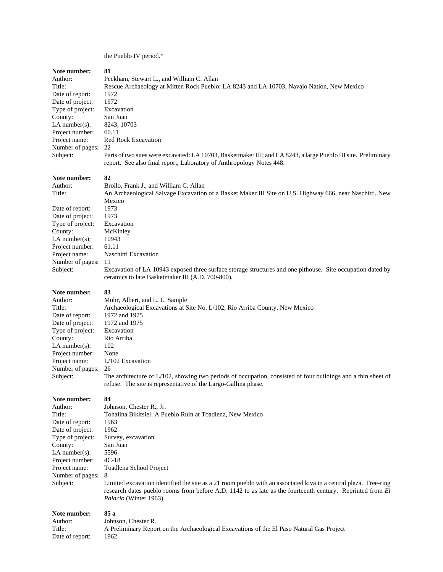### the Pueblo IV period.\*

| Author:           | Peckham, Stewart L., and William C. Allan                                                                                                                                                                                                               |
|-------------------|---------------------------------------------------------------------------------------------------------------------------------------------------------------------------------------------------------------------------------------------------------|
| Title:            | Rescue Archaeology at Mitten Rock Pueblo: LA 8243 and LA 10703, Navajo Nation, New Mexico                                                                                                                                                               |
| Date of report:   | 1972                                                                                                                                                                                                                                                    |
| Date of project:  | 1972                                                                                                                                                                                                                                                    |
| Type of project:  | Excavation                                                                                                                                                                                                                                              |
| County:           | San Juan                                                                                                                                                                                                                                                |
| LA number $(s)$ : | 8243, 10703                                                                                                                                                                                                                                             |
| Project number:   | 60.11                                                                                                                                                                                                                                                   |
| Project name:     | <b>Red Rock Excavation</b>                                                                                                                                                                                                                              |
| Number of pages:  | 22                                                                                                                                                                                                                                                      |
| Subject:          | Parts of two sites were excavated: LA 10703, Basketmaker III; and LA 8243, a large Pueblo III site. Preliminary                                                                                                                                         |
|                   | report. See also final report, Laboratory of Anthropology Notes 448.                                                                                                                                                                                    |
| Note number:      | 82                                                                                                                                                                                                                                                      |
| Author:           | Broilo, Frank J., and William C. Allan                                                                                                                                                                                                                  |
| Title:            | An Archaeological Salvage Excavation of a Basket Maker III Site on U.S. Highway 666, near Naschitti, New                                                                                                                                                |
|                   | Mexico                                                                                                                                                                                                                                                  |
| Date of report:   | 1973                                                                                                                                                                                                                                                    |
| Date of project:  | 1973                                                                                                                                                                                                                                                    |
| Type of project:  | Excavation                                                                                                                                                                                                                                              |
| County:           | McKinley                                                                                                                                                                                                                                                |
| LA number(s):     | 10943                                                                                                                                                                                                                                                   |
| Project number:   | 61.11                                                                                                                                                                                                                                                   |
| Project name:     | Naschitti Excavation                                                                                                                                                                                                                                    |
| Number of pages:  | 11                                                                                                                                                                                                                                                      |
| Subject:          | Excavation of LA 10943 exposed three surface storage structures and one pithouse. Site occupation dated by<br>ceramics to late Basketmaker III (A.D. 700-800).                                                                                          |
| Note number:      | 83                                                                                                                                                                                                                                                      |
| Author:           | Mohr, Albert, and L. L. Sample                                                                                                                                                                                                                          |
| Title:            | Archaeological Excavations at Site No. L/102, Rio Arriba County, New Mexico                                                                                                                                                                             |
| Date of report:   | 1972 and 1975                                                                                                                                                                                                                                           |
| Date of project:  | 1972 and 1975                                                                                                                                                                                                                                           |
| Type of project:  | Excavation                                                                                                                                                                                                                                              |
| County:           | Rio Arriba                                                                                                                                                                                                                                              |
| LA number $(s)$ : | 102                                                                                                                                                                                                                                                     |
| Project number:   | None                                                                                                                                                                                                                                                    |
| Project name:     | $L/102$ Excavation                                                                                                                                                                                                                                      |
| Number of pages:  | 26                                                                                                                                                                                                                                                      |
| Subject:          | The architecture of L/102, showing two periods of occupation, consisted of four buildings and a thin sheet of<br>refuse. The site is representative of the Largo-Gallina phase.                                                                         |
| Note number:      | 84                                                                                                                                                                                                                                                      |
| Author:           | Johnson, Chester R., Jr.                                                                                                                                                                                                                                |
| Title:            | Tohalina Bikitsiel: A Pueblo Ruin at Toadlena, New Mexico                                                                                                                                                                                               |
| Date of report:   | 1963                                                                                                                                                                                                                                                    |
| Date of project:  | 1962                                                                                                                                                                                                                                                    |
| Type of project:  | Survey, excavation                                                                                                                                                                                                                                      |
| County:           | San Juan                                                                                                                                                                                                                                                |
| LA number $(s)$ : | 5596                                                                                                                                                                                                                                                    |
| Project number:   | $4C-18$                                                                                                                                                                                                                                                 |
| Project name:     | Toadlena School Project                                                                                                                                                                                                                                 |
| Number of pages:  | 8                                                                                                                                                                                                                                                       |
| Subject:          | Limited excavation identified the site as a 21 room pueblo with an associated kiva in a central plaza. Tree-ring<br>research dates pueblo rooms from before A.D. 1142 to as late as the fourteenth century. Reprinted from El<br>Palacio (Winter 1963). |
| Note number:      | 85 a                                                                                                                                                                                                                                                    |
| Author:           | Johnson, Chester R.                                                                                                                                                                                                                                     |
| Title:            | A Preliminary Report on the Archaeological Excavations of the El Paso Natural Gas Project                                                                                                                                                               |
| Date of report:   | 1962                                                                                                                                                                                                                                                    |
|                   |                                                                                                                                                                                                                                                         |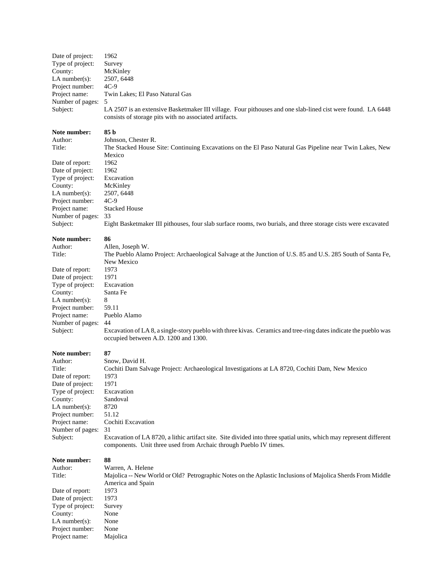| Date of project:<br>Type of project:<br>County:<br>LA number(s):<br>Project number:<br>Project name:<br>Number of pages:<br>Subject: | 1962<br>Survey<br>McKinley<br>2507, 6448<br>$4C-9$<br>Twin Lakes; El Paso Natural Gas<br>5<br>LA 2507 is an extensive Basketmaker III village. Four pithouses and one slab-lined cist were found. LA 6448<br>consists of storage pits with no associated artifacts. |
|--------------------------------------------------------------------------------------------------------------------------------------|---------------------------------------------------------------------------------------------------------------------------------------------------------------------------------------------------------------------------------------------------------------------|
| Note number:<br>Author:<br>Title:                                                                                                    | 85 b<br>Johnson, Chester R.<br>The Stacked House Site: Continuing Excavations on the El Paso Natural Gas Pipeline near Twin Lakes, New                                                                                                                              |
| Date of report:                                                                                                                      | Mexico<br>1962                                                                                                                                                                                                                                                      |
| Date of project:                                                                                                                     | 1962                                                                                                                                                                                                                                                                |
| Type of project:                                                                                                                     | Excavation                                                                                                                                                                                                                                                          |
| County:                                                                                                                              | McKinley                                                                                                                                                                                                                                                            |
| LA number(s):<br>Project number:                                                                                                     | 2507, 6448<br>$4C-9$                                                                                                                                                                                                                                                |
| Project name:                                                                                                                        | <b>Stacked House</b>                                                                                                                                                                                                                                                |
| Number of pages:                                                                                                                     | 33                                                                                                                                                                                                                                                                  |
| Subject:                                                                                                                             | Eight Basketmaker III pithouses, four slab surface rooms, two burials, and three storage cists were excavated                                                                                                                                                       |
| Note number:                                                                                                                         | 86                                                                                                                                                                                                                                                                  |
| Author:                                                                                                                              | Allen, Joseph W.                                                                                                                                                                                                                                                    |
| Title:                                                                                                                               | The Pueblo Alamo Project: Archaeological Salvage at the Junction of U.S. 85 and U.S. 285 South of Santa Fe,                                                                                                                                                         |
| Date of report:                                                                                                                      | New Mexico<br>1973                                                                                                                                                                                                                                                  |
| Date of project:                                                                                                                     | 1971                                                                                                                                                                                                                                                                |
| Type of project:                                                                                                                     | Excavation                                                                                                                                                                                                                                                          |
| County:                                                                                                                              | Santa Fe                                                                                                                                                                                                                                                            |
| LA number( $s$ ):                                                                                                                    | 8<br>59.11                                                                                                                                                                                                                                                          |
| Project number:<br>Project name:                                                                                                     | Pueblo Alamo                                                                                                                                                                                                                                                        |
| Number of pages:                                                                                                                     | 44                                                                                                                                                                                                                                                                  |
| Subject:                                                                                                                             | Excavation of LA 8, a single-story pueblo with three kivas. Ceramics and tree-ring dates indicate the pueblo was<br>occupied between A.D. 1200 and 1300.                                                                                                            |
| Note number:                                                                                                                         | 87                                                                                                                                                                                                                                                                  |
| Author:                                                                                                                              | Snow, David H.                                                                                                                                                                                                                                                      |
| Title:                                                                                                                               | Cochiti Dam Salvage Project: Archaeological Investigations at LA 8720, Cochiti Dam, New Mexico                                                                                                                                                                      |
| Date of report:<br>Date of project:                                                                                                  | 1973<br>1971                                                                                                                                                                                                                                                        |
| Type of project:                                                                                                                     | Excavation                                                                                                                                                                                                                                                          |
| County:                                                                                                                              | Sandoval                                                                                                                                                                                                                                                            |
| LA number(s):                                                                                                                        | 8720                                                                                                                                                                                                                                                                |
| Project number:<br>Project name:                                                                                                     | 51.12<br>Cochiti Excavation                                                                                                                                                                                                                                         |
| Number of pages:                                                                                                                     | 31                                                                                                                                                                                                                                                                  |
| Subject:                                                                                                                             | Excavation of LA 8720, a lithic artifact site. Site divided into three spatial units, which may represent different                                                                                                                                                 |
|                                                                                                                                      | components. Unit three used from Archaic through Pueblo IV times.                                                                                                                                                                                                   |
| Note number:                                                                                                                         | 88                                                                                                                                                                                                                                                                  |
| Author:                                                                                                                              | Warren, A. Helene                                                                                                                                                                                                                                                   |
| Title:                                                                                                                               | Majolica -- New World or Old? Petrographic Notes on the Aplastic Inclusions of Majolica Sherds From Middle                                                                                                                                                          |
|                                                                                                                                      | America and Spain                                                                                                                                                                                                                                                   |
| Date of report:<br>Date of project:                                                                                                  | 1973<br>1973                                                                                                                                                                                                                                                        |
| Type of project:                                                                                                                     | Survey                                                                                                                                                                                                                                                              |
| County:                                                                                                                              | None                                                                                                                                                                                                                                                                |
| LA number(s):                                                                                                                        | None                                                                                                                                                                                                                                                                |
| Project number:<br>Project name:                                                                                                     | None<br>Majolica                                                                                                                                                                                                                                                    |
|                                                                                                                                      |                                                                                                                                                                                                                                                                     |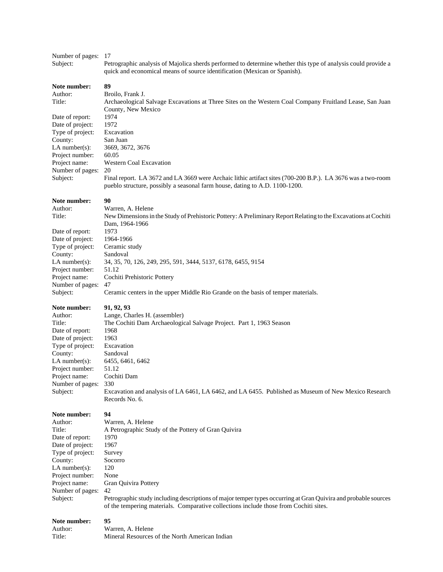### Number of pages: 17

Subject: Petrographic analysis of Majolica sherds performed to determine whether this type of analysis could provide a quick and economical means of source identification (Mexican or Spanish).

**Note number: 89** Author: Broilo, Frank J. Title: Archaeological Salvage Excavations at Three Sites on the Western Coal Company Fruitland Lease, San Juan County, New Mexico Date of report: 1974 Date of project: 1972 Type of project: Excavation County: San Juan LA number(s): 3669, 3672, 3676 Project number: 60.05 Project name: Western Coal Excavation Number of pages: 20 Subject: Final report. LA 3672 and LA 3669 were Archaic lithic artifact sites (700-200 B.P.). LA 3676 was a two-room pueblo structure, possibly a seasonal farm house, dating to A.D. 1100-1200.

### **Note number: 90**

Author: Warren, A. Helene Title: New Dimensions in the Study of Prehistoric Pottery: A Preliminary Report Relating to the Excavations at Cochiti Dam, 1964-1966 Date of report: 1973 Date of project: 1964-1966 Type of project: Ceramic study County: Sandoval LA number(s): 34, 35, 70, 126, 249, 295, 591, 3444, 5137, 6178, 6455, 9154 Project number: 51.12 Project name: Cochiti Prehistoric Pottery Number of pages: 47 Subject: Ceramic centers in the upper Middle Rio Grande on the basis of temper materials.

#### **Note number: 91, 92, 93**

Author: Lange, Charles H. (assembler) Title: The Cochiti Dam Archaeological Salvage Project. Part 1, 1963 Season Date of report: 1968 Date of project: 1963 Type of project: Excavation County: Sandoval LA number(s): 6455, 6461, 6462 Project number: 51.12 Project name: Cochiti Dam Number of pages: 330 Subject: Excavation and analysis of LA 6461, LA 6462, and LA 6455. Published as Museum of New Mexico Research Records No. 6.

#### **Note number: 94**

| Author:             | W            |
|---------------------|--------------|
| Title:              | $\mathbf{A}$ |
| Date of report:     | 19           |
| Date of project:    | 19           |
| Type of project:    | Su           |
| County:             | So           |
| $LA$ number $(s)$ : | 12           |
| Project number:     | N            |
| Project name:       | Gr           |
| Number of pages:    | 42           |
| Subject:            | Pe           |
|                     |              |

Warren, A. Helene A Petrographic Study of the Pottery of Gran Quivira 1970 1967 Survey Socorro 120 None Gran Quivira Pottery

Petrographic study including descriptions of major temper types occurring at Gran Quivira and probable sources of the tempering materials. Comparative collections include those from Cochiti sites.

| Author: | Warren, A. Helene                              |
|---------|------------------------------------------------|
| Title:  | Mineral Resources of the North American Indian |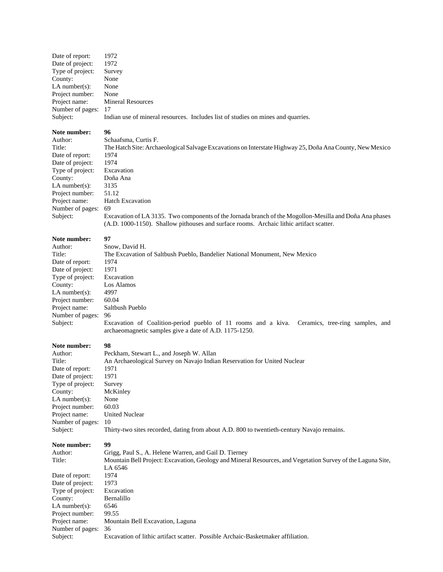| Date of report:     | 1972                                                                             |
|---------------------|----------------------------------------------------------------------------------|
| Date of project:    | 1972                                                                             |
| Type of project:    | Survey                                                                           |
| County:             | None                                                                             |
| LA number $(s)$ :   | None                                                                             |
| Project number:     | None                                                                             |
| Project name:       | <b>Mineral Resources</b>                                                         |
| Number of pages: 17 |                                                                                  |
| Subject:            | Indian use of mineral resources. Includes list of studies on mines and quarries. |
| Note number:        | 96                                                                               |
| $A$ uthor           | Schaafsma Curtis F                                                               |

| Author <sup>.</sup> |
|---------------------|
| Title:              |
| Date of report:     |
| Date of project:    |
| Type of project:    |
| County:             |
| LA number $(s)$ :   |
| Project number:     |
| Project name:       |
| Number of pages:    |
| Subject:            |
|                     |

Schaafsma, Curtis F. The Hatch Site: Archaeological Salvage Excavations on Interstate Highway 25, Doña Ana County, New Mexico 1974 1974 **Excavation** Doña Ana 3135 51.12 Hatch Excavation 69 Excavation of LA 3135. Two components of the Jornada branch of the Mogollon-Mesilla and Doña Ana phases (A.D. 1000-1150). Shallow pithouses and surface rooms. Archaic lithic artifact scatter.

### Note number: 97

| Author:           | Snow, David H.                                                                                                                                           |  |
|-------------------|----------------------------------------------------------------------------------------------------------------------------------------------------------|--|
| Title:            | The Excavation of Saltbush Pueblo, Bandelier National Monument, New Mexico                                                                               |  |
| Date of report:   | 1974                                                                                                                                                     |  |
| Date of project:  | 1971                                                                                                                                                     |  |
| Type of project:  | Excavation                                                                                                                                               |  |
| County:           | Los Alamos                                                                                                                                               |  |
| LA number $(s)$ : | 4997                                                                                                                                                     |  |
| Project number:   | 60.04                                                                                                                                                    |  |
| Project name:     | Saltbush Pueblo                                                                                                                                          |  |
| Number of pages:  | 96                                                                                                                                                       |  |
| Subject:          | Excavation of Coalition-period pueblo of 11 rooms and a kiva. Ceramics, tree-ring samples, and<br>archaeomagnetic samples give a date of A.D. 1175-1250. |  |

| Author:           | Peckham, Stewart L., and Joseph W. Allan                                                   |
|-------------------|--------------------------------------------------------------------------------------------|
| Title:            | An Archaeological Survey on Navajo Indian Reservation for United Nuclear                   |
| Date of report:   | 1971                                                                                       |
| Date of project:  | 1971                                                                                       |
| Type of project:  | Survey                                                                                     |
| County:           | McKinley                                                                                   |
| LA number $(s)$ : | None                                                                                       |
| Project number:   | 60.03                                                                                      |
| Project name:     | <b>United Nuclear</b>                                                                      |
| Number of pages:  | 10                                                                                         |
| Subject:          | Thirty-two sites recorded, dating from about A.D. 800 to twentieth-century Navajo remains. |
| Note number:      | 99                                                                                         |
| Author:           | Grigg, Paul S., A. Helene Warren, and Gail D. Tierney                                      |

| Author:           | Grigg, Paul S., A. Helene Warren, and Gail D. Tierney                                                       |
|-------------------|-------------------------------------------------------------------------------------------------------------|
| Title:            | Mountain Bell Project: Excavation, Geology and Mineral Resources, and Vegetation Survey of the Laguna Site, |
|                   | LA 6546                                                                                                     |
| Date of report:   | 1974                                                                                                        |
| Date of project:  | 1973                                                                                                        |
| Type of project:  | Excavation                                                                                                  |
| County:           | Bernalillo                                                                                                  |
| LA number $(s)$ : | 6546                                                                                                        |
| Project number:   | 99.55                                                                                                       |
| Project name:     | Mountain Bell Excavation, Laguna                                                                            |
| Number of pages:  | 36                                                                                                          |
| Subject:          | Excavation of lithic artifact scatter. Possible Archaic-Basketmaker affiliation.                            |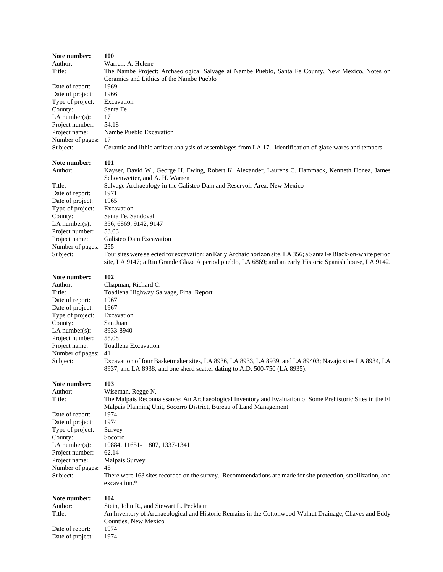| Note number:                         | 100                                                                                                                                                                                   |
|--------------------------------------|---------------------------------------------------------------------------------------------------------------------------------------------------------------------------------------|
| Author:                              | Warren, A. Helene                                                                                                                                                                     |
| Title:                               | The Nambe Project: Archaeological Salvage at Nambe Pueblo, Santa Fe County, New Mexico, Notes on                                                                                      |
| Date of report:                      | Ceramics and Lithics of the Nambe Pueblo<br>1969                                                                                                                                      |
| Date of project:                     | 1966                                                                                                                                                                                  |
| Type of project:                     | Excavation                                                                                                                                                                            |
| County:                              | Santa Fe                                                                                                                                                                              |
| LA number $(s)$ :                    | 17                                                                                                                                                                                    |
| Project number:                      | 54.18                                                                                                                                                                                 |
| Project name:                        | Nambe Pueblo Excavation                                                                                                                                                               |
| Number of pages:                     | 17                                                                                                                                                                                    |
| Subject:                             | Ceramic and lithic artifact analysis of assemblages from LA 17. Identification of glaze wares and tempers.                                                                            |
| Note number:                         | 101                                                                                                                                                                                   |
| Author:                              | Kayser, David W., George H. Ewing, Robert K. Alexander, Laurens C. Hammack, Kenneth Honea, James                                                                                      |
|                                      | Schoenwetter, and A. H. Warren                                                                                                                                                        |
| Title:                               | Salvage Archaeology in the Galisteo Dam and Reservoir Area, New Mexico                                                                                                                |
| Date of report:                      | 1971<br>1965                                                                                                                                                                          |
| Date of project:<br>Type of project: | Excavation                                                                                                                                                                            |
| County:                              | Santa Fe, Sandoval                                                                                                                                                                    |
| LA number(s):                        | 356, 6869, 9142, 9147                                                                                                                                                                 |
| Project number:                      | 53.03                                                                                                                                                                                 |
| Project name:                        | Galisteo Dam Excavation                                                                                                                                                               |
| Number of pages:                     | 255                                                                                                                                                                                   |
| Subject:                             | Four sites were selected for excavation: an Early Archaic horizon site, LA 356; a Santa Fe Black-on-white period                                                                      |
|                                      | site, LA 9147; a Rio Grande Glaze A period pueblo, LA 6869; and an early Historic Spanish house, LA 9142.                                                                             |
| Note number:                         | 102                                                                                                                                                                                   |
| Author:                              | Chapman, Richard C.                                                                                                                                                                   |
| Title:                               | Toadlena Highway Salvage, Final Report                                                                                                                                                |
| Date of report:                      | 1967                                                                                                                                                                                  |
| Date of project:                     | 1967                                                                                                                                                                                  |
| Type of project:                     | Excavation                                                                                                                                                                            |
| County:<br>LA number $(s)$ :         | San Juan<br>8933-8940                                                                                                                                                                 |
| Project number:                      | 55.08                                                                                                                                                                                 |
| Project name:                        | Toadlena Excavation                                                                                                                                                                   |
| Number of pages:                     | 41                                                                                                                                                                                    |
| Subject:                             | Excavation of four Basketmaker sites, LA 8936, LA 8933, LA 8939, and LA 89403; Navajo sites LA 8934, LA<br>8937, and LA 8938; and one sherd scatter dating to A.D. 500-750 (LA 8935). |
|                                      |                                                                                                                                                                                       |
| Note number:                         | 103                                                                                                                                                                                   |
| Author:                              | Wiseman, Regge N.                                                                                                                                                                     |
| Title:                               | The Malpais Reconnaissance: An Archaeological Inventory and Evaluation of Some Prehistoric Sites in the El                                                                            |
|                                      | Malpais Planning Unit, Socorro District, Bureau of Land Management                                                                                                                    |
| Date of report:                      | 1974<br>1974                                                                                                                                                                          |
| Date of project:<br>Type of project: | Survey                                                                                                                                                                                |
| County:                              | Socorro                                                                                                                                                                               |
| LA number $(s)$ :                    | 10884, 11651-11807, 1337-1341                                                                                                                                                         |
| Project number:                      | 62.14                                                                                                                                                                                 |
| Project name:                        | Malpais Survey                                                                                                                                                                        |
| Number of pages:                     | 48                                                                                                                                                                                    |
| Subject:                             | There were 163 sites recorded on the survey. Recommendations are made for site protection, stabilization, and<br>excavation.*                                                         |
| Note number:                         | 104                                                                                                                                                                                   |
| Author:                              | Stein, John R., and Stewart L. Peckham                                                                                                                                                |
| Title:                               | An Inventory of Archaeological and Historic Remains in the Cottonwood-Walnut Drainage, Chaves and Eddy                                                                                |
|                                      | Counties, New Mexico                                                                                                                                                                  |
| Date of report:                      | 1974                                                                                                                                                                                  |
| Date of project:                     | 1974                                                                                                                                                                                  |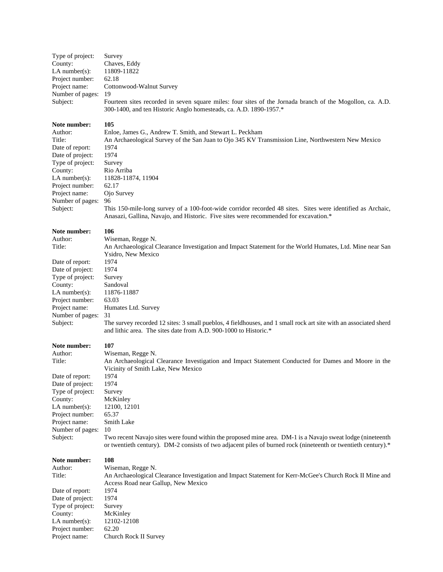| Type of project:<br>County:<br>$LA$ number(s):<br>Project number:<br>Project name:<br>Number of pages:<br>Subject:                                                                                 | Survey<br>Chaves, Eddy<br>11809-11822<br>62.18<br>Cottonwood-Walnut Survey<br>19<br>Fourteen sites recorded in seven square miles: four sites of the Jornada branch of the Mogollon, ca. A.D.<br>300-1400, and ten Historic Anglo homesteads, ca. A.D. 1890-1957.*                                                                                                                                                                                                                      |
|----------------------------------------------------------------------------------------------------------------------------------------------------------------------------------------------------|-----------------------------------------------------------------------------------------------------------------------------------------------------------------------------------------------------------------------------------------------------------------------------------------------------------------------------------------------------------------------------------------------------------------------------------------------------------------------------------------|
| Note number:<br>Author:<br>Title:<br>Date of report:<br>Date of project:<br>Type of project:<br>County:<br>$LA$ number $(s)$ :<br>Project number:<br>Project name:<br>Number of pages:<br>Subject: | 105<br>Enloe, James G., Andrew T. Smith, and Stewart L. Peckham<br>An Archaeological Survey of the San Juan to Ojo 345 KV Transmission Line, Northwestern New Mexico<br>1974<br>1974<br>Survey<br>Rio Arriba<br>11828-11874, 11904<br>62.17<br>Ojo Survey<br>96<br>This 150-mile-long survey of a 100-foot-wide corridor recorded 48 sites. Sites were identified as Archaic,<br>Anasazi, Gallina, Navajo, and Historic. Five sites were recommended for excavation.*                   |
| Note number:<br>Author:<br>Title:<br>Date of report:<br>Date of project:<br>Type of project:<br>County:<br>$LA$ number $(s)$ :<br>Project number:<br>Project name:<br>Number of pages:<br>Subject: | 106<br>Wiseman, Regge N.<br>An Archaeological Clearance Investigation and Impact Statement for the World Humates, Ltd. Mine near San<br>Ysidro, New Mexico<br>1974<br>1974<br>Survey<br>Sandoval<br>11876-11887<br>63.03<br>Humates Ltd. Survey<br>31<br>The survey recorded 12 sites: 3 small pueblos, 4 fieldhouses, and 1 small rock art site with an associated sherd<br>and lithic area. The sites date from A.D. 900-1000 to Historic.*                                           |
| Note number:<br>Author:<br>Title:<br>Date of report:<br>Date of project:<br>Type of project:<br>County:<br>$LA$ number(s):<br>Project number:<br>Project name:<br>Number of pages:<br>Subject:     | 107<br>Wiseman, Regge N.<br>An Archaeological Clearance Investigation and Impact Statement Conducted for Dames and Moore in the<br>Vicinity of Smith Lake, New Mexico<br>1974<br>1974<br>Survey<br>McKinley<br>12100, 12101<br>65.37<br>Smith Lake<br>10<br>Two recent Navajo sites were found within the proposed mine area. DM-1 is a Navajo sweat lodge (nineteenth<br>or twentieth century). DM-2 consists of two adjacent piles of burned rock (nineteenth or twentieth century).* |
| Note number:<br>Author:<br>Title:<br>Date of report:<br>Date of project:<br>Type of project:<br>County:<br>LA number $(s)$ :<br>Project number:<br>Project name:                                   | 108<br>Wiseman, Regge N.<br>An Archaeological Clearance Investigation and Impact Statement for Kerr-McGee's Church Rock II Mine and<br>Access Road near Gallup, New Mexico<br>1974<br>1974<br>Survey<br>McKinley<br>12102-12108<br>62.20<br>Church Rock II Survey                                                                                                                                                                                                                       |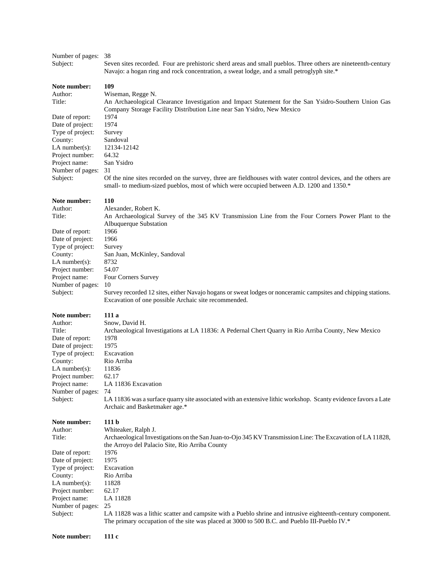| Number of pages:<br>Subject:                                                                                                                                                                   | 38<br>Seven sites recorded. Four are prehistoric sherd areas and small pueblos. Three others are nineteenth-century<br>Navajo: a hogan ring and rock concentration, a sweat lodge, and a small petroglyph site.*                                                                                                                                                                                                                                                                                           |
|------------------------------------------------------------------------------------------------------------------------------------------------------------------------------------------------|------------------------------------------------------------------------------------------------------------------------------------------------------------------------------------------------------------------------------------------------------------------------------------------------------------------------------------------------------------------------------------------------------------------------------------------------------------------------------------------------------------|
| Note number:<br>Author:<br>Title:<br>Date of report:<br>Date of project:<br>Type of project:<br>County:<br>LA number(s):<br>Project number:<br>Project name:<br>Number of pages:<br>Subject:   | 109<br>Wiseman, Regge N.<br>An Archaeological Clearance Investigation and Impact Statement for the San Ysidro-Southern Union Gas<br>Company Storage Facility Distribution Line near San Ysidro, New Mexico<br>1974<br>1974<br>Survey<br>Sandoval<br>12134-12142<br>64.32<br>San Ysidro<br>31<br>Of the nine sites recorded on the survey, three are fieldhouses with water control devices, and the others are<br>small- to medium-sized pueblos, most of which were occupied between A.D. 1200 and 1350.* |
| Note number:<br>Author:<br>Title:<br>Date of report:<br>Date of project:<br>Type of project:<br>County:<br>$LA$ number(s):<br>Project number:<br>Project name:<br>Number of pages:<br>Subject: | 110<br>Alexander, Robert K.<br>An Archaeological Survey of the 345 KV Transmission Line from the Four Corners Power Plant to the<br>Albuquerque Substation<br>1966<br>1966<br>Survey<br>San Juan, McKinley, Sandoval<br>8732<br>54.07<br>Four Corners Survey<br>10<br>Survey recorded 12 sites, either Navajo hogans or sweat lodges or nonceramic campsites and chipping stations.<br>Excavation of one possible Archaic site recommended.                                                                |
| Note number:<br>Author:<br>Title:<br>Date of report:<br>Date of project:<br>Type of project:<br>County:<br>$LA$ number(s):<br>Project number:<br>Project name:<br>Number of pages:<br>Subject: | 111a<br>Snow, David H.<br>Archaeological Investigations at LA 11836: A Pedernal Chert Quarry in Rio Arriba County, New Mexico<br>1978<br>1975<br>Excavation<br>Rio Arriba<br>11836<br>62.17<br>LA 11836 Excavation<br>74<br>LA 11836 was a surface quarry site associated with an extensive lithic workshop. Scanty evidence favors a Late<br>Archaic and Basketmaker age.*                                                                                                                                |
| Note number:<br>Author:<br>Title:<br>Date of report:<br>Date of project:<br>Type of project:<br>County:<br>$LA$ number(s):<br>Project number:<br>Project name:<br>Number of pages:<br>Subject: | 111 <sub>b</sub><br>Whiteaker, Ralph J.<br>Archaeological Investigations on the San Juan-to-Ojo 345 KV Transmission Line: The Excavation of LA 11828,<br>the Arroyo del Palacio Site, Rio Arriba County<br>1976<br>1975<br>Excavation<br>Rio Arriba<br>11828<br>62.17<br>LA 11828<br>25<br>LA 11828 was a lithic scatter and campsite with a Pueblo shrine and intrusive eighteenth-century component.<br>The primary occupation of the site was placed at 3000 to 500 B.C. and Pueblo III-Pueblo IV.*     |
| Note number:                                                                                                                                                                                   | 111c                                                                                                                                                                                                                                                                                                                                                                                                                                                                                                       |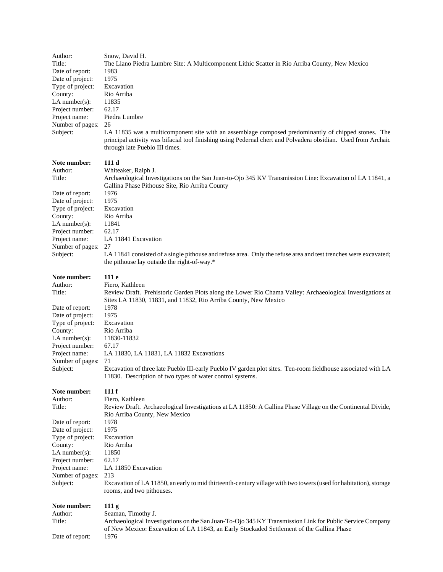| Author:<br>Title:<br>Date of report:<br>Date of project:<br>Type of project:<br>County:<br>LA number( $s$ ):<br>Project number:<br>Project name:<br>Number of pages:<br>Subject:                 | Snow, David H.<br>The Llano Piedra Lumbre Site: A Multicomponent Lithic Scatter in Rio Arriba County, New Mexico<br>1983<br>1975<br>Excavation<br>Rio Arriba<br>11835<br>62.17<br>Piedra Lumbre<br>26<br>LA 11835 was a multicomponent site with an assemblage composed predominantly of chipped stones. The<br>principal activity was bifacial tool finishing using Pedernal chert and Polvadera obsidian. Used from Archaic<br>through late Pueblo III times.                                              |
|--------------------------------------------------------------------------------------------------------------------------------------------------------------------------------------------------|--------------------------------------------------------------------------------------------------------------------------------------------------------------------------------------------------------------------------------------------------------------------------------------------------------------------------------------------------------------------------------------------------------------------------------------------------------------------------------------------------------------|
| Note number:<br>Author:<br>Title:<br>Date of report:<br>Date of project:<br>Type of project:<br>County:<br>$LA$ number(s):<br>Project number:<br>Project name:<br>Number of pages:<br>Subject:   | 111 d<br>Whiteaker, Ralph J.<br>Archaeological Investigations on the San Juan-to-Ojo 345 KV Transmission Line: Excavation of LA 11841, a<br>Gallina Phase Pithouse Site, Rio Arriba County<br>1976<br>1975<br>Excavation<br>Rio Arriba<br>11841<br>62.17<br>LA 11841 Excavation<br>27<br>LA 11841 consisted of a single pithouse and refuse area. Only the refuse area and test trenches were excavated;<br>the pithouse lay outside the right-of-way.*                                                      |
| Note number:<br>Author:<br>Title:<br>Date of report:<br>Date of project:<br>Type of project:<br>County:<br>$LA$ number(s):<br>Project number:<br>Project name:<br>Number of pages:<br>Subject:   | 111 e<br>Fiero, Kathleen<br>Review Draft. Prehistoric Garden Plots along the Lower Rio Chama Valley: Archaeological Investigations at<br>Sites LA 11830, 11831, and 11832, Rio Arriba County, New Mexico<br>1978<br>1975<br>Excavation<br>Rio Arriba<br>11830-11832<br>67.17<br>LA 11830, LA 11831, LA 11832 Excavations<br>71<br>Excavation of three late Pueblo III-early Pueblo IV garden plot sites. Ten-room fieldhouse associated with LA<br>11830. Description of two types of water control systems. |
| Note number:<br>Author:<br>Title:<br>Date of report:<br>Date of project:<br>Type of project:<br>County:<br>LA number $(s)$ :<br>Project number:<br>Project name:<br>Number of pages:<br>Subject: | 111f<br>Fiero, Kathleen<br>Review Draft. Archaeological Investigations at LA 11850: A Gallina Phase Village on the Continental Divide,<br>Rio Arriba County, New Mexico<br>1978<br>1975<br>Excavation<br>Rio Arriba<br>11850<br>62.17<br>LA 11850 Excavation<br>213<br>Excavation of LA 11850, an early to mid thirteenth-century village with two towers (used for habitation), storage<br>rooms, and two pithouses.                                                                                        |
| Note number:<br>Author:<br>Title:<br>Date of report:                                                                                                                                             | 111 <sub>g</sub><br>Seaman, Timothy J.<br>Archaeological Investigations on the San Juan-To-Ojo 345 KY Transmission Link for Public Service Company<br>of New Mexico: Excavation of LA 11843, an Early Stockaded Settlement of the Gallina Phase<br>1976                                                                                                                                                                                                                                                      |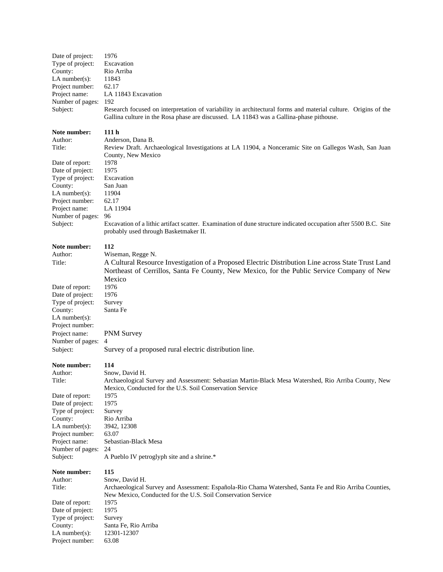| Date of project:                     | 1976                                                                                                             |
|--------------------------------------|------------------------------------------------------------------------------------------------------------------|
| Type of project:                     | Excavation                                                                                                       |
| County:                              | Rio Arriba                                                                                                       |
| LA number $(s)$ :                    | 11843                                                                                                            |
| Project number:                      | 62.17                                                                                                            |
| Project name:                        | LA 11843 Excavation                                                                                              |
| Number of pages:                     | 192                                                                                                              |
| Subject:                             | Research focused on interpretation of variability in architectural forms and material culture. Origins of the    |
|                                      | Gallina culture in the Rosa phase are discussed. LA 11843 was a Gallina-phase pithouse.                          |
| Note number:                         | 111 <sub>h</sub>                                                                                                 |
| Author:                              | Anderson, Dana B.                                                                                                |
| Title:                               | Review Draft. Archaeological Investigations at LA 11904, a Nonceramic Site on Gallegos Wash, San Juan            |
|                                      | County, New Mexico                                                                                               |
| Date of report:                      | 1978                                                                                                             |
| Date of project:                     | 1975                                                                                                             |
| Type of project:                     | Excavation                                                                                                       |
| County:                              | San Juan                                                                                                         |
| LA number $(s)$ :                    | 11904                                                                                                            |
| Project number:                      | 62.17                                                                                                            |
| Project name:                        | LA 11904                                                                                                         |
| Number of pages:                     | 96                                                                                                               |
| Subject:                             | Excavation of a lithic artifact scatter. Examination of dune structure indicated occupation after 5500 B.C. Site |
|                                      | probably used through Basketmaker II.                                                                            |
| Note number:                         | 112                                                                                                              |
| Author:                              | Wiseman, Regge N.                                                                                                |
| Title:                               | A Cultural Resource Investigation of a Proposed Electric Distribution Line across State Trust Land               |
|                                      |                                                                                                                  |
|                                      | Northeast of Cerrillos, Santa Fe County, New Mexico, for the Public Service Company of New                       |
|                                      | Mexico                                                                                                           |
| Date of report:                      | 1976                                                                                                             |
| Date of project:                     | 1976                                                                                                             |
| Type of project:                     | Survey<br>Santa Fe                                                                                               |
| County:<br>LA number $(s)$ :         |                                                                                                                  |
| Project number:                      |                                                                                                                  |
| Project name:                        |                                                                                                                  |
| Number of pages:                     | <b>PNM Survey</b><br>4                                                                                           |
| Subject:                             | Survey of a proposed rural electric distribution line.                                                           |
|                                      |                                                                                                                  |
| Note number:                         | 114                                                                                                              |
| Author:                              | Snow, David H.                                                                                                   |
| Title:                               | Archaeological Survey and Assessment: Sebastian Martin-Black Mesa Watershed, Rio Arriba County, New              |
|                                      | Mexico, Conducted for the U.S. Soil Conservation Service                                                         |
| Date of report:                      | 1975                                                                                                             |
| Date of project:                     | 1975                                                                                                             |
| Type of project:                     | Survey                                                                                                           |
| County:                              | Rio Arriba                                                                                                       |
| LA number $(s)$ :                    | 3942, 12308                                                                                                      |
| Project number:                      | 63.07                                                                                                            |
| Project name:                        | Sebastian-Black Mesa<br>24                                                                                       |
| Number of pages:<br>Subject:         | A Pueblo IV petroglyph site and a shrine.*                                                                       |
|                                      |                                                                                                                  |
| Note number:                         | 115                                                                                                              |
| Author:                              | Snow, David H.                                                                                                   |
| Title:                               | Archaeological Survey and Assessment: Española-Rio Chama Watershed, Santa Fe and Rio Arriba Counties,            |
|                                      | New Mexico, Conducted for the U.S. Soil Conservation Service                                                     |
| Date of report:                      | 1975                                                                                                             |
| Date of project:<br>Type of project: | 1975<br>Survey                                                                                                   |
| County:                              | Santa Fe, Rio Arriba                                                                                             |
| LA number $(s)$ :                    | 12301-12307                                                                                                      |
| Project number:                      | 63.08                                                                                                            |
|                                      |                                                                                                                  |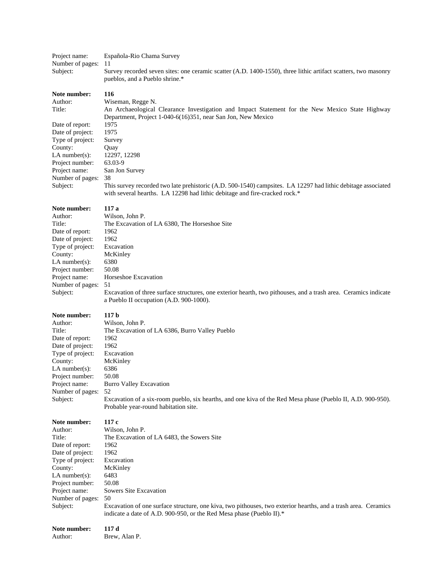| Project name:<br>Number of pages:      | Española-Rio Chama Survey<br>11                                                                                                                                                            |
|----------------------------------------|--------------------------------------------------------------------------------------------------------------------------------------------------------------------------------------------|
| Subject:                               | Survey recorded seven sites: one ceramic scatter (A.D. 1400-1550), three lithic artifact scatters, two masonry<br>pueblos, and a Pueblo shrine.*                                           |
| Note number:                           | 116                                                                                                                                                                                        |
| Author:<br>Title:                      | Wiseman, Regge N.<br>An Archaeological Clearance Investigation and Impact Statement for the New Mexico State Highway                                                                       |
| Date of report:                        | Department, Project 1-040-6(16)351, near San Jon, New Mexico<br>1975                                                                                                                       |
| Date of project:                       | 1975                                                                                                                                                                                       |
| Type of project:                       | Survey                                                                                                                                                                                     |
| County:                                | Quay                                                                                                                                                                                       |
| $LA$ number $(s)$ :<br>Project number: | 12297, 12298<br>63.03-9                                                                                                                                                                    |
| Project name:                          | San Jon Survey                                                                                                                                                                             |
| Number of pages:                       | 38                                                                                                                                                                                         |
| Subject:                               | This survey recorded two late prehistoric (A.D. 500-1540) campsites. LA 12297 had lithic debitage associated<br>with several hearths. LA 12298 had lithic debitage and fire-cracked rock.* |
| Note number:                           | 117 a                                                                                                                                                                                      |
| Author:<br>Title:                      | Wilson, John P.<br>The Excavation of LA 6380, The Horseshoe Site                                                                                                                           |
| Date of report:                        | 1962                                                                                                                                                                                       |
| Date of project:                       | 1962                                                                                                                                                                                       |
| Type of project:                       | Excavation                                                                                                                                                                                 |
| County:<br>$LA$ number $(s)$ :         | McKinley<br>6380                                                                                                                                                                           |
| Project number:                        | 50.08                                                                                                                                                                                      |
| Project name:                          | Horseshoe Excavation                                                                                                                                                                       |
| Number of pages:                       | 51                                                                                                                                                                                         |
| Subject:                               | Excavation of three surface structures, one exterior hearth, two pithouses, and a trash area. Ceramics indicate<br>a Pueblo II occupation (A.D. 900-1000).                                 |
| Note number:                           | 117 <sub>b</sub>                                                                                                                                                                           |
| Author:                                | Wilson, John P.                                                                                                                                                                            |
| Title:                                 | The Excavation of LA 6386, Burro Valley Pueblo                                                                                                                                             |
| Date of report:<br>Date of project:    | 1962<br>1962                                                                                                                                                                               |
| Type of project:                       | Excavation                                                                                                                                                                                 |
| County:                                | McKinley                                                                                                                                                                                   |
| $LA$ number(s):                        | 6386                                                                                                                                                                                       |
| Project number:<br>Project name:       | 50.08<br><b>Burro Valley Excavation</b>                                                                                                                                                    |
| Number of pages:                       | 52                                                                                                                                                                                         |
| Subject:                               | Excavation of a six-room pueblo, six hearths, and one kiva of the Red Mesa phase (Pueblo II, A.D. 900-950).<br>Probable year-round habitation site.                                        |
| Note number:                           | 117c                                                                                                                                                                                       |
| Author:                                | Wilson, John P.                                                                                                                                                                            |
| Title:<br>Date of report:              | The Excavation of LA 6483, the Sowers Site<br>1962                                                                                                                                         |
| Date of project:                       | 1962                                                                                                                                                                                       |
| Type of project:                       | Excavation                                                                                                                                                                                 |
| County:                                | McKinley                                                                                                                                                                                   |
| $LA$ number $(s)$ :                    | 6483                                                                                                                                                                                       |
| Project number:<br>Project name:       | 50.08<br>Sowers Site Excavation                                                                                                                                                            |
| Number of pages:                       | 50                                                                                                                                                                                         |
| Subject:                               | Excavation of one surface structure, one kiva, two pithouses, two exterior hearths, and a trash area. Ceramics<br>indicate a date of A.D. 900-950, or the Red Mesa phase (Pueblo II).*     |
| Note number:<br>Author:                | 117d<br>Brew, Alan P.                                                                                                                                                                      |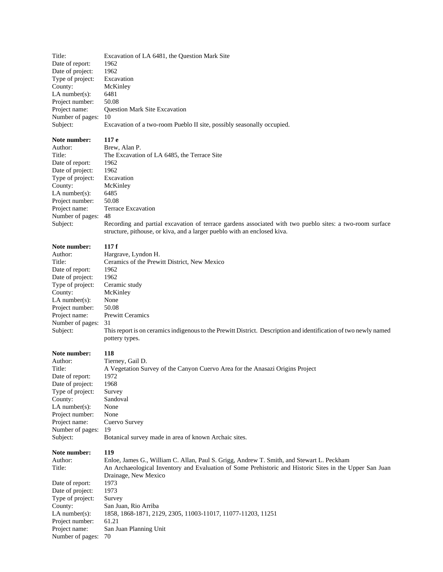Title: Excavation of LA 6481, the Question Mark Site Date of report: 1962<br>Date of project: 1962 Date of project: Type of project: Excavation County: McKinley LA number(s): 6481 Project number: 50.08 Project name: Question Mark Site Excavation Number of pages: 10 Subject: Excavation of a two-room Pueblo II site, possibly seasonally occupied.

# **Note number:** 117 e<br>Author: Brew.

Date of report: 1962 Date of project: 1962 Type of project: Excavation County: McKinley LA number(s): 6485 Project number: 50.08 Number of pages: 48

Author: Brew, Alan P.<br>Title: The Excavation The Excavation of LA 6485, the Terrace Site Project name: Terrace Excavation

Subject: Recording and partial excavation of terrace gardens associated with two pueblo sites: a two-room surface structure, pithouse, or kiva, and a larger pueblo with an enclosed kiva.

# **Note number:** 117 f<br>Author: Hargr

| Author:             | Hargrave, Lyndon H.                                                                                                                |
|---------------------|------------------------------------------------------------------------------------------------------------------------------------|
| Title:              | Ceramics of the Prewitt District, New Mexico                                                                                       |
| Date of report:     | 1962                                                                                                                               |
| Date of project:    | 1962                                                                                                                               |
| Type of project:    | Ceramic study                                                                                                                      |
| County:             | McKinley                                                                                                                           |
| LA number $(s)$ :   | None                                                                                                                               |
| Project number:     | 50.08                                                                                                                              |
| Project name:       | <b>Prewitt Ceramics</b>                                                                                                            |
| Number of pages: 31 |                                                                                                                                    |
| Subject:            | This report is on ceramics indigenous to the Prewitt District. Description and identification of two newly named<br>pottery types. |

#### **Note number: 118**

| Note number:      | 119                                                                           |
|-------------------|-------------------------------------------------------------------------------|
| Subject:          | Botanical survey made in area of known Archaic sites.                         |
| Number of pages:  | 19                                                                            |
| Project name:     | Cuervo Survey                                                                 |
| Project number:   | None                                                                          |
| LA number $(s)$ : | None                                                                          |
| County:           | Sandoval                                                                      |
| Type of project:  | Survey                                                                        |
| Date of project:  | 1968                                                                          |
| Date of report:   | 1972                                                                          |
| Title:            | A Vegetation Survey of the Canyon Cuervo Area for the Anasazi Origins Project |
| Author:           | Tierney, Gail D.                                                              |
|                   |                                                                               |

**Note number: 119** Author: Enloe, James G., William C. Allan, Paul S. Grigg, Andrew T. Smith, and Stewart L. Peckham Title: An Archaeological Inventory and Evaluation of Some Prehistoric and Historic Sites in the Upper San Juan Drainage, New Mexico Date of report: 1973 Date of project: 1973 Type of project: Survey County: San Juan, Rio Arriba LA number(s): 1858, 1868-1871, 2129, 2305, 11003-11017, 11077-11203, 11251 Project number: 61.21 Project name: San Juan Planning Unit Number of pages: 70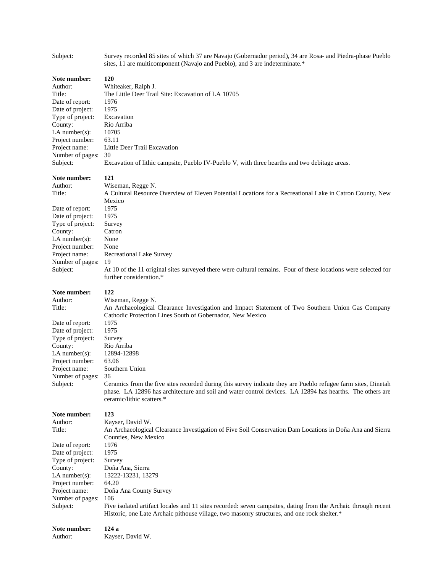| Subject:                                                                                                                                                                                           | Survey recorded 85 sites of which 37 are Navajo (Gobernador period), 34 are Rosa- and Piedra-phase Pueblo<br>sites, 11 are multicomponent (Navajo and Pueblo), and 3 are indeterminate.*                                                                                                                                                                                                                                                                                                                                                     |
|----------------------------------------------------------------------------------------------------------------------------------------------------------------------------------------------------|----------------------------------------------------------------------------------------------------------------------------------------------------------------------------------------------------------------------------------------------------------------------------------------------------------------------------------------------------------------------------------------------------------------------------------------------------------------------------------------------------------------------------------------------|
| Note number:<br>Author:<br>Title:<br>Date of report:<br>Date of project:<br>Type of project:<br>County:<br>$LA$ number $(s)$ :<br>Project number:<br>Project name:<br>Number of pages:<br>Subject: | 120<br>Whiteaker, Ralph J.<br>The Little Deer Trail Site: Excavation of LA 10705<br>1976<br>1975<br>Excavation<br>Rio Arriba<br>10705<br>63.11<br>Little Deer Trail Excavation<br>30<br>Excavation of lithic campsite, Pueblo IV-Pueblo V, with three hearths and two debitage areas.                                                                                                                                                                                                                                                        |
| Note number:<br>Author:<br>Title:<br>Date of report:<br>Date of project:<br>Type of project:<br>County:<br>$LA$ number(s):<br>Project number:<br>Project name:<br>Number of pages:<br>Subject:     | 121<br>Wiseman, Regge N.<br>A Cultural Resource Overview of Eleven Potential Locations for a Recreational Lake in Catron County, New<br>Mexico<br>1975<br>1975<br>Survey<br>Catron<br>None<br>None<br>Recreational Lake Survey<br>19<br>At 10 of the 11 original sites surveyed there were cultural remains. Four of these locations were selected for<br>further consideration.*                                                                                                                                                            |
| Note number:<br>Author:<br>Title:<br>Date of report:<br>Date of project:<br>Type of project:<br>County:<br>$LA$ number(s):<br>Project number:<br>Project name:<br>Number of pages:<br>Subject:     | 122<br>Wiseman, Regge N.<br>An Archaeological Clearance Investigation and Impact Statement of Two Southern Union Gas Company<br>Cathodic Protection Lines South of Gobernador, New Mexico<br>1975<br>1975<br>Survey<br>Rio Arriba<br>12894-12898<br>63.06<br>Southern Union<br>36<br>Ceramics from the five sites recorded during this survey indicate they are Pueblo refugee farm sites, Dinetah<br>phase. LA 12896 has architecture and soil and water control devices. LA 12894 has hearths. The others are<br>ceramic/lithic scatters.* |
| Note number:<br>Author:<br>Title:<br>Date of report:<br>Date of project:<br>Type of project:<br>County:<br>$LA$ number(s):<br>Project number:<br>Project name:<br>Number of pages:<br>Subject:     | 123<br>Kayser, David W.<br>An Archaeological Clearance Investigation of Five Soil Conservation Dam Locations in Doña Ana and Sierra<br>Counties, New Mexico<br>1976<br>1975<br>Survey<br>Doña Ana, Sierra<br>13222-13231, 13279<br>64.20<br>Doña Ana County Survey<br>106<br>Five isolated artifact locales and 11 sites recorded: seven campsites, dating from the Archaic through recent<br>Historic, one Late Archaic pithouse village, two masonry structures, and one rock shelter.*                                                    |
| Note number:<br>Author:                                                                                                                                                                            | 124a<br>Kayser, David W.                                                                                                                                                                                                                                                                                                                                                                                                                                                                                                                     |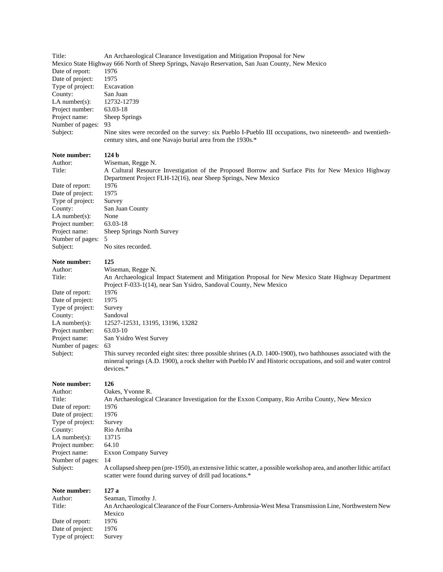| Title:                                                                                           | An Archaeological Clearance Investigation and Mitigation Proposal for New                                                                                                                                                                     |
|--------------------------------------------------------------------------------------------------|-----------------------------------------------------------------------------------------------------------------------------------------------------------------------------------------------------------------------------------------------|
| Mexico State Highway 666 North of Sheep Springs, Navajo Reservation, San Juan County, New Mexico |                                                                                                                                                                                                                                               |
| Date of report:                                                                                  | 1976                                                                                                                                                                                                                                          |
| Date of project:                                                                                 | 1975                                                                                                                                                                                                                                          |
| Type of project:                                                                                 | Excavation                                                                                                                                                                                                                                    |
| County:                                                                                          | San Juan                                                                                                                                                                                                                                      |
| LA number $(s)$ :                                                                                | 12732-12739                                                                                                                                                                                                                                   |
| Project number:                                                                                  | 63.03-18                                                                                                                                                                                                                                      |
| Project name:                                                                                    | Sheep Springs                                                                                                                                                                                                                                 |
| Number of pages:                                                                                 | 93                                                                                                                                                                                                                                            |
| Subject:                                                                                         | Nine sites were recorded on the survey: six Pueblo I-Pueblo III occupations, two nineteenth- and twentieth-<br>century sites, and one Navajo burial area from the 1930s.*                                                                     |
| Note number:                                                                                     | 124 <sub>b</sub>                                                                                                                                                                                                                              |
| Author:                                                                                          | Wiseman, Regge N.                                                                                                                                                                                                                             |
| Title:                                                                                           | A Cultural Resource Investigation of the Proposed Borrow and Surface Pits for New Mexico Highway                                                                                                                                              |
|                                                                                                  | Department Project FLH-12(16), near Sheep Springs, New Mexico                                                                                                                                                                                 |
| Date of report:                                                                                  | 1976                                                                                                                                                                                                                                          |
| Date of project:                                                                                 | 1975                                                                                                                                                                                                                                          |
| Type of project:                                                                                 | Survey                                                                                                                                                                                                                                        |
| County:                                                                                          | San Juan County                                                                                                                                                                                                                               |
| LA number $(s)$ :                                                                                | None                                                                                                                                                                                                                                          |
| Project number:                                                                                  | 63.03-18                                                                                                                                                                                                                                      |
| Project name:                                                                                    | Sheep Springs North Survey                                                                                                                                                                                                                    |
| Number of pages:                                                                                 | 5                                                                                                                                                                                                                                             |
| Subject:                                                                                         | No sites recorded.                                                                                                                                                                                                                            |
| Note number:                                                                                     | 125                                                                                                                                                                                                                                           |
| Author:                                                                                          | Wiseman, Regge N.                                                                                                                                                                                                                             |
| Title:                                                                                           | An Archaeological Impact Statement and Mitigation Proposal for New Mexico State Highway Department                                                                                                                                            |
|                                                                                                  | Project F-033-1(14), near San Ysidro, Sandoval County, New Mexico                                                                                                                                                                             |
| Date of report:                                                                                  | 1976                                                                                                                                                                                                                                          |
| Date of project:                                                                                 | 1975                                                                                                                                                                                                                                          |
| Type of project:                                                                                 | Survey                                                                                                                                                                                                                                        |
| County:                                                                                          | Sandoval                                                                                                                                                                                                                                      |
| LA number $(s)$ :                                                                                | 12527-12531, 13195, 13196, 13282                                                                                                                                                                                                              |
| Project number:                                                                                  | 63.03-10                                                                                                                                                                                                                                      |
| Project name:                                                                                    | San Ysidro West Survey                                                                                                                                                                                                                        |
| Number of pages:                                                                                 | 63                                                                                                                                                                                                                                            |
| Subject:                                                                                         | This survey recorded eight sites: three possible shrines (A.D. 1400-1900), two bathhouses associated with the<br>mineral springs (A.D. 1900), a rock shelter with Pueblo IV and Historic occupations, and soil and water control<br>devices.* |
|                                                                                                  |                                                                                                                                                                                                                                               |
| Note number:<br>Author:                                                                          | 126<br>Oakes, Yvonne R.                                                                                                                                                                                                                       |
| Title:                                                                                           | An Archaeological Clearance Investigation for the Exxon Company, Rio Arriba County, New Mexico                                                                                                                                                |
| Date of report:                                                                                  | 1976                                                                                                                                                                                                                                          |
| Date of project:                                                                                 | 1976                                                                                                                                                                                                                                          |
| Type of project:                                                                                 | Survey                                                                                                                                                                                                                                        |
| County:                                                                                          | Rio Arriba                                                                                                                                                                                                                                    |
| $LA$ number(s):                                                                                  | 13715                                                                                                                                                                                                                                         |
| Project number:                                                                                  | 64.10                                                                                                                                                                                                                                         |
| Project name:                                                                                    | <b>Exxon Company Survey</b>                                                                                                                                                                                                                   |
| Number of pages:                                                                                 | 14                                                                                                                                                                                                                                            |
| Subject:                                                                                         | A collapsed sheep pen (pre-1950), an extensive lithic scatter, a possible workshop area, and another lithic artifact<br>scatter were found during survey of drill pad locations.*                                                             |
| Note number:                                                                                     | 127a                                                                                                                                                                                                                                          |
| Author:                                                                                          | Seaman, Timothy J.                                                                                                                                                                                                                            |
| Title:                                                                                           | An Archaeological Clearance of the Four Corners-Ambrosia-West Mesa Transmission Line, Northwestern New                                                                                                                                        |
|                                                                                                  | Mexico                                                                                                                                                                                                                                        |
| Date of report:                                                                                  | 1976                                                                                                                                                                                                                                          |
| Date of project:                                                                                 | 1976                                                                                                                                                                                                                                          |
| Type of project:                                                                                 | Survey                                                                                                                                                                                                                                        |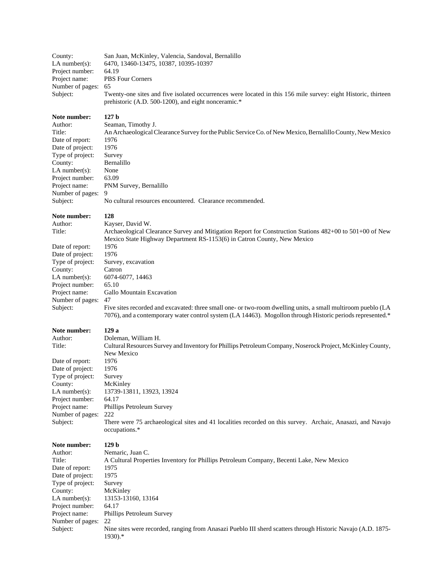| County:<br>$LA$ number $(s)$ :<br>Project number:<br>Project name:<br>Number of pages:<br>Subject:                                                                                                 | San Juan, McKinley, Valencia, Sandoval, Bernalillo<br>6470, 13460-13475, 10387, 10395-10397<br>64.19<br>PBS Four Corners<br>65<br>Twenty-one sites and five isolated occurrences were located in this 156 mile survey: eight Historic, thirteen<br>prehistoric (A.D. 500-1200), and eight nonceramic.*                                                                                                                |
|----------------------------------------------------------------------------------------------------------------------------------------------------------------------------------------------------|-----------------------------------------------------------------------------------------------------------------------------------------------------------------------------------------------------------------------------------------------------------------------------------------------------------------------------------------------------------------------------------------------------------------------|
| Note number:<br>Author:<br>Title:<br>Date of report:<br>Date of project:<br>Type of project:<br>County:<br>LA number $(s)$ :<br>Project number:<br>Project name:<br>Number of pages:<br>Subject:   | 127 <sub>b</sub><br>Seaman, Timothy J.<br>An Archaeological Clearance Survey for the Public Service Co. of New Mexico, Bernalillo County, New Mexico<br>1976<br>1976<br>Survey<br>Bernalillo<br>None<br>63.09<br>PNM Survey, Bernalillo<br>9<br>No cultural resources encountered. Clearance recommended.                                                                                                             |
| Note number:<br>Author:<br>Title:                                                                                                                                                                  | 128<br>Kayser, David W.<br>Archaeological Clearance Survey and Mitigation Report for Construction Stations 482+00 to 501+00 of New                                                                                                                                                                                                                                                                                    |
| Date of report:<br>Date of project:<br>Type of project:<br>County:<br>$LA$ number(s):<br>Project number:<br>Project name:<br>Number of pages:<br>Subject:                                          | Mexico State Highway Department RS-1153(6) in Catron County, New Mexico<br>1976<br>1976<br>Survey, excavation<br>Catron<br>6074-6077, 14463<br>65.10<br>Gallo Mountain Excavation<br>47<br>Five sites recorded and excavated: three small one- or two-room dwelling units, a small multiroom pueblo (LA<br>7076), and a contemporary water control system (LA 14463). Mogollon through Historic periods represented.* |
| Note number:<br>Author:<br>Title:                                                                                                                                                                  | 129a<br>Doleman, William H.<br>Cultural Resources Survey and Inventory for Phillips Petroleum Company, Noserock Project, McKinley County,<br>New Mexico                                                                                                                                                                                                                                                               |
| Date of report:<br>Date of project:<br>Type of project:<br>County:<br>$LA$ number(s):<br>Project number:<br>Project name:<br>Number of pages:<br>Subject:                                          | 1976<br>1976<br>Survey<br>McKinley<br>13739-13811, 13923, 13924<br>64.17<br>Phillips Petroleum Survey<br>222<br>There were 75 archaeological sites and 41 localities recorded on this survey. Archaic, Anasazi, and Navajo<br>occupations.*                                                                                                                                                                           |
| Note number:<br>Author:<br>Title:<br>Date of report:<br>Date of project:<br>Type of project:<br>County:<br>$LA$ number $(s)$ :<br>Project number:<br>Project name:<br>Number of pages:<br>Subject: | 129 <sub>b</sub><br>Nemaric, Juan C.<br>A Cultural Properties Inventory for Phillips Petroleum Company, Becenti Lake, New Mexico<br>1975<br>1975<br>Survey<br>McKinley<br>13153-13160, 13164<br>64.17<br>Phillips Petroleum Survey<br>22<br>Nine sites were recorded, ranging from Anasazi Pueblo III sherd scatters through Historic Navajo (A.D. 1875-<br>$1930$ .*                                                 |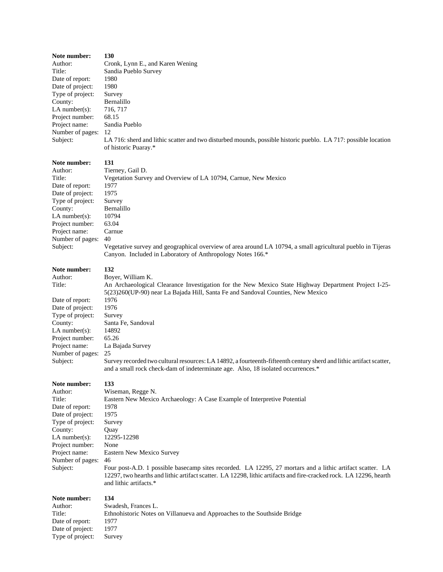| Note number:                | 130                                                                                                                                                                                                                                                       |
|-----------------------------|-----------------------------------------------------------------------------------------------------------------------------------------------------------------------------------------------------------------------------------------------------------|
| Author:                     | Cronk, Lynn E., and Karen Wening                                                                                                                                                                                                                          |
| Title:                      | Sandia Pueblo Survey                                                                                                                                                                                                                                      |
| Date of report:             | 1980                                                                                                                                                                                                                                                      |
| Date of project:            | 1980                                                                                                                                                                                                                                                      |
| Type of project:<br>County: | Survey<br>Bernalillo                                                                                                                                                                                                                                      |
| LA number $(s)$ :           | 716, 717                                                                                                                                                                                                                                                  |
| Project number:             | 68.15                                                                                                                                                                                                                                                     |
| Project name:               | Sandia Pueblo                                                                                                                                                                                                                                             |
| Number of pages:            | 12                                                                                                                                                                                                                                                        |
| Subject:                    | LA 716: sherd and lithic scatter and two disturbed mounds, possible historic pueblo. LA 717: possible location<br>of historic Puaray.*                                                                                                                    |
| Note number:                | 131                                                                                                                                                                                                                                                       |
| Author:                     | Tierney, Gail D.                                                                                                                                                                                                                                          |
| Title:                      | Vegetation Survey and Overview of LA 10794, Carnue, New Mexico                                                                                                                                                                                            |
| Date of report:             | 1977                                                                                                                                                                                                                                                      |
| Date of project:            | 1975                                                                                                                                                                                                                                                      |
| Type of project:            | Survey                                                                                                                                                                                                                                                    |
| County:                     | Bernalillo                                                                                                                                                                                                                                                |
| LA number $(s)$ :           | 10794                                                                                                                                                                                                                                                     |
| Project number:             | 63.04                                                                                                                                                                                                                                                     |
| Project name:               | Carnue                                                                                                                                                                                                                                                    |
| Number of pages:            | 40                                                                                                                                                                                                                                                        |
| Subject:                    | Vegetative survey and geographical overview of area around LA 10794, a small agricultural pueblo in Tijeras<br>Canyon. Included in Laboratory of Anthropology Notes 166.*                                                                                 |
| Note number:                | 132                                                                                                                                                                                                                                                       |
| Author:                     | Boyer, William K.                                                                                                                                                                                                                                         |
| Title:                      | An Archaeological Clearance Investigation for the New Mexico State Highway Department Project I-25-<br>5(23)260(UP-90) near La Bajada Hill, Santa Fe and Sandoval Counties, New Mexico                                                                    |
| Date of report:             | 1976                                                                                                                                                                                                                                                      |
| Date of project:            | 1976                                                                                                                                                                                                                                                      |
| Type of project:            | Survey                                                                                                                                                                                                                                                    |
| County:                     | Santa Fe, Sandoval                                                                                                                                                                                                                                        |
| LA number $(s)$ :           | 14892                                                                                                                                                                                                                                                     |
| Project number:             | 65.26                                                                                                                                                                                                                                                     |
| Project name:               | La Bajada Survey                                                                                                                                                                                                                                          |
| Number of pages:            | 25                                                                                                                                                                                                                                                        |
| Subject:                    | Survey recorded two cultural resources: LA 14892, a fourteenth-fifteenth century sherd and lithic artifact scatter,<br>and a small rock check-dam of indeterminate age. Also, 18 isolated occurrences.*                                                   |
| Note number:                | 133                                                                                                                                                                                                                                                       |
| Author:                     | Wiseman, Regge N.                                                                                                                                                                                                                                         |
| Title:                      | Eastern New Mexico Archaeology: A Case Example of Interpretive Potential                                                                                                                                                                                  |
| Date of report:             | 1978                                                                                                                                                                                                                                                      |
| Date of project:            | 1975                                                                                                                                                                                                                                                      |
| Type of project:            | Survey                                                                                                                                                                                                                                                    |
| County:                     | Quay                                                                                                                                                                                                                                                      |
| LA number $(s)$ :           | 12295-12298                                                                                                                                                                                                                                               |
| Project number:             | None                                                                                                                                                                                                                                                      |
| Project name:               | <b>Eastern New Mexico Survey</b>                                                                                                                                                                                                                          |
| Number of pages:            | 46                                                                                                                                                                                                                                                        |
| Subject:                    | Four post-A.D. 1 possible basecamp sites recorded. LA 12295, 27 mortars and a lithic artifact scatter. LA<br>12297, two hearths and lithic artifact scatter. LA 12298, lithic artifacts and fire-cracked rock. LA 12296, hearth<br>and lithic artifacts.* |
| Note number:                | 134                                                                                                                                                                                                                                                       |
| Author:                     | Swadesh, Frances L.                                                                                                                                                                                                                                       |
| Title:                      | Ethnohistoric Notes on Villanueva and Approaches to the Southside Bridge                                                                                                                                                                                  |
| Date of report:             | 1977                                                                                                                                                                                                                                                      |
| Date of project:            | 1977                                                                                                                                                                                                                                                      |
| Type of project:            | Survey                                                                                                                                                                                                                                                    |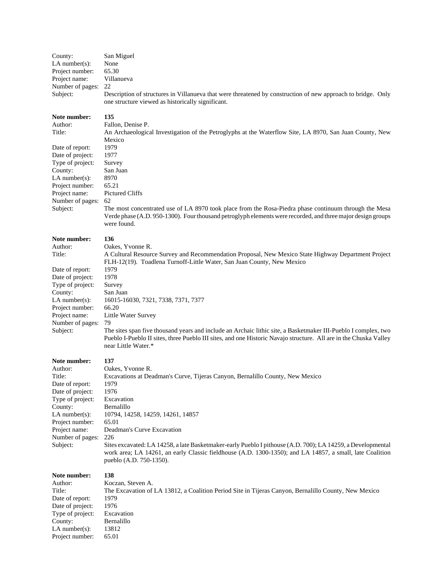| County:<br>LA number( $s$ ):<br>Project number:<br>Project name:<br>Number of pages:<br>Subject:                                            | San Miguel<br>None<br>65.30<br>Villanueva<br>22<br>Description of structures in Villanueva that were threatened by construction of new approach to bridge. Only<br>one structure viewed as historically significant.                                       |
|---------------------------------------------------------------------------------------------------------------------------------------------|------------------------------------------------------------------------------------------------------------------------------------------------------------------------------------------------------------------------------------------------------------|
| Note number:<br>Author:<br>Title:                                                                                                           | 135<br>Fallon, Denise P.<br>An Archaeological Investigation of the Petroglyphs at the Waterflow Site, LA 8970, San Juan County, New<br>Mexico                                                                                                              |
| Date of report:<br>Date of project:<br>Type of project:                                                                                     | 1979<br>1977<br>Survey                                                                                                                                                                                                                                     |
| County:<br>LA number(s):<br>Project number:<br>Project name:                                                                                | San Juan<br>8970<br>65.21<br>Pictured Cliffs                                                                                                                                                                                                               |
| Number of pages:<br>Subject:                                                                                                                | 62<br>The most concentrated use of LA 8970 took place from the Rosa-Piedra phase continuum through the Mesa<br>Verde phase (A.D. 950-1300). Four thousand petroglyph elements were recorded, and three major design groups<br>were found.                  |
| Note number:<br>Author:<br>Title:                                                                                                           | 136<br>Oakes, Yvonne R.<br>A Cultural Resource Survey and Recommendation Proposal, New Mexico State Highway Department Project                                                                                                                             |
| Date of report:                                                                                                                             | FLH-12(19). Toadlena Turnoff-Little Water, San Juan County, New Mexico<br>1979                                                                                                                                                                             |
| Date of project:<br>Type of project:                                                                                                        | 1978<br>Survey                                                                                                                                                                                                                                             |
| County:<br>LA number(s):                                                                                                                    | San Juan<br>16015-16030, 7321, 7338, 7371, 7377                                                                                                                                                                                                            |
| Project number:<br>Project name:<br>Number of pages:                                                                                        | 66.20<br>Little Water Survey<br>79                                                                                                                                                                                                                         |
| Subject:                                                                                                                                    | The sites span five thousand years and include an Archaic lithic site, a Basketmaker III-Pueblo I complex, two<br>Pueblo I-Pueblo II sites, three Pueblo III sites, and one Historic Navajo structure. All are in the Chuska Valley<br>near Little Water.* |
| Note number:                                                                                                                                | 137                                                                                                                                                                                                                                                        |
| Author:<br>Title:<br>Date of report:                                                                                                        | Oakes, Yvonne R.<br>Excavations at Deadman's Curve, Tijeras Canyon, Bernalillo County, New Mexico<br>1979                                                                                                                                                  |
| Date of project:<br>Type of project:                                                                                                        | 1976<br>Excavation                                                                                                                                                                                                                                         |
| County:<br>LA number( $s$ ):                                                                                                                | Bernalillo<br>10794, 14258, 14259, 14261, 14857                                                                                                                                                                                                            |
| Project number:<br>Project name:                                                                                                            | 65.01<br>Deadman's Curve Excavation                                                                                                                                                                                                                        |
| Number of pages:<br>Subject:                                                                                                                | 226<br>Sites excavated: LA 14258, a late Basketmaker-early Pueblo I pithouse (A.D. 700); LA 14259, a Developmental<br>work area; LA 14261, an early Classic fieldhouse (A.D. 1300-1350); and LA 14857, a small, late Coalition<br>pueblo (A.D. 750-1350).  |
| Note number:<br>Author:<br>Title:<br>Date of report:<br>Date of project:<br>Type of project:<br>County:<br>LA number(s):<br>Project number: | 138<br>Koczan, Steven A.<br>The Excavation of LA 13812, a Coalition Period Site in Tijeras Canyon, Bernalillo County, New Mexico<br>1979<br>1976<br>Excavation<br>Bernalillo<br>13812<br>65.01                                                             |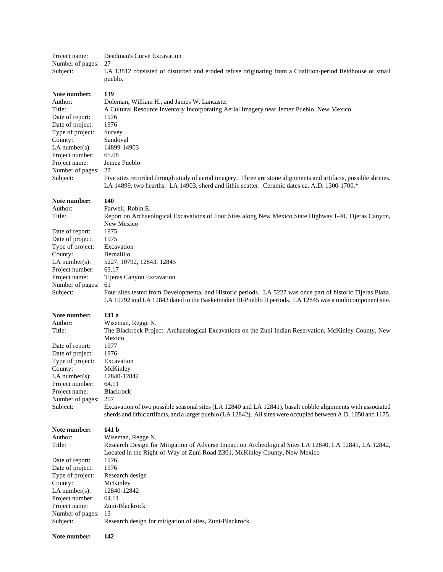| Project name:<br>Number of pages:<br>Subject:                                                                                                                                                      | Deadman's Curve Excavation<br>27<br>LA 13812 consisted of disturbed and eroded refuse originating from a Coalition-period fieldhouse or small<br>pueblo.                                                                                                                                                                                                                                                                                                                                           |  |
|----------------------------------------------------------------------------------------------------------------------------------------------------------------------------------------------------|----------------------------------------------------------------------------------------------------------------------------------------------------------------------------------------------------------------------------------------------------------------------------------------------------------------------------------------------------------------------------------------------------------------------------------------------------------------------------------------------------|--|
| Note number:<br>Author:<br>Title:<br>Date of report:<br>Date of project:<br>Type of project:<br>County:<br>$LA$ number $(s)$ :<br>Project number:<br>Project name:<br>Number of pages:<br>Subject: | 139<br>Doleman, William H., and James W. Lancaster<br>A Cultural Resource Inventory Incorporating Aerial Imagery near Jemez Pueblo, New Mexico<br>1976<br>1976<br>Survey<br>Sandoval<br>14899-14903<br>65.08<br>Jemez Pueblo<br>27<br>Five sites recorded through study of aerial imagery. Three are stone alignments and artifacts, possible shrines.<br>LA 14899, two hearths. LA 14903, sherd and lithic scatter. Ceramic dates ca. A.D. 1300-1700.*                                            |  |
| Note number:<br>Author:<br>Title:<br>Date of report:<br>Date of project:<br>Type of project:<br>County:<br>LA number(s):<br>Project number:<br>Project name:<br>Number of pages:<br>Subject:       | 140<br>Farwell, Robin E.<br>Report on Archaeological Excavations of Four Sites along New Mexico State Highway I-40, Tijeras Canyon,<br>New Mexico<br>1975<br>1975<br>Excavation<br>Bernalillo<br>5227, 10792, 12843, 12845<br>63.17<br>Tijeras Canyon Excavation<br>61<br>Four sites tested from Developmental and Historic periods. LA 5227 was once part of historic Tijeras Plaza.<br>LA 10792 and LA 12843 dated to the Basketmaker III-Pueblo II periods. LA 12845 was a multicomponent site. |  |
| Note number:<br>Author:<br>Title:<br>Date of report:<br>Date of project:<br>Type of project:<br>County:<br>LA number $(s)$ :<br>Project number:<br>Project name:<br>Number of pages:<br>Subject:   | 141 a<br>Wiseman, Regge N.<br>The Blackrock Project: Archaeological Excavations on the Zuni Indian Reservation, McKinley County, New<br>Mexico<br>1977<br>1976<br>Excavation<br>McKinley<br>12840-12842<br>64.11<br>Blackrock<br>207<br>Excavation of two possible seasonal sites (LA 12840 and LA 12841), basalt cobble alignments with associated<br>sherds and lithic artifacts, and a larger pueblo (LA 12842). All sites were occupied between A.D. 1050 and 1175.                            |  |
| Note number:<br>Author:<br>Title:<br>Date of report:<br>Date of project:<br>Type of project:<br>County:<br>LA number $(s)$ :<br>Project number:<br>Project name:<br>Number of pages:<br>Subject:   | 141 b<br>Wiseman, Regge N.<br>Research Design for Mitigation of Adverse Impact on Archeological Sites LA 12840, LA 12841, LA 12842,<br>Located in the Right-of-Way of Zuni Road Z301, McKinley County, New Mexico<br>1976<br>1976<br>Research design<br>McKinley<br>12840-12842<br>64.11<br>Zuni-Blackrock<br>13<br>Research design for mitigation of sites, Zuni-Blackrock.                                                                                                                       |  |
| Note number:                                                                                                                                                                                       | 142                                                                                                                                                                                                                                                                                                                                                                                                                                                                                                |  |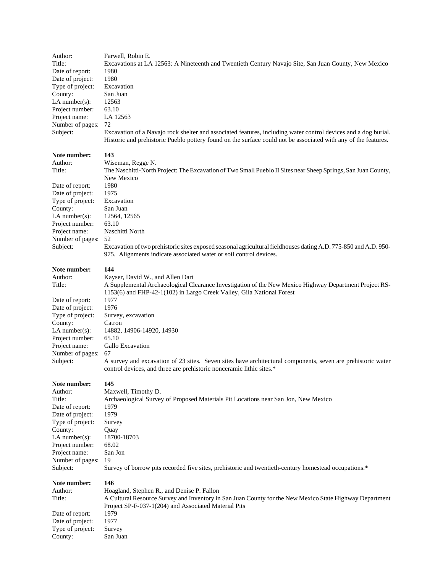| Author:<br>Title:                    | Farwell, Robin E.<br>Excavations at LA 12563: A Nineteenth and Twentieth Century Navajo Site, San Juan County, New Mexico                                                             |  |  |
|--------------------------------------|---------------------------------------------------------------------------------------------------------------------------------------------------------------------------------------|--|--|
| Date of report:                      | 1980                                                                                                                                                                                  |  |  |
| Date of project:                     | 1980                                                                                                                                                                                  |  |  |
| Type of project:                     | Excavation                                                                                                                                                                            |  |  |
| County:                              | San Juan                                                                                                                                                                              |  |  |
| LA number $(s)$ :<br>12563           |                                                                                                                                                                                       |  |  |
| Project number:<br>63.10<br>LA 12563 |                                                                                                                                                                                       |  |  |
| Project name:<br>Number of pages:    | 72                                                                                                                                                                                    |  |  |
| Subject:                             | Excavation of a Navajo rock shelter and associated features, including water control devices and a dog burial.                                                                        |  |  |
|                                      | Historic and prehistoric Pueblo pottery found on the surface could not be associated with any of the features.                                                                        |  |  |
| Note number:<br>Author:              | 143                                                                                                                                                                                   |  |  |
| Title:                               | Wiseman, Regge N.<br>The Naschitti-North Project: The Excavation of Two Small Pueblo II Sites near Sheep Springs, San Juan County,                                                    |  |  |
|                                      | New Mexico                                                                                                                                                                            |  |  |
| Date of report:                      | 1980                                                                                                                                                                                  |  |  |
| Date of project:                     | 1975                                                                                                                                                                                  |  |  |
| Type of project:                     | Excavation                                                                                                                                                                            |  |  |
| County:                              | San Juan                                                                                                                                                                              |  |  |
| $LA$ number $(s)$ :                  | 12564, 12565                                                                                                                                                                          |  |  |
| Project number:                      | 63.10                                                                                                                                                                                 |  |  |
| Project name:                        | Naschitti North                                                                                                                                                                       |  |  |
| Number of pages:                     | 52                                                                                                                                                                                    |  |  |
| Subject:                             | Excavation of two prehistoric sites exposed seasonal agricultural fieldhouses dating A.D. 775-850 and A.D. 950-<br>975. Alignments indicate associated water or soil control devices. |  |  |
| Note number:                         | 144                                                                                                                                                                                   |  |  |
| Author:<br>Title:                    | Kayser, David W., and Allen Dart<br>A Supplemental Archaeological Clearance Investigation of the New Mexico Highway Department Project RS-                                            |  |  |
| Date of report:                      | 1153(6) and FHP-42-1(102) in Largo Creek Valley, Gila National Forest<br>1977                                                                                                         |  |  |
| Date of project:                     | 1976                                                                                                                                                                                  |  |  |
| Type of project:                     | Survey, excavation                                                                                                                                                                    |  |  |
| County:                              | Catron                                                                                                                                                                                |  |  |
| $LA$ number $(s)$ :                  | 14882, 14906-14920, 14930                                                                                                                                                             |  |  |
| Project number:                      | 65.10                                                                                                                                                                                 |  |  |
| Project name:                        | Gallo Excavation                                                                                                                                                                      |  |  |
| Number of pages:                     | 67                                                                                                                                                                                    |  |  |
| Subject:                             | A survey and excavation of 23 sites. Seven sites have architectural components, seven are prehistoric water<br>control devices, and three are prehistoric nonceramic lithic sites.*   |  |  |
| Note number:                         | 145                                                                                                                                                                                   |  |  |
| Author:                              | Maxwell, Timothy D.                                                                                                                                                                   |  |  |
| Title:                               | Archaeological Survey of Proposed Materials Pit Locations near San Jon, New Mexico                                                                                                    |  |  |
| Date of report:                      | 1979<br>1979                                                                                                                                                                          |  |  |
| Date of project:<br>Type of project: | Survey                                                                                                                                                                                |  |  |
| County:                              | Quay                                                                                                                                                                                  |  |  |
| LA number $(s)$ :                    | 18700-18703                                                                                                                                                                           |  |  |
| Project number:                      | 68.02                                                                                                                                                                                 |  |  |
| Project name:                        | San Jon                                                                                                                                                                               |  |  |
| Number of pages:                     | 19                                                                                                                                                                                    |  |  |
| Subject:                             | Survey of borrow pits recorded five sites, prehistoric and twentieth-century homestead occupations.*                                                                                  |  |  |
| Note number:                         | 146                                                                                                                                                                                   |  |  |
| Author:                              | Hoagland, Stephen R., and Denise P. Fallon                                                                                                                                            |  |  |
| Title:                               | A Cultural Resource Survey and Inventory in San Juan County for the New Mexico State Highway Department                                                                               |  |  |
|                                      | Project SP-F-037-1(204) and Associated Material Pits                                                                                                                                  |  |  |
| Date of report:<br>Date of project:  | 1979<br>1977                                                                                                                                                                          |  |  |
| Type of project:                     | Survey                                                                                                                                                                                |  |  |
| County:                              | San Juan                                                                                                                                                                              |  |  |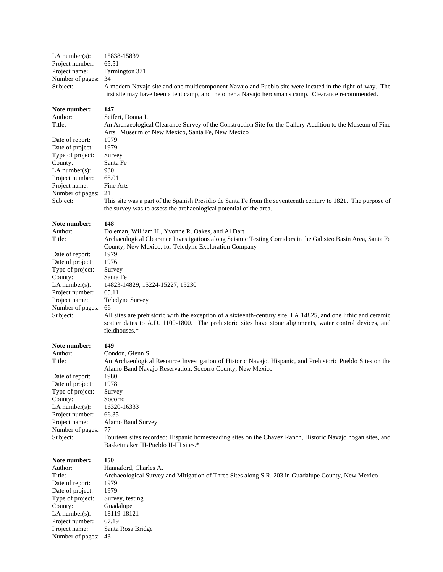| $LA$ number(s):<br>Project number:<br>Project name:<br>Number of pages:<br>Subject:                                                                                                                | 15838-15839<br>65.51<br>Farmington 371<br>34<br>A modern Navajo site and one multicomponent Navajo and Pueblo site were located in the right-of-way. The<br>first site may have been a tent camp, and the other a Navajo herdsman's camp. Clearance recommended.                                                                                                                                                                                                                                                                                                                           |
|----------------------------------------------------------------------------------------------------------------------------------------------------------------------------------------------------|--------------------------------------------------------------------------------------------------------------------------------------------------------------------------------------------------------------------------------------------------------------------------------------------------------------------------------------------------------------------------------------------------------------------------------------------------------------------------------------------------------------------------------------------------------------------------------------------|
| Note number:<br>Author:<br>Title:<br>Date of report:<br>Date of project:<br>Type of project:<br>County:<br>$LA$ number $(s)$ :<br>Project number:<br>Project name:<br>Number of pages:<br>Subject: | 147<br>Seifert, Donna J.<br>An Archaeological Clearance Survey of the Construction Site for the Gallery Addition to the Museum of Fine<br>Arts. Museum of New Mexico, Santa Fe, New Mexico<br>1979<br>1979<br>Survey<br>Santa Fe<br>930<br>68.01<br>Fine Arts<br>21<br>This site was a part of the Spanish Presidio de Santa Fe from the seventeenth century to 1821. The purpose of<br>the survey was to assess the archaeological potential of the area.                                                                                                                                 |
| Note number:<br>Author:<br>Title:<br>Date of report:<br>Date of project:<br>Type of project:<br>County:<br>$LA$ number(s):<br>Project number:<br>Project name:<br>Number of pages:<br>Subject:     | 148<br>Doleman, William H., Yvonne R. Oakes, and Al Dart<br>Archaeological Clearance Investigations along Seismic Testing Corridors in the Galisteo Basin Area, Santa Fe<br>County, New Mexico, for Teledyne Exploration Company<br>1979<br>1976<br>Survey<br>Santa Fe<br>14823-14829, 15224-15227, 15230<br>65.11<br>Teledyne Survey<br>66<br>All sites are prehistoric with the exception of a sixteenth-century site, LA 14825, and one lithic and ceramic<br>scatter dates to A.D. 1100-1800. The prehistoric sites have stone alignments, water control devices, and<br>fieldhouses.* |
| Note number:<br>Author:<br>Title:<br>Date of report:<br>Date of project:<br>Type of project:<br>County:<br>$LA$ number(s):<br>Project number:<br>Project name:<br>Number of pages:<br>Subject:     | 149<br>Condon, Glenn S.<br>An Archaeological Resource Investigation of Historic Navajo, Hispanic, and Prehistoric Pueblo Sites on the<br>Alamo Band Navajo Reservation, Socorro County, New Mexico<br>1980<br>1978<br>Survey<br>Socorro<br>16320-16333<br>66.35<br>Alamo Band Survey<br>77<br>Fourteen sites recorded: Hispanic homesteading sites on the Chavez Ranch, Historic Navajo hogan sites, and<br>Basketmaker III-Pueblo II-III sites.*                                                                                                                                          |
| Note number:<br>Author:<br>Title:<br>Date of report:<br>Date of project:<br>Type of project:<br>County:<br>$LA$ number(s):<br>Project number:<br>Project name:<br>Number of pages:                 | 150<br>Hannaford, Charles A.<br>Archaeological Survey and Mitigation of Three Sites along S.R. 203 in Guadalupe County, New Mexico<br>1979<br>1979<br>Survey, testing<br>Guadalupe<br>18119-18121<br>67.19<br>Santa Rosa Bridge<br>43                                                                                                                                                                                                                                                                                                                                                      |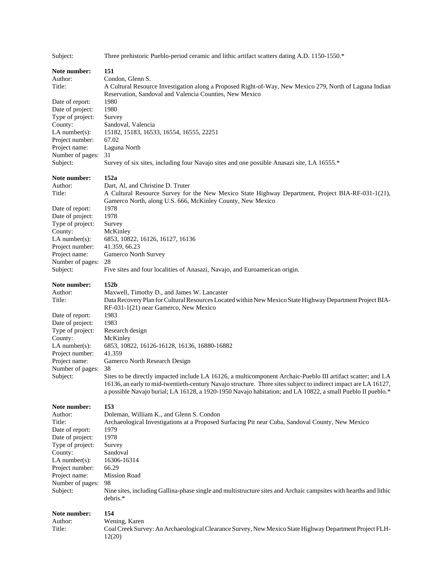| Subject:                          | Three prehistoric Pueblo-period ceramic and lithic artifact scatters dating A.D. 1150-1550.*                                                                                                                                                                                                                                                   |  |
|-----------------------------------|------------------------------------------------------------------------------------------------------------------------------------------------------------------------------------------------------------------------------------------------------------------------------------------------------------------------------------------------|--|
| Note number:                      | 151                                                                                                                                                                                                                                                                                                                                            |  |
| Author:                           | Condon, Glenn S.                                                                                                                                                                                                                                                                                                                               |  |
| Title:                            | A Cultural Resource Investigation along a Proposed Right-of-Way, New Mexico 279, North of Laguna Indian<br>Reservation, Sandoval and Valencia Counties, New Mexico                                                                                                                                                                             |  |
| Date of report:                   | 1980                                                                                                                                                                                                                                                                                                                                           |  |
| Date of project:                  | 1980                                                                                                                                                                                                                                                                                                                                           |  |
| Type of project:                  | Survey                                                                                                                                                                                                                                                                                                                                         |  |
| County:                           | Sandoval, Valencia                                                                                                                                                                                                                                                                                                                             |  |
| $LA$ number(s):                   | 15182, 15183, 16533, 16554, 16555, 22251                                                                                                                                                                                                                                                                                                       |  |
| Project number:                   | 67.02                                                                                                                                                                                                                                                                                                                                          |  |
| Project name:                     | Laguna North                                                                                                                                                                                                                                                                                                                                   |  |
| Number of pages:                  | 31                                                                                                                                                                                                                                                                                                                                             |  |
| Subject:                          | Survey of six sites, including four Navajo sites and one possible Anasazi site, LA 16555.*                                                                                                                                                                                                                                                     |  |
| Note number:                      | 152a                                                                                                                                                                                                                                                                                                                                           |  |
| Author:                           | Dart, Al, and Christine D. Truter                                                                                                                                                                                                                                                                                                              |  |
| Title:                            | A Cultural Resource Survey for the New Mexico State Highway Department, Project BIA-RF-031-1(21),                                                                                                                                                                                                                                              |  |
|                                   | Gamerco North, along U.S. 666, McKinley County, New Mexico                                                                                                                                                                                                                                                                                     |  |
| Date of report:                   | 1978                                                                                                                                                                                                                                                                                                                                           |  |
| Date of project:                  | 1978                                                                                                                                                                                                                                                                                                                                           |  |
| Type of project:                  | Survey                                                                                                                                                                                                                                                                                                                                         |  |
| County:<br>$LA$ number(s):        | McKinley<br>6853, 10822, 16126, 16127, 16136                                                                                                                                                                                                                                                                                                   |  |
| Project number:                   | 41.359, 66.23                                                                                                                                                                                                                                                                                                                                  |  |
| Project name:                     | Gamerco North Survey                                                                                                                                                                                                                                                                                                                           |  |
| Number of pages:                  | 28                                                                                                                                                                                                                                                                                                                                             |  |
| Subject:                          | Five sites and four localities of Anasazi, Navajo, and Euroamerican origin.                                                                                                                                                                                                                                                                    |  |
| Note number:                      | 152 <sub>b</sub>                                                                                                                                                                                                                                                                                                                               |  |
| Author:                           | Maxwell, Timothy D., and James W. Lancaster                                                                                                                                                                                                                                                                                                    |  |
| Title:                            | Data Recovery Plan for Cultural Resources Located within New Mexico State Highway Department Project BIA-<br>RF-031-1(21) near Gamerco, New Mexico                                                                                                                                                                                             |  |
| Date of report:                   | 1983                                                                                                                                                                                                                                                                                                                                           |  |
| Date of project:                  | 1983                                                                                                                                                                                                                                                                                                                                           |  |
| Type of project:                  | Research design                                                                                                                                                                                                                                                                                                                                |  |
| County:                           | McKinley                                                                                                                                                                                                                                                                                                                                       |  |
| $LA$ number(s):                   | 6853, 10822, 16126-16128, 16136, 16880-16882                                                                                                                                                                                                                                                                                                   |  |
| Project number:                   | 41.359                                                                                                                                                                                                                                                                                                                                         |  |
| Project name:<br>Number of pages: | Gamerco North Research Design<br>38                                                                                                                                                                                                                                                                                                            |  |
| Subject:                          | Sites to be directly impacted include LA 16126, a multicomponent Archaic-Pueblo III artifact scatter; and LA<br>16136, an early to mid-twentieth-century Navajo structure. Three sites subject to indirect impact are LA 16127,<br>a possible Navajo burial; LA 16128, a 1920-1950 Navajo habitation; and LA 10822, a small Pueblo II pueblo.* |  |
| Note number:                      | 153                                                                                                                                                                                                                                                                                                                                            |  |
| Author:                           | Doleman, William K., and Glenn S. Condon                                                                                                                                                                                                                                                                                                       |  |
| Title:                            | Archaeological Investigations at a Proposed Surfacing Pit near Cuba, Sandoval County, New Mexico                                                                                                                                                                                                                                               |  |
| Date of report:                   | 1979                                                                                                                                                                                                                                                                                                                                           |  |
| Date of project:                  | 1978                                                                                                                                                                                                                                                                                                                                           |  |
| Type of project:                  | Survey                                                                                                                                                                                                                                                                                                                                         |  |
| County:                           | Sandoval                                                                                                                                                                                                                                                                                                                                       |  |
| $LA$ number(s):                   | 16306-16314                                                                                                                                                                                                                                                                                                                                    |  |
| Project number:                   | 66.29                                                                                                                                                                                                                                                                                                                                          |  |
| Project name:<br>Number of pages: | <b>Mission Road</b><br>98                                                                                                                                                                                                                                                                                                                      |  |
| Subject:                          | Nine sites, including Gallina-phase single and multistructure sites and Archaic campsites with hearths and lithic                                                                                                                                                                                                                              |  |
|                                   | debris.*                                                                                                                                                                                                                                                                                                                                       |  |
| Note number:                      | 154                                                                                                                                                                                                                                                                                                                                            |  |
| Author:                           | Wening, Karen                                                                                                                                                                                                                                                                                                                                  |  |
| Title:                            | Coal Creek Survey: An Archaeological Clearance Survey, New Mexico State Highway Department Project FLH-                                                                                                                                                                                                                                        |  |
|                                   | 12(20)                                                                                                                                                                                                                                                                                                                                         |  |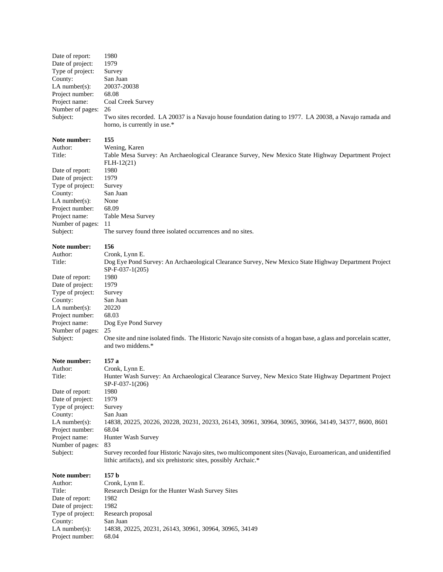| Date of report:   | 1980                                                                                                                |
|-------------------|---------------------------------------------------------------------------------------------------------------------|
| Date of project:  | 1979                                                                                                                |
| Type of project:  | Survey                                                                                                              |
| County:           | San Juan                                                                                                            |
| LA number $(s)$ : | 20037-20038                                                                                                         |
| Project number:   | 68.08                                                                                                               |
| Project name:     | Coal Creek Survey                                                                                                   |
| Number of pages:  | 26                                                                                                                  |
| Subject:          | Two sites recorded. LA 20037 is a Navajo house foundation dating to 1977. LA 20038, a Navajo ramada and             |
|                   | horno, is currently in use.*                                                                                        |
|                   |                                                                                                                     |
| Note number:      | 155                                                                                                                 |
| Author:           | Wening, Karen                                                                                                       |
| Title:            | Table Mesa Survey: An Archaeological Clearance Survey, New Mexico State Highway Department Project                  |
|                   | $FLH-12(21)$                                                                                                        |
| Date of report:   | 1980                                                                                                                |
| Date of project:  | 1979                                                                                                                |
| Type of project:  | Survey                                                                                                              |
| County:           | San Juan                                                                                                            |
| LA number $(s)$ : | None                                                                                                                |
| Project number:   | 68.09                                                                                                               |
| Project name:     | Table Mesa Survey                                                                                                   |
| Number of pages:  | 11                                                                                                                  |
| Subject:          | The survey found three isolated occurrences and no sites.                                                           |
|                   |                                                                                                                     |
| Note number:      | 156                                                                                                                 |
| Author:           | Cronk, Lynn E.                                                                                                      |
| Title:            | Dog Eye Pond Survey: An Archaeological Clearance Survey, New Mexico State Highway Department Project                |
|                   | SP-F-037-1(205)                                                                                                     |
| Date of report:   | 1980                                                                                                                |
| Date of project:  | 1979                                                                                                                |
| Type of project:  | Survey                                                                                                              |
| County:           | San Juan                                                                                                            |
| LA number $(s)$ : | 20220                                                                                                               |
| Project number:   | 68.03                                                                                                               |
| Project name:     | Dog Eye Pond Survey                                                                                                 |
| Number of pages:  | 25                                                                                                                  |
| Subject:          | One site and nine isolated finds. The Historic Navajo site consists of a hogan base, a glass and porcelain scatter, |
|                   | and two middens.*                                                                                                   |
|                   |                                                                                                                     |
| Note number:      | 157 a                                                                                                               |
| Author:           | Cronk, Lynn E.                                                                                                      |
| Title:            | Hunter Wash Survey: An Archaeological Clearance Survey, New Mexico State Highway Department Project                 |
|                   | SP-F-037-1(206)                                                                                                     |
| Date of report:   | 1980                                                                                                                |
| Date of project:  | 1979                                                                                                                |
| Type of project:  | Survey                                                                                                              |
| County:           | San Juan                                                                                                            |
| LA number $(s)$ : | 14838, 20225, 20226, 20228, 20231, 20233, 26143, 30961, 30964, 30965, 30966, 34149, 34377, 8600, 8601               |
| Project number:   | 68.04                                                                                                               |
| Project name:     | Hunter Wash Survey                                                                                                  |
| Number of pages:  | 83<br>Survey recorded four Historic Navajo sites, two multicomponent sites (Navajo, Euroamerican, and unidentified  |
| Subject:          | lithic artifacts), and six prehistoric sites, possibly Archaic.*                                                    |
|                   |                                                                                                                     |
| Note number:      | 157 <sub>b</sub>                                                                                                    |
| Author:           | Cronk, Lynn E.                                                                                                      |
| Title:            | Research Design for the Hunter Wash Survey Sites                                                                    |
| Date of report:   | 1982                                                                                                                |
| Date of project:  | 1982                                                                                                                |
| Type of project:  | Research proposal                                                                                                   |
| County:           | San Juan                                                                                                            |
| LA number $(s)$ : | 14838, 20225, 20231, 26143, 30961, 30964, 30965, 34149                                                              |
| Project number:   | 68.04                                                                                                               |
|                   |                                                                                                                     |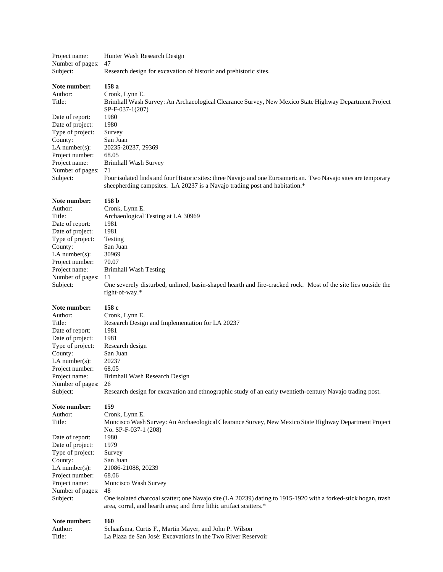| Project name:                        | Hunter Wash Research Design                                                                                    |  |
|--------------------------------------|----------------------------------------------------------------------------------------------------------------|--|
| Number of pages:                     | 47                                                                                                             |  |
| Subject:                             | Research design for excavation of historic and prehistoric sites.                                              |  |
| Note number:                         | 158 a                                                                                                          |  |
| Author:                              | Cronk, Lynn E.                                                                                                 |  |
| Title:                               | Brimhall Wash Survey: An Archaeological Clearance Survey, New Mexico State Highway Department Project          |  |
|                                      | SP-F-037-1(207)                                                                                                |  |
| Date of report:                      | 1980                                                                                                           |  |
| Date of project:                     | 1980                                                                                                           |  |
| Type of project:                     | Survey                                                                                                         |  |
| County:                              | San Juan                                                                                                       |  |
| $LA$ number $(s)$ :                  | 20235-20237, 29369<br>68.05                                                                                    |  |
| Project number:<br>Project name:     | <b>Brimhall Wash Survey</b>                                                                                    |  |
| Number of pages:                     | 71                                                                                                             |  |
| Subject:                             | Four isolated finds and four Historic sites: three Navajo and one Euroamerican. Two Navajo sites are temporary |  |
|                                      | sheepherding campsites. LA 20237 is a Navajo trading post and habitation.*                                     |  |
|                                      |                                                                                                                |  |
| Note number:                         | 158 <sub>b</sub>                                                                                               |  |
| Author:                              | Cronk, Lynn E.                                                                                                 |  |
| Title:                               | Archaeological Testing at LA 30969                                                                             |  |
| Date of report:                      | 1981<br>1981                                                                                                   |  |
| Date of project:<br>Type of project: | Testing                                                                                                        |  |
| County:                              | San Juan                                                                                                       |  |
| LA number $(s)$ :                    | 30969                                                                                                          |  |
| Project number:                      | 70.07                                                                                                          |  |
| Project name:                        | <b>Brimhall Wash Testing</b>                                                                                   |  |
| Number of pages:                     | 11                                                                                                             |  |
| Subject:                             | One severely disturbed, unlined, basin-shaped hearth and fire-cracked rock. Most of the site lies outside the  |  |
|                                      | right-of-way.*                                                                                                 |  |
| Note number:                         | 158 c                                                                                                          |  |
| Author:                              | Cronk, Lynn E.                                                                                                 |  |
| Title:                               | Research Design and Implementation for LA 20237                                                                |  |
| Date of report:                      | 1981                                                                                                           |  |
| Date of project:                     | 1981                                                                                                           |  |
| Type of project:                     | Research design                                                                                                |  |
| County:                              | San Juan                                                                                                       |  |
| $LA$ number(s):                      | 20237                                                                                                          |  |
| Project number:                      | 68.05                                                                                                          |  |
| Project name:                        | Brimhall Wash Research Design                                                                                  |  |
| Number of pages:<br>Subject:         | 26<br>Research design for excavation and ethnographic study of an early twentieth-century Navajo trading post. |  |
|                                      |                                                                                                                |  |
| Note number:                         | 159                                                                                                            |  |
| Author:                              | Cronk, Lynn E.                                                                                                 |  |
| Title:                               | Moncisco Wash Survey: An Archaeological Clearance Survey, New Mexico State Highway Department Project          |  |
|                                      | No. SP-F-037-1 (208)                                                                                           |  |
| Date of report:                      | 1980                                                                                                           |  |
| Date of project:                     | 1979                                                                                                           |  |
| Type of project:<br>County:          | Survey<br>San Juan                                                                                             |  |
| $LA$ number $(s)$ :                  | 21086-21088, 20239                                                                                             |  |
| Project number:                      | 68.06                                                                                                          |  |
| Project name:                        | Moncisco Wash Survey                                                                                           |  |
| Number of pages:                     | 48                                                                                                             |  |
| Subject:                             | One isolated charcoal scatter; one Navajo site (LA 20239) dating to 1915-1920 with a forked-stick hogan, trash |  |
|                                      | area, corral, and hearth area; and three lithic artifact scatters.*                                            |  |
| Note number:                         | 160                                                                                                            |  |
| Author:                              | Schaafsma, Curtis F., Martin Mayer, and John P. Wilson                                                         |  |
| Title:                               | La Plaza de San José: Excavations in the Two River Reservoir                                                   |  |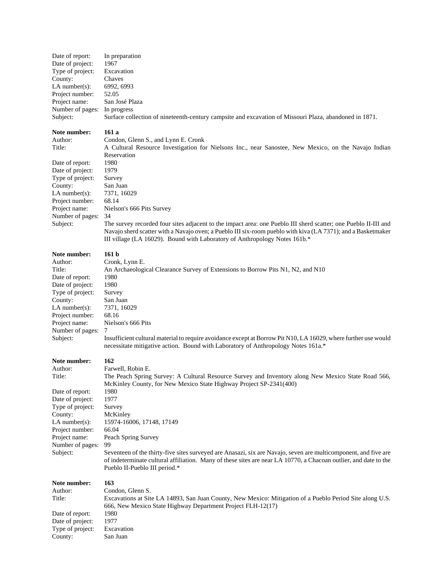| Date of report:  | In preparation                                                                                         |
|------------------|--------------------------------------------------------------------------------------------------------|
| Date of project: | 1967                                                                                                   |
| Type of project: | Excavation                                                                                             |
| County:          | Chaves                                                                                                 |
| LA number(s):    | 6992, 6993                                                                                             |
| Project number:  | 52.05                                                                                                  |
| Project name:    | San José Plaza                                                                                         |
| Number of pages: | In progress                                                                                            |
| Subject:         | Surface collection of nineteenth-century campsite and excavation of Missouri Plaza, abandoned in 1871. |

# **Note number: 161 a**<br>Author: **Condo**

Date of report: Date of project: 1979 Type of project: Survey County: San Juan LA number(s): 7371, 16029 Project number: 68.14 Number of pages: 34

Author: Condon, Glenn S., and Lynn E. Cronk<br>Title: A Cultural Resource Investigation fo A Cultural Resource Investigation for Nielsons Inc., near Sanostee, New Mexico, on the Navajo Indian Reservation<br>1980 Project name: Nielson's 666 Pits Survey

Subject: The survey recorded four sites adjacent to the impact area: one Pueblo III sherd scatter; one Pueblo II-III and Navajo sherd scatter with a Navajo oven; a Pueblo III six-room pueblo with kiva (LA 7371); and a Basketmaker III village (LA 16029). Bound with Laboratory of Anthropology Notes 161b.\*

# **Note number: 161 b**

| том нашом .       |                                                                                                                                                                                                      |
|-------------------|------------------------------------------------------------------------------------------------------------------------------------------------------------------------------------------------------|
| Author:           | Cronk, Lynn E.                                                                                                                                                                                       |
| Title:            | An Archaeological Clearance Survey of Extensions to Borrow Pits N1, N2, and N10                                                                                                                      |
| Date of report:   | 1980                                                                                                                                                                                                 |
| Date of project:  | 1980                                                                                                                                                                                                 |
| Type of project:  | Survey                                                                                                                                                                                               |
| County:           | San Juan                                                                                                                                                                                             |
| LA number $(s)$ : | 7371, 16029                                                                                                                                                                                          |
| Project number:   | 68.16                                                                                                                                                                                                |
| Project name:     | Nielson's 666 Pits                                                                                                                                                                                   |
| Number of pages:  |                                                                                                                                                                                                      |
| Subject:          | Insufficient cultural material to require avoidance except at Borrow Pit N10, LA 16029, where further use would<br>necessitate mitigative action. Bound with Laboratory of Anthropology Notes 161a.* |
| Note number:      | 162                                                                                                                                                                                                  |
| $A$ uthor         | $Farivial$ $Rohin F$                                                                                                                                                                                 |

| Author:          | Farwell, Robin E.                                                                                                                                 |  |  |
|------------------|---------------------------------------------------------------------------------------------------------------------------------------------------|--|--|
| Title:           | The Peach Spring Survey: A Cultural Resource Survey and Inventory along New Mexico State Road 566,                                                |  |  |
|                  | McKinley County, for New Mexico State Highway Project SP-2341(400)                                                                                |  |  |
| Date of report:  | 1980                                                                                                                                              |  |  |
| Date of project: | 1977                                                                                                                                              |  |  |
| Type of project: | Survey                                                                                                                                            |  |  |
| County:          | McKinley                                                                                                                                          |  |  |
| LA number(s):    | 15974-16006, 17148, 17149                                                                                                                         |  |  |
| Project number:  | 66.04                                                                                                                                             |  |  |
| Project name:    | Peach Spring Survey                                                                                                                               |  |  |
| Number of pages: | 99                                                                                                                                                |  |  |
| Subject:         | Seventeen of the thirty-five sites surveyed are Anasazi, six are Navajo, seven are multicomponent, and five are                                   |  |  |
|                  | of indeterminate cultural affiliation. Many of these sites are near LA 10770, a Chacoan outlier, and date to the<br>Pueblo II-Pueblo III period.* |  |  |
| Note number:     | 163                                                                                                                                               |  |  |
| Author:          | Condon, Glenn S.                                                                                                                                  |  |  |
| Title:           | Excavations at Site LA 14893, San Juan County, New Mexico: Mitigation of a Pueblo Period Site along U.S.                                          |  |  |
|                  | 666, New Mexico State Highway Department Project FLH-12(17)                                                                                       |  |  |

| Date of report:  | 1980       |
|------------------|------------|
| Date of project: | 1977       |
| Type of project: | Excavation |
| County:          | San Juan   |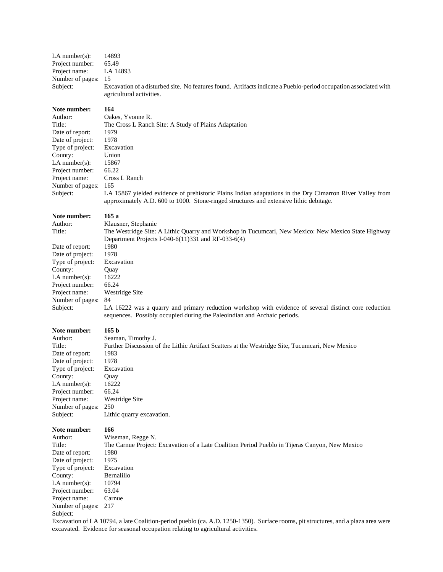| LA number(s):                        | 14893                                                                                                                                                                                              |
|--------------------------------------|----------------------------------------------------------------------------------------------------------------------------------------------------------------------------------------------------|
| Project number:                      | 65.49                                                                                                                                                                                              |
| Project name:                        | LA 14893                                                                                                                                                                                           |
| Number of pages:                     | 15                                                                                                                                                                                                 |
| Subject:                             | Excavation of a disturbed site. No features found. Artifacts indicate a Pueblo-period occupation associated with<br>agricultural activities.                                                       |
| Note number:                         | 164                                                                                                                                                                                                |
| Author:                              | Oakes, Yvonne R.                                                                                                                                                                                   |
| Title:                               | The Cross L Ranch Site: A Study of Plains Adaptation                                                                                                                                               |
| Date of report:                      | 1979<br>1978                                                                                                                                                                                       |
| Date of project:<br>Type of project: | Excavation                                                                                                                                                                                         |
| County:                              | Union                                                                                                                                                                                              |
| LA number $(s)$ :                    | 15867                                                                                                                                                                                              |
| Project number:                      | 66.22                                                                                                                                                                                              |
| Project name:                        | Cross L Ranch                                                                                                                                                                                      |
| Number of pages:                     | 165                                                                                                                                                                                                |
| Subject:                             | LA 15867 yielded evidence of prehistoric Plains Indian adaptations in the Dry Cimarron River Valley from<br>approximately A.D. 600 to 1000. Stone-ringed structures and extensive lithic debitage. |
| Note number:                         | 165a                                                                                                                                                                                               |
| Author:                              | Klausner, Stephanie                                                                                                                                                                                |
| Title:                               | The Westridge Site: A Lithic Quarry and Workshop in Tucumcari, New Mexico: New Mexico State Highway<br>Department Projects I-040-6(11)331 and RF-033-6(4)                                          |
| Date of report:                      | 1980                                                                                                                                                                                               |
| Date of project:                     | 1978                                                                                                                                                                                               |
| Type of project:                     | Excavation                                                                                                                                                                                         |
| County:                              | Quay                                                                                                                                                                                               |
| LA number $(s)$ :                    | 16222                                                                                                                                                                                              |
| Project number:                      | 66.24                                                                                                                                                                                              |
| Project name:                        | Westridge Site                                                                                                                                                                                     |
| Number of pages:                     | 84                                                                                                                                                                                                 |
| Subject:                             | LA 16222 was a quarry and primary reduction workshop with evidence of several distinct core reduction<br>sequences. Possibly occupied during the Paleoindian and Archaic periods.                  |
| Note number:                         | 165 b                                                                                                                                                                                              |
| Author:                              | Seaman, Timothy J.                                                                                                                                                                                 |
| Title:                               | Further Discussion of the Lithic Artifact Scatters at the Westridge Site, Tucumcari, New Mexico                                                                                                    |
| Date of report:                      | 1983                                                                                                                                                                                               |
| Date of project:                     | 1978                                                                                                                                                                                               |
| Type of project:                     | Excavation                                                                                                                                                                                         |
| County:                              | Quay                                                                                                                                                                                               |
| LA number $(s)$ :<br>Project number: | 16222<br>66.24                                                                                                                                                                                     |
| Project name:                        | Westridge Site                                                                                                                                                                                     |
| Number of pages:                     | 250                                                                                                                                                                                                |
| Subject:                             | Lithic quarry excavation.                                                                                                                                                                          |
| Note number:                         | 166                                                                                                                                                                                                |
| Author:                              | Wiseman, Regge N.                                                                                                                                                                                  |
| Title:                               | The Carnue Project: Excavation of a Late Coalition Period Pueblo in Tijeras Canyon, New Mexico                                                                                                     |
| Date of report:                      | 1980                                                                                                                                                                                               |
| Date of project:                     | 1975                                                                                                                                                                                               |
| Type of project:<br>County:          | Excavation<br>Bernalillo                                                                                                                                                                           |
| LA number(s):                        | 10794                                                                                                                                                                                              |
| Project number:                      | 63.04                                                                                                                                                                                              |
| Project name:                        | Carnue                                                                                                                                                                                             |
| Number of pages:<br>Subject:         | 217                                                                                                                                                                                                |
|                                      | Excavation of LA 10794, a late Coalition-period pueblo (ca. A.D. 1250-1350). Surface rooms, pit structures, and a plaza area were                                                                  |

excavated. Evidence for seasonal occupation relating to agricultural activities.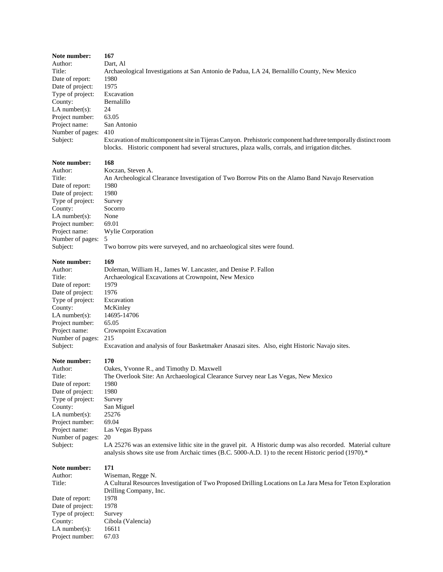| Note number:<br>Author:<br>Title:<br>Date of report:<br>Date of project:<br>Type of project:<br>County:<br>$LA$ number $(s)$ :<br>Project number:<br>Project name:<br>Number of pages:<br>Subject: | 167<br>Dart, Al<br>Archaeological Investigations at San Antonio de Padua, LA 24, Bernalillo County, New Mexico<br>1980<br>1975<br>Excavation<br>Bernalillo<br>24<br>63.05<br>San Antonio<br>410<br>Excavation of multicomponent site in Tijeras Canyon. Prehistoric component had three temporally distinct room<br>blocks. Historic component had several structures, plaza walls, corrals, and irrigation ditches. |
|----------------------------------------------------------------------------------------------------------------------------------------------------------------------------------------------------|----------------------------------------------------------------------------------------------------------------------------------------------------------------------------------------------------------------------------------------------------------------------------------------------------------------------------------------------------------------------------------------------------------------------|
| Note number:                                                                                                                                                                                       | 168                                                                                                                                                                                                                                                                                                                                                                                                                  |
| Author:                                                                                                                                                                                            | Koczan, Steven A.                                                                                                                                                                                                                                                                                                                                                                                                    |
| Title:                                                                                                                                                                                             | An Archeological Clearance Investigation of Two Borrow Pits on the Alamo Band Navajo Reservation                                                                                                                                                                                                                                                                                                                     |
| Date of report:<br>Date of project:                                                                                                                                                                | 1980<br>1980                                                                                                                                                                                                                                                                                                                                                                                                         |
| Type of project:                                                                                                                                                                                   | Survey                                                                                                                                                                                                                                                                                                                                                                                                               |
| County:                                                                                                                                                                                            | Socorro                                                                                                                                                                                                                                                                                                                                                                                                              |
| $LA$ number $(s)$ :                                                                                                                                                                                | None                                                                                                                                                                                                                                                                                                                                                                                                                 |
| Project number:<br>Project name:                                                                                                                                                                   | 69.01<br>Wylie Corporation                                                                                                                                                                                                                                                                                                                                                                                           |
| Number of pages:                                                                                                                                                                                   | 5                                                                                                                                                                                                                                                                                                                                                                                                                    |
| Subject:                                                                                                                                                                                           | Two borrow pits were surveyed, and no archaeological sites were found.                                                                                                                                                                                                                                                                                                                                               |
| Note number:                                                                                                                                                                                       | 169                                                                                                                                                                                                                                                                                                                                                                                                                  |
| Author:                                                                                                                                                                                            | Doleman, William H., James W. Lancaster, and Denise P. Fallon                                                                                                                                                                                                                                                                                                                                                        |
| Title:                                                                                                                                                                                             | Archaeological Excavations at Crownpoint, New Mexico                                                                                                                                                                                                                                                                                                                                                                 |
| Date of report:<br>Date of project:                                                                                                                                                                | 1979<br>1976                                                                                                                                                                                                                                                                                                                                                                                                         |
| Type of project:                                                                                                                                                                                   | Excavation                                                                                                                                                                                                                                                                                                                                                                                                           |
| County:                                                                                                                                                                                            | McKinley                                                                                                                                                                                                                                                                                                                                                                                                             |
| $LA$ number $(s)$ :                                                                                                                                                                                | 14695-14706                                                                                                                                                                                                                                                                                                                                                                                                          |
| Project number:<br>Project name:                                                                                                                                                                   | 65.05<br>Crownpoint Excavation                                                                                                                                                                                                                                                                                                                                                                                       |
| Number of pages:                                                                                                                                                                                   | 215                                                                                                                                                                                                                                                                                                                                                                                                                  |
| Subject:                                                                                                                                                                                           | Excavation and analysis of four Basketmaker Anasazi sites. Also, eight Historic Navajo sites.                                                                                                                                                                                                                                                                                                                        |
| Note number:                                                                                                                                                                                       | 170                                                                                                                                                                                                                                                                                                                                                                                                                  |
| Author:                                                                                                                                                                                            | Oakes, Yvonne R., and Timothy D. Maxwell                                                                                                                                                                                                                                                                                                                                                                             |
| Title:                                                                                                                                                                                             | The Overlook Site: An Archaeological Clearance Survey near Las Vegas, New Mexico                                                                                                                                                                                                                                                                                                                                     |
| Date of report:<br>Date of project:                                                                                                                                                                | 1980<br>1980                                                                                                                                                                                                                                                                                                                                                                                                         |
| Type of project:                                                                                                                                                                                   | Survey                                                                                                                                                                                                                                                                                                                                                                                                               |
| County:                                                                                                                                                                                            | San Miguel                                                                                                                                                                                                                                                                                                                                                                                                           |
| $LA$ number $(s)$ :                                                                                                                                                                                | 25276<br>69.04                                                                                                                                                                                                                                                                                                                                                                                                       |
| Project number:<br>Project name:                                                                                                                                                                   | Las Vegas Bypass                                                                                                                                                                                                                                                                                                                                                                                                     |
| Number of pages:                                                                                                                                                                                   | 20                                                                                                                                                                                                                                                                                                                                                                                                                   |
| Subject:                                                                                                                                                                                           | LA 25276 was an extensive lithic site in the gravel pit. A Historic dump was also recorded. Material culture<br>analysis shows site use from Archaic times (B.C. 5000-A.D. 1) to the recent Historic period (1970).*                                                                                                                                                                                                 |
| Note number:                                                                                                                                                                                       | 171                                                                                                                                                                                                                                                                                                                                                                                                                  |
| Author:                                                                                                                                                                                            | Wiseman, Regge N.                                                                                                                                                                                                                                                                                                                                                                                                    |
| Title:                                                                                                                                                                                             | A Cultural Resources Investigation of Two Proposed Drilling Locations on La Jara Mesa for Teton Exploration<br>Drilling Company, Inc.                                                                                                                                                                                                                                                                                |
| Date of report:                                                                                                                                                                                    | 1978                                                                                                                                                                                                                                                                                                                                                                                                                 |
| Date of project:                                                                                                                                                                                   | 1978                                                                                                                                                                                                                                                                                                                                                                                                                 |
| Type of project:                                                                                                                                                                                   | Survey                                                                                                                                                                                                                                                                                                                                                                                                               |
| County:<br>LA number $(s)$ :                                                                                                                                                                       | Cibola (Valencia)<br>16611                                                                                                                                                                                                                                                                                                                                                                                           |
| Project number:                                                                                                                                                                                    | 67.03                                                                                                                                                                                                                                                                                                                                                                                                                |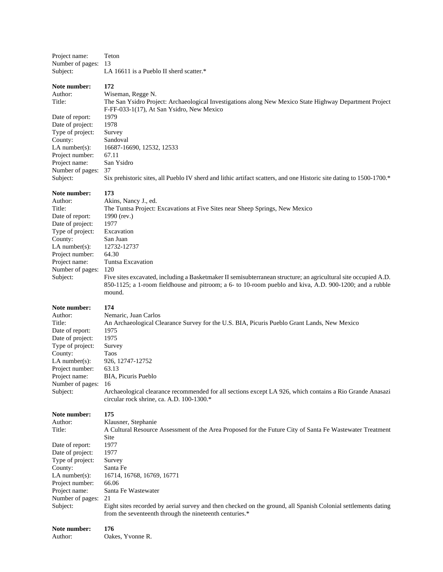Project name: Teton Number of pages: 13 Subject: LA 16611 is a Pueblo II sherd scatter.\*

**Note number: 172**

Author: Wiseman, Regge N. Title: The San Ysidro Project: Archaeological Investigations along New Mexico State Highway Department Project F-FF-033-1(17), At San Ysidro, New Mexico Date of report: 1979 Date of project: 1978<br>Type of project: Survey Type of project: County: Sandoval LA number(s): 16687-16690, 12532, 12533 Project number: 67.11 Project name: San Ysidro Number of pages: 37 Subject: Six prehistoric sites, all Pueblo IV sherd and lithic artifact scatters, and one Historic site dating to 1500-1700.\*

#### **Note number: 173**

Author: Akins, Nancy J., ed. Title: The Tuntsa Project: Excavations at Five Sites near Sheep Springs, New Mexico Date of report: 1990 (rev.) Date of project: 1977 Type of project: Excavation County: San Juan LA number(s): 12732-12737 Project number: 64.30 Project name: Tuntsa Excavation Number of pages: 120 Subject: Five sites excavated, including a Basketmaker II semisubterranean structure; an agricultural site occupied A.D. 850-1125; a 1-room fieldhouse and pitroom; a 6- to 10-room pueblo and kiva, A.D. 900-1200; and a rubble mound.

#### **Note number: 174**

Author: Nemaric, Juan Carlos Title: An Archaeological Clearance Survey for the U.S. BIA, Picuris Pueblo Grant Lands, New Mexico Date of report: 1975 Date of project: 1975 Type of project: Survey County: Taos LA number(s): 926, 12747-12752 Project number: 63.13 Project name: BIA, Picuris Pueblo Number of pages: 16 Subject: Archaeological clearance recommended for all sections except LA 926, which contains a Rio Grande Anasazi circular rock shrine, ca. A.D. 100-1300.\* **Note number: 175**

Author: Klausner, Stephanie Title: A Cultural Resource Assessment of the Area Proposed for the Future City of Santa Fe Wastewater Treatment Site<br>1977 Date of report: 1977<br>Date of project: 1977 Date of project: Type of project: Survey County: Santa Fe LA number(s): 16714, 16768, 16769, 16771 Project number: 66.06 Project name: Santa Fe Wastewater Number of pages: 21 Subject: Eight sites recorded by aerial survey and then checked on the ground, all Spanish Colonial settlements dating from the seventeenth through the nineteenth centuries.\*

| Note number: | 176              |
|--------------|------------------|
| Author:      | Oakes. Yvonne R. |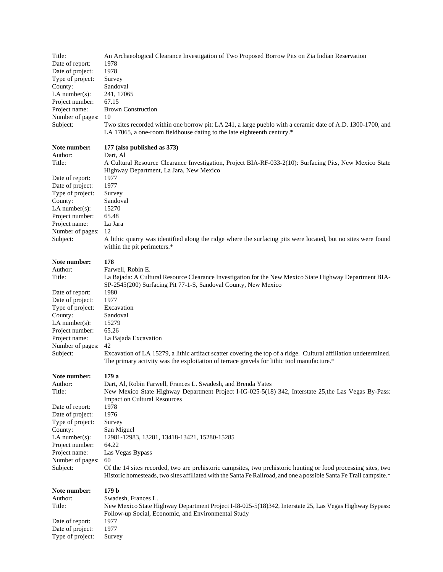| Title:                               | An Archaeological Clearance Investigation of Two Proposed Borrow Pits on Zia Indian Reservation                                                                                                                                      |
|--------------------------------------|--------------------------------------------------------------------------------------------------------------------------------------------------------------------------------------------------------------------------------------|
| Date of report:                      | 1978                                                                                                                                                                                                                                 |
| Date of project:                     | 1978                                                                                                                                                                                                                                 |
| Type of project:                     | Survey                                                                                                                                                                                                                               |
| County:                              | Sandoval                                                                                                                                                                                                                             |
| $LA$ number $(s)$ :                  | 241, 17065                                                                                                                                                                                                                           |
| Project number:                      | 67.15                                                                                                                                                                                                                                |
| Project name:                        | <b>Brown Construction</b>                                                                                                                                                                                                            |
| Number of pages:<br>Subject:         | 10<br>Two sites recorded within one borrow pit: LA 241, a large pueblo with a ceramic date of A.D. 1300-1700, and                                                                                                                    |
|                                      | LA 17065, a one-room fieldhouse dating to the late eighteenth century.*                                                                                                                                                              |
| Note number:                         | 177 (also published as 373)                                                                                                                                                                                                          |
| Author:                              | Dart, Al                                                                                                                                                                                                                             |
| Title:                               | A Cultural Resource Clearance Investigation, Project BIA-RF-033-2(10): Surfacing Pits, New Mexico State<br>Highway Department, La Jara, New Mexico                                                                                   |
| Date of report:                      | 1977                                                                                                                                                                                                                                 |
| Date of project:                     | 1977                                                                                                                                                                                                                                 |
| Type of project:                     | Survey                                                                                                                                                                                                                               |
| County:                              | Sandoval<br>15270                                                                                                                                                                                                                    |
| LA number $(s)$ :<br>Project number: | 65.48                                                                                                                                                                                                                                |
| Project name:                        | La Jara                                                                                                                                                                                                                              |
| Number of pages:                     | 12                                                                                                                                                                                                                                   |
| Subject:                             | A lithic quarry was identified along the ridge where the surfacing pits were located, but no sites were found                                                                                                                        |
|                                      | within the pit perimeters.*                                                                                                                                                                                                          |
| Note number:                         | 178                                                                                                                                                                                                                                  |
| Author:                              | Farwell, Robin E.                                                                                                                                                                                                                    |
| Title:                               | La Bajada: A Cultural Resource Clearance Investigation for the New Mexico State Highway Department BIA-<br>SP-2545(200) Surfacing Pit 77-1-S, Sandoval County, New Mexico                                                            |
| Date of report:                      | 1980                                                                                                                                                                                                                                 |
| Date of project:                     | 1977                                                                                                                                                                                                                                 |
| Type of project:                     | Excavation                                                                                                                                                                                                                           |
| County:                              | Sandoval                                                                                                                                                                                                                             |
| $LA$ number(s):                      | 15279                                                                                                                                                                                                                                |
| Project number:                      | 65.26                                                                                                                                                                                                                                |
| Project name:                        | La Bajada Excavation                                                                                                                                                                                                                 |
| Number of pages:                     | 42                                                                                                                                                                                                                                   |
| Subject:                             | Excavation of LA 15279, a lithic artifact scatter covering the top of a ridge. Cultural affiliation undetermined.<br>The primary activity was the exploitation of terrace gravels for lithic tool manufacture.*                      |
| Note number:                         | 179 a                                                                                                                                                                                                                                |
| Author:                              | Dart, Al, Robin Farwell, Frances L. Swadesh, and Brenda Yates                                                                                                                                                                        |
| Title:                               | New Mexico State Highway Department Project I-IG-025-5(18) 342, Interstate 25, the Las Vegas By-Pass:<br><b>Impact on Cultural Resources</b>                                                                                         |
| Date of report:                      | 1978                                                                                                                                                                                                                                 |
| Date of project:                     | 1976                                                                                                                                                                                                                                 |
| Type of project:                     | Survey                                                                                                                                                                                                                               |
| County:                              | San Miguel                                                                                                                                                                                                                           |
| LA number $(s)$ :                    | 12981-12983, 13281, 13418-13421, 15280-15285                                                                                                                                                                                         |
| Project number:                      | 64.22                                                                                                                                                                                                                                |
| Project name:                        | Las Vegas Bypass                                                                                                                                                                                                                     |
| Number of pages:                     | 60                                                                                                                                                                                                                                   |
| Subject:                             | Of the 14 sites recorded, two are prehistoric campsites, two prehistoric hunting or food processing sites, two<br>Historic homesteads, two sites affiliated with the Santa Fe Railroad, and one a possible Santa Fe Trail campsite.* |
| Note number:                         | 179 <sub>b</sub>                                                                                                                                                                                                                     |
| Author:                              | Swadesh, Frances L.                                                                                                                                                                                                                  |
| Title:                               | New Mexico State Highway Department Project I-I8-025-5(18)342, Interstate 25, Las Vegas Highway Bypass:                                                                                                                              |
|                                      | Follow-up Social, Economic, and Environmental Study                                                                                                                                                                                  |
| Date of report:                      | 1977                                                                                                                                                                                                                                 |
| Date of project:                     | 1977                                                                                                                                                                                                                                 |
| Type of project:                     | Survey                                                                                                                                                                                                                               |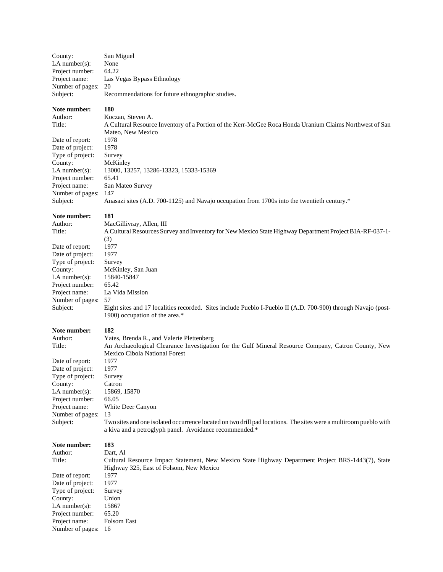| County:<br>LA number $(s)$ :<br>Project number:<br>Project name:<br>Number of pages:<br>Subject:                                                                                                   | San Miguel<br>None<br>64.22<br>Las Vegas Bypass Ethnology<br>20<br>Recommendations for future ethnographic studies.                                                                                                                                                                                                                                                                                                                                            |
|----------------------------------------------------------------------------------------------------------------------------------------------------------------------------------------------------|----------------------------------------------------------------------------------------------------------------------------------------------------------------------------------------------------------------------------------------------------------------------------------------------------------------------------------------------------------------------------------------------------------------------------------------------------------------|
| Note number:<br>Author:<br>Title:<br>Date of report:<br>Date of project:<br>Type of project:<br>County:<br>$LA$ number $(s)$ :<br>Project number:<br>Project name:<br>Number of pages:<br>Subject: | 180<br>Koczan, Steven A.<br>A Cultural Resource Inventory of a Portion of the Kerr-McGee Roca Honda Uranium Claims Northwest of San<br>Mateo, New Mexico<br>1978<br>1978<br>Survey<br>McKinley<br>13000, 13257, 13286-13323, 15333-15369<br>65.41<br>San Mateo Survey<br>147<br>Anasazi sites (A.D. 700-1125) and Navajo occupation from 1700s into the twentieth century.*                                                                                    |
| Note number:<br>Author:<br>Title:<br>Date of report:<br>Date of project:<br>Type of project:<br>County:<br>LA number(s):<br>Project number:<br>Project name:<br>Number of pages: 57<br>Subject:    | 181<br>MacGillivray, Allen, III<br>A Cultural Resources Survey and Inventory for New Mexico State Highway Department Project BIA-RF-037-1-<br>(3)<br>1977<br>1977<br>Survey<br>McKinley, San Juan<br>15840-15847<br>65.42<br>La Vida Mission<br>Eight sites and 17 localities recorded. Sites include Pueblo I-Pueblo II (A.D. 700-900) through Navajo (post-<br>1900) occupation of the area.*                                                                |
| Note number:<br>Author:<br>Title:<br>Date of report:<br>Date of project:<br>Type of project:<br>County:<br>$LA$ number(s):<br>Project number:<br>Project name:<br>Number of pages:<br>Subject:     | 182<br>Yates, Brenda R., and Valerie Plettenberg<br>An Archaeological Clearance Investigation for the Gulf Mineral Resource Company, Catron County, New<br>Mexico Cibola National Forest<br>1977<br>1977<br>Survey<br>Catron<br>15869, 15870<br>66.05<br>White Deer Canyon<br>13<br>Two sites and one isolated occurrence located on two drill pad locations. The sites were a multiroom pueblo with<br>a kiva and a petroglyph panel. Avoidance recommended.* |
| Note number:<br>Author:<br>Title:<br>Date of report:<br>Date of project:<br>Type of project:<br>County:<br>LA number $(s)$ :<br>Project number:<br>Project name:<br>Number of pages:               | 183<br>Dart, Al<br>Cultural Resource Impact Statement, New Mexico State Highway Department Project BRS-1443(7), State<br>Highway 325, East of Folsom, New Mexico<br>1977<br>1977<br>Survey<br>Union<br>15867<br>65.20<br>Folsom East<br>16                                                                                                                                                                                                                     |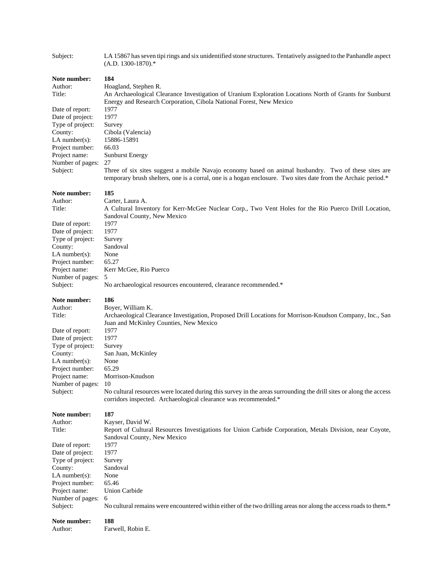| Subject:                                                                                                                                                       | LA 15867 has seven tipi rings and six unidentified stone structures. Tentatively assigned to the Panhandle aspect<br>$(A.D. 1300-1870).$ *                                                                                                                                                                     |
|----------------------------------------------------------------------------------------------------------------------------------------------------------------|----------------------------------------------------------------------------------------------------------------------------------------------------------------------------------------------------------------------------------------------------------------------------------------------------------------|
| Note number:<br>Author:<br>Title:<br>Date of report:<br>Date of project:<br>Type of project:<br>County:<br>$LA$ number(s):<br>Project number:<br>Project name: | 184<br>Hoagland, Stephen R.<br>An Archaeological Clearance Investigation of Uranium Exploration Locations North of Grants for Sunburst<br>Energy and Research Corporation, Cibola National Forest, New Mexico<br>1977<br>1977<br>Survey<br>Cibola (Valencia)<br>15886-15891<br>66.03<br><b>Sunburst Energy</b> |
| Number of pages:<br>Subject:                                                                                                                                   | 27<br>Three of six sites suggest a mobile Navajo economy based on animal husbandry. Two of these sites are<br>temporary brush shelters, one is a corral, one is a hogan enclosure. Two sites date from the Archaic period.*                                                                                    |
| Note number:                                                                                                                                                   | 185                                                                                                                                                                                                                                                                                                            |
| Author:<br>Title:                                                                                                                                              | Carter, Laura A.<br>A Cultural Inventory for Kerr-McGee Nuclear Corp., Two Vent Holes for the Rio Puerco Drill Location,                                                                                                                                                                                       |
|                                                                                                                                                                | Sandoval County, New Mexico                                                                                                                                                                                                                                                                                    |
| Date of report:<br>Date of project:                                                                                                                            | 1977<br>1977                                                                                                                                                                                                                                                                                                   |
| Type of project:                                                                                                                                               | Survey                                                                                                                                                                                                                                                                                                         |
| County:                                                                                                                                                        | Sandoval                                                                                                                                                                                                                                                                                                       |
| $LA$ number $(s)$ :                                                                                                                                            | None                                                                                                                                                                                                                                                                                                           |
| Project number:<br>Project name:                                                                                                                               | 65.27<br>Kerr McGee, Rio Puerco                                                                                                                                                                                                                                                                                |
| Number of pages:                                                                                                                                               | 5                                                                                                                                                                                                                                                                                                              |
| Subject:                                                                                                                                                       | No archaeological resources encountered, clearance recommended.*                                                                                                                                                                                                                                               |
|                                                                                                                                                                |                                                                                                                                                                                                                                                                                                                |
| Note number:                                                                                                                                                   | 186                                                                                                                                                                                                                                                                                                            |
| Author:                                                                                                                                                        | Boyer, William K.                                                                                                                                                                                                                                                                                              |
| Title:                                                                                                                                                         | Archaeological Clearance Investigation, Proposed Drill Locations for Morrison-Knudson Company, Inc., San<br>Juan and McKinley Counties, New Mexico                                                                                                                                                             |
| Date of report:                                                                                                                                                | 1977                                                                                                                                                                                                                                                                                                           |
| Date of project:                                                                                                                                               | 1977                                                                                                                                                                                                                                                                                                           |
| Type of project:<br>County:                                                                                                                                    | Survey<br>San Juan, McKinley                                                                                                                                                                                                                                                                                   |
| $LA$ number $(s)$ :                                                                                                                                            | None                                                                                                                                                                                                                                                                                                           |
| Project number:                                                                                                                                                | 65.29                                                                                                                                                                                                                                                                                                          |
| Project name:                                                                                                                                                  | Morrison-Knudson                                                                                                                                                                                                                                                                                               |
| Number of pages:<br>Subject:                                                                                                                                   | 10<br>No cultural resources were located during this survey in the areas surrounding the drill sites or along the access<br>corridors inspected. Archaeological clearance was recommended.*                                                                                                                    |
| Note number:                                                                                                                                                   | 187                                                                                                                                                                                                                                                                                                            |
| Author:                                                                                                                                                        | Kayser, David W.                                                                                                                                                                                                                                                                                               |
| Title:                                                                                                                                                         | Report of Cultural Resources Investigations for Union Carbide Corporation, Metals Division, near Coyote,                                                                                                                                                                                                       |
|                                                                                                                                                                | Sandoval County, New Mexico                                                                                                                                                                                                                                                                                    |
| Date of report:<br>Date of project:                                                                                                                            | 1977<br>1977                                                                                                                                                                                                                                                                                                   |
| Type of project:                                                                                                                                               | Survey                                                                                                                                                                                                                                                                                                         |
| County:                                                                                                                                                        | Sandoval                                                                                                                                                                                                                                                                                                       |
| $LA$ number $(s)$ :                                                                                                                                            | None                                                                                                                                                                                                                                                                                                           |
| Project number:<br>Project name:                                                                                                                               | 65.46<br>Union Carbide                                                                                                                                                                                                                                                                                         |
| Number of pages:                                                                                                                                               | 6                                                                                                                                                                                                                                                                                                              |
| Subject:                                                                                                                                                       | No cultural remains were encountered within either of the two drilling areas nor along the access roads to them.*                                                                                                                                                                                              |

Author: Farwell, Robin E.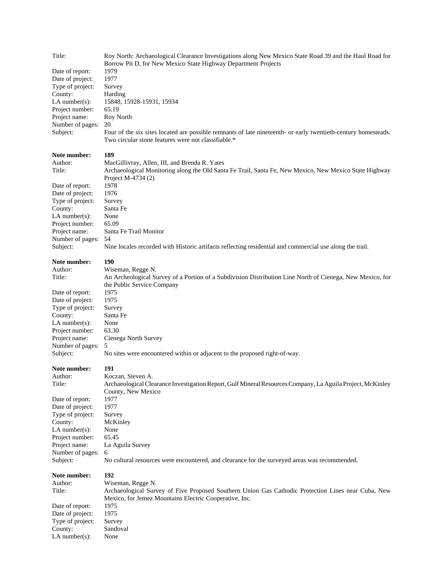| Title:                       | Roy North: Archaeological Clearance Investigations along New Mexico State Road 39 and the Haul Road for<br>Borrow Pit D, for New Mexico State Highway Department Projects |
|------------------------------|---------------------------------------------------------------------------------------------------------------------------------------------------------------------------|
| Date of report:              | 1979                                                                                                                                                                      |
| Date of project:             | 1977                                                                                                                                                                      |
| Type of project:             | Survey                                                                                                                                                                    |
| County:                      | Harding                                                                                                                                                                   |
| $LA$ number $(s)$ :          | 15848, 15928-15931, 15934                                                                                                                                                 |
| Project number:              | 65.19                                                                                                                                                                     |
| Project name:                | Roy North                                                                                                                                                                 |
| Number of pages:             | 20                                                                                                                                                                        |
| Subject:                     | Four of the six sites located are possible remnants of late nineteenth- or early twentieth-century homesteads.<br>Two circular stone features were not classifiable.*     |
| Note number:                 | 189                                                                                                                                                                       |
| Author:                      | MacGillivray, Allen, III, and Brenda R. Yates                                                                                                                             |
| Title:                       | Archaeological Monitoring along the Old Santa Fe Trail, Santa Fe, New Mexico, New Mexico State Highway                                                                    |
|                              | Project M-4734 (2)                                                                                                                                                        |
| Date of report:              | 1978                                                                                                                                                                      |
| Date of project:             | 1976                                                                                                                                                                      |
| Type of project:             | Survey                                                                                                                                                                    |
| County:                      | Santa Fe                                                                                                                                                                  |
| LA number $(s)$ :            | None                                                                                                                                                                      |
| Project number:              | 65.09                                                                                                                                                                     |
| Project name:                | Santa Fe Trail Monitor                                                                                                                                                    |
| Number of pages:             | 54                                                                                                                                                                        |
| Subject:                     | Nine locales recorded with Historic artifacts reflecting residential and commercial use along the trail.                                                                  |
| Note number:                 | 190                                                                                                                                                                       |
| Author:                      | Wiseman, Regge N.                                                                                                                                                         |
| Title:                       | An Archeological Survey of a Portion of a Subdivision Distribution Line North of Cienega, New Mexico, for                                                                 |
|                              | the Public Service Company                                                                                                                                                |
| Date of report:              | 1975                                                                                                                                                                      |
| Date of project:             | 1975                                                                                                                                                                      |
| Type of project:<br>County:  | Survey<br>Santa Fe                                                                                                                                                        |
| LA number $(s)$ :            | None                                                                                                                                                                      |
| Project number:              | 63.30                                                                                                                                                                     |
| Project name:                | Cienega North Survey                                                                                                                                                      |
| Number of pages:             | 5                                                                                                                                                                         |
| Subject:                     | No sites were encountered within or adjacent to the proposed right-of-way.                                                                                                |
| Note number:                 | 191                                                                                                                                                                       |
| Author:                      | Koczan, Steven A.                                                                                                                                                         |
| Title:                       | Archaeological Clearance Investigation Report, Gulf Mineral Resources Company, La Aguila Project, McKinley                                                                |
|                              | County, New Mexico                                                                                                                                                        |
| Date of report:              | 1977                                                                                                                                                                      |
| Date of project:             | 1977                                                                                                                                                                      |
| Type of project:             | Survey                                                                                                                                                                    |
| County:<br>LA number $(s)$ : | McKinley<br>None                                                                                                                                                          |
| Project number:              | 65.45                                                                                                                                                                     |
| Project name:                | La Aguila Survey                                                                                                                                                          |
| Number of pages:             | 6                                                                                                                                                                         |
| Subject:                     | No cultural resources were encountered, and clearance for the surveyed areas was recommended.                                                                             |
| Note number:                 | 192                                                                                                                                                                       |
| Author:                      | Wiseman, Regge N.                                                                                                                                                         |
| Title:                       | Archaeological Survey of Five Proposed Southern Union Gas Cathodic Protection Lines near Cuba, New                                                                        |
|                              | Mexico, for Jemez Mountains Electric Cooperative, Inc.                                                                                                                    |
| Date of report:              | 1975                                                                                                                                                                      |
| Date of project:             | 1975                                                                                                                                                                      |
| Type of project:             | Survey                                                                                                                                                                    |
| County:<br>$LA$ number(s):   | Sandoval<br>None                                                                                                                                                          |
|                              |                                                                                                                                                                           |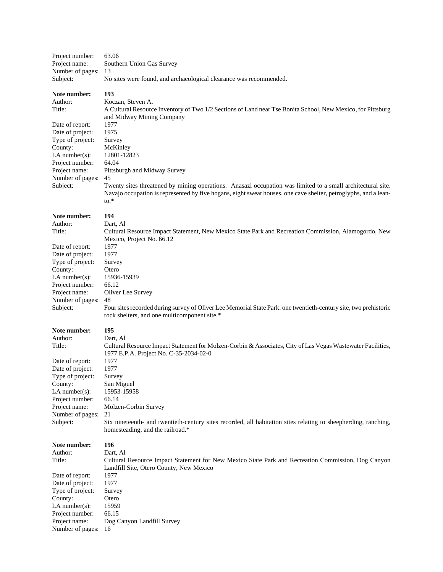| Project number:  | 63.06                                                                                                                                |
|------------------|--------------------------------------------------------------------------------------------------------------------------------------|
| Project name:    | Southern Union Gas Survey                                                                                                            |
| Number of pages: | 13                                                                                                                                   |
| Subject:         | No sites were found, and archaeological clearance was recommended.                                                                   |
| Note number:     | 193                                                                                                                                  |
| Author:          | Koczan, Steven A.                                                                                                                    |
| Title:           | A Cultural Resource Inventory of Two 1/2 Sections of Land near Tse Bonita School, New Mexico, for Pittsburg                          |
|                  | and Midway Mining Company                                                                                                            |
| Date of report:  | 1977                                                                                                                                 |
| Date of project: | 1975                                                                                                                                 |
| Type of project: | Survey                                                                                                                               |
| County:          | McKinley                                                                                                                             |
| $LA$ number(s):  | 12801-12823                                                                                                                          |
| Project number:  | 64.04                                                                                                                                |
| Project name:    | Pittsburgh and Midway Survey                                                                                                         |
| Number of pages: | 45                                                                                                                                   |
| Subject:         | Twenty sites threatened by mining operations. Anasazi occupation was limited to a small architectural site.                          |
|                  |                                                                                                                                      |
|                  | Navajo occupation is represented by five hogans, eight sweat houses, one cave shelter, petroglyphs, and a lean-<br>$\mathfrak{g}$ .* |
|                  |                                                                                                                                      |
| Note number:     | 194                                                                                                                                  |
| Author:          | Dart, Al                                                                                                                             |
| Title:           | Cultural Resource Impact Statement, New Mexico State Park and Recreation Commission, Alamogordo, New                                 |
|                  | Mexico, Project No. 66.12                                                                                                            |
| Date of report:  | 1977                                                                                                                                 |
| Date of project: | 1977                                                                                                                                 |
| Type of project: | Survey                                                                                                                               |
| County:          | Otero                                                                                                                                |
| $LA$ number(s):  | 15936-15939                                                                                                                          |
| Project number:  | 66.12                                                                                                                                |
| Project name:    | Oliver Lee Survey                                                                                                                    |
| Number of pages: | 48                                                                                                                                   |
| Subject:         | Four sites recorded during survey of Oliver Lee Memorial State Park: one twentieth-century site, two prehistoric                     |
|                  | rock shelters, and one multicomponent site.*                                                                                         |
|                  |                                                                                                                                      |
| Note number:     | 195                                                                                                                                  |
| Author:          | Dart, Al                                                                                                                             |
| Title:           | Cultural Resource Impact Statement for Molzen-Corbin & Associates, City of Las Vegas Wastewater Facilities,                          |
|                  | 1977 E.P.A. Project No. C-35-2034-02-0                                                                                               |
| Date of report:  | 1977                                                                                                                                 |
| Date of project: | 1977                                                                                                                                 |
| Type of project: | Survey                                                                                                                               |
| County:          | San Miguel                                                                                                                           |
| LA number(s):    | 15953-15958                                                                                                                          |
| Project number:  | 66.14                                                                                                                                |
| Project name:    | Molzen-Corbin Survey                                                                                                                 |
| Number of pages: | 21                                                                                                                                   |
| Subject:         | Six nineteenth- and twentieth-century sites recorded, all habitation sites relating to sheepherding, ranching,                       |
|                  | homesteading, and the railroad.*                                                                                                     |
|                  |                                                                                                                                      |
| Note number:     | 196                                                                                                                                  |
| Author:          | Dart, Al                                                                                                                             |
| Title:           | Cultural Resource Impact Statement for New Mexico State Park and Recreation Commission, Dog Canyon                                   |
|                  | Landfill Site, Otero County, New Mexico                                                                                              |
| Date of report:  | 1977                                                                                                                                 |
| Date of project: | 1977                                                                                                                                 |
| Type of project: | Survey                                                                                                                               |
| County:          | Otero                                                                                                                                |
| $LA$ number(s):  | 15959                                                                                                                                |
| Project number:  | 66.15                                                                                                                                |
| Project name:    | Dog Canyon Landfill Survey                                                                                                           |
| Number of pages: | 16                                                                                                                                   |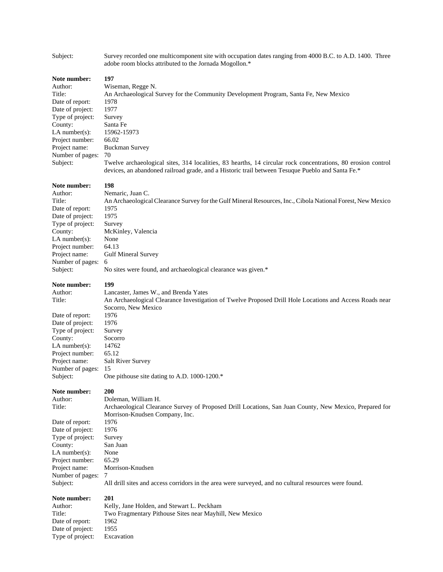| Subject:                                                                                                                                                                                       | Survey recorded one multicomponent site with occupation dates ranging from 4000 B.C. to A.D. 1400. Three<br>adobe room blocks attributed to the Jornada Mogollon.*                                                                                                                                                                                                                                                                |
|------------------------------------------------------------------------------------------------------------------------------------------------------------------------------------------------|-----------------------------------------------------------------------------------------------------------------------------------------------------------------------------------------------------------------------------------------------------------------------------------------------------------------------------------------------------------------------------------------------------------------------------------|
| Note number:<br>Author:<br>Title:<br>Date of report:<br>Date of project:<br>Type of project:<br>County:<br>LA number(s):<br>Project number:<br>Project name:<br>Number of pages:<br>Subject:   | 197<br>Wiseman, Regge N.<br>An Archaeological Survey for the Community Development Program, Santa Fe, New Mexico<br>1978<br>1977<br>Survey<br>Santa Fe<br>15962-15973<br>66.02<br><b>Buckman Survey</b><br>70<br>Twelve archaeological sites, 314 localities, 83 hearths, 14 circular rock concentrations, 80 erosion control<br>devices, an abandoned railroad grade, and a Historic trail between Tesuque Pueblo and Santa Fe.* |
| Note number:<br>Author:<br>Title:<br>Date of report:<br>Date of project:<br>Type of project:<br>County:<br>$LA$ number(s):<br>Project number:<br>Project name:<br>Number of pages:<br>Subject: | 198<br>Nemaric, Juan C.<br>An Archaeological Clearance Survey for the Gulf Mineral Resources, Inc., Cibola National Forest, New Mexico<br>1975<br>1975<br>Survey<br>McKinley, Valencia<br>None<br>64.13<br><b>Gulf Mineral Survey</b><br>6<br>No sites were found, and archaeological clearance was given.*                                                                                                                       |
| Note number:<br>Author:<br>Title:<br>Date of report:<br>Date of project:<br>Type of project:<br>County:<br>LA number(s):<br>Project number:<br>Project name:<br>Number of pages:<br>Subject:   | 199<br>Lancaster, James W., and Brenda Yates<br>An Archaeological Clearance Investigation of Twelve Proposed Drill Hole Locations and Access Roads near<br>Socorro, New Mexico<br>1976<br>1976<br>Survey<br>Socorro<br>14762<br>65.12<br><b>Salt River Survey</b><br>15<br>One pithouse site dating to A.D. 1000-1200.*                                                                                                           |
| Note number:<br>Author:<br>Title:<br>Date of report:<br>Date of project:<br>Type of project:<br>County:<br>$LA$ number(s):<br>Project number:<br>Project name:<br>Number of pages:<br>Subject: | 200<br>Doleman, William H.<br>Archaeological Clearance Survey of Proposed Drill Locations, San Juan County, New Mexico, Prepared for<br>Morrison-Knudsen Company, Inc.<br>1976<br>1976<br>Survey<br>San Juan<br>None<br>65.29<br>Morrison-Knudsen<br>7<br>All drill sites and access corridors in the area were surveyed, and no cultural resources were found.                                                                   |
| Note number:<br>Author:<br>Title:<br>Date of report:<br>Date of project:<br>Type of project:                                                                                                   | 201<br>Kelly, Jane Holden, and Stewart L. Peckham<br>Two Fragmentary Pithouse Sites near Mayhill, New Mexico<br>1962<br>1955<br>Excavation                                                                                                                                                                                                                                                                                        |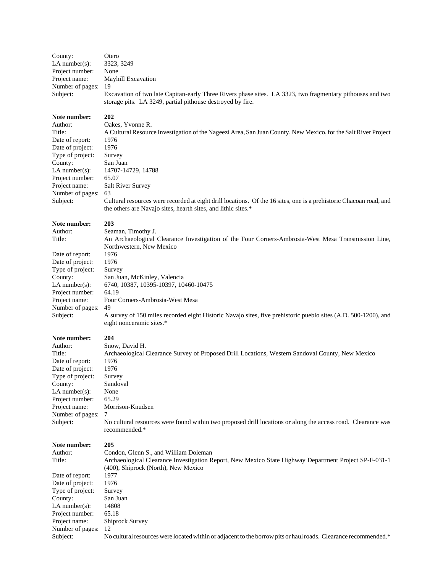| County:             | Otero                                                                                                                                                                   |
|---------------------|-------------------------------------------------------------------------------------------------------------------------------------------------------------------------|
| $LA$ number(s):     | 3323, 3249                                                                                                                                                              |
| Project number:     | None                                                                                                                                                                    |
| Project name:       | <b>Mayhill Excavation</b>                                                                                                                                               |
| Number of pages: 19 |                                                                                                                                                                         |
| Subject:            | Excavation of two late Capitan-early Three Rivers phase sites. LA 3323, two fragmentary pithouses and two<br>storage pits. LA 3249, partial pithouse destroyed by fire. |

#### **Note number: 202**

Author: Oakes, Yvonne R. Date of report: 1976 Date of project: 1976 Type of project: Survey County: San Juan Project number: 65.07 Project name: Salt River Survey Number of pages: 63

Title: A Cultural Resource Investigation of the Nageezi Area, San Juan County, New Mexico, for the Salt River Project LA number(s): 14707-14729, 14788 Subject: Cultural resources were recorded at eight drill locations. Of the 16 sites, one is a prehistoric Chacoan road, and the others are Navajo sites, hearth sites, and lithic sites.\*

#### **Note number: 203**

Author: Seaman, Timothy J.

Date of report: 1976<br>Date of project: 1976 Date of project: Type of project: Survey Project number: 64.19 Number of pages: 49

Title: An Archaeological Clearance Investigation of the Four Corners-Ambrosia-West Mesa Transmission Line, Northwestern, New Mexico County: San Juan, McKinley, Valencia LA number(s): 6740, 10387, 10395-10397, 10460-10475 Project name: Four Corners-Ambrosia-West Mesa

Subject: A survey of 150 miles recorded eight Historic Navajo sites, five prehistoric pueblo sites (A.D. 500-1200), and eight nonceramic sites.\*

#### **Note number: 204**

Author: Snow, David H. Title: Archaeological Clearance Survey of Proposed Drill Locations, Western Sandoval County, New Mexico Date of report: 1976 Date of project: 1976 Type of project: Survey County: Sandoval LA number(s): None Project number: 65.29 Project name: Morrison-Knudsen Number of pages: 7 Subject: No cultural resources were found within two proposed drill locations or along the access road. Clearance was recommended.\* **Note number: 205** Author: Condon, Glenn S., and William Doleman Title: Archaeological Clearance Investigation Report, New Mexico State Highway Department Project SP-F-031-1 (400), Shiprock (North), New Mexico Date of report: 1977 Date of project: 1976

Type of project: Survey County: San Juan LA number(s):  $14808$ Project number: 65.18 Project name: Shiprock Survey Number of pages: 12 Subject: No cultural resources were located within or adjacent to the borrow pits or haul roads. Clearance recommended.\*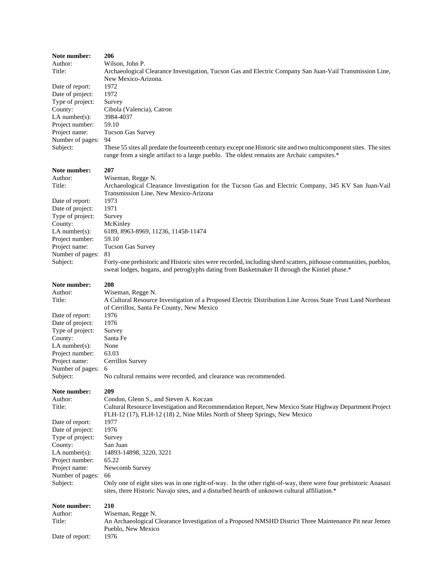| Note number:      | 206                                                                                                                                                                                                             |
|-------------------|-----------------------------------------------------------------------------------------------------------------------------------------------------------------------------------------------------------------|
| Author:           | Wilson, John P.                                                                                                                                                                                                 |
| Title:            | Archaeological Clearance Investigation, Tucson Gas and Electric Company San Juan-Vail Transmission Line,                                                                                                        |
|                   | New Mexico-Arizona.                                                                                                                                                                                             |
| Date of report:   | 1972                                                                                                                                                                                                            |
| Date of project:  | 1972                                                                                                                                                                                                            |
| Type of project:  | Survey                                                                                                                                                                                                          |
| County:           | Cibola (Valencia), Catron                                                                                                                                                                                       |
| $LA$ number(s):   | 3984-4037                                                                                                                                                                                                       |
| Project number:   | 59.10                                                                                                                                                                                                           |
| Project name:     | <b>Tucson Gas Survey</b>                                                                                                                                                                                        |
| Number of pages:  | 94                                                                                                                                                                                                              |
| Subject:          | These 55 sites all predate the fourteenth century except one Historic site and two multicomponent sites. The sites                                                                                              |
|                   | range from a single artifact to a large pueblo. The oldest remains are Archaic campsites.*                                                                                                                      |
| Note number:      | 207                                                                                                                                                                                                             |
| Author:           | Wiseman, Regge N.                                                                                                                                                                                               |
| Title:            | Archaeological Clearance Investigation for the Tucson Gas and Electric Company, 345 KV San Juan-Vail                                                                                                            |
|                   | Transmission Line, New Mexico-Arizona                                                                                                                                                                           |
|                   |                                                                                                                                                                                                                 |
| Date of report:   | 1973                                                                                                                                                                                                            |
| Date of project:  | 1971                                                                                                                                                                                                            |
| Type of project:  | Survey                                                                                                                                                                                                          |
| County:           | McKinley                                                                                                                                                                                                        |
| $LA$ number(s):   | 6189, 8963-8969, 11236, 11458-11474                                                                                                                                                                             |
| Project number:   | 59.10                                                                                                                                                                                                           |
| Project name:     | <b>Tucson Gas Survey</b>                                                                                                                                                                                        |
| Number of pages:  | 81                                                                                                                                                                                                              |
| Subject:          | Forty-one prehistoric and Historic sites were recorded, including sherd scatters, pithouse communities, pueblos,                                                                                                |
|                   | sweat lodges, hogans, and petroglyphs dating from Basketmaker II through the Kintiel phase.*                                                                                                                    |
| Note number:      | 208                                                                                                                                                                                                             |
| Author:           | Wiseman, Regge N.                                                                                                                                                                                               |
| Title:            | A Cultural Resource Investigation of a Proposed Electric Distribution Line Across State Trust Land Northeast                                                                                                    |
|                   | of Cerrillos, Santa Fe County, New Mexico                                                                                                                                                                       |
| Date of report:   | 1976                                                                                                                                                                                                            |
|                   |                                                                                                                                                                                                                 |
|                   |                                                                                                                                                                                                                 |
| Date of project:  | 1976                                                                                                                                                                                                            |
| Type of project:  | Survey                                                                                                                                                                                                          |
| County:           | Santa Fe                                                                                                                                                                                                        |
| LA number $(s)$ : | None                                                                                                                                                                                                            |
| Project number:   | 63.03                                                                                                                                                                                                           |
| Project name:     | Cerrillos Survey                                                                                                                                                                                                |
| Number of pages:  | 6                                                                                                                                                                                                               |
| Subject:          | No cultural remains were recorded, and clearance was recommended.                                                                                                                                               |
| Note number:      | 209                                                                                                                                                                                                             |
| Author:           | Condon, Glenn S., and Steven A. Koczan                                                                                                                                                                          |
| Title:            | Cultural Resource Investigation and Recommendation Report, New Mexico State Highway Department Project                                                                                                          |
|                   |                                                                                                                                                                                                                 |
|                   | FLH-12 (17), FLH-12 (18) 2, Nine Miles North of Sheep Springs, New Mexico                                                                                                                                       |
| Date of report:   | 1977                                                                                                                                                                                                            |
| Date of project:  | 1976                                                                                                                                                                                                            |
| Type of project:  | Survey                                                                                                                                                                                                          |
| County:           | San Juan                                                                                                                                                                                                        |
| $LA$ number(s):   | 14893-14898, 3220, 3221                                                                                                                                                                                         |
| Project number:   | 65.22                                                                                                                                                                                                           |
| Project name:     | Newcomb Survey                                                                                                                                                                                                  |
| Number of pages:  | 66                                                                                                                                                                                                              |
| Subject:          | Only one of eight sites was in one right-of-way. In the other right-of-way, there were four prehistoric Anasazi<br>sites, three Historic Navajo sites, and a disturbed hearth of unknown cultural affiliation.* |
|                   |                                                                                                                                                                                                                 |
| Note number:      | 210                                                                                                                                                                                                             |
| Author:           | Wiseman, Regge N.                                                                                                                                                                                               |
| Title:            | An Archaeological Clearance Investigation of a Proposed NMSHD District Three Maintenance Pit near Jemez                                                                                                         |
| Date of report:   | Pueblo, New Mexico<br>1976                                                                                                                                                                                      |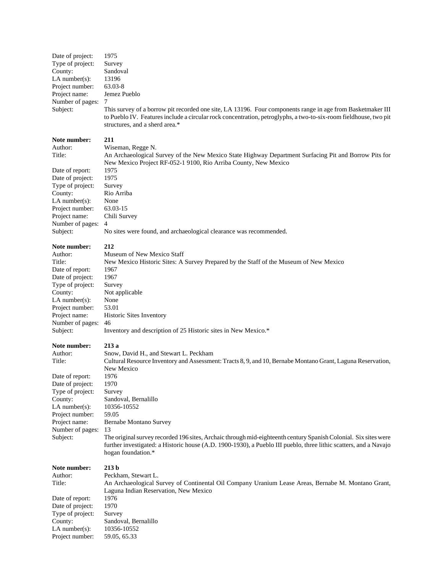| Date of project:<br>Type of project:<br>County:<br>LA number $(s)$ :<br>Project number:<br>Project name:<br>Number of pages:<br>Subject:                                                         | 1975<br>Survey<br>Sandoval<br>13196<br>63.03-8<br>Jemez Pueblo<br>7<br>This survey of a borrow pit recorded one site, LA 13196. Four components range in age from Basketmaker III<br>to Pueblo IV. Features include a circular rock concentration, petroglyphs, a two-to-six-room fieldhouse, two pit<br>structures, and a sherd area.*                                                                                                                                                                                                              |
|--------------------------------------------------------------------------------------------------------------------------------------------------------------------------------------------------|------------------------------------------------------------------------------------------------------------------------------------------------------------------------------------------------------------------------------------------------------------------------------------------------------------------------------------------------------------------------------------------------------------------------------------------------------------------------------------------------------------------------------------------------------|
| Note number:<br>Author:<br>Title:<br>Date of report:<br>Date of project:<br>Type of project:<br>County:<br>LA number $(s)$ :<br>Project number:<br>Project name:<br>Number of pages:<br>Subject: | 211<br>Wiseman, Regge N.<br>An Archaeological Survey of the New Mexico State Highway Department Surfacing Pit and Borrow Pits for<br>New Mexico Project RF-052-1 9100, Rio Arriba County, New Mexico<br>1975<br>1975<br>Survey<br>Rio Arriba<br>None<br>63.03-15<br>Chili Survey<br>4<br>No sites were found, and archaeological clearance was recommended.                                                                                                                                                                                          |
| Note number:<br>Author:<br>Title:<br>Date of report:<br>Date of project:<br>Type of project:<br>County:<br>LA number $(s)$ :<br>Project number:<br>Project name:<br>Number of pages:<br>Subject: | 212<br>Museum of New Mexico Staff<br>New Mexico Historic Sites: A Survey Prepared by the Staff of the Museum of New Mexico<br>1967<br>1967<br>Survey<br>Not applicable<br>None<br>53.01<br>Historic Sites Inventory<br>46<br>Inventory and description of 25 Historic sites in New Mexico.*                                                                                                                                                                                                                                                          |
| Note number:<br>Author:<br>Title:<br>Date of report:<br>Date of project:<br>Type of project:<br>County:<br>LA number $(s)$ :<br>Project number:<br>Project name:<br>Number of pages:<br>Subject: | 213 a<br>Snow, David H., and Stewart L. Peckham<br>Cultural Resource Inventory and Assessment: Tracts 8, 9, and 10, Bernabe Montano Grant, Laguna Reservation,<br>New Mexico<br>1976<br>1970<br>Survey<br>Sandoval, Bernalillo<br>10356-10552<br>59.05<br>Bernabe Montano Survey<br>13<br>The original survey recorded 196 sites, Archaic through mid-eighteenth century Spanish Colonial. Six sites were<br>further investigated: a Historic house (A.D. 1900-1930), a Pueblo III pueblo, three lithic scatters, and a Navajo<br>hogan foundation.* |
| Note number:<br>Author:<br>Title:<br>Date of report:<br>Date of project:<br>Type of project:<br>County:<br>LA number $(s)$ :<br>Project number:                                                  | 213 <sub>b</sub><br>Peckham, Stewart L.<br>An Archaeological Survey of Continental Oil Company Uranium Lease Areas, Bernabe M. Montano Grant,<br>Laguna Indian Reservation, New Mexico<br>1976<br>1970<br>Survey<br>Sandoval, Bernalillo<br>10356-10552<br>59.05, 65.33                                                                                                                                                                                                                                                                              |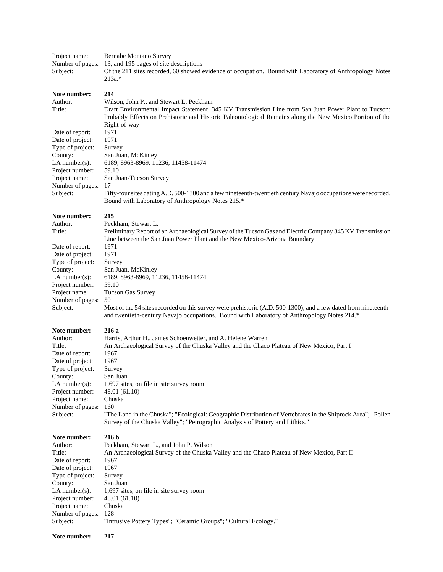Project name: Bernabe Montano Survey Number of pages: 13, and 195 pages of site descriptions<br>Subject: Of the 211 sites recorded, 60 showed of Of the 211 sites recorded, 60 showed evidence of occupation. Bound with Laboratory of Anthropology Notes 213a.\*

# **Note number:** 214<br>Author: Wils

| Author:          | Wilson, John P., and Stewart L. Peckham                                                                        |
|------------------|----------------------------------------------------------------------------------------------------------------|
| Title:           | Draft Environmental Impact Statement, 345 KV Transmission Line from San Juan Power Plant to Tucson:            |
|                  | Probably Effects on Prehistoric and Historic Paleontological Remains along the New Mexico Portion of the       |
|                  | Right-of-way                                                                                                   |
| Date of report:  | 1971                                                                                                           |
| Date of project: | 1971                                                                                                           |
| Type of project: | Survey                                                                                                         |
| County:          | San Juan, McKinley                                                                                             |
| $LA$ number(s):  | 6189, 8963-8969, 11236, 11458-11474                                                                            |
| Project number:  | 59.10                                                                                                          |
| Project name:    | San Juan-Tucson Survey                                                                                         |
| Number of pages: | 17                                                                                                             |
| Subject:         | Fifty-four sites dating A.D. 500-1300 and a few nineteenth-twentieth century Navajo occupations were recorded. |
|                  | Bound with Laboratory of Anthropology Notes 215.*                                                              |
| Note number:     | 215                                                                                                            |
| Author:          | Peckham, Stewart L.                                                                                            |
| Title:           | Preliminary Report of an Archaeological Survey of the Tucson Gas and Electric Company 345 KV Transmission      |
|                  | Line between the San Juan Power Plant and the New Mexico-Arizona Boundary                                      |
| Date of report:  | 1971                                                                                                           |

Date of report: 1971<br>Date of project: 1971 Date of project: Type of project: Survey County: San Juan, McKinley Project number: 59.10 Number of pages: 50

LA number(s): 6189, 8963-8969, 11236, 11458-11474 Project name: Tucson Gas Survey Subject: Most of the 54 sites recorded on this survey were prehistoric (A.D. 500-1300), and a few dated from nineteenthand twentieth-century Navajo occupations. Bound with Laboratory of Anthropology Notes 214.\*

### **Note number: 216 a**

| Author:                                                             | Harris, Arthur H., James Schoenwetter, and A. Helene Warren                                                  |
|---------------------------------------------------------------------|--------------------------------------------------------------------------------------------------------------|
| Title:                                                              | An Archaeological Survey of the Chuska Valley and the Chaco Plateau of New Mexico, Part I                    |
| Date of report:                                                     | 1967                                                                                                         |
| Date of project:                                                    | 1967                                                                                                         |
| Type of project:                                                    | Survey                                                                                                       |
| County:                                                             | San Juan                                                                                                     |
| $LA$ number(s):                                                     | 1,697 sites, on file in site survey room                                                                     |
| Project number:                                                     | 48.01 (61.10)                                                                                                |
| Project name:                                                       | Chuska                                                                                                       |
| Number of pages:                                                    | 160                                                                                                          |
| Subject:                                                            | "The Land in the Chuska"; "Ecological: Geographic Distribution of Vertebrates in the Shiprock Area"; "Pollen |
|                                                                     | Survey of the Chuska Valley"; "Petrographic Analysis of Pottery and Lithics."                                |
| <b>NT</b> . <b>A</b> . <b>a</b> . <b>a</b> . <b>1. a</b> . <b>a</b> |                                                                                                              |

| Note number:     | 216 b                                                                                      |
|------------------|--------------------------------------------------------------------------------------------|
| Author:          | Peckham, Stewart L., and John P. Wilson                                                    |
| Title:           | An Archaeological Survey of the Chuska Valley and the Chaco Plateau of New Mexico, Part II |
| Date of report:  | 1967                                                                                       |
| Date of project: | 1967                                                                                       |
| Type of project: | Survey                                                                                     |
| County:          | San Juan                                                                                   |
| $LA$ number(s):  | 1,697 sites, on file in site survey room                                                   |
| Project number:  | 48.01 (61.10)                                                                              |
| Project name:    | Chuska                                                                                     |
| Number of pages: | 128                                                                                        |
| Subject:         | "Intrusive Pottery Types"; "Ceramic Groups"; "Cultural Ecology."                           |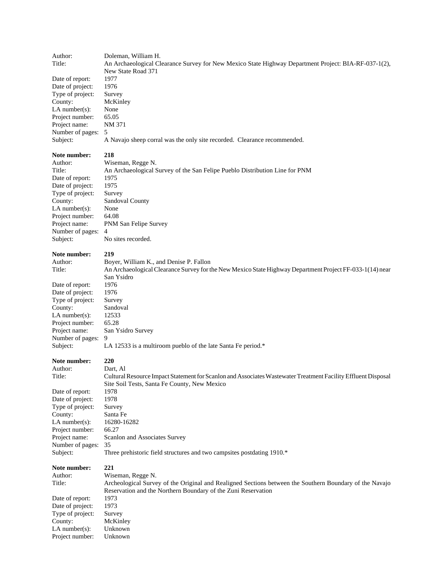Author: Doleman, William H. Title: An Archaeological Clearance Survey for New Mexico State Highway Department Project: BIA-RF-037-1(2), New State Road 371 Date of report: 1977 Date of project: 1976 Type of project: Survey County: McKinley LA number(s): None Project number: 65.05 Project name: NM 371 Number of pages: 5 Subject: A Navajo sheep corral was the only site recorded. Clearance recommended. **Note number: 218** Author: Wiseman, Regge N. Title: An Archaeological Survey of the San Felipe Pueblo Distribution Line for PNM Date of report: 1975 Date of project: 1975 Type of project: Survey County: Sandoval County LA number(s): None Project number: 64.08 Project name: PNM San Felipe Survey Number of pages: 4 Subject: No sites recorded. **Note number: 219** Author: Boyer, William K., and Denise P. Fallon Title: An Archaeological Clearance Survey for the New Mexico State Highway Department Project FF-033-1(14) near San Ysidro Date of report: 1976 Date of project: 1976 Type of project: Survey County: Sandoval LA number(s):  $12533$ Project number: 65.28 Project name: San Ysidro Survey Number of pages: 9 Subject: LA 12533 is a multiroom pueblo of the late Santa Fe period.\* **Note number: 220** Author: Dart, Al Title: Cultural Resource Impact Statement for Scanlon and Associates Wastewater Treatment Facility Effluent Disposal Site Soil Tests, Santa Fe County, New Mexico Date of report: 1978 Date of project: 1978 Type of project: Survey County: Santa Fe LA number(s): 16280-16282 Project number: 66.27 Project name: Scanlon and Associates Survey Number of pages: 35 Subject: Three prehistoric field structures and two campsites postdating 1910.\* **Note number: 221** Author: Wiseman, Regge N. Title: Archeological Survey of the Original and Realigned Sections between the Southern Boundary of the Navajo Reservation and the Northern Boundary of the Zuni Reservation Date of report: 1973 Date of project: 1973<br>Type of project: Survey Type of project:

County: McKinley LA number(s): Unknown Project number: Unknown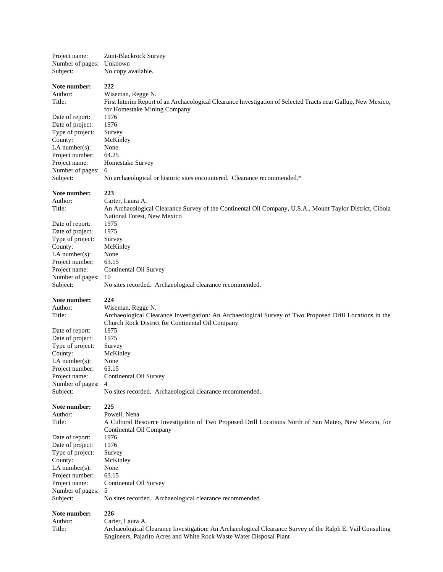| Project name:                | Zuni-Blackrock Survey                                                                                         |
|------------------------------|---------------------------------------------------------------------------------------------------------------|
| Number of pages:             | Unknown                                                                                                       |
| Subject:                     | No copy available.                                                                                            |
| Note number:                 | 222                                                                                                           |
| Author:                      | Wiseman, Regge N.                                                                                             |
| Title:                       | First Interim Report of an Archaeological Clearance Investigation of Selected Tracts near Gallup, New Mexico, |
|                              | for Homestake Mining Company                                                                                  |
| Date of report:              | 1976                                                                                                          |
| Date of project:             | 1976                                                                                                          |
| Type of project:             | Survey                                                                                                        |
| County:                      | McKinley                                                                                                      |
| LA number $(s)$ :            | None<br>64.25                                                                                                 |
| Project number:              |                                                                                                               |
| Project name:                | Homestake Survey<br>6                                                                                         |
| Number of pages:<br>Subject: | No archaeological or historic sites encountered. Clearance recommended.*                                      |
| Note number:                 | 223                                                                                                           |
| Author:                      | Carter, Laura A.                                                                                              |
| Title:                       | An Archaeological Clearance Survey of the Continental Oil Company, U.S.A., Mount Taylor District, Cibola      |
|                              | National Forest, New Mexico                                                                                   |
| Date of report:              | 1975                                                                                                          |
| Date of project:             | 1975                                                                                                          |
| Type of project:             | Survey                                                                                                        |
| County:<br>LA number( $s$ ): | McKinley                                                                                                      |
| Project number:              | None<br>63.15                                                                                                 |
| Project name:                | Continental Oil Survey                                                                                        |
| Number of pages:             | 10                                                                                                            |
| Subject:                     | No sites recorded. Archaeological clearance recommended.                                                      |
|                              |                                                                                                               |
|                              |                                                                                                               |
| Note number:                 | 224                                                                                                           |
| Author:<br>Title:            | Wiseman, Regge N.                                                                                             |
|                              | Archaeological Clearance Investigation: An Archaeological Survey of Two Proposed Drill Locations in the       |
| Date of report:              | Church Rock District for Continental Oil Company<br>1975                                                      |
| Date of project:             | 1975                                                                                                          |
| Type of project:             | Survey                                                                                                        |
| County:                      | McKinley                                                                                                      |
| $LA$ number(s):              | None                                                                                                          |
| Project number:              | 63.15                                                                                                         |
| Project name:                | Continental Oil Survey                                                                                        |
| Number of pages:             | 4                                                                                                             |
| Subject:                     | No sites recorded. Archaeological clearance recommended.                                                      |
| Note number:                 | 225                                                                                                           |
| Author:                      | Powell, Nena                                                                                                  |
| Title:                       | A Cultural Resource Investigation of Two Proposed Drill Locations North of San Mateo, New Mexico, for         |
|                              | Continental Oil Company                                                                                       |
| Date of report:              | 1976                                                                                                          |
| Date of project:             | 1976                                                                                                          |
| Type of project:             | Survey                                                                                                        |
| County:                      | McKinley                                                                                                      |
| LA number(s):                | None                                                                                                          |
| Project number:              | 63.15                                                                                                         |
| Project name:                | Continental Oil Survey                                                                                        |
| Number of pages:<br>Subject: | 5<br>No sites recorded. Archaeological clearance recommended.                                                 |
| Note number:                 | 226                                                                                                           |
| Author:                      | Carter, Laura A.                                                                                              |
| Title:                       | Archaeological Clearance Investigation: An Archaeological Clearance Survey of the Ralph E. Vail Consulting    |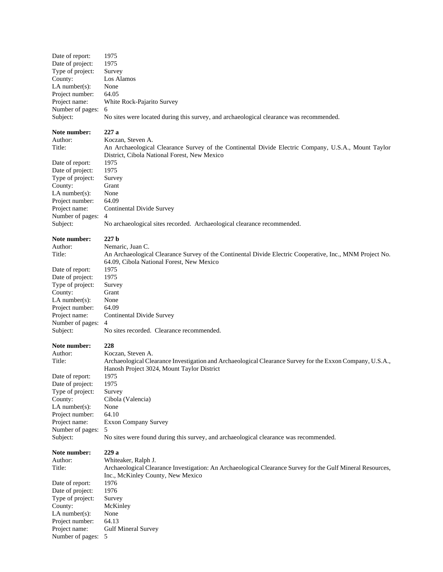| Date of report:    | 1975                                                                                                       |
|--------------------|------------------------------------------------------------------------------------------------------------|
| Date of project:   | 1975                                                                                                       |
| Type of project:   | Survey                                                                                                     |
| County:            | Los Alamos                                                                                                 |
| LA number $(s)$ :  | None                                                                                                       |
| Project number:    | 64.05                                                                                                      |
| Project name:      | White Rock-Pajarito Survey                                                                                 |
| Number of pages:   | 6                                                                                                          |
| Subject:           | No sites were located during this survey, and archaeological clearance was recommended.                    |
| Note number:       | 227 a                                                                                                      |
| Author:            | Koczan, Steven A.                                                                                          |
| Title:             | An Archaeological Clearance Survey of the Continental Divide Electric Company, U.S.A., Mount Taylor        |
|                    | District, Cibola National Forest, New Mexico                                                               |
| Date of report:    | 1975                                                                                                       |
| Date of project:   | 1975                                                                                                       |
| Type of project:   | Survey                                                                                                     |
| County:            | Grant                                                                                                      |
| LA number $(s)$ :  | None                                                                                                       |
| Project number:    | 64.09                                                                                                      |
| Project name:      | Continental Divide Survey                                                                                  |
| Number of pages:   | 4                                                                                                          |
| Subject:           | No archaeological sites recorded. Archaeological clearance recommended.                                    |
| Note number:       | 227 <sub>b</sub>                                                                                           |
| Author:            | Nemaric, Juan C.                                                                                           |
| Title:             | An Archaeological Clearance Survey of the Continental Divide Electric Cooperative, Inc., MNM Project No.   |
|                    | 64.09, Cibola National Forest, New Mexico                                                                  |
| Date of report:    | 1975                                                                                                       |
| Date of project:   | 1975                                                                                                       |
| Type of project:   | Survey                                                                                                     |
| County:            | Grant                                                                                                      |
| LA number $(s)$ :  | None                                                                                                       |
| Project number:    | 64.09                                                                                                      |
| Project name:      | Continental Divide Survey                                                                                  |
| Number of pages:   | $\overline{4}$                                                                                             |
| Subject:           | No sites recorded. Clearance recommended.                                                                  |
| Note number:       | 228                                                                                                        |
| Author:            | Koczan, Steven A.                                                                                          |
| Title:             | Archaeological Clearance Investigation and Archaeological Clearance Survey for the Exxon Company, U.S.A.,  |
|                    | Hanosh Project 3024, Mount Taylor District                                                                 |
| Date of report:    | 1975                                                                                                       |
| Date of project:   | 1975                                                                                                       |
| Type of project:   | Survey                                                                                                     |
| County:            | Cibola (Valencia)                                                                                          |
| LA number $(s)$ :  | None                                                                                                       |
| Project number:    | 64.10                                                                                                      |
| Project name:      | <b>Exxon Company Survey</b>                                                                                |
| Number of pages:   | 5                                                                                                          |
| Subject:           | No sites were found during this survey, and archaeological clearance was recommended.                      |
| Note number:       | 229a                                                                                                       |
| Author:            | Whiteaker, Ralph J.                                                                                        |
| Title:             | Archaeological Clearance Investigation: An Archaeological Clearance Survey for the Gulf Mineral Resources, |
|                    | Inc., McKinley County, New Mexico                                                                          |
| Date of report:    | 1976                                                                                                       |
| Date of project:   | 1976                                                                                                       |
| Type of project:   | Survey                                                                                                     |
| County:            | McKinley                                                                                                   |
| LA number $(s)$ :  | None                                                                                                       |
| Project number:    | 64.13                                                                                                      |
| Project name:      | <b>Gulf Mineral Survey</b>                                                                                 |
| Number of pages: 5 |                                                                                                            |
|                    |                                                                                                            |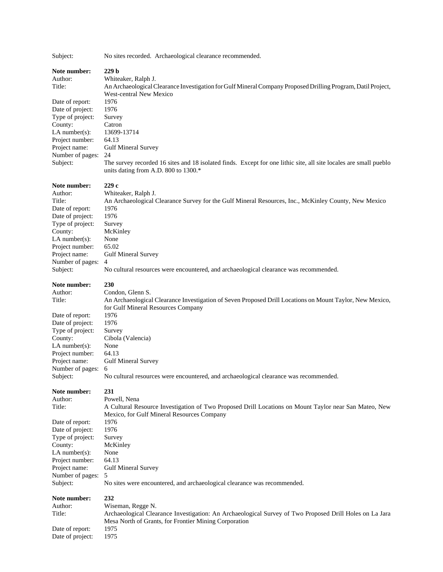Subject: No sites recorded. Archaeological clearance recommended.

| Note number:<br>Author:<br>Title:<br>Date of report:<br>Date of project:<br>Type of project:<br>County:<br>$LA$ number(s):<br>Project number:<br>Project name:<br>Number of pages:<br>Subject:                 | 229 <sub>b</sub><br>Whiteaker, Ralph J.<br>An Archaeological Clearance Investigation for Gulf Mineral Company Proposed Drilling Program, Datil Project,<br><b>West-central New Mexico</b><br>1976<br>1976<br>Survey<br>Catron<br>13699-13714<br>64.13<br><b>Gulf Mineral Survey</b><br>24<br>The survey recorded 16 sites and 18 isolated finds. Except for one lithic site, all site locales are small pueblo<br>units dating from A.D. 800 to 1300.* |
|----------------------------------------------------------------------------------------------------------------------------------------------------------------------------------------------------------------|--------------------------------------------------------------------------------------------------------------------------------------------------------------------------------------------------------------------------------------------------------------------------------------------------------------------------------------------------------------------------------------------------------------------------------------------------------|
| Note number:<br>Author:<br>Title:<br>Date of report:<br>Date of project:<br>Type of project:<br>County:<br>LA number(s):<br>Project number:<br>Project name:<br>Number of pages:<br>Subject:                   | 229c<br>Whiteaker, Ralph J.<br>An Archaeological Clearance Survey for the Gulf Mineral Resources, Inc., McKinley County, New Mexico<br>1976<br>1976<br>Survey<br>McKinley<br>None<br>65.02<br><b>Gulf Mineral Survey</b><br>4<br>No cultural resources were encountered, and archaeological clearance was recommended.                                                                                                                                 |
| Note number:<br>Author:<br>Title:<br>Date of report:<br>Date of project:<br>Type of project:<br>County:<br>$LA$ number(s):<br>Project number:<br>Project name:<br>Number of pages:                             | 230<br>Condon, Glenn S.<br>An Archaeological Clearance Investigation of Seven Proposed Drill Locations on Mount Taylor, New Mexico,<br>for Gulf Mineral Resources Company<br>1976<br>1976<br>Survey<br>Cibola (Valencia)<br>None<br>64.13<br><b>Gulf Mineral Survey</b><br>6                                                                                                                                                                           |
| Subject:<br>Note number:<br>Author:<br>Title:<br>Date of report:<br>Date of project:<br>Type of project:<br>County:<br>$LA$ number $(s)$ :<br>Project number:<br>Project name:<br>Number of pages:<br>Subject: | No cultural resources were encountered, and archaeological clearance was recommended.<br>231<br>Powell, Nena<br>A Cultural Resource Investigation of Two Proposed Drill Locations on Mount Taylor near San Mateo, New<br>Mexico, for Gulf Mineral Resources Company<br>1976<br>1976<br>Survey<br>McKinley<br>None<br>64.13<br><b>Gulf Mineral Survey</b><br>5<br>No sites were encountered, and archaeological clearance was recommended.              |
| Note number:<br>Author:<br>Title:<br>Date of report:<br>Date of project:                                                                                                                                       | 232<br>Wiseman, Regge N.<br>Archaeological Clearance Investigation: An Archaeological Survey of Two Proposed Drill Holes on La Jara<br>Mesa North of Grants, for Frontier Mining Corporation<br>1975<br>1975                                                                                                                                                                                                                                           |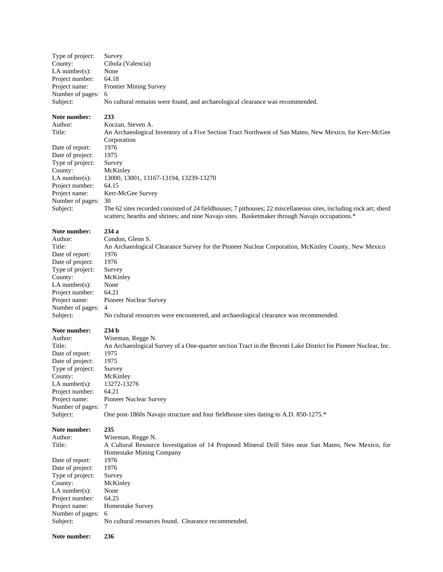| Type of project:   | Survey                                                                        |
|--------------------|-------------------------------------------------------------------------------|
| County:            | Cibola (Valencia)                                                             |
| LA number $(s)$ :  | None                                                                          |
| Project number:    | 64.18                                                                         |
| Project name:      | <b>Frontier Mining Survey</b>                                                 |
| Number of pages: 6 |                                                                               |
| Subject:           | No cultural remains were found, and archaeological clearance was recommended. |

### **Note number: 233**

Date of report: 1976<br>Date of project: 1975 Date of project: Type of project: Survey County: McKinley Project number: 64.15 Number of pages: 30

Author: Koczan, Steven A. Title: An Archaeological Inventory of a Five Section Tract Northwest of San Mateo, New Mexico, for Kerr-McGee Corporation LA number(s): 13000, 13001, 13167-13194, 13239-13270 Project name: Kerr-McGee Survey Subject: The 62 sites recorded consisted of 24 fieldhouses; 7 pithouses; 22 miscellaneous sites, including rock art; sherd scatters; hearths and shrines; and nine Navajo sites. Basketmaker through Navajo occupations.\*

#### **Note number: 234 a**

Author: Condon, Glenn S. Title: An Archaeological Clearance Survey for the Pioneer Nuclear Corporation, McKinley County, New Mexico Date of report: 1976 Date of project: 1976 Type of project: Survey County: McKinley LA number(s): None Project number: 64.21 Project name: Pioneer Nuclear Survey Number of pages: 4 Subject: No cultural resources were encountered, and archaeological clearance was recommended.

**Note number:** 234 b<br>Author: Wisen Wiseman, Regge N. Title: An Archaeological Survey of a One-quarter section Tract in the Becenti Lake District for Pioneer Nuclear, Inc. Date of report: 1975 Date of project: 1975 Type of project: Survey County: McKinley LA number(s): 13272-13276 Project number: 64.21 Project name: Pioneer Nuclear Survey Number of pages: 7 Subject: One post-1860s Navajo structure and four fieldhouse sites dating to A.D. 850-1275.\*

**Note number: 235** Author: Wiseman, Regge N.<br>Title: A Cultural Resource A Cultural Resource Investigation of 14 Proposed Mineral Drill Sites near San Mateo, New Mexico, for Homestake Mining Company Date of report: 1976 Date of project: 1976 Type of project: Survey County: McKinley LA number(s): None Project number: 64.25 Project name: Homestake Survey Number of pages: 6 Subject: No cultural resources found. Clearance recommended.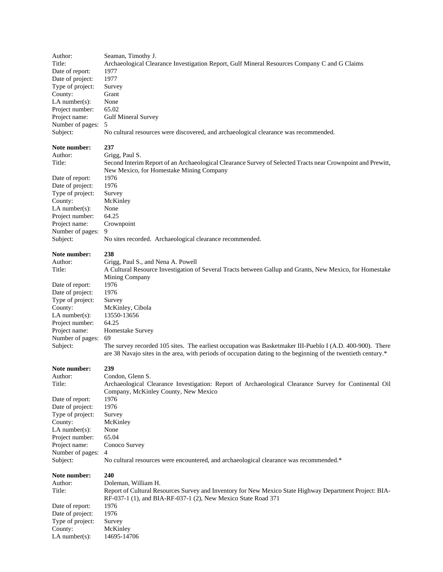| Author:                 | Seaman, Timothy J.                                                                                             |
|-------------------------|----------------------------------------------------------------------------------------------------------------|
| Title:                  | Archaeological Clearance Investigation Report, Gulf Mineral Resources Company C and G Claims                   |
| Date of report:         | 1977                                                                                                           |
| Date of project:        | 1977                                                                                                           |
| Type of project:        | Survey                                                                                                         |
| County:                 | Grant                                                                                                          |
| LA number $(s)$ :       | None                                                                                                           |
| Project number:         | 65.02                                                                                                          |
| Project name:           | <b>Gulf Mineral Survey</b>                                                                                     |
| Number of pages:        | 5                                                                                                              |
| Subject:                | No cultural resources were discovered, and archaeological clearance was recommended.                           |
| Note number:            | 237                                                                                                            |
| Author:                 | Grigg, Paul S.                                                                                                 |
| Title:                  | Second Interim Report of an Archaeological Clearance Survey of Selected Tracts near Crownpoint and Prewitt,    |
|                         | New Mexico, for Homestake Mining Company                                                                       |
| Date of report:         | 1976                                                                                                           |
| Date of project:        | 1976                                                                                                           |
| Type of project:        | Survey                                                                                                         |
| County:                 | McKinley                                                                                                       |
| $LA$ number(s):         | None                                                                                                           |
| Project number:         | 64.25                                                                                                          |
| Project name:           | Crownpoint                                                                                                     |
| Number of pages:        | 9                                                                                                              |
| Subject:                | No sites recorded. Archaeological clearance recommended.                                                       |
|                         | 238                                                                                                            |
| Note number:<br>Author: |                                                                                                                |
|                         | Grigg, Paul S., and Nena A. Powell                                                                             |
| Title:                  | A Cultural Resource Investigation of Several Tracts between Gallup and Grants, New Mexico, for Homestake       |
| Date of report:         | Mining Company<br>1976                                                                                         |
| Date of project:        | 1976                                                                                                           |
| Type of project:        | Survey                                                                                                         |
| County:                 | McKinley, Cibola                                                                                               |
| LA number $(s)$ :       | 13550-13656                                                                                                    |
| Project number:         | 64.25                                                                                                          |
| Project name:           | Homestake Survey                                                                                               |
| Number of pages:        | 69                                                                                                             |
| Subject:                | The survey recorded 105 sites. The earliest occupation was Basketmaker III-Pueblo I (A.D. 400-900). There      |
|                         | are 38 Navajo sites in the area, with periods of occupation dating to the beginning of the twentieth century.* |
| Note number:            | 239                                                                                                            |
| Author:                 | Condon, Glenn S.                                                                                               |
| Title:                  | Archaeological Clearance Investigation: Report of Archaeological Clearance Survey for Continental Oil          |
|                         | Company, McKinley County, New Mexico                                                                           |
| Date of report:         | 1976                                                                                                           |
| Date of project:        | 1976                                                                                                           |
| Type of project:        | Survey                                                                                                         |
| County:                 | McKinley                                                                                                       |
| LA number $(s)$ :       | None                                                                                                           |
| Project number:         | 65.04                                                                                                          |
| Project name:           | Conoco Survey                                                                                                  |
| Number of pages:        | 4                                                                                                              |
| Subject:                | No cultural resources were encountered, and archaeological clearance was recommended.*                         |
| Note number:            | 240                                                                                                            |
| Author:                 | Doleman, William H.                                                                                            |
| Title:                  | Report of Cultural Resources Survey and Inventory for New Mexico State Highway Department Project: BIA-        |
|                         | RF-037-1 (1), and BIA-RF-037-1 (2), New Mexico State Road 371                                                  |
| Date of report:         | 1976                                                                                                           |
| Date of project:        | 1976                                                                                                           |
| Type of project:        | Survey                                                                                                         |
| County:                 | McKinley                                                                                                       |
| $LA$ number(s):         | 14695-14706                                                                                                    |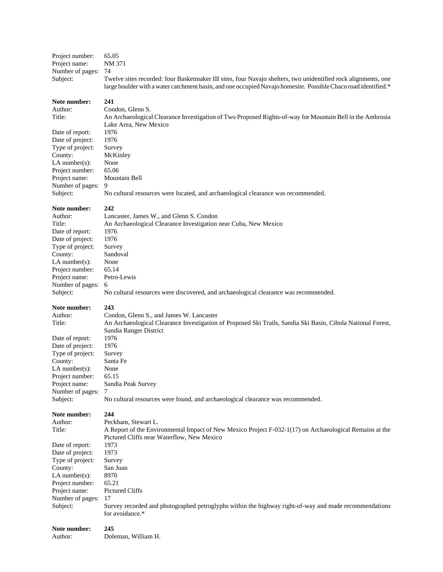| Subject:                          | Survey recorded and photographed petroglyphs within the highway right-of-way and made recommendations<br>for avoidance.* |
|-----------------------------------|--------------------------------------------------------------------------------------------------------------------------|
| Number of pages:                  | 17                                                                                                                       |
| Project name:                     | Pictured Cliffs                                                                                                          |
| Project number:                   | 65.21                                                                                                                    |
| LA number $(s)$ :                 | 8970                                                                                                                     |
| Type of project:<br>County:       | Survey<br>San Juan                                                                                                       |
| Date of project:                  | 1973                                                                                                                     |
| Date of report:                   | 1973                                                                                                                     |
|                                   | Pictured Cliffs near Waterflow, New Mexico                                                                               |
| Title:                            | A Report of the Environmental Impact of New Mexico Project F-032-1(17) on Archaeological Remains at the                  |
| Author:                           | Peckham, Stewart L.                                                                                                      |
| Note number:                      | 244                                                                                                                      |
|                                   |                                                                                                                          |
| Subject:                          | No cultural resources were found, and archaeological clearance was recommended.                                          |
| Project name:<br>Number of pages: | Sandia Peak Survey<br>7                                                                                                  |
| Project number:                   | 65.15                                                                                                                    |
| LA number $(s)$ :                 | None                                                                                                                     |
| County:                           | Santa Fe                                                                                                                 |
| Type of project:                  | Survey                                                                                                                   |
| Date of project:                  | 1976                                                                                                                     |
| Date of report:                   | 1976                                                                                                                     |
|                                   | Sandia Ranger District                                                                                                   |
| Title:                            | An Archaeological Clearance Investigation of Proposed Ski Trails, Sandia Ski Basin, Cibola National Forest,              |
| Author:                           | Condon, Glenn S., and James W. Lancaster                                                                                 |
| Note number:                      | 243                                                                                                                      |
| Subject:                          | 6<br>No cultural resources were discovered, and archaeological clearance was recommended.                                |
| Project name:<br>Number of pages: | Petro-Lewis                                                                                                              |
| Project number:                   | 65.14                                                                                                                    |
| LA number $(s)$ :                 | None                                                                                                                     |
| County:                           | Sandoval                                                                                                                 |
| Type of project:                  | Survey                                                                                                                   |
| Date of project:                  | 1976                                                                                                                     |
| Date of report:                   | 1976                                                                                                                     |
| Title:                            | An Archaeological Clearance Investigation near Cuba, New Mexico                                                          |
| Author:                           | Lancaster, James W., and Glenn S. Condon                                                                                 |
| Note number:                      | 242                                                                                                                      |
| Subject:                          | No cultural resources were located, and archaeological clearance was recommended.                                        |
| Number of pages:                  | 9                                                                                                                        |
| Project name:                     | Mountain Bell                                                                                                            |
| Project number:                   | 65.06                                                                                                                    |
| LA number $(s)$ :                 | None                                                                                                                     |
| County:                           | McKinley                                                                                                                 |
| Type of project:                  | Survey                                                                                                                   |
| Date of project:                  | 1976                                                                                                                     |
| Date of report:                   | 1976                                                                                                                     |
|                                   | Lake Area, New Mexico                                                                                                    |
| Title:                            | An Archaeological Clearance Investigation of Two Proposed Rights-of-way for Mountain Bell in the Ambrosia                |
| Author:                           | Condon, Glenn S.                                                                                                         |
| Note number:                      | 241                                                                                                                      |
|                                   | large boulder with a water catchment basin, and one occupied Navajo homesite. Possible Chaco road identified.*           |
| Subject:                          | Twelve sites recorded: four Basketmaker III sites, four Navajo shelters, two unidentified rock alignments, one           |
| Number of pages:                  | 74                                                                                                                       |
| Project name:                     | NM 371                                                                                                                   |
| Project number:                   | 65.05                                                                                                                    |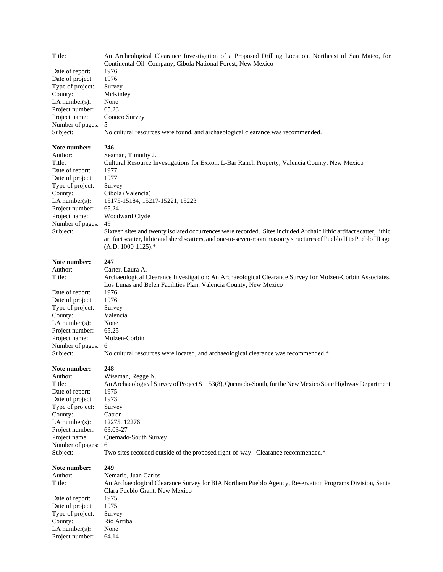| Title:<br>Date of report:<br>Date of project:<br>Type of project:<br>County:<br>$LA$ number(s):<br>Project number:<br>Project name:<br>Number of pages:<br>Subject:                              | An Archeological Clearance Investigation of a Proposed Drilling Location, Northeast of San Mateo, for<br>Continental Oil Company, Cibola National Forest, New Mexico<br>1976<br>1976<br>Survey<br>McKinley<br>None<br>65.23<br>Conoco Survey<br>5<br>No cultural resources were found, and archaeological clearance was recommended.                                                                                                                                                                                  |
|--------------------------------------------------------------------------------------------------------------------------------------------------------------------------------------------------|-----------------------------------------------------------------------------------------------------------------------------------------------------------------------------------------------------------------------------------------------------------------------------------------------------------------------------------------------------------------------------------------------------------------------------------------------------------------------------------------------------------------------|
| Note number:<br>Author:<br>Title:<br>Date of report:<br>Date of project:<br>Type of project:<br>County:<br>$LA$ number(s):<br>Project number:<br>Project name:<br>Number of pages:<br>Subject:   | 246<br>Seaman, Timothy J.<br>Cultural Resource Investigations for Exxon, L-Bar Ranch Property, Valencia County, New Mexico<br>1977<br>1977<br>Survey<br>Cibola (Valencia)<br>15175-15184, 15217-15221, 15223<br>65.24<br>Woodward Clyde<br>49<br>Sixteen sites and twenty isolated occurrences were recorded. Sites included Archaic lithic artifact scatter, lithic<br>artifact scatter, lithic and sherd scatters, and one-to-seven-room masonry structures of Pueblo II to Pueblo III age<br>$(A.D. 1000-1125).$ * |
| Note number:<br>Author:<br>Title:<br>Date of report:<br>Date of project:<br>Type of project:<br>County:<br>LA number $(s)$ :<br>Project number:<br>Project name:<br>Number of pages:<br>Subject: | 247<br>Carter, Laura A.<br>Archaeological Clearance Investigation: An Archaeological Clearance Survey for Molzen-Corbin Associates,<br>Los Lunas and Belen Facilities Plan, Valencia County, New Mexico<br>1976<br>1976<br>Survey<br>Valencia<br>None<br>65.25<br>Molzen-Corbin<br>6<br>No cultural resources were located, and archaeological clearance was recommended.*                                                                                                                                            |
| Note number:<br>Author:<br>Title:<br>Date of report:<br>Date of project:<br>Type of project:<br>County:<br>$LA$ number(s):<br>Project number:<br>Project name:<br>Number of pages:<br>Subject:   | 248<br>Wiseman, Regge N.<br>An Archaeological Survey of Project S1153(8), Quemado-South, for the New Mexico State Highway Department<br>1975<br>1973<br>Survey<br>Catron<br>12275, 12276<br>63.03-27<br>Quemado-South Survey<br>6<br>Two sites recorded outside of the proposed right-of-way. Clearance recommended.*                                                                                                                                                                                                 |
| Note number:<br>Author:<br>Title:<br>Date of report:<br>Date of project:<br>Type of project:<br>County:<br>LA number(s):<br>Project number:                                                      | 249<br>Nemaric, Juan Carlos<br>An Archaeological Clearance Survey for BIA Northern Pueblo Agency, Reservation Programs Division, Santa<br>Clara Pueblo Grant, New Mexico<br>1975<br>1975<br>Survey<br>Rio Arriba<br>None<br>64.14                                                                                                                                                                                                                                                                                     |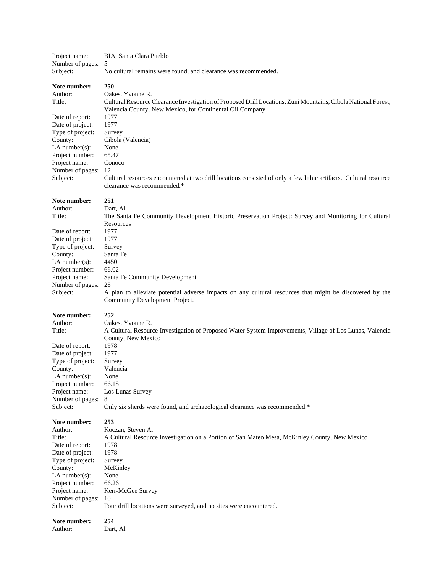| Project name:                        | BIA, Santa Clara Pueblo                                                                                           |
|--------------------------------------|-------------------------------------------------------------------------------------------------------------------|
| Number of pages:                     | 5                                                                                                                 |
| Subject:                             | No cultural remains were found, and clearance was recommended.                                                    |
| Note number:                         | 250                                                                                                               |
| Author:                              | Oakes, Yvonne R.                                                                                                  |
| Title:                               | Cultural Resource Clearance Investigation of Proposed Drill Locations, Zuni Mountains, Cibola National Forest,    |
|                                      | Valencia County, New Mexico, for Continental Oil Company                                                          |
| Date of report:                      | 1977                                                                                                              |
| Date of project:                     | 1977                                                                                                              |
| Type of project:                     | Survey                                                                                                            |
| County:                              | Cibola (Valencia)                                                                                                 |
| LA number $(s)$ :<br>Project number: | None<br>65.47                                                                                                     |
| Project name:                        | Conoco                                                                                                            |
| Number of pages:                     | 12                                                                                                                |
| Subject:                             | Cultural resources encountered at two drill locations consisted of only a few lithic artifacts. Cultural resource |
|                                      | clearance was recommended.*                                                                                       |
| Note number:                         | 251                                                                                                               |
| Author:                              | Dart, Al                                                                                                          |
| Title:                               | The Santa Fe Community Development Historic Preservation Project: Survey and Monitoring for Cultural              |
|                                      | Resources                                                                                                         |
| Date of report:                      | 1977                                                                                                              |
| Date of project:                     | 1977                                                                                                              |
| Type of project:                     | Survey                                                                                                            |
| County:                              | Santa Fe                                                                                                          |
| $LA$ number(s):                      | 4450                                                                                                              |
| Project number:<br>Project name:     | 66.02<br>Santa Fe Community Development                                                                           |
| Number of pages:                     | 28                                                                                                                |
| Subject:                             | A plan to alleviate potential adverse impacts on any cultural resources that might be discovered by the           |
|                                      | Community Development Project.                                                                                    |
| Note number:                         | 252                                                                                                               |
| Author:                              | Oakes, Yvonne R.                                                                                                  |
| Title:                               | A Cultural Resource Investigation of Proposed Water System Improvements, Village of Los Lunas, Valencia           |
|                                      | County, New Mexico                                                                                                |
| Date of report:                      | 1978                                                                                                              |
| Date of project:                     | 1977                                                                                                              |
| Type of project:                     | Survey                                                                                                            |
| County:                              | Valencia                                                                                                          |
| $LA$ number(s):                      | None                                                                                                              |
| Project number:<br>Project name:     | 66.18                                                                                                             |
| Number of pages:                     | Los Lunas Survey<br>8                                                                                             |
| Subject:                             | Only six sherds were found, and archaeological clearance was recommended.*                                        |
| Note number:                         | 253                                                                                                               |
| Author:                              | Koczan, Steven A.                                                                                                 |
| Title:                               | A Cultural Resource Investigation on a Portion of San Mateo Mesa, McKinley County, New Mexico                     |
| Date of report:                      | 1978                                                                                                              |
| Date of project:                     | 1978                                                                                                              |
| Type of project:                     | Survey                                                                                                            |
| County:                              | McKinley                                                                                                          |
| $LA$ number(s):                      | None                                                                                                              |
| Project number:                      | 66.26                                                                                                             |
| Project name:<br>Number of pages:    | Kerr-McGee Survey                                                                                                 |
|                                      |                                                                                                                   |
| Subject:                             | 10<br>Four drill locations were surveyed, and no sites were encountered.                                          |
| Note number:                         | 254                                                                                                               |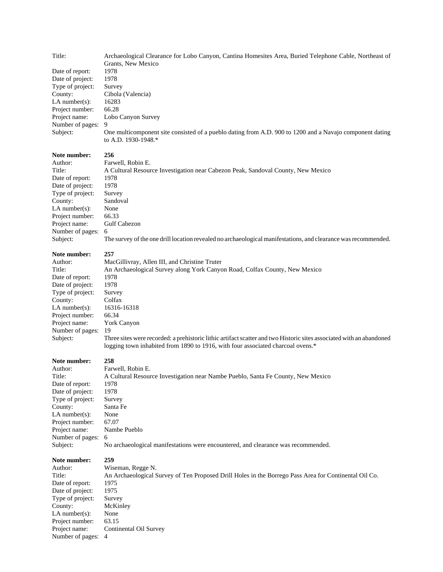| Title:           | Archaeological Clearance for Lobo Canyon, Cantina Homesites Area, Buried Telephone Cable, Northeast of   |
|------------------|----------------------------------------------------------------------------------------------------------|
|                  | Grants, New Mexico                                                                                       |
| Date of report:  | 1978                                                                                                     |
| Date of project: | 1978                                                                                                     |
| Type of project: | Survey                                                                                                   |
| County:          | Cibola (Valencia)                                                                                        |
| LA number(s):    | 16283                                                                                                    |
| Project number:  | 66.28                                                                                                    |
| Project name:    | Lobo Canyon Survey                                                                                       |
| Number of pages: | 9                                                                                                        |
| Subject:         | One multicomponent site consisted of a pueblo dating from A.D. 900 to 1200 and a Navajo component dating |
|                  | to A.D. 1930-1948.*                                                                                      |
| Note number:     | 256                                                                                                      |
| Author:          | Farwell, Robin E.                                                                                        |
| Title:           | A Cultural Resource Investigation near Cabezon Peak, Sandoval County, New Mexico                         |
| Date of report:  | 1978                                                                                                     |
| Date of project: | 1978                                                                                                     |
| Type of project: | Survey                                                                                                   |
| County:          | Sandoval                                                                                                 |
| $LA$ number(s):  | None                                                                                                     |

Number of pages: 6<br>Subject: Tl The survey of the one drill location revealed no archaeological manifestations, and clearance was recommended.

# **Note number: 257**

Project number: 66.33 Project name: Gulf Cabezon

| Author:           | MacGillivray, Allen III, and Christine Truter                                                                        |
|-------------------|----------------------------------------------------------------------------------------------------------------------|
| Title:            | An Archaeological Survey along York Canyon Road, Colfax County, New Mexico                                           |
| Date of report:   | 1978                                                                                                                 |
| Date of project:  | 1978                                                                                                                 |
| Type of project:  | Survey                                                                                                               |
| County:           | Colfax                                                                                                               |
| LA number $(s)$ : | 16316-16318                                                                                                          |
| Project number:   | 66.34                                                                                                                |
| Project name:     | York Canyon                                                                                                          |
| Number of pages:  | 19                                                                                                                   |
| Subject:          | Three sites were recorded: a prehistoric lithic artifact scatter and two Historic sites associated with an abandoned |
|                   | logging town inhabited from 1890 to 1916, with four associated charcoal ovens.*                                      |
|                   |                                                                                                                      |

# **Note number: 258**

| Farwell, Robin E.                                                                 |
|-----------------------------------------------------------------------------------|
| A Cultural Resource Investigation near Nambe Pueblo, Santa Fe County, New Mexico  |
| 1978                                                                              |
| 1978                                                                              |
| Survey                                                                            |
| Santa Fe                                                                          |
| None                                                                              |
| 67.07                                                                             |
| Nambe Pueblo                                                                      |
| - 6                                                                               |
| No archaeological manifestations were encountered, and clearance was recommended. |
|                                                                                   |

| Wiseman, Regge N.                                                                                     |
|-------------------------------------------------------------------------------------------------------|
| An Archaeological Survey of Ten Proposed Drill Holes in the Borrego Pass Area for Continental Oil Co. |
| 1975                                                                                                  |
| 1975                                                                                                  |
| Survey                                                                                                |
| McKinley                                                                                              |
| None                                                                                                  |
| 63.15                                                                                                 |
| Continental Oil Survey                                                                                |
| Number of pages: 4                                                                                    |
|                                                                                                       |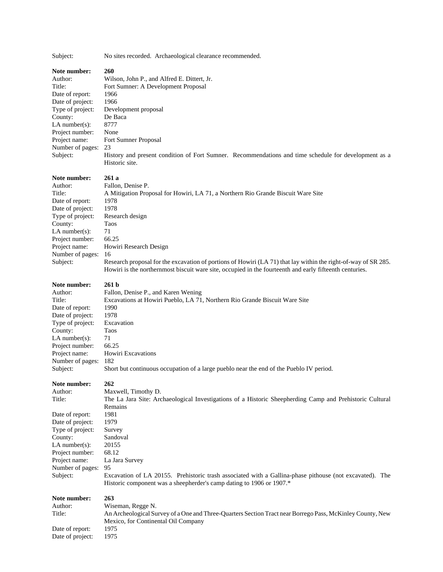Subject: No sites recorded. Archaeological clearance recommended.

# **Note number: 260**

| Author:<br>Title:<br>Date of report:<br>Date of project:<br>Type of project:<br>County:<br>$LA$ number(s):<br>Project number:<br>Project name:<br>Number of pages:<br>Subject:                     | Wilson, John P., and Alfred E. Dittert, Jr.<br>Fort Sumner: A Development Proposal<br>1966<br>1966<br>Development proposal<br>De Baca<br>8777<br>None<br>Fort Sumner Proposal<br>23<br>History and present condition of Fort Sumner. Recommendations and time schedule for development as a<br>Historic site.                                                                                                                         |
|----------------------------------------------------------------------------------------------------------------------------------------------------------------------------------------------------|---------------------------------------------------------------------------------------------------------------------------------------------------------------------------------------------------------------------------------------------------------------------------------------------------------------------------------------------------------------------------------------------------------------------------------------|
| Note number:<br>Author:<br>Title:<br>Date of report:<br>Date of project:<br>Type of project:<br>County:<br>$LA$ number $(s)$ :<br>Project number:<br>Project name:<br>Number of pages:<br>Subject: | 261 a<br>Fallon, Denise P.<br>A Mitigation Proposal for Howiri, LA 71, a Northern Rio Grande Biscuit Ware Site<br>1978<br>1978<br>Research design<br>Taos<br>71<br>66.25<br>Howiri Research Design<br>16<br>Research proposal for the excavation of portions of Howiri (LA 71) that lay within the right-of-way of SR 285.<br>Howiri is the northernmost biscuit ware site, occupied in the fourteenth and early fifteenth centuries. |
| Note number:<br>Author:<br>Title:<br>Date of report:<br>Date of project:<br>Type of project:<br>County:<br>$LA$ number(s):<br>Project number:<br>Project name:<br>Number of pages:<br>Subject:     | 261 <sub>b</sub><br>Fallon, Denise P., and Karen Wening<br>Excavations at Howiri Pueblo, LA 71, Northern Rio Grande Biscuit Ware Site<br>1990<br>1978<br>Excavation<br>Taos<br>71<br>66.25<br><b>Howiri Excavations</b><br>182<br>Short but continuous occupation of a large pueblo near the end of the Pueblo IV period.                                                                                                             |
| Note number:<br>Author:<br>Title:<br>Date of report:<br>Date of project:<br>Type of project:<br>County:<br>LA number $(s)$ :<br>Project number:<br>Project name:<br>Number of pages:<br>Subject:   | 262<br>Maxwell, Timothy D.<br>The La Jara Site: Archaeological Investigations of a Historic Sheepherding Camp and Prehistoric Cultural<br>Remains<br>1981<br>1979<br>Survey<br>Sandoval<br>20155<br>68.12<br>La Jara Survey<br>95<br>Excavation of LA 20155. Prehistoric trash associated with a Gallina-phase pithouse (not excavated). The<br>Historic component was a sheepherder's camp dating to 1906 or 1907.*                  |
| Note number:<br>Author:<br>Title:                                                                                                                                                                  | 263<br>Wiseman, Regge N.<br>An Archeological Survey of a One and Three-Quarters Section Tract near Borrego Pass, McKinley County, New<br>Mexico, for Continental Oil Company                                                                                                                                                                                                                                                          |

Date of report: 1975 Date of project: 1975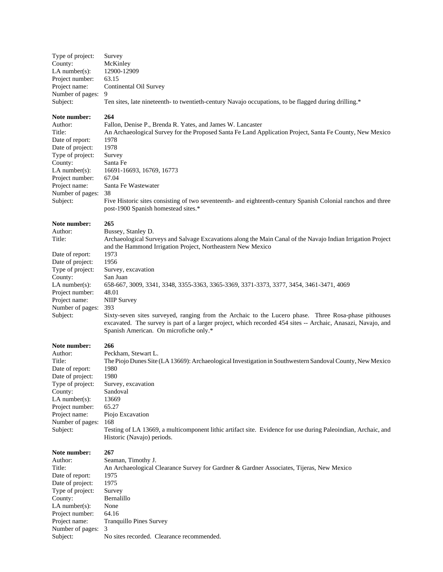| Type of project:   | Survey                                                                                               |
|--------------------|------------------------------------------------------------------------------------------------------|
| County:            | McKinley                                                                                             |
| LA number(s):      | 12900-12909                                                                                          |
| Project number:    | 63.15                                                                                                |
| Project name:      | Continental Oil Survey                                                                               |
| Number of pages: 9 |                                                                                                      |
| Subject:           | Ten sites, late nineteenth- to twentieth-century Navajo occupations, to be flagged during drilling.* |
|                    |                                                                                                      |

# **Note number:** 264<br>Author: Falle

County:

Author: Fallon, Denise P., Brenda R. Yates, and James W. Lancaster<br>Title: An Archaeological Survey for the Proposed Santa Fe Land Archaeological Survey for the Proposed Santa Fe An Archaeological Survey for the Proposed Santa Fe Land Application Project, Santa Fe County, New Mexico Date of report: 1978<br>Date of project: 1978 Date of project: 1978<br>Type of project: Survey Type of project: Survey<br>County: Santa Fe LA number(s): 16691-16693, 16769, 16773 Project number: 67.04 Project name: Santa Fe Wastewater Number of pages: 38 Subject: Five Historic sites consisting of two seventeenth- and eighteenth-century Spanish Colonial ranchos and three post-1900 Spanish homestead sites.\*

#### **Note number: 265**

| Author:           | Bussey, Stanley D.                                                                                           |
|-------------------|--------------------------------------------------------------------------------------------------------------|
| Title:            | Archaeological Surveys and Salvage Excavations along the Main Canal of the Navajo Indian Irrigation Project  |
|                   | and the Hammond Irrigation Project, Northeastern New Mexico                                                  |
| Date of report:   | 1973                                                                                                         |
| Date of project:  | 1956                                                                                                         |
| Type of project:  | Survey, excavation                                                                                           |
| County:           | San Juan                                                                                                     |
| LA number $(s)$ : | 658-667, 3009, 3341, 3348, 3355-3363, 3365-3369, 3371-3373, 3377, 3454, 3461-3471, 4069                      |
| Project number:   | 48.01                                                                                                        |
| Project name:     | <b>NIIP Survey</b>                                                                                           |
| Number of pages:  | 393                                                                                                          |
| Subject:          | Sixty-seven sites surveyed, ranging from the Archaic to the Lucero phase. Three Rosa-phase pithouses         |
|                   | excavated. The survey is part of a larger project, which recorded 454 sites -- Archaic, Anasazi, Navajo, and |
|                   | Spanish American. On microfiche only.*                                                                       |

**Note number:** 266<br>Author: Pecl Peckham, Stewart L. Title: The Piojo Dunes Site (LA 13669): Archaeological Investigation in Southwestern Sandoval County, New Mexico Date of report: 1980 Date of project: 1980 Type of project: Survey, excavation County: Sandoval<br>LA number(s): 13669 LA number(s): 13669<br>Project number: 65.27 Project number: Project name: Piojo Excavation Number of pages: 168 Subject: Testing of LA 13669, a multicomponent lithic artifact site. Evidence for use during Paleoindian, Archaic, and Historic (Navajo) periods.

| Author:            | Seaman, Timothy J.                                                                       |
|--------------------|------------------------------------------------------------------------------------------|
| Title:             | An Archaeological Clearance Survey for Gardner & Gardner Associates, Tijeras, New Mexico |
| Date of report:    | 1975                                                                                     |
| Date of project:   | 1975                                                                                     |
| Type of project:   | Survey                                                                                   |
| County:            | Bernalillo                                                                               |
| LA number $(s)$ :  | None                                                                                     |
| Project number:    | 64.16                                                                                    |
| Project name:      | <b>Tranguillo Pines Survey</b>                                                           |
| Number of pages: 3 |                                                                                          |
| Subject:           | No sites recorded. Clearance recommended.                                                |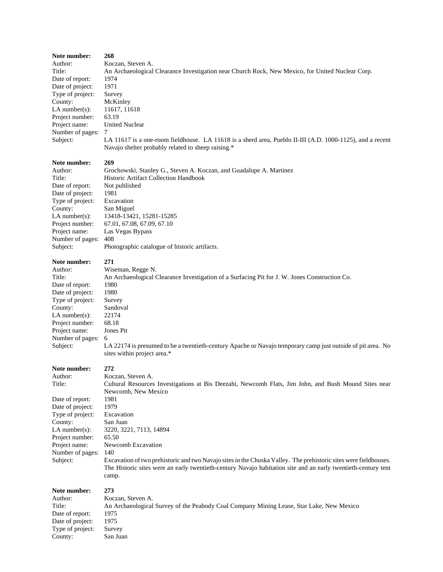| Note number:<br>Author:<br>Title:<br>Date of report:<br>Date of project:<br>Type of project:<br>County:<br>LA number $(s)$ :<br>Project number:<br>Project name:<br>Number of pages:<br>Subject: | 268<br>Koczan, Steven A.<br>An Archaeological Clearance Investigation near Church Rock, New Mexico, for United Nuclear Corp.<br>1974<br>1971<br>Survey<br>McKinley<br>11617, 11618<br>63.19<br><b>United Nuclear</b><br>7<br>LA 11617 is a one-room fieldhouse. LA 11618 is a sherd area, Pueblo II-III (A.D. 1000-1125), and a recent<br>Navajo shelter probably related to sheep raising.* |
|--------------------------------------------------------------------------------------------------------------------------------------------------------------------------------------------------|----------------------------------------------------------------------------------------------------------------------------------------------------------------------------------------------------------------------------------------------------------------------------------------------------------------------------------------------------------------------------------------------|
| Note number:                                                                                                                                                                                     | 269                                                                                                                                                                                                                                                                                                                                                                                          |
| Author:<br>Title:                                                                                                                                                                                | Grochowski, Stanley G., Steven A. Koczan, and Guadalupe A. Martinez<br>Historic Artifact Collection Handbook                                                                                                                                                                                                                                                                                 |
|                                                                                                                                                                                                  | Not published                                                                                                                                                                                                                                                                                                                                                                                |
| Date of report:<br>Date of project:                                                                                                                                                              | 1981                                                                                                                                                                                                                                                                                                                                                                                         |
| Type of project:                                                                                                                                                                                 | Excavation                                                                                                                                                                                                                                                                                                                                                                                   |
| County:                                                                                                                                                                                          | San Miguel                                                                                                                                                                                                                                                                                                                                                                                   |
| $LA$ number(s):                                                                                                                                                                                  | 13418-13421, 15281-15285                                                                                                                                                                                                                                                                                                                                                                     |
| Project number:                                                                                                                                                                                  | 67.01, 67.08, 67.09, 67.10                                                                                                                                                                                                                                                                                                                                                                   |
| Project name:                                                                                                                                                                                    | Las Vegas Bypass                                                                                                                                                                                                                                                                                                                                                                             |
| Number of pages:                                                                                                                                                                                 | 408                                                                                                                                                                                                                                                                                                                                                                                          |
| Subject:                                                                                                                                                                                         | Photographic catalogue of historic artifacts.                                                                                                                                                                                                                                                                                                                                                |
| Note number:                                                                                                                                                                                     | 271                                                                                                                                                                                                                                                                                                                                                                                          |
| Author:                                                                                                                                                                                          | Wiseman, Regge N.                                                                                                                                                                                                                                                                                                                                                                            |
| Title:                                                                                                                                                                                           | An Archaeological Clearance Investigation of a Surfacing Pit for J. W. Jones Construction Co.                                                                                                                                                                                                                                                                                                |
| Date of report:                                                                                                                                                                                  | 1980                                                                                                                                                                                                                                                                                                                                                                                         |
| Date of project:                                                                                                                                                                                 | 1980                                                                                                                                                                                                                                                                                                                                                                                         |
| Type of project:                                                                                                                                                                                 | Survey                                                                                                                                                                                                                                                                                                                                                                                       |
| County:                                                                                                                                                                                          | Sandoval                                                                                                                                                                                                                                                                                                                                                                                     |
| LA number( $s$ ):                                                                                                                                                                                | 22174                                                                                                                                                                                                                                                                                                                                                                                        |
| Project number:                                                                                                                                                                                  | 68.18                                                                                                                                                                                                                                                                                                                                                                                        |
| Project name:                                                                                                                                                                                    | Jones Pit                                                                                                                                                                                                                                                                                                                                                                                    |
| Number of pages:                                                                                                                                                                                 | 6                                                                                                                                                                                                                                                                                                                                                                                            |
| Subject:                                                                                                                                                                                         | LA 22174 is presumed to be a twentieth-century Apache or Navajo temporary camp just outside of pit area. No<br>sites within project area.*                                                                                                                                                                                                                                                   |
|                                                                                                                                                                                                  |                                                                                                                                                                                                                                                                                                                                                                                              |
| Note number:                                                                                                                                                                                     | 272<br>Koczan, Steven A.                                                                                                                                                                                                                                                                                                                                                                     |
| Author:<br>Title:                                                                                                                                                                                | Cultural Resources Investigations at Bis Deezahi, Newcomb Flats, Jim John, and Bush Mound Sites near                                                                                                                                                                                                                                                                                         |
|                                                                                                                                                                                                  | Newcomb, New Mexico                                                                                                                                                                                                                                                                                                                                                                          |
| Date of report:                                                                                                                                                                                  | 1981                                                                                                                                                                                                                                                                                                                                                                                         |
| Date of project:                                                                                                                                                                                 | 1979<br>Excavation                                                                                                                                                                                                                                                                                                                                                                           |
| Type of project:<br>County:                                                                                                                                                                      | San Juan                                                                                                                                                                                                                                                                                                                                                                                     |
| LA number( $s$ ):                                                                                                                                                                                | 3220, 3221, 7113, 14894                                                                                                                                                                                                                                                                                                                                                                      |
| Project number:                                                                                                                                                                                  | 65.50                                                                                                                                                                                                                                                                                                                                                                                        |
| Project name:                                                                                                                                                                                    | Newcomb Excavation                                                                                                                                                                                                                                                                                                                                                                           |
| Number of pages:                                                                                                                                                                                 | 140                                                                                                                                                                                                                                                                                                                                                                                          |
| Subject:                                                                                                                                                                                         | Excavation of two prehistoric and two Navajo sites in the Chuska Valley. The prehistoric sites were fieldhouses.                                                                                                                                                                                                                                                                             |
|                                                                                                                                                                                                  | The Historic sites were an early twentieth-century Navajo habitation site and an early twentieth-century tent<br>camp.                                                                                                                                                                                                                                                                       |
|                                                                                                                                                                                                  |                                                                                                                                                                                                                                                                                                                                                                                              |
| Note number:                                                                                                                                                                                     | 273                                                                                                                                                                                                                                                                                                                                                                                          |
| Author:                                                                                                                                                                                          | Koczan, Steven A.                                                                                                                                                                                                                                                                                                                                                                            |
| Title:                                                                                                                                                                                           | An Archaeological Survey of the Peabody Coal Company Mining Lease, Star Lake, New Mexico                                                                                                                                                                                                                                                                                                     |
| Date of report:                                                                                                                                                                                  | 1975<br>1975                                                                                                                                                                                                                                                                                                                                                                                 |
| Date of project:<br>Type of project:                                                                                                                                                             | Survey                                                                                                                                                                                                                                                                                                                                                                                       |
| County:                                                                                                                                                                                          | San Juan                                                                                                                                                                                                                                                                                                                                                                                     |
|                                                                                                                                                                                                  |                                                                                                                                                                                                                                                                                                                                                                                              |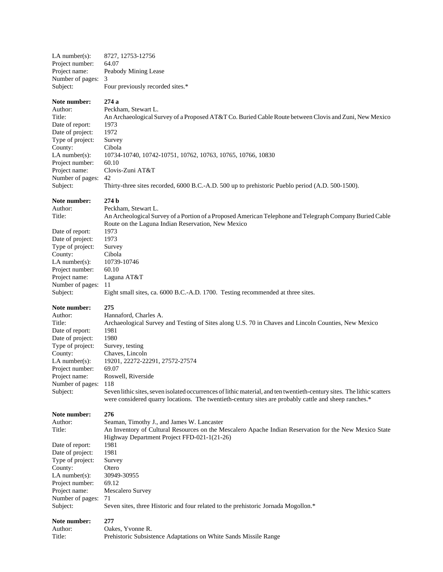| $LA$ number(s):                                                                                                                                                                                | 8727, 12753-12756                                                                                                                                                                                                                                                                                                                                                                                                                                                                                      |
|------------------------------------------------------------------------------------------------------------------------------------------------------------------------------------------------|--------------------------------------------------------------------------------------------------------------------------------------------------------------------------------------------------------------------------------------------------------------------------------------------------------------------------------------------------------------------------------------------------------------------------------------------------------------------------------------------------------|
| Project number:                                                                                                                                                                                | 64.07                                                                                                                                                                                                                                                                                                                                                                                                                                                                                                  |
| Project name:                                                                                                                                                                                  | Peabody Mining Lease                                                                                                                                                                                                                                                                                                                                                                                                                                                                                   |
| Number of pages:                                                                                                                                                                               | 3                                                                                                                                                                                                                                                                                                                                                                                                                                                                                                      |
| Subject:                                                                                                                                                                                       | Four previously recorded sites.*                                                                                                                                                                                                                                                                                                                                                                                                                                                                       |
| Note number:                                                                                                                                                                                   | 274a                                                                                                                                                                                                                                                                                                                                                                                                                                                                                                   |
| Author:                                                                                                                                                                                        | Peckham, Stewart L.                                                                                                                                                                                                                                                                                                                                                                                                                                                                                    |
| Title:                                                                                                                                                                                         | An Archaeological Survey of a Proposed AT&T Co. Buried Cable Route between Clovis and Zuni, New Mexico                                                                                                                                                                                                                                                                                                                                                                                                 |
| Date of report:                                                                                                                                                                                | 1973                                                                                                                                                                                                                                                                                                                                                                                                                                                                                                   |
| Date of project:                                                                                                                                                                               | 1972                                                                                                                                                                                                                                                                                                                                                                                                                                                                                                   |
| Type of project:                                                                                                                                                                               | Survey                                                                                                                                                                                                                                                                                                                                                                                                                                                                                                 |
| County:                                                                                                                                                                                        | Cibola                                                                                                                                                                                                                                                                                                                                                                                                                                                                                                 |
| $LA$ number(s):                                                                                                                                                                                | 10734-10740, 10742-10751, 10762, 10763, 10765, 10766, 10830                                                                                                                                                                                                                                                                                                                                                                                                                                            |
| Project number:                                                                                                                                                                                | 60.10                                                                                                                                                                                                                                                                                                                                                                                                                                                                                                  |
| Project name:                                                                                                                                                                                  | Clovis-Zuni AT&T                                                                                                                                                                                                                                                                                                                                                                                                                                                                                       |
| Number of pages:                                                                                                                                                                               | 42                                                                                                                                                                                                                                                                                                                                                                                                                                                                                                     |
| Subject:                                                                                                                                                                                       | Thirty-three sites recorded, 6000 B.C.-A.D. 500 up to prehistoric Pueblo period (A.D. 500-1500).                                                                                                                                                                                                                                                                                                                                                                                                       |
| Note number:<br>Author:<br>Title:<br>Date of report:                                                                                                                                           | 274 b<br>Peckham, Stewart L.<br>An Archeological Survey of a Portion of a Proposed American Telephone and Telegraph Company Buried Cable<br>Route on the Laguna Indian Reservation, New Mexico<br>1973                                                                                                                                                                                                                                                                                                 |
| Date of project:                                                                                                                                                                               | 1973                                                                                                                                                                                                                                                                                                                                                                                                                                                                                                   |
| Type of project:                                                                                                                                                                               | Survey                                                                                                                                                                                                                                                                                                                                                                                                                                                                                                 |
| County:                                                                                                                                                                                        | Cibola                                                                                                                                                                                                                                                                                                                                                                                                                                                                                                 |
| $LA$ number(s):                                                                                                                                                                                | 10739-10746                                                                                                                                                                                                                                                                                                                                                                                                                                                                                            |
| Project number:                                                                                                                                                                                | 60.10                                                                                                                                                                                                                                                                                                                                                                                                                                                                                                  |
| Project name:                                                                                                                                                                                  | Laguna AT&T                                                                                                                                                                                                                                                                                                                                                                                                                                                                                            |
| Number of pages:                                                                                                                                                                               | 11                                                                                                                                                                                                                                                                                                                                                                                                                                                                                                     |
| Subject:                                                                                                                                                                                       | Eight small sites, ca. 6000 B.C.-A.D. 1700. Testing recommended at three sites.                                                                                                                                                                                                                                                                                                                                                                                                                        |
| Note number:<br>Author:<br>Title:<br>Date of report:<br>Date of project:<br>Type of project:<br>County:<br>$LA$ number(s):<br>Project number:<br>Project name:<br>Number of pages:<br>Subject: | 275<br>Hannaford, Charles A.<br>Archaeological Survey and Testing of Sites along U.S. 70 in Chaves and Lincoln Counties, New Mexico<br>1981<br>1980<br>Survey, testing<br>Chaves, Lincoln<br>19201, 22272-22291, 27572-27574<br>69.07<br>Roswell, Riverside<br>118<br>Seven lithic sites, seven isolated occurrences of lithic material, and ten twentieth-century sites. The lithic scatters<br>were considered quarry locations. The twentieth-century sites are probably cattle and sheep ranches.* |
| Note number:<br>Author:<br>Title:                                                                                                                                                              | 276<br>Seaman, Timothy J., and James W. Lancaster<br>An Inventory of Cultural Resources on the Mescalero Apache Indian Reservation for the New Mexico State<br>Highway Department Project FFD-021-1(21-26)                                                                                                                                                                                                                                                                                             |
| Date of report:                                                                                                                                                                                | 1981                                                                                                                                                                                                                                                                                                                                                                                                                                                                                                   |
| Date of project:                                                                                                                                                                               | 1981                                                                                                                                                                                                                                                                                                                                                                                                                                                                                                   |
| Type of project:                                                                                                                                                                               | Survey                                                                                                                                                                                                                                                                                                                                                                                                                                                                                                 |
| County:                                                                                                                                                                                        | Otero                                                                                                                                                                                                                                                                                                                                                                                                                                                                                                  |
| $LA$ number(s):                                                                                                                                                                                | 30949-30955                                                                                                                                                                                                                                                                                                                                                                                                                                                                                            |
| Project number:                                                                                                                                                                                | 69.12                                                                                                                                                                                                                                                                                                                                                                                                                                                                                                  |
| Project name:                                                                                                                                                                                  | Mescalero Survey                                                                                                                                                                                                                                                                                                                                                                                                                                                                                       |
| Number of pages:                                                                                                                                                                               | 71                                                                                                                                                                                                                                                                                                                                                                                                                                                                                                     |
| Subject:                                                                                                                                                                                       | Seven sites, three Historic and four related to the prehistoric Jornada Mogollon.*                                                                                                                                                                                                                                                                                                                                                                                                                     |
| Note number:                                                                                                                                                                                   | 277                                                                                                                                                                                                                                                                                                                                                                                                                                                                                                    |
| Author:                                                                                                                                                                                        | Oakes, Yvonne R.                                                                                                                                                                                                                                                                                                                                                                                                                                                                                       |
| Title:                                                                                                                                                                                         | Prehistoric Subsistence Adaptations on White Sands Missile Range                                                                                                                                                                                                                                                                                                                                                                                                                                       |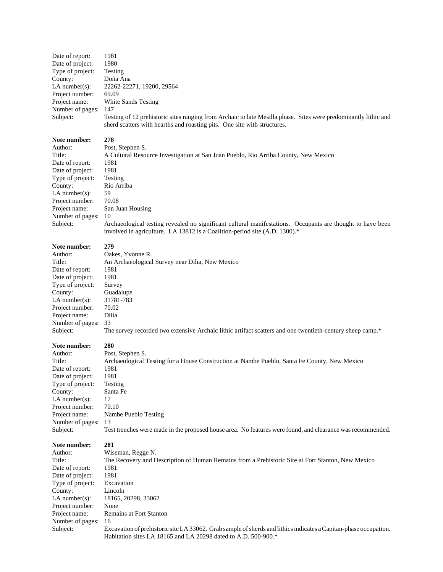| 1981                                                                                                                                                                                        |
|---------------------------------------------------------------------------------------------------------------------------------------------------------------------------------------------|
| 1980                                                                                                                                                                                        |
| Testing                                                                                                                                                                                     |
| Doña Ana                                                                                                                                                                                    |
| 22262-22271, 19200, 29564                                                                                                                                                                   |
| 69.09                                                                                                                                                                                       |
| White Sands Testing                                                                                                                                                                         |
| 147                                                                                                                                                                                         |
| Testing of 12 prehistoric sites ranging from Archaic to late Mesilla phase. Sites were predominantly lithic and<br>sherd scatters with hearths and roasting pits. One site with structures. |
|                                                                                                                                                                                             |

# **Note number: 278** Author:<br>Title:

| Author:           | Post, Stephen S.                                                                                           |
|-------------------|------------------------------------------------------------------------------------------------------------|
| Title:            | A Cultural Resource Investigation at San Juan Pueblo, Rio Arriba County, New Mexico                        |
| Date of report:   | 1981                                                                                                       |
| Date of project:  | 1981                                                                                                       |
| Type of project:  | Testing                                                                                                    |
| County:           | Rio Arriba                                                                                                 |
| LA number $(s)$ : | 59                                                                                                         |
| Project number:   | 70.08                                                                                                      |
| Project name:     | San Juan Housing                                                                                           |
| Number of pages:  | -10                                                                                                        |
| Subject:          | Archaeological testing revealed no significant cultural manifestations. Occupants are thought to have been |

involved in agriculture. LA 13812 is a Coalition-period site (A.D. 1300).\*

#### **Note number: 279**

| Author:           | Oakes, Yvonne R.                                                                                          |
|-------------------|-----------------------------------------------------------------------------------------------------------|
| Title:            | An Archaeological Survey near Dilia, New Mexico                                                           |
| Date of report:   | 1981                                                                                                      |
| Date of project:  | 1981                                                                                                      |
| Type of project:  | Survey                                                                                                    |
| County:           | Guadalupe                                                                                                 |
| LA number $(s)$ : | 31781-783                                                                                                 |
| Project number:   | 70.02                                                                                                     |
| Project name:     | Dilia                                                                                                     |
| Number of pages:  | -33                                                                                                       |
| Subject:          | The survey recorded two extensive Archaic lithic artifact scatters and one twentieth-century sheep camp.* |

| Note number:      | 280                                                                                                        |
|-------------------|------------------------------------------------------------------------------------------------------------|
| Author:           | Post, Stephen S.                                                                                           |
| Title:            | Archaeological Testing for a House Construction at Nambe Pueblo, Santa Fe County, New Mexico               |
| Date of report:   | 1981                                                                                                       |
| Date of project:  | 1981                                                                                                       |
| Type of project:  | Testing                                                                                                    |
| County:           | Santa Fe                                                                                                   |
| LA number $(s)$ : | 17                                                                                                         |
| Project number:   | 70.10                                                                                                      |
| Project name:     | Nambe Pueblo Testing                                                                                       |
| Number of pages:  | 13                                                                                                         |
| Subject:          | Test trenches were made in the proposed house area. No features were found, and clearance was recommended. |

| Note number:      | 281                                                                                                              |
|-------------------|------------------------------------------------------------------------------------------------------------------|
| Author:           | Wiseman, Regge N.                                                                                                |
| Title:            | The Recovery and Description of Human Remains from a Prehistoric Site at Fort Stanton, New Mexico                |
| Date of report:   | 1981                                                                                                             |
| Date of project:  | 1981                                                                                                             |
| Type of project:  | Excavation                                                                                                       |
| County:           | Lincoln                                                                                                          |
| LA number $(s)$ : | 18165, 20298, 33062                                                                                              |
| Project number:   | None                                                                                                             |
| Project name:     | Remains at Fort Stanton                                                                                          |
| Number of pages:  | -16                                                                                                              |
| Subject:          | Excavation of prehistoric site LA 33062. Grab sample of sherds and lithics indicates a Capitan-phase occupation. |
|                   | Habitation sites LA 18165 and LA 20298 dated to A.D. 500-900.*                                                   |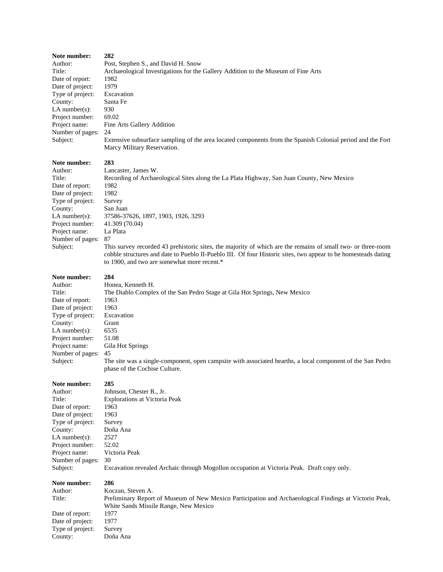| Note number:<br>Author:<br>Title:<br>Date of report:<br>Date of project:<br>Type of project:<br>County:<br>LA number $(s)$ :<br>Project number:<br>Project name:<br>Number of pages:<br>Subject:        | 282<br>Post, Stephen S., and David H. Snow<br>Archaeological Investigations for the Gallery Addition to the Museum of Fine Arts<br>1982<br>1979<br>Excavation<br>Santa Fe<br>930<br>69.02<br>Fine Arts Gallery Addition<br>24<br>Extensive subsurface sampling of the area located components from the Spanish Colonial period and the Fort<br>Marcy Military Reservation.                                                                                                                                                |
|---------------------------------------------------------------------------------------------------------------------------------------------------------------------------------------------------------|---------------------------------------------------------------------------------------------------------------------------------------------------------------------------------------------------------------------------------------------------------------------------------------------------------------------------------------------------------------------------------------------------------------------------------------------------------------------------------------------------------------------------|
| Note number:<br>Author:<br>Title:<br>Date of report:<br>Date of project:<br>Type of project:<br>County:<br>LA number $(s)$ :<br>Project number:<br>Project name:<br>Number of pages:<br>Subject:        | 283<br>Lancaster, James W.<br>Recording of Archaeological Sites along the La Plata Highway, San Juan County, New Mexico<br>1982<br>1982<br>Survey<br>San Juan<br>37586-37626, 1897, 1903, 1926, 3293<br>41.309 (70.04)<br>La Plata<br>87<br>This survey recorded 43 prehistoric sites, the majority of which are the remains of small two- or three-room<br>cobble structures and date to Pueblo II-Pueblo III. Of four Historic sites, two appear to be homesteads dating<br>to 1900, and two are somewhat more recent.* |
| <b>Note number:</b><br>Author:<br>Title:<br>Date of report:<br>Date of project:<br>Type of project:<br>County:<br>LA number $(s)$ :<br>Project number:<br>Project name:<br>Number of pages:<br>Subject: | 284<br>Honea, Kenneth H.<br>The Diablo Complex of the San Pedro Stage at Gila Hot Springs, New Mexico<br>1963<br>1963<br>Excavation<br>Grant<br>6535<br>51.08<br>Gila Hot Springs<br>45<br>The site was a single-component, open campsite with associated hearths, a local component of the San Pedro<br>phase of the Cochise Culture.                                                                                                                                                                                    |
| Note number:<br>Author:<br>Title:<br>Date of report:<br>Date of project:<br>Type of project:<br>County:<br>LA number $(s)$ :<br>Project number:<br>Project name:<br>Number of pages:<br>Subject:        | 285<br>Johnson, Chester R., Jr.<br><b>Explorations at Victoria Peak</b><br>1963<br>1963<br>Survey<br>Doña Ana<br>2527<br>52.02<br>Victoria Peak<br>30<br>Excavation revealed Archaic through Mogollon occupation at Victoria Peak. Draft copy only.                                                                                                                                                                                                                                                                       |
| Note number:<br>Author:<br>Title:<br>Date of report:<br>Date of project:<br>Type of project:<br>County:                                                                                                 | 286<br>Koczan, Steven A.<br>Preliminary Report of Museum of New Mexico Participation and Archaeological Findings at Victorio Peak,<br>White Sands Missile Range, New Mexico<br>1977<br>1977<br>Survey<br>Doña Ana                                                                                                                                                                                                                                                                                                         |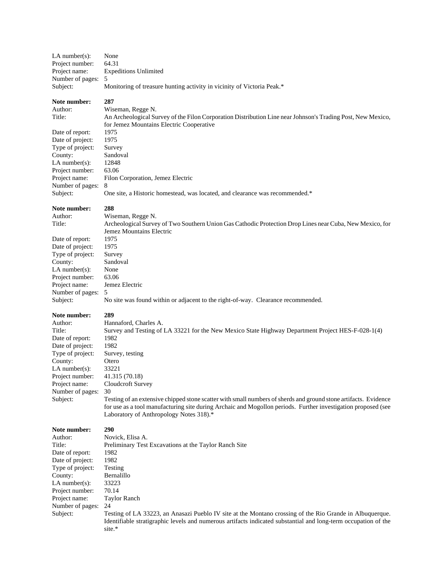| LA number $(s)$ :                                                                                                                                                                                                  | None                                                                                                                                                                                                                                                                                                                                                                                                                                                                                                                      |
|--------------------------------------------------------------------------------------------------------------------------------------------------------------------------------------------------------------------|---------------------------------------------------------------------------------------------------------------------------------------------------------------------------------------------------------------------------------------------------------------------------------------------------------------------------------------------------------------------------------------------------------------------------------------------------------------------------------------------------------------------------|
| Project number:                                                                                                                                                                                                    | 64.31                                                                                                                                                                                                                                                                                                                                                                                                                                                                                                                     |
| Project name:                                                                                                                                                                                                      | <b>Expeditions Unlimited</b>                                                                                                                                                                                                                                                                                                                                                                                                                                                                                              |
| Number of pages:                                                                                                                                                                                                   | 5                                                                                                                                                                                                                                                                                                                                                                                                                                                                                                                         |
| Subject:                                                                                                                                                                                                           | Monitoring of treasure hunting activity in vicinity of Victoria Peak.*                                                                                                                                                                                                                                                                                                                                                                                                                                                    |
| Note number:<br>Author:<br>Title:                                                                                                                                                                                  | 287<br>Wiseman, Regge N.<br>An Archeological Survey of the Filon Corporation Distribution Line near Johnson's Trading Post, New Mexico,<br>for Jemez Mountains Electric Cooperative                                                                                                                                                                                                                                                                                                                                       |
| Date of report:                                                                                                                                                                                                    | 1975                                                                                                                                                                                                                                                                                                                                                                                                                                                                                                                      |
| Date of project:                                                                                                                                                                                                   | 1975                                                                                                                                                                                                                                                                                                                                                                                                                                                                                                                      |
| Type of project:                                                                                                                                                                                                   | Survey                                                                                                                                                                                                                                                                                                                                                                                                                                                                                                                    |
| County:                                                                                                                                                                                                            | Sandoval                                                                                                                                                                                                                                                                                                                                                                                                                                                                                                                  |
| $LA$ number $(s)$ :                                                                                                                                                                                                | 12848                                                                                                                                                                                                                                                                                                                                                                                                                                                                                                                     |
| Project number:                                                                                                                                                                                                    | 63.06                                                                                                                                                                                                                                                                                                                                                                                                                                                                                                                     |
| Project name:                                                                                                                                                                                                      | Filon Corporation, Jemez Electric                                                                                                                                                                                                                                                                                                                                                                                                                                                                                         |
| Number of pages:                                                                                                                                                                                                   | 8                                                                                                                                                                                                                                                                                                                                                                                                                                                                                                                         |
| Subject:                                                                                                                                                                                                           | One site, a Historic homestead, was located, and clearance was recommended.*                                                                                                                                                                                                                                                                                                                                                                                                                                              |
| Note number:<br>Author:<br>Title:                                                                                                                                                                                  | 288<br>Wiseman, Regge N.<br>Archeological Survey of Two Southern Union Gas Cathodic Protection Drop Lines near Cuba, New Mexico, for<br>Jemez Mountains Electric                                                                                                                                                                                                                                                                                                                                                          |
| Date of report:                                                                                                                                                                                                    | 1975                                                                                                                                                                                                                                                                                                                                                                                                                                                                                                                      |
| Date of project:                                                                                                                                                                                                   | 1975                                                                                                                                                                                                                                                                                                                                                                                                                                                                                                                      |
| Type of project:                                                                                                                                                                                                   | Survey                                                                                                                                                                                                                                                                                                                                                                                                                                                                                                                    |
| County:                                                                                                                                                                                                            | Sandoval                                                                                                                                                                                                                                                                                                                                                                                                                                                                                                                  |
| LA number(s):                                                                                                                                                                                                      | None                                                                                                                                                                                                                                                                                                                                                                                                                                                                                                                      |
| Project number:                                                                                                                                                                                                    | 63.06                                                                                                                                                                                                                                                                                                                                                                                                                                                                                                                     |
| Project name:                                                                                                                                                                                                      | Jemez Electric                                                                                                                                                                                                                                                                                                                                                                                                                                                                                                            |
| Number of pages:                                                                                                                                                                                                   | 5                                                                                                                                                                                                                                                                                                                                                                                                                                                                                                                         |
| Subject:                                                                                                                                                                                                           | No site was found within or adjacent to the right-of-way. Clearance recommended.                                                                                                                                                                                                                                                                                                                                                                                                                                          |
| Note number:<br>Author:<br>Title:<br>Date of report:<br>Date of project:<br>Type of project:<br>County:<br>$LA$ number $(s)$ :<br>Project number:<br>Project name:<br>Number of pages:<br>Subject:<br>Note number: | 289<br>Hannaford, Charles A.<br>Survey and Testing of LA 33221 for the New Mexico State Highway Department Project HES-F-028-1(4)<br>1982<br>1982<br>Survey, testing<br>Otero<br>33221<br>41.315 (70.18)<br>Cloudcroft Survey<br>30<br>Testing of an extensive chipped stone scatter with small numbers of sherds and ground stone artifacts. Evidence<br>for use as a tool manufacturing site during Archaic and Mogollon periods. Further investigation proposed (see<br>Laboratory of Anthropology Notes 318).*<br>290 |
| Author:<br>Title:<br>Date of report:<br>Date of project:<br>Type of project:<br>County:<br>$LA$ number $(s)$ :<br>Project number:<br>Project name:<br>Number of pages:<br>Subject:                                 | Novick, Elisa A.<br>Preliminary Test Excavations at the Taylor Ranch Site<br>1982<br>1982<br>Testing<br>Bernalillo<br>33223<br>70.14<br><b>Taylor Ranch</b><br>24<br>Testing of LA 33223, an Anasazi Pueblo IV site at the Montano crossing of the Rio Grande in Albuquerque.<br>Identifiable stratigraphic levels and numerous artifacts indicated substantial and long-term occupation of the<br>site.*                                                                                                                 |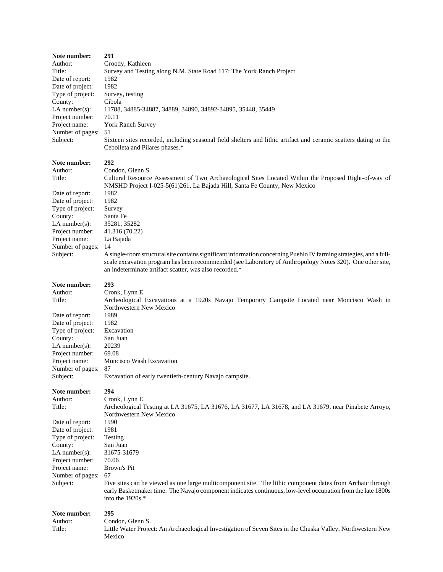| Note number:      | 291                                                                                                                                                                                                                                           |
|-------------------|-----------------------------------------------------------------------------------------------------------------------------------------------------------------------------------------------------------------------------------------------|
| Author:           | Groody, Kathleen                                                                                                                                                                                                                              |
| Title:            | Survey and Testing along N.M. State Road 117: The York Ranch Project                                                                                                                                                                          |
| Date of report:   | 1982                                                                                                                                                                                                                                          |
| Date of project:  | 1982                                                                                                                                                                                                                                          |
| Type of project:  | Survey, testing                                                                                                                                                                                                                               |
| County:           | Cibola                                                                                                                                                                                                                                        |
| $LA$ number(s):   | 11788, 34885-34887, 34889, 34890, 34892-34895, 35448, 35449                                                                                                                                                                                   |
| Project number:   | 70.11                                                                                                                                                                                                                                         |
| Project name:     | York Ranch Survey                                                                                                                                                                                                                             |
| Number of pages:  | 51                                                                                                                                                                                                                                            |
| Subject:          | Sixteen sites recorded, including seasonal field shelters and lithic artifact and ceramic scatters dating to the<br>Cebolleta and Pilares phases.*                                                                                            |
| Note number:      | 292                                                                                                                                                                                                                                           |
| Author:           | Condon, Glenn S.                                                                                                                                                                                                                              |
| Title:            | Cultural Resource Assessment of Two Archaeological Sites Located Within the Proposed Right-of-way of                                                                                                                                          |
|                   | NMSHD Project I-025-5(61)261, La Bajada Hill, Santa Fe County, New Mexico                                                                                                                                                                     |
| Date of report:   | 1982                                                                                                                                                                                                                                          |
| Date of project:  | 1982                                                                                                                                                                                                                                          |
| Type of project:  | Survey                                                                                                                                                                                                                                        |
| County:           | Santa Fe                                                                                                                                                                                                                                      |
| $LA$ number(s):   | 35281, 35282                                                                                                                                                                                                                                  |
| Project number:   | 41.316 (70.22)                                                                                                                                                                                                                                |
| Project name:     | La Bajada                                                                                                                                                                                                                                     |
| Number of pages:  | 14                                                                                                                                                                                                                                            |
| Subject:          | A single-room structural site contains significant information concerning Pueblo IV farming strategies, and a full-                                                                                                                           |
|                   | scale excavation program has been recommended (see Laboratory of Anthropology Notes 320). One other site,<br>an indeterminate artifact scatter, was also recorded.*                                                                           |
| Note number:      | 293                                                                                                                                                                                                                                           |
| Author:           | Cronk, Lynn E.                                                                                                                                                                                                                                |
| Title:            | Archeological Excavations at a 1920s Navajo Temporary Campsite Located near Moncisco Wash in                                                                                                                                                  |
|                   | Northwestern New Mexico                                                                                                                                                                                                                       |
| Date of report:   | 1989                                                                                                                                                                                                                                          |
| Date of project:  | 1982                                                                                                                                                                                                                                          |
| Type of project:  | Excavation                                                                                                                                                                                                                                    |
| County:           | San Juan                                                                                                                                                                                                                                      |
| LA number $(s)$ : | 20239                                                                                                                                                                                                                                         |
| Project number:   | 69.08                                                                                                                                                                                                                                         |
| Project name:     | Moncisco Wash Excavation                                                                                                                                                                                                                      |
| Number of pages:  | 87                                                                                                                                                                                                                                            |
| Subject:          | Excavation of early twentieth-century Navajo campsite.                                                                                                                                                                                        |
| Note number:      | 294                                                                                                                                                                                                                                           |
| Author:           | Cronk, Lynn E.                                                                                                                                                                                                                                |
| Title:            | Archeological Testing at LA 31675, LA 31676, LA 31677, LA 31678, and LA 31679, near Pinabete Arroyo,                                                                                                                                          |
|                   | Northwestern New Mexico                                                                                                                                                                                                                       |
| Date of report:   | 1990                                                                                                                                                                                                                                          |
| Date of project:  | 1981                                                                                                                                                                                                                                          |
| Type of project:  | Testing                                                                                                                                                                                                                                       |
| County:           | San Juan                                                                                                                                                                                                                                      |
| LA number $(s)$ : | 31675-31679                                                                                                                                                                                                                                   |
| Project number:   | 70.06                                                                                                                                                                                                                                         |
| Project name:     | Brown's Pit                                                                                                                                                                                                                                   |
| Number of pages:  | 67                                                                                                                                                                                                                                            |
| Subject:          | Five sites can be viewed as one large multicomponent site. The lithic component dates from Archaic through<br>early Basketmaker time. The Navajo component indicates continuous, low-level occupation from the late 1800s<br>into the 1920s.* |
| Note number:      | 295                                                                                                                                                                                                                                           |
| Author:           | Condon, Glenn S.                                                                                                                                                                                                                              |
| Title:            | Little Water Project: An Archaeological Investigation of Seven Sites in the Chuska Valley, Northwestern New                                                                                                                                   |
|                   | Mexico                                                                                                                                                                                                                                        |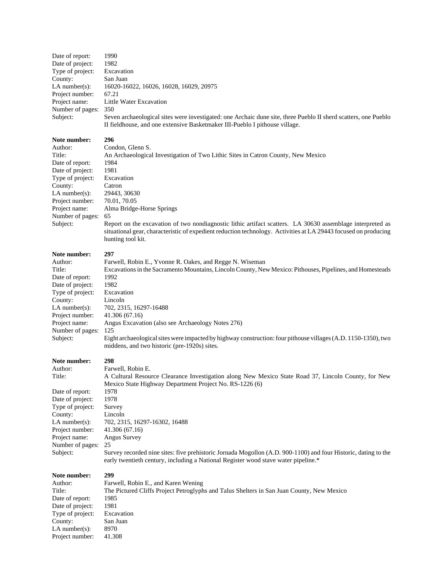| Date of report:   | 1990                                                                                                            |
|-------------------|-----------------------------------------------------------------------------------------------------------------|
| Date of project:  | 1982                                                                                                            |
| Type of project:  | Excavation                                                                                                      |
| County:           | San Juan                                                                                                        |
| LA number $(s)$ : | 16020-16022, 16026, 16028, 16029, 20975                                                                         |
| Project number:   | 67.21                                                                                                           |
| Project name:     | Little Water Excavation                                                                                         |
| Number of pages:  | 350                                                                                                             |
| Subject:          | Seven archaeological sites were investigated: one Archaic dune site, three Pueblo II sherd scatters, one Pueblo |
|                   | II fieldhouse, and one extensive Basketmaker III-Pueblo I pithouse village.                                     |

| Author:           | Condon, Glenn S.                                                                                                                                                                                                                                   |
|-------------------|----------------------------------------------------------------------------------------------------------------------------------------------------------------------------------------------------------------------------------------------------|
| Title:            | An Archaeological Investigation of Two Lithic Sites in Catron County, New Mexico                                                                                                                                                                   |
| Date of report:   | 1984                                                                                                                                                                                                                                               |
| Date of project:  | 1981                                                                                                                                                                                                                                               |
| Type of project:  | Excavation                                                                                                                                                                                                                                         |
| County:           | Catron                                                                                                                                                                                                                                             |
| LA number $(s)$ : | 29443, 30630                                                                                                                                                                                                                                       |
| Project number:   | 70.01, 70.05                                                                                                                                                                                                                                       |
| Project name:     | Alma Bridge-Horse Springs                                                                                                                                                                                                                          |
| Number of pages:  | -65                                                                                                                                                                                                                                                |
| Subject:          | Report on the excavation of two nondiagnostic lithic artifact scatters. LA 30630 assemblage interpreted as<br>situational gear, characteristic of expedient reduction technology. Activities at LA 29443 focused on producing<br>hunting tool kit. |

### **Note number: 297**

| 11900 MMMM901    |                                                                                                                |
|------------------|----------------------------------------------------------------------------------------------------------------|
| Author:          | Farwell, Robin E., Yvonne R. Oakes, and Regge N. Wiseman                                                       |
| Title:           | Excavations in the Sacramento Mountains, Lincoln County, New Mexico: Pithouses, Pipelines, and Homesteads      |
| Date of report:  | 1992                                                                                                           |
| Date of project: | 1982                                                                                                           |
| Type of project: | Excavation                                                                                                     |
| County:          | Lincoln                                                                                                        |
| $LA$ number(s):  | 702, 2315, 16297-16488                                                                                         |
| Project number:  | 41.306 (67.16)                                                                                                 |
| Project name:    | Angus Excavation (also see Archaeology Notes 276)                                                              |
| Number of pages: | 125                                                                                                            |
| Subject:         | Eight archaeological sites were impacted by highway construction: four pithouse villages (A.D. 1150-1350), two |
|                  | middens, and two historic (pre-1920s) sites.                                                                   |
|                  |                                                                                                                |

# **Note number:**<br>Author:

| Note number:     | 298                                                                                                                                                                                                  |
|------------------|------------------------------------------------------------------------------------------------------------------------------------------------------------------------------------------------------|
| Author:          | Farwell, Robin E.                                                                                                                                                                                    |
| Title:           | A Cultural Resource Clearance Investigation along New Mexico State Road 37, Lincoln County, for New                                                                                                  |
|                  | Mexico State Highway Department Project No. RS-1226 (6)                                                                                                                                              |
| Date of report:  | 1978                                                                                                                                                                                                 |
| Date of project: | 1978                                                                                                                                                                                                 |
| Type of project: | Survey                                                                                                                                                                                               |
| County:          | Lincoln                                                                                                                                                                                              |
| $LA$ number(s):  | 702, 2315, 16297-16302, 16488                                                                                                                                                                        |
| Project number:  | 41.306 (67.16)                                                                                                                                                                                       |
| Project name:    | Angus Survey                                                                                                                                                                                         |
| Number of pages: | 25                                                                                                                                                                                                   |
| Subject:         | Survey recorded nine sites: five prehistoric Jornada Mogollon (A.D. 900-1100) and four Historic, dating to the<br>early twentieth century, including a National Register wood stave water pipeline.* |
|                  |                                                                                                                                                                                                      |

| Note number:      | 299                                                                                       |
|-------------------|-------------------------------------------------------------------------------------------|
| Author:           | Farwell, Robin E., and Karen Wening                                                       |
| Title:            | The Pictured Cliffs Project Petroglyphs and Talus Shelters in San Juan County, New Mexico |
| Date of report:   | 1985                                                                                      |
| Date of project:  | 1981                                                                                      |
| Type of project:  | Excavation                                                                                |
| County:           | San Juan                                                                                  |
| LA number $(s)$ : | 8970                                                                                      |
| Project number:   | 41.308                                                                                    |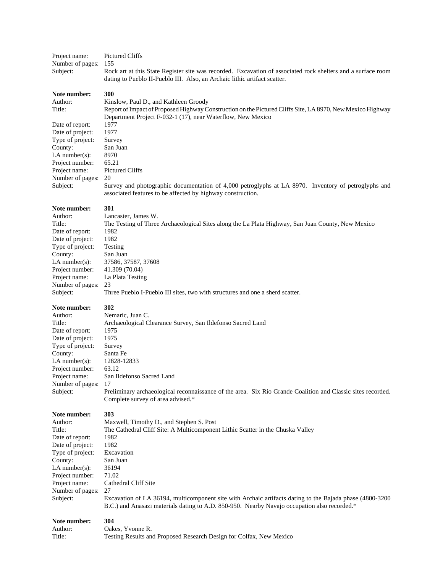| Project name:     | Pictured Cliffs                                                                                              |
|-------------------|--------------------------------------------------------------------------------------------------------------|
| Number of pages:  | 155                                                                                                          |
| Subject:          | Rock art at this State Register site was recorded. Excavation of associated rock shelters and a surface room |
|                   | dating to Pueblo II-Pueblo III. Also, an Archaic lithic artifact scatter.                                    |
| Note number:      | 300                                                                                                          |
| Author:           | Kinslow, Paul D., and Kathleen Groody                                                                        |
| Title:            | Report of Impact of Proposed Highway Construction on the Pictured Cliffs Site, LA 8970, New Mexico Highway   |
|                   | Department Project F-032-1 (17), near Waterflow, New Mexico                                                  |
| Date of report:   | 1977                                                                                                         |
| Date of project:  | 1977                                                                                                         |
| Type of project:  | Survey                                                                                                       |
| County:           | San Juan                                                                                                     |
| $LA$ number(s):   | 8970                                                                                                         |
| Project number:   | 65.21                                                                                                        |
| Project name:     | Pictured Cliffs                                                                                              |
| Number of pages:  | 20                                                                                                           |
|                   |                                                                                                              |
| Subject:          | Survey and photographic documentation of 4,000 petroglyphs at LA 8970. Inventory of petroglyphs and          |
|                   | associated features to be affected by highway construction.                                                  |
| Note number:      | 301                                                                                                          |
|                   |                                                                                                              |
| Author:<br>Title: | Lancaster, James W.                                                                                          |
|                   | The Testing of Three Archaeological Sites along the La Plata Highway, San Juan County, New Mexico            |
| Date of report:   | 1982                                                                                                         |
| Date of project:  | 1982                                                                                                         |
| Type of project:  | Testing                                                                                                      |
| County:           | San Juan                                                                                                     |
| $LA$ number(s):   | 37586, 37587, 37608                                                                                          |
| Project number:   | 41.309 (70.04)                                                                                               |
| Project name:     | La Plata Testing                                                                                             |
| Number of pages:  | 23                                                                                                           |
| Subject:          | Three Pueblo I-Pueblo III sites, two with structures and one a sherd scatter.                                |
|                   |                                                                                                              |
| Note number:      | 302                                                                                                          |
| Author:           | Nemaric, Juan C.                                                                                             |
| Title:            | Archaeological Clearance Survey, San Ildefonso Sacred Land                                                   |
| Date of report:   | 1975                                                                                                         |
| Date of project:  | 1975                                                                                                         |
| Type of project:  | Survey                                                                                                       |
| County:           | Santa Fe                                                                                                     |
| $LA$ number(s):   | 12828-12833                                                                                                  |
| Project number:   | 63.12                                                                                                        |
| Project name:     | San Ildefonso Sacred Land                                                                                    |
| Number of pages:  | 17                                                                                                           |
| Subject:          | Preliminary archaeological reconnaissance of the area. Six Rio Grande Coalition and Classic sites recorded.  |
|                   | Complete survey of area advised.*                                                                            |
|                   |                                                                                                              |
| Note number:      | 303                                                                                                          |
| Author:           | Maxwell, Timothy D., and Stephen S. Post                                                                     |
| Title:            | The Cathedral Cliff Site: A Multicomponent Lithic Scatter in the Chuska Valley                               |
| Date of report:   | 1982                                                                                                         |
| Date of project:  | 1982                                                                                                         |
| Type of project:  | Excavation                                                                                                   |
| County:           | San Juan                                                                                                     |
| LA number $(s)$ : | 36194                                                                                                        |
| Project number:   | 71.02                                                                                                        |
| Project name:     | Cathedral Cliff Site                                                                                         |
| Number of pages:  | 27                                                                                                           |
| Subject:          | Excavation of LA 36194, multicomponent site with Archaic artifacts dating to the Bajada phase (4800-3200)    |
|                   | B.C.) and Anasazi materials dating to A.D. 850-950. Nearby Navajo occupation also recorded.*                 |
|                   |                                                                                                              |
| Note number:      | 304                                                                                                          |
| Author:           | Oakes, Yvonne R.                                                                                             |
| Title:            | Testing Results and Proposed Research Design for Colfax, New Mexico                                          |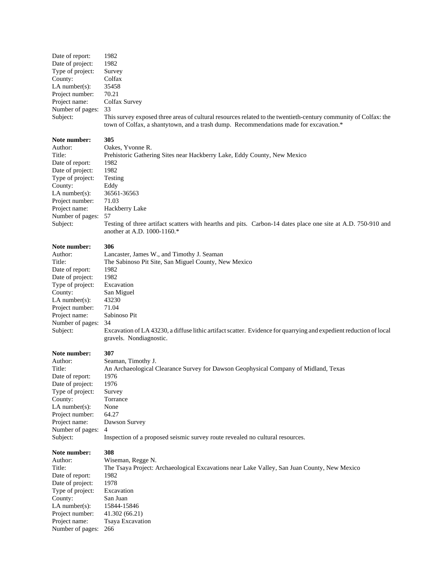| Date of report:  | 1982                                                                                                                                                                                                     |
|------------------|----------------------------------------------------------------------------------------------------------------------------------------------------------------------------------------------------------|
| Date of project: | 1982                                                                                                                                                                                                     |
| Type of project: | Survey                                                                                                                                                                                                   |
| County:          | Colfax                                                                                                                                                                                                   |
| LA number(s):    | 35458                                                                                                                                                                                                    |
| Project number:  | 70.21                                                                                                                                                                                                    |
| Project name:    | Colfax Survey                                                                                                                                                                                            |
| Number of pages: | - 33                                                                                                                                                                                                     |
| Subject:         | This survey exposed three areas of cultural resources related to the twentieth-century community of Colfax: the<br>town of Colfax, a shantytown, and a trash dump. Recommendations made for excavation.* |

| Author:          | Oakes, Yvonne R.                                                                                                                            |
|------------------|---------------------------------------------------------------------------------------------------------------------------------------------|
| Title:           | Prehistoric Gathering Sites near Hackberry Lake, Eddy County, New Mexico                                                                    |
| Date of report:  | 1982                                                                                                                                        |
| Date of project: | 1982                                                                                                                                        |
| Type of project: | Testing                                                                                                                                     |
| County:          | Eddy                                                                                                                                        |
| LA number(s):    | 36561-36563                                                                                                                                 |
| Project number:  | 71.03                                                                                                                                       |
| Project name:    | Hackberry Lake                                                                                                                              |
| Number of pages: | 57                                                                                                                                          |
| Subject:         | Testing of three artifact scatters with hearths and pits. Carbon-14 dates place one site at A.D. 750-910 and<br>another at A.D. 1000-1160.* |

#### **Note number: 306**

| Note number:                 | 307                                                                                                                      |
|------------------------------|--------------------------------------------------------------------------------------------------------------------------|
|                              | gravels. Nondiagnostic.                                                                                                  |
| Number of pages:<br>Subject: | 34<br>Excavation of LA 43230, a diffuse lithic artifact scatter. Evidence for quarrying and expedient reduction of local |
| Project name:                | Sabinoso Pit                                                                                                             |
| Project number:              | 71.04                                                                                                                    |
| LA number $(s)$ :            | 43230                                                                                                                    |
| County:                      | San Miguel                                                                                                               |
| Type of project:             | Excavation                                                                                                               |
| Date of project:             | 1982                                                                                                                     |
| Date of report:              | 1982                                                                                                                     |
| Title:                       | The Sabinoso Pit Site, San Miguel County, New Mexico                                                                     |
| Author:                      | Lancaster, James W., and Timothy J. Seaman                                                                               |

| Note number: |  |
|--------------|--|
| Author:      |  |
| Title:       |  |

| том пашлет.       | .,,,,                                                                               |
|-------------------|-------------------------------------------------------------------------------------|
| Author:           | Seaman, Timothy J.                                                                  |
| Title:            | An Archaeological Clearance Survey for Dawson Geophysical Company of Midland, Texas |
| Date of report:   | 1976                                                                                |
| Date of project:  | 1976                                                                                |
| Type of project:  | Survey                                                                              |
| County:           | Torrance                                                                            |
| LA number $(s)$ : | None                                                                                |
| Project number:   | 64.27                                                                               |
| Project name:     | Dawson Survey                                                                       |
| Number of pages:  | $\overline{4}$                                                                      |
| Subject:          | Inspection of a proposed seismic survey route revealed no cultural resources.       |

# **Note number: 308**

| Author:          | Wiseman, Regge N.                                                                           |
|------------------|---------------------------------------------------------------------------------------------|
| Title:           | The Tsaya Project: Archaeological Excavations near Lake Valley, San Juan County, New Mexico |
| Date of report:  | 1982                                                                                        |
| Date of project: | 1978                                                                                        |
| Type of project: | Excavation                                                                                  |
| County:          | San Juan                                                                                    |
| LA number(s):    | 15844-15846                                                                                 |
| Project number:  | 41.302(66.21)                                                                               |
| Project name:    | <b>Tsaya Excavation</b>                                                                     |
| Number of pages: | 266                                                                                         |
|                  |                                                                                             |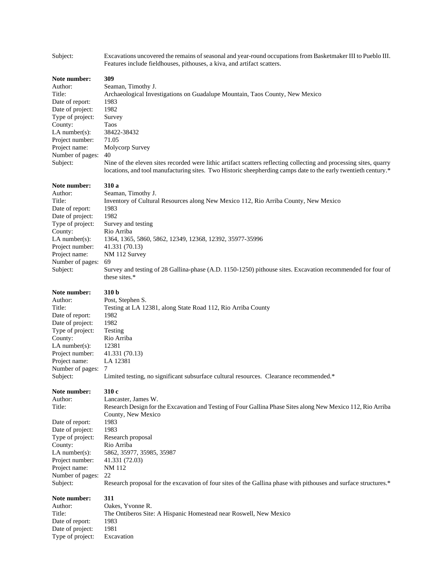| Subject:                                                                                                                                                                                           | Excavations uncovered the remains of seasonal and year-round occupations from Basketmaker III to Pueblo III.<br>Features include fieldhouses, pithouses, a kiva, and artifact scatters.                                                                                                                                                                                                                                              |
|----------------------------------------------------------------------------------------------------------------------------------------------------------------------------------------------------|--------------------------------------------------------------------------------------------------------------------------------------------------------------------------------------------------------------------------------------------------------------------------------------------------------------------------------------------------------------------------------------------------------------------------------------|
| Note number:<br>Author:<br>Title:<br>Date of report:<br>Date of project:<br>Type of project:<br>County:<br>$LA$ number $(s)$ :<br>Project number:<br>Project name:<br>Number of pages:<br>Subject: | 309<br>Seaman, Timothy J.<br>Archaeological Investigations on Guadalupe Mountain, Taos County, New Mexico<br>1983<br>1982<br>Survey<br>Taos<br>38422-38432<br>71.05<br>Molycorp Survey<br>40<br>Nine of the eleven sites recorded were lithic artifact scatters reflecting collecting and processing sites, quarry<br>locations, and tool manufacturing sites. Two Historic sheepherding camps date to the early twentieth century.* |
| Note number:<br>Author:<br>Title:<br>Date of report:<br>Date of project:<br>Type of project:<br>County:<br>LA number(s):<br>Project number:<br>Project name:<br>Number of pages:<br>Subject:       | 310 a<br>Seaman, Timothy J.<br>Inventory of Cultural Resources along New Mexico 112, Rio Arriba County, New Mexico<br>1983<br>1982<br>Survey and testing<br>Rio Arriba<br>1364, 1365, 5860, 5862, 12349, 12368, 12392, 35977-35996<br>41.331 (70.13)<br>NM 112 Survey<br>69<br>Survey and testing of 28 Gallina-phase (A.D. 1150-1250) pithouse sites. Excavation recommended for four of<br>these sites.*                           |
| Note number:<br>Author:<br>Title:<br>Date of report:<br>Date of project:<br>Type of project:<br>County:<br>$LA$ number(s):<br>Project number:<br>Project name:<br>Number of pages:<br>Subject:     | 310 b<br>Post, Stephen S.<br>Testing at LA 12381, along State Road 112, Rio Arriba County<br>1982<br>1982<br>Testing<br>Rio Arriba<br>12381<br>41.331 (70.13)<br>LA 12381<br>7<br>Limited testing, no significant subsurface cultural resources. Clearance recommended.*                                                                                                                                                             |
| Note number:<br>Author:<br>Title:<br>Date of report:<br>Date of project:<br>Type of project:<br>County:<br>$LA$ number(s):<br>Project number:<br>Project name:<br>Number of pages:<br>Subject:     | 310 c<br>Lancaster, James W.<br>Research Design for the Excavation and Testing of Four Gallina Phase Sites along New Mexico 112, Rio Arriba<br>County, New Mexico<br>1983<br>1983<br>Research proposal<br>Rio Arriba<br>5862, 35977, 35985, 35987<br>41.331 (72.03)<br><b>NM 112</b><br>22<br>Research proposal for the excavation of four sites of the Gallina phase with pithouses and surface structures.*                        |
| Note number:<br>Author:<br>Title:<br>Date of report:<br>Date of project:<br>Type of project:                                                                                                       | 311<br>Oakes, Yvonne R.<br>The Ontiberos Site: A Hispanic Homestead near Roswell, New Mexico<br>1983<br>1981<br>Excavation                                                                                                                                                                                                                                                                                                           |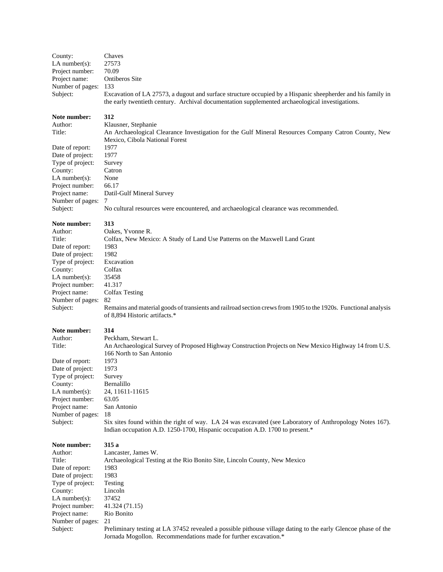| County:<br>LA number $(s)$ :<br>Project number:<br>Project name:<br>Number of pages:<br>Subject: | Chaves<br>27573<br>70.09<br>Ontiberos Site<br>133<br>Excavation of LA 27573, a dugout and surface structure occupied by a Hispanic sheepherder and his family in<br>the early twentieth century. Archival documentation supplemented archaeological investigations. |
|--------------------------------------------------------------------------------------------------|---------------------------------------------------------------------------------------------------------------------------------------------------------------------------------------------------------------------------------------------------------------------|
| Note number:<br>Author:<br>Title:                                                                | 312<br>Klausner, Stephanie<br>An Archaeological Clearance Investigation for the Gulf Mineral Resources Company Catron County, New<br>Mexico, Cibola National Forest                                                                                                 |
| Date of report:                                                                                  | 1977                                                                                                                                                                                                                                                                |
| Date of project:                                                                                 | 1977                                                                                                                                                                                                                                                                |
| Type of project:                                                                                 | Survey                                                                                                                                                                                                                                                              |
| County:                                                                                          | Catron                                                                                                                                                                                                                                                              |
| LA number $(s)$ :                                                                                | None                                                                                                                                                                                                                                                                |
| Project number:                                                                                  | 66.17                                                                                                                                                                                                                                                               |
| Project name:                                                                                    | Datil-Gulf Mineral Survey                                                                                                                                                                                                                                           |
| Number of pages:                                                                                 | 7                                                                                                                                                                                                                                                                   |
| Subject:                                                                                         | No cultural resources were encountered, and archaeological clearance was recommended.                                                                                                                                                                               |
| Note number:                                                                                     | 313                                                                                                                                                                                                                                                                 |
| Author:                                                                                          | Oakes, Yvonne R.                                                                                                                                                                                                                                                    |
| Title:                                                                                           | Colfax, New Mexico: A Study of Land Use Patterns on the Maxwell Land Grant                                                                                                                                                                                          |
| Date of report:                                                                                  | 1983                                                                                                                                                                                                                                                                |
| Date of project:                                                                                 | 1982                                                                                                                                                                                                                                                                |
| Type of project:                                                                                 | Excavation                                                                                                                                                                                                                                                          |
| County:                                                                                          | Colfax                                                                                                                                                                                                                                                              |
| LA number $(s)$ :                                                                                | 35458                                                                                                                                                                                                                                                               |
| Project number:                                                                                  | 41.317                                                                                                                                                                                                                                                              |
| Project name:                                                                                    | <b>Colfax Testing</b>                                                                                                                                                                                                                                               |
| Number of pages:<br>Subject:                                                                     | 82<br>Remains and material goods of transients and railroad section crews from 1905 to the 1920s. Functional analysis<br>of 8,894 Historic artifacts.*                                                                                                              |
| Note number:<br>Author:<br>Title:                                                                | 314<br>Peckham, Stewart L.<br>An Archaeological Survey of Proposed Highway Construction Projects on New Mexico Highway 14 from U.S.<br>166 North to San Antonio                                                                                                     |
| Date of report:                                                                                  | 1973                                                                                                                                                                                                                                                                |
| Date of project:                                                                                 | 1973                                                                                                                                                                                                                                                                |
| Type of project:                                                                                 | Survey                                                                                                                                                                                                                                                              |
| County:                                                                                          | Bernalillo                                                                                                                                                                                                                                                          |
| LA number $(s)$ :                                                                                | 24, 11611-11615                                                                                                                                                                                                                                                     |
| Project number:                                                                                  | 63.05                                                                                                                                                                                                                                                               |
| Project name:                                                                                    | San Antonio                                                                                                                                                                                                                                                         |
| Number of pages:                                                                                 | 18                                                                                                                                                                                                                                                                  |
| Subject:                                                                                         | Six sites found within the right of way. LA 24 was excavated (see Laboratory of Anthropology Notes 167).                                                                                                                                                            |
|                                                                                                  | Indian occupation A.D. 1250-1700, Hispanic occupation A.D. 1700 to present.*                                                                                                                                                                                        |
| Note number:                                                                                     | 315 a                                                                                                                                                                                                                                                               |
| Author:                                                                                          | Lancaster, James W.                                                                                                                                                                                                                                                 |
| Title:                                                                                           | Archaeological Testing at the Rio Bonito Site, Lincoln County, New Mexico                                                                                                                                                                                           |
| Date of report:                                                                                  | 1983                                                                                                                                                                                                                                                                |
| Date of project:                                                                                 | 1983                                                                                                                                                                                                                                                                |
| Type of project:                                                                                 | Testing                                                                                                                                                                                                                                                             |
| County:                                                                                          | Lincoln                                                                                                                                                                                                                                                             |
| LA number $(s)$ :                                                                                | 37452                                                                                                                                                                                                                                                               |
| Project number:                                                                                  | 41.324 (71.15)                                                                                                                                                                                                                                                      |
| Project name:                                                                                    | Rio Bonito                                                                                                                                                                                                                                                          |
| Number of pages:                                                                                 | 21                                                                                                                                                                                                                                                                  |
| Subject:                                                                                         | Preliminary testing at LA 37452 revealed a possible pithouse village dating to the early Glencoe phase of the                                                                                                                                                       |
|                                                                                                  | Jornada Mogollon. Recommendations made for further excavation.*                                                                                                                                                                                                     |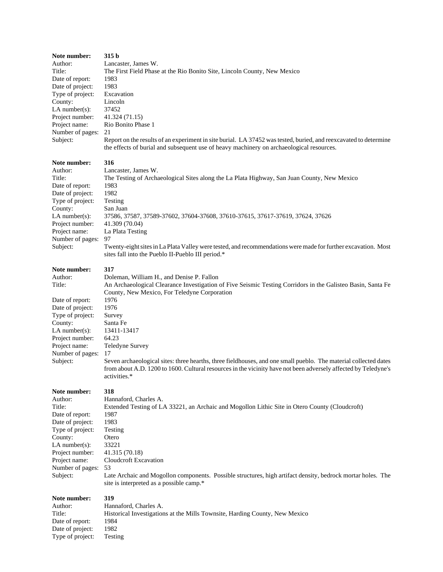| Note number:      | 315 b                                                                                                                                                                                                        |
|-------------------|--------------------------------------------------------------------------------------------------------------------------------------------------------------------------------------------------------------|
| Author:           | Lancaster, James W.                                                                                                                                                                                          |
| Title:            | The First Field Phase at the Rio Bonito Site, Lincoln County, New Mexico                                                                                                                                     |
| Date of report:   | 1983                                                                                                                                                                                                         |
| Date of project:  | 1983                                                                                                                                                                                                         |
| Type of project:  | Excavation                                                                                                                                                                                                   |
| County:           | Lincoln                                                                                                                                                                                                      |
| $LA$ number(s):   | 37452                                                                                                                                                                                                        |
| Project number:   | 41.324 (71.15)                                                                                                                                                                                               |
| Project name:     | Rio Bonito Phase 1                                                                                                                                                                                           |
| Number of pages:  | 21                                                                                                                                                                                                           |
| Subject:          | Report on the results of an experiment in site burial. LA 37452 was tested, buried, and reexcavated to determine<br>the effects of burial and subsequent use of heavy machinery on archaeological resources. |
| Note number:      | 316                                                                                                                                                                                                          |
| Author:           | Lancaster, James W.                                                                                                                                                                                          |
| Title:            | The Testing of Archaeological Sites along the La Plata Highway, San Juan County, New Mexico                                                                                                                  |
| Date of report:   | 1983                                                                                                                                                                                                         |
| Date of project:  | 1982                                                                                                                                                                                                         |
| Type of project:  | Testing                                                                                                                                                                                                      |
| County:           | San Juan                                                                                                                                                                                                     |
| $LA$ number(s):   | 37586, 37587, 37589-37602, 37604-37608, 37610-37615, 37617-37619, 37624, 37626                                                                                                                               |
| Project number:   | 41.309 (70.04)                                                                                                                                                                                               |
| Project name:     | La Plata Testing                                                                                                                                                                                             |
| Number of pages:  | 97                                                                                                                                                                                                           |
| Subject:          | Twenty-eight sites in La Plata Valley were tested, and recommendations were made for further excavation. Most                                                                                                |
|                   | sites fall into the Pueblo II-Pueblo III period.*                                                                                                                                                            |
| Note number:      | 317                                                                                                                                                                                                          |
| Author:           | Doleman, William H., and Denise P. Fallon                                                                                                                                                                    |
| Title:            | An Archaeological Clearance Investigation of Five Seismic Testing Corridors in the Galisteo Basin, Santa Fe                                                                                                  |
|                   | County, New Mexico, For Teledyne Corporation                                                                                                                                                                 |
| Date of report:   | 1976                                                                                                                                                                                                         |
| Date of project:  | 1976                                                                                                                                                                                                         |
| Type of project:  | Survey                                                                                                                                                                                                       |
| County:           | Santa Fe                                                                                                                                                                                                     |
| LA number $(s)$ : | 13411-13417                                                                                                                                                                                                  |
| Project number:   | 64.23                                                                                                                                                                                                        |
| Project name:     | Teledyne Survey                                                                                                                                                                                              |
| Number of pages:  | 17                                                                                                                                                                                                           |
| Subject:          | Seven archaeological sites: three hearths, three fieldhouses, and one small pueblo. The material collected dates                                                                                             |
|                   | from about A.D. 1200 to 1600. Cultural resources in the vicinity have not been adversely affected by Teledyne's                                                                                              |
|                   | activities.*                                                                                                                                                                                                 |
| Note number:      | 318                                                                                                                                                                                                          |
| Author:           | Hannaford, Charles A.                                                                                                                                                                                        |
| Title:            | Extended Testing of LA 33221, an Archaic and Mogollon Lithic Site in Otero County (Cloudcroft)                                                                                                               |
| Date of report:   | 1987                                                                                                                                                                                                         |
| Date of project:  | 1983                                                                                                                                                                                                         |
| Type of project:  | Testing                                                                                                                                                                                                      |
| County:           | Otero                                                                                                                                                                                                        |
| $LA$ number(s):   | 33221                                                                                                                                                                                                        |
| Project number:   | 41.315 (70.18)                                                                                                                                                                                               |
| Project name:     | Cloudcroft Excavation                                                                                                                                                                                        |
| Number of pages:  | 53                                                                                                                                                                                                           |
| Subject:          | Late Archaic and Mogollon components. Possible structures, high artifact density, bedrock mortar holes. The<br>site is interpreted as a possible camp.*                                                      |
| Note number:      | 319                                                                                                                                                                                                          |
| Author:           | Hannaford, Charles A.                                                                                                                                                                                        |
| Title:            | Historical Investigations at the Mills Townsite, Harding County, New Mexico                                                                                                                                  |
| Date of report:   | 1984                                                                                                                                                                                                         |
| Date of project:  | 1982                                                                                                                                                                                                         |
| Type of project:  | Testing                                                                                                                                                                                                      |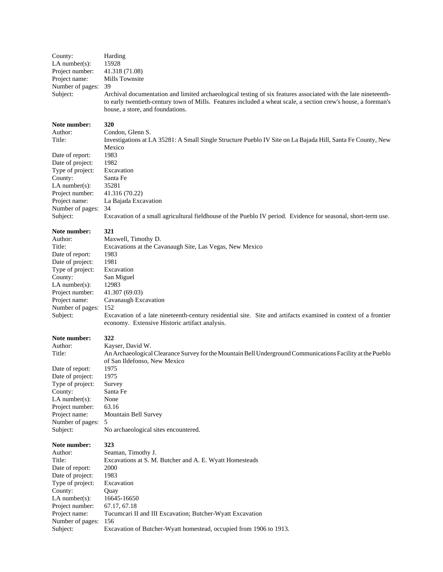| County:                      | Harding                                                                                                                                                          |
|------------------------------|------------------------------------------------------------------------------------------------------------------------------------------------------------------|
| $LA$ number $(s)$ :          | 15928                                                                                                                                                            |
| Project number:              | 41.318 (71.08)                                                                                                                                                   |
| Project name:                | Mills Townsite                                                                                                                                                   |
| Number of pages:             | 39                                                                                                                                                               |
| Subject:                     | Archival documentation and limited archaeological testing of six features associated with the late nineteenth-                                                   |
|                              | to early twentieth-century town of Mills. Features included a wheat scale, a section crew's house, a foreman's                                                   |
|                              | house, a store, and foundations.                                                                                                                                 |
| Note number:                 | 320                                                                                                                                                              |
| Author:                      | Condon, Glenn S.                                                                                                                                                 |
| Title:                       | Investigations at LA 35281: A Small Single Structure Pueblo IV Site on La Bajada Hill, Santa Fe County, New                                                      |
|                              | Mexico                                                                                                                                                           |
| Date of report:              | 1983                                                                                                                                                             |
| Date of project:             | 1982                                                                                                                                                             |
| Type of project:             | Excavation                                                                                                                                                       |
| County:                      | Santa Fe                                                                                                                                                         |
| $LA$ number $(s)$ :          | 35281                                                                                                                                                            |
| Project number:              | 41.316 (70.22)                                                                                                                                                   |
| Project name:                | La Bajada Excavation                                                                                                                                             |
| Number of pages:             | 34                                                                                                                                                               |
| Subject:                     | Excavation of a small agricultural fieldhouse of the Pueblo IV period. Evidence for seasonal, short-term use.                                                    |
| Note number:                 | 321                                                                                                                                                              |
| Author:                      | Maxwell, Timothy D.                                                                                                                                              |
| Title:                       | Excavations at the Cavanaugh Site, Las Vegas, New Mexico                                                                                                         |
| Date of report:              | 1983                                                                                                                                                             |
| Date of project:             | 1981                                                                                                                                                             |
| Type of project:             | Excavation                                                                                                                                                       |
| County:                      | San Miguel                                                                                                                                                       |
| $LA$ number $(s)$ :          | 12983                                                                                                                                                            |
| Project number:              | 41.307 (69.03)                                                                                                                                                   |
| Project name:                | Cavanaugh Excavation                                                                                                                                             |
| Number of pages:             | 152                                                                                                                                                              |
| Subject:                     | Excavation of a late nineteenth-century residential site. Site and artifacts examined in context of a frontier<br>economy. Extensive Historic artifact analysis. |
| Note number:                 | 322                                                                                                                                                              |
| Author:                      | Kayser, David W.                                                                                                                                                 |
| Title:                       | An Archaeological Clearance Survey for the Mountain Bell Underground Communications Facility at the Pueblo                                                       |
|                              | of San Ildefonso, New Mexico                                                                                                                                     |
| Date of report:              | 1975                                                                                                                                                             |
| Date of project:             | 1975                                                                                                                                                             |
| Type of project:             | Survey                                                                                                                                                           |
| County:                      | Santa Fe                                                                                                                                                         |
| LA $number(s)$ :             | None                                                                                                                                                             |
| Project number:              | 63.16                                                                                                                                                            |
| Project name:                | Mountain Bell Survey                                                                                                                                             |
| Number of pages:<br>Subject: | 5<br>No archaeological sites encountered.                                                                                                                        |
|                              |                                                                                                                                                                  |
| Note number:                 | 323                                                                                                                                                              |
| Author:<br>Title:            | Seaman, Timothy J.                                                                                                                                               |
| Date of report:              | Excavations at S. M. Butcher and A. E. Wyatt Homesteads<br>2000                                                                                                  |
| Date of project:             | 1983                                                                                                                                                             |
| Type of project:             | Excavation                                                                                                                                                       |
| County:                      | Quay                                                                                                                                                             |
| LA number $(s)$ :            | 16645-16650                                                                                                                                                      |
| Project number:              | 67.17, 67.18                                                                                                                                                     |
| Project name:                | Tucumcari II and III Excavation; Butcher-Wyatt Excavation                                                                                                        |
| Number of pages:             | 156                                                                                                                                                              |
| Subject:                     | Excavation of Butcher-Wyatt homestead, occupied from 1906 to 1913.                                                                                               |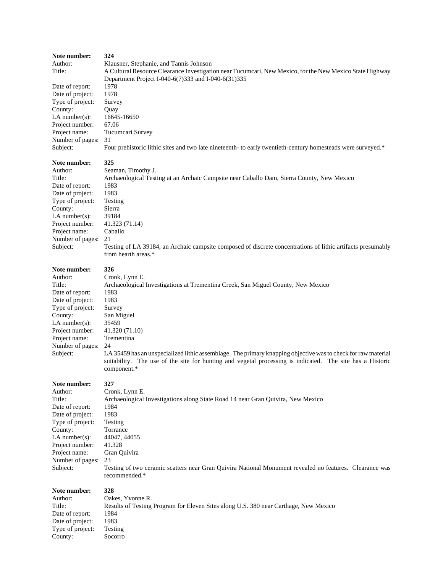| Note number:<br>Author:<br>Title:<br>Date of report:<br>Date of project:<br>Type of project:<br>County:<br>LA number $(s)$ :<br>Project number:<br>Project name:<br>Number of pages:<br>Subject: | 324<br>Klausner, Stephanie, and Tannis Johnson<br>A Cultural Resource Clearance Investigation near Tucumcari, New Mexico, for the New Mexico State Highway<br>Department Project I-040-6(7)333 and I-040-6(31)335<br>1978<br>1978<br>Survey<br>Quay<br>16645-16650<br>67.06<br>Tucumcari Survey<br>31<br>Four prehistoric lithic sites and two late nineteenth- to early twentieth-century homesteads were surveyed.*                         |
|--------------------------------------------------------------------------------------------------------------------------------------------------------------------------------------------------|-----------------------------------------------------------------------------------------------------------------------------------------------------------------------------------------------------------------------------------------------------------------------------------------------------------------------------------------------------------------------------------------------------------------------------------------------|
| Note number:<br>Author:<br>Title:<br>Date of report:<br>Date of project:<br>Type of project:<br>County:<br>LA number $(s)$ :<br>Project number:<br>Project name:<br>Number of pages:<br>Subject: | 325<br>Seaman, Timothy J.<br>Archaeological Testing at an Archaic Campsite near Caballo Dam, Sierra County, New Mexico<br>1983<br>1983<br>Testing<br>Sierra<br>39184<br>41.323 (71.14)<br>Caballo<br>21<br>Testing of LA 39184, an Archaic campsite composed of discrete concentrations of lithic artifacts presumably<br>from hearth areas.*                                                                                                 |
| Note number:<br>Author:<br>Title:<br>Date of report:<br>Date of project:<br>Type of project:<br>County:<br>LA number $(s)$ :<br>Project number:<br>Project name:<br>Number of pages:<br>Subject: | 326<br>Cronk, Lynn E.<br>Archaeological Investigations at Trementina Creek, San Miguel County, New Mexico<br>1983<br>1983<br>Survey<br>San Miguel<br>35459<br>41.320 (71.10)<br>Trementina<br>24<br>LA 35459 has an unspecialized lithic assemblage. The primary knapping objective was to check for raw material<br>suitability. The use of the site for hunting and vegetal processing is indicated. The site has a Historic<br>component.* |
| Note number:<br>Author:<br>Title:<br>Date of report:<br>Date of project:<br>Type of project:<br>County:<br>$LA$ number(s):<br>Project number:<br>Project name:<br>Number of pages:<br>Subject:   | 327<br>Cronk, Lynn E.<br>Archaeological Investigations along State Road 14 near Gran Quivira, New Mexico<br>1984<br>1983<br>Testing<br>Torrance<br>44047, 44055<br>41.328<br>Gran Quivira<br>23<br>Testing of two ceramic scatters near Gran Quivira National Monument revealed no features. Clearance was<br>recommended.*                                                                                                                   |
| Note number:<br>Author:<br>Title:<br>Date of report:<br>Date of project:                                                                                                                         | 328<br>Oakes, Yvonne R.<br>Results of Testing Program for Eleven Sites along U.S. 380 near Carthage, New Mexico<br>1984<br>1983                                                                                                                                                                                                                                                                                                               |

Type of project: Testing County: Socorro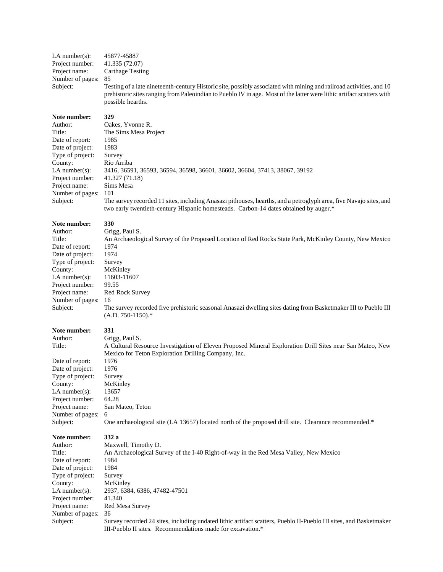| LA number(s):<br>Project number:<br>Project name:<br>Number of pages:<br>Subject:                                                                                                                | 45877-45887<br>41.335 (72.07)<br><b>Carthage Testing</b><br>85<br>Testing of a late nineteenth-century Historic site, possibly associated with mining and railroad activities, and 10<br>prehistoric sites ranging from Paleoindian to Pueblo IV in age. Most of the latter were lithic artifact scatters with<br>possible hearths.                                                                                       |
|--------------------------------------------------------------------------------------------------------------------------------------------------------------------------------------------------|---------------------------------------------------------------------------------------------------------------------------------------------------------------------------------------------------------------------------------------------------------------------------------------------------------------------------------------------------------------------------------------------------------------------------|
| Note number:<br>Author:<br>Title:<br>Date of report:<br>Date of project:<br>Type of project:<br>County:<br>$LA$ number(s):<br>Project number:<br>Project name:<br>Number of pages:<br>Subject:   | 329<br>Oakes, Yvonne R.<br>The Sims Mesa Project<br>1985<br>1983<br>Survey<br>Rio Arriba<br>3416, 36591, 36593, 36594, 36598, 36601, 36602, 36604, 37413, 38067, 39192<br>41.327 (71.18)<br>Sims Mesa<br>101<br>The survey recorded 11 sites, including Anasazi pithouses, hearths, and a petroglyph area, five Navajo sites, and<br>two early twentieth-century Hispanic homesteads. Carbon-14 dates obtained by auger.* |
| Note number:<br>Author:<br>Title:<br>Date of report:<br>Date of project:<br>Type of project:<br>County:<br>LA number $(s)$ :<br>Project number:<br>Project name:<br>Number of pages:<br>Subject: | 330<br>Grigg, Paul S.<br>An Archaeological Survey of the Proposed Location of Red Rocks State Park, McKinley County, New Mexico<br>1974<br>1974<br>Survey<br>McKinley<br>11603-11607<br>99.55<br>Red Rock Survey<br>16<br>The survey recorded five prehistoric seasonal Anasazi dwelling sites dating from Basketmaker III to Pueblo III<br>$(A.D. 750-1150).$ *                                                          |
| Note number:<br>Author:<br>Title:<br>Date of report:<br>Date of project:<br>Type of project:<br>County:<br>$LA$ number(s):<br>Project number:<br>Project name:<br>Number of pages:<br>Subject:   | 331<br>Grigg, Paul S.<br>A Cultural Resource Investigation of Eleven Proposed Mineral Exploration Drill Sites near San Mateo, New<br>Mexico for Teton Exploration Drilling Company, Inc.<br>1976<br>1976<br>Survey<br>McKinley<br>13657<br>64.28<br>San Mateo, Teton<br>6<br>One archaeological site (LA 13657) located north of the proposed drill site. Clearance recommended.*                                         |
| Note number:<br>Author:<br>Title:<br>Date of report:<br>Date of project:<br>Type of project:<br>County:<br>LA number $(s)$ :<br>Project number:<br>Project name:<br>Number of pages:<br>Subject: | 332 a<br>Maxwell, Timothy D.<br>An Archaeological Survey of the I-40 Right-of-way in the Red Mesa Valley, New Mexico<br>1984<br>1984<br>Survey<br>McKinley<br>2937, 6384, 6386, 47482-47501<br>41.340<br>Red Mesa Survey<br>36<br>Survey recorded 24 sites, including undated lithic artifact scatters, Pueblo II-Pueblo III sites, and Basketmaker<br>III-Pueblo II sites. Recommendations made for excavation.*         |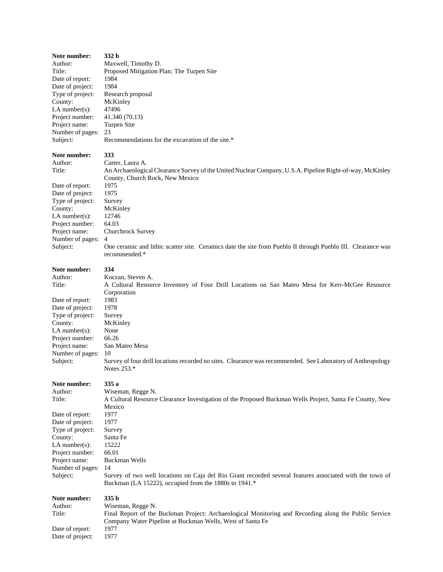| Note number:        | 332 b                                                                                                                                                              |
|---------------------|--------------------------------------------------------------------------------------------------------------------------------------------------------------------|
| Author:             | Maxwell, Timothy D.                                                                                                                                                |
| Title:              | Proposed Mitigation Plan: The Turpen Site                                                                                                                          |
| Date of report:     | 1984                                                                                                                                                               |
| Date of project:    | 1984                                                                                                                                                               |
| Type of project:    | Research proposal                                                                                                                                                  |
| County:             | McKinley                                                                                                                                                           |
| LA number $(s)$ :   | 47496                                                                                                                                                              |
| Project number:     | 41.340 (70.13)                                                                                                                                                     |
| Project name:       | Turpen Site                                                                                                                                                        |
| Number of pages:    | 23                                                                                                                                                                 |
| Subject:            | Recommendations for the excavation of the site.*                                                                                                                   |
| Note number:        | 333                                                                                                                                                                |
| Author:             | Carter, Laura A.                                                                                                                                                   |
| Title:              | An Archaeological Clearance Survey of the United Nuclear Company, U.S.A. Pipeline Right-of-way, McKinley<br>County, Church Rock, New Mexico                        |
| Date of report:     | 1975                                                                                                                                                               |
| Date of project:    | 1975                                                                                                                                                               |
| Type of project:    | Survey                                                                                                                                                             |
| County:             | McKinley                                                                                                                                                           |
| LA number $(s)$ :   | 12746                                                                                                                                                              |
| Project number:     | 64.03                                                                                                                                                              |
| Project name:       | Churchrock Survey                                                                                                                                                  |
| Number of pages:    | 4                                                                                                                                                                  |
| Subject:            | One ceramic and lithic scatter site. Ceramics date the site from Pueblo II through Pueblo III. Clearance was<br>recommended.*                                      |
| Note number:        | 334                                                                                                                                                                |
| Author:             | Koczan, Steven A.                                                                                                                                                  |
| Title:              | A Cultural Resource Inventory of Four Drill Locations on San Mateo Mesa for Kerr-McGee Resource                                                                    |
|                     | Corporation                                                                                                                                                        |
| Date of report:     | 1983                                                                                                                                                               |
| Date of project:    | 1978                                                                                                                                                               |
| Type of project:    | Survey                                                                                                                                                             |
| County:             | McKinley                                                                                                                                                           |
| LA number $(s)$ :   | None                                                                                                                                                               |
| Project number:     | 66.26                                                                                                                                                              |
| Project name:       | San Mateo Mesa                                                                                                                                                     |
| Number of pages:    | 10                                                                                                                                                                 |
| Subject:            | Survey of four drill locations recorded no sites. Clearance was recommended. See Laboratory of Anthropology<br>Notes 253.*                                         |
| Note number:        | 335 a                                                                                                                                                              |
| Author:             | Wiseman, Regge N.                                                                                                                                                  |
| Title:              | A Cultural Resource Clearance Investigation of the Proposed Buckman Wells Project, Santa Fe County, New                                                            |
|                     | Mexico                                                                                                                                                             |
| Date of report:     | 1977                                                                                                                                                               |
| Date of project:    | 1977                                                                                                                                                               |
| Type of project:    | Survey                                                                                                                                                             |
| County:             | Santa Fe                                                                                                                                                           |
| LA number $(s)$ :   | 15222                                                                                                                                                              |
| Project number:     | 66.01                                                                                                                                                              |
| Project name:       | Buckman Wells                                                                                                                                                      |
| Number of pages:    | 14                                                                                                                                                                 |
| Subject:            | Survey of two well locations on Caja del Rio Grant recorded several features associated with the town of<br>Buckman (LA 15222), occupied from the 1880s to 1941.*  |
| <b>Note number:</b> | 335 b                                                                                                                                                              |
| Author:             | Wiseman, Regge N.                                                                                                                                                  |
| Title:              | Final Report of the Buckman Project: Archaeological Monitoring and Recording along the Public Service<br>Company Water Pipeline at Buckman Wells, West of Santa Fe |
| Date of report:     | 1977                                                                                                                                                               |
| Date of project:    | 1977                                                                                                                                                               |
|                     |                                                                                                                                                                    |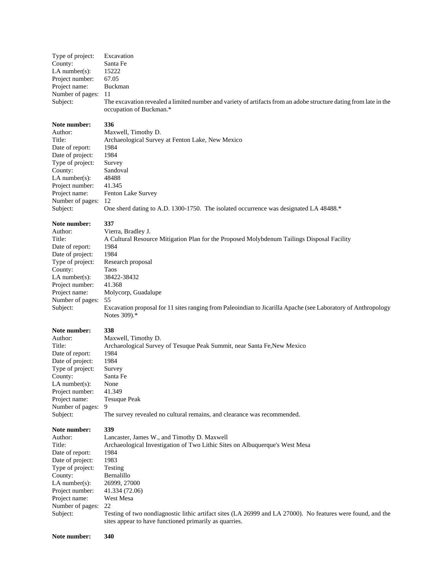| Type of project:<br>County:<br>LA number(s):<br>Project number:<br>Project name:<br>Number of pages:<br>Subject:                                                                                   | Excavation<br>Santa Fe<br>15222<br>67.05<br>Buckman<br>11<br>The excavation revealed a limited number and variety of artifacts from an adobe structure dating from late in the<br>occupation of Buckman.*                                                                                                                                                                                                |
|----------------------------------------------------------------------------------------------------------------------------------------------------------------------------------------------------|----------------------------------------------------------------------------------------------------------------------------------------------------------------------------------------------------------------------------------------------------------------------------------------------------------------------------------------------------------------------------------------------------------|
| Note number:<br>Author:<br>Title:<br>Date of report:<br>Date of project:<br>Type of project:<br>County:<br>LA number $(s)$ :<br>Project number:<br>Project name:<br>Number of pages:<br>Subject:   | 336<br>Maxwell, Timothy D.<br>Archaeological Survey at Fenton Lake, New Mexico<br>1984<br>1984<br>Survey<br>Sandoval<br>48488<br>41.345<br>Fenton Lake Survey<br>12<br>One sherd dating to A.D. 1300-1750. The isolated occurrence was designated LA 48488.*                                                                                                                                             |
| Note number:<br>Author:<br>Title:<br>Date of report:<br>Date of project:<br>Type of project:<br>County:<br>$LA$ number $(s)$ :<br>Project number:<br>Project name:<br>Number of pages:<br>Subject: | 337<br>Vierra, Bradley J.<br>A Cultural Resource Mitigation Plan for the Proposed Molybdenum Tailings Disposal Facility<br>1984<br>1984<br>Research proposal<br>Taos<br>38422-38432<br>41.368<br>Molycorp, Guadalupe<br>55<br>Excavation proposal for 11 sites ranging from Paleoindian to Jicarilla Apache (see Laboratory of Anthropology<br>Notes 309).*                                              |
| Note number:<br>Author:<br>Title:<br>Date of report:<br>Date of project:<br>Type of project:<br>County:<br>LA number $(s)$ :<br>Project number:<br>Project name:<br>Number of pages:<br>Subject:   | 338<br>Maxwell, Timothy D.<br>Archaeological Survey of Tesuque Peak Summit, near Santa Fe, New Mexico<br>1984<br>1984<br>Survey<br>Santa Fe<br>None<br>41.349<br><b>Tesuque Peak</b><br>9<br>The survey revealed no cultural remains, and clearance was recommended.                                                                                                                                     |
| Note number:<br>Author:<br>Title:<br>Date of report:<br>Date of project:<br>Type of project:<br>County:<br>$LA$ number(s):<br>Project number:<br>Project name:<br>Number of pages:<br>Subject:     | 339<br>Lancaster, James W., and Timothy D. Maxwell<br>Archaeological Investigation of Two Lithic Sites on Albuquerque's West Mesa<br>1984<br>1983<br>Testing<br>Bernalillo<br>26999, 27000<br>41.334 (72.06)<br>West Mesa<br>22<br>Testing of two nondiagnostic lithic artifact sites (LA 26999 and LA 27000). No features were found, and the<br>sites appear to have functioned primarily as quarries. |
| Note number:                                                                                                                                                                                       | 340                                                                                                                                                                                                                                                                                                                                                                                                      |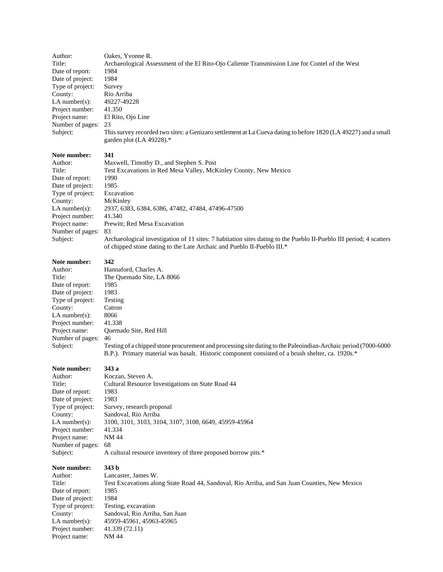| Author:<br>Title:<br>Date of report:<br>Date of project:<br>Type of project:<br>County:<br>$LA$ number(s):<br>Project number:<br>Project name:<br>Number of pages:<br>Subject: | Oakes, Yvonne R.<br>Archaeological Assessment of the El Rito-Ojo Caliente Transmission Line for Contel of the West<br>1984<br>1984<br>Survey<br>Rio Arriba<br>49227-49228<br>41.350<br>El Rito, Ojo Line<br>23<br>This survey recorded two sites: a Genizaro settlement at La Cueva dating to before 1820 (LA 49227) and a small<br>garden plot (LA 49228).* |
|--------------------------------------------------------------------------------------------------------------------------------------------------------------------------------|--------------------------------------------------------------------------------------------------------------------------------------------------------------------------------------------------------------------------------------------------------------------------------------------------------------------------------------------------------------|
| Note number:                                                                                                                                                                   | 341                                                                                                                                                                                                                                                                                                                                                          |
| Author:                                                                                                                                                                        | Maxwell, Timothy D., and Stephen S. Post                                                                                                                                                                                                                                                                                                                     |
| Title:                                                                                                                                                                         | Test Excavations in Red Mesa Valley, McKinley County, New Mexico                                                                                                                                                                                                                                                                                             |
| Date of report:                                                                                                                                                                | 1990                                                                                                                                                                                                                                                                                                                                                         |
| Date of project:                                                                                                                                                               | 1985                                                                                                                                                                                                                                                                                                                                                         |
| Type of project:                                                                                                                                                               | Excavation                                                                                                                                                                                                                                                                                                                                                   |
| County:                                                                                                                                                                        | McKinley                                                                                                                                                                                                                                                                                                                                                     |
| $LA$ number(s):                                                                                                                                                                | 2937, 6383, 6384, 6386, 47482, 47484, 47496-47500                                                                                                                                                                                                                                                                                                            |
| Project number:                                                                                                                                                                | 41.340                                                                                                                                                                                                                                                                                                                                                       |
| Project name:                                                                                                                                                                  | Prewitt; Red Mesa Excavation                                                                                                                                                                                                                                                                                                                                 |
| Number of pages:                                                                                                                                                               | 83                                                                                                                                                                                                                                                                                                                                                           |
| Subject:                                                                                                                                                                       | Archaeological investigation of 11 sites: 7 habitation sites dating to the Pueblo II-Pueblo III period; 4 scatters<br>of chipped stone dating to the Late Archaic and Pueblo II-Pueblo III.*                                                                                                                                                                 |
| Note number:                                                                                                                                                                   | 342                                                                                                                                                                                                                                                                                                                                                          |
| Author:                                                                                                                                                                        | Hannaford, Charles A.                                                                                                                                                                                                                                                                                                                                        |

# Title: The Quemado Site, LA 8066 Date of report: 1985 Date of project: 1983 Type of project: Testing County: Catron LA number(s):  $8066$ Project number: 41.338<br>Project name: Quema

Quemado Site, Red Hill Number of pages: 46<br>Subject: Tes Testing of a chipped stone procurement and processing site dating to the Paleoindian-Archaic period (7000-6000 B.P.). Primary material was basalt. Historic component consisted of a brush shelter, ca. 1920s.\*

### **Note number: 343 a**

Author:

Number of<br>Subject:

| Author:          | Koczan, Steven A.                                     |
|------------------|-------------------------------------------------------|
| Title:           | Cultural Resource Investigations on State Road 44     |
| Date of report:  | 1983                                                  |
| Date of project: | 1983                                                  |
| Type of project: | Survey, research proposal                             |
| County:          | Sandoval, Rio Arriba                                  |
| $LA$ number(s):  | 3100, 3101, 3103, 3104, 3107, 3108, 6649, 45959-45964 |
| Project number:  | 41.334                                                |
| Project name:    | NM 44                                                 |
| Number of pages: | 68                                                    |
|                  |                                                       |

A cultural resource inventory of three proposed borrow pits.\*

#### **Note number: 343 b**

Author: Lancaster, James W. Title: Test Excavations along State Road 44, Sandoval, Rio Arriba, and San Juan Counties, New Mexico Date of report: 1985 Date of project: 1984 Type of project: Testing, excavation County: Sandoval, Rio Arriba, San Juan LA number(s): 45959-45961, 45963-45965 Project number: 41.339 (72.11)<br>Project name: NM 44 Project name: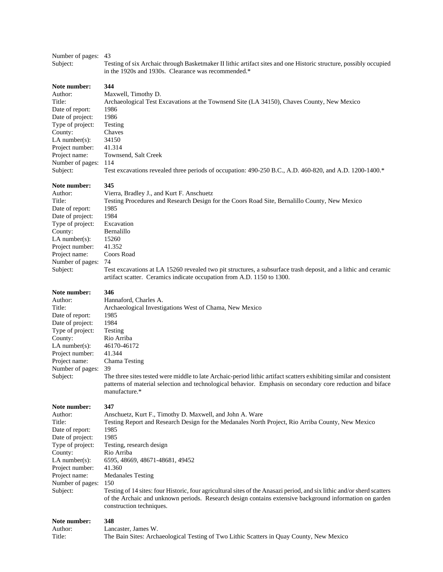### Number of pages: 43

Subject: Testing of six Archaic through Basketmaker II lithic artifact sites and one Historic structure, possibly occupied in the 1920s and 1930s. Clearance was recommended.\*

**Note number: 344**

Author: Maxwell, Timothy D. Title: Archaeological Test Excavations at the Townsend Site (LA 34150), Chaves County, New Mexico Date of report: 1986 Date of project: 1986 Type of project: Testing County: Chaves<br>LA number(s): 34150 LA number(s): 34150<br>Project number: 41.314 Project number: Project name: Townsend, Salt Creek Number of pages: 114 Subject: Test excavations revealed three periods of occupation: 490-250 B.C., A.D. 460-820, and A.D. 1200-1400.\*

**Note number: 345**

| Author:           | Vierra, Bradley J., and Kurt F. Anschuetz                                                                      |  |
|-------------------|----------------------------------------------------------------------------------------------------------------|--|
| Title:            | Testing Procedures and Research Design for the Coors Road Site, Bernalillo County, New Mexico                  |  |
| Date of report:   | 1985                                                                                                           |  |
| Date of project:  | 1984                                                                                                           |  |
| Type of project:  | Excavation                                                                                                     |  |
| County:           | Bernalillo                                                                                                     |  |
| LA number $(s)$ : | 15260                                                                                                          |  |
| Project number:   | 41.352                                                                                                         |  |
| Project name:     | Coors Road                                                                                                     |  |
| Number of pages:  | -74                                                                                                            |  |
| Subject:          | Test excavations at LA 15260 revealed two pit structures, a subsurface trash deposit, and a lithic and ceramic |  |
|                   | artifact scatter. Ceramics indicate occupation from A.D. 1150 to 1300.                                         |  |

| Note number:      | 346                                                                                                                                                                                                                                                 |
|-------------------|-----------------------------------------------------------------------------------------------------------------------------------------------------------------------------------------------------------------------------------------------------|
| Author:           | Hannaford, Charles A.                                                                                                                                                                                                                               |
| Title:            | Archaeological Investigations West of Chama, New Mexico                                                                                                                                                                                             |
| Date of report:   | 1985                                                                                                                                                                                                                                                |
| Date of project:  | 1984                                                                                                                                                                                                                                                |
| Type of project:  | Testing                                                                                                                                                                                                                                             |
| County:           | Rio Arriba                                                                                                                                                                                                                                          |
| LA number $(s)$ : | 46170-46172                                                                                                                                                                                                                                         |
| Project number:   | 41.344                                                                                                                                                                                                                                              |
| Project name:     | Chama Testing                                                                                                                                                                                                                                       |
| Number of pages:  | 39                                                                                                                                                                                                                                                  |
| Subject:          | The three sites tested were middle to late Archaic-period lithic artifact scatters exhibiting similar and consistent<br>patterns of material selection and technological behavior. Emphasis on secondary core reduction and biface<br>manufacture.* |
| Note number:      | 347                                                                                                                                                                                                                                                 |
| Author:           | Anschuetz, Kurt F., Timothy D. Maxwell, and John A. Ware                                                                                                                                                                                            |
| Title:            | Testing Report and Research Design for the Medanales North Project, Rio Arriba County, New Mexico                                                                                                                                                   |
| Date of report:   | 1985                                                                                                                                                                                                                                                |
| Date of project:  | 1985                                                                                                                                                                                                                                                |

Type of project: Testing, research design<br>County: Rio Arriba LA number(s): 6595, 48669, 48671-48681, 49452 Project number: 41.360 Project name: Medanales Testing Number of pages: 150 Subject: Testing of 14 sites: four Historic, four agricultural sites of the Anasazi period, and six lithic and/or sherd scatters

Rio Arriba

of the Archaic and unknown periods. Research design contains extensive background information on garden construction techniques. **Note number: 348**

| .       | .                                                                                        |
|---------|------------------------------------------------------------------------------------------|
| Author: | Lancaster, James W.                                                                      |
| Title:  | The Bain Sites: Archaeological Testing of Two Lithic Scatters in Quay County, New Mexico |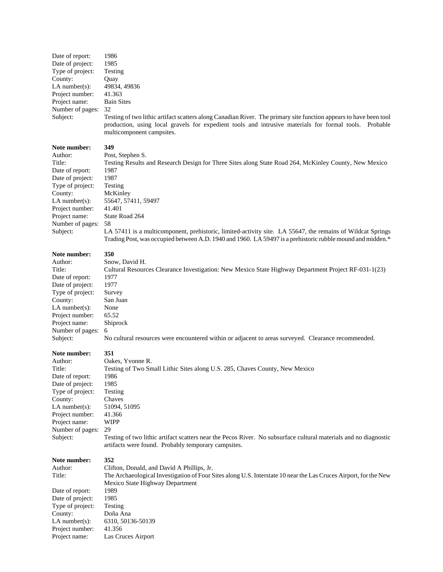| Date of report:  | 1986                                                                                                                                                                                                                                                     |
|------------------|----------------------------------------------------------------------------------------------------------------------------------------------------------------------------------------------------------------------------------------------------------|
| Date of project: | 1985                                                                                                                                                                                                                                                     |
| Type of project: | Testing                                                                                                                                                                                                                                                  |
| County:          | <b>Ouay</b>                                                                                                                                                                                                                                              |
| LA number(s):    | 49834, 49836                                                                                                                                                                                                                                             |
| Project number:  | 41.363                                                                                                                                                                                                                                                   |
| Project name:    | <b>Bain Sites</b>                                                                                                                                                                                                                                        |
| Number of pages: | 32                                                                                                                                                                                                                                                       |
| Subject:         | Testing of two lithic artifact scatters along Canadian River. The primary site function appears to have been tool<br>production, using local gravels for expedient tools and intrusive materials for formal tools. Probable<br>multicomponent campsites. |

Date of report: 1987 Date of project: 1987 Type of project: Testing County: McKinley Project number: Project name: State Road 264 Number of pages: 58

Author: Post, Stephen S. Title: Testing Results and Research Design for Three Sites along State Road 264, McKinley County, New Mexico LA number(s): 55647, 57411, 59497<br>Project number: 41.401 Subject: LA 57411 is a multicomponent, prehistoric, limited-activity site. LA 55647, the remains of Wildcat Springs

Trading Post, was occupied between A.D. 1940 and 1960. LA 59497 is a prehistoric rubble mound and midden.\*

#### **Note number: 350**

Date of report: 1977 Date of project: 1977 Type of project: Survey County: San Juan LA number(s): None Project number: 65.52 Project name: Shiprock Number of pages: 6

# Author: Snow, David H.

Title: Cultural Resources Clearance Investigation: New Mexico State Highway Department Project RF-031-1(23) Subject: No cultural resources were encountered within or adjacent to areas surveyed. Clearance recommended.

#### **Note number: 351**

Author: Oakes, Yvonne R. Title: Testing of Two Small Lithic Sites along U.S. 285, Chaves County, New Mexico Date of report: 1986 Date of project: 1985 Type of project: Testing County: Chaves LA number(s): 51094, 51095 Project number: 41.366 Project name: WIPP Number of pages: 29 Subject: Testing of two lithic artifact scatters near the Pecos River. No subsurface cultural materials and no diagnostic artifacts were found. Probably temporary campsites. **Note number: 352** Author: Clifton, Donald, and David A Phillips, Jr. Title: The Archaeological Investigation of Four Sites along U.S. Interstate 10 near the Las Cruces Airport, for the New Mexico State Highway Department Date of report: 1989 Date of project: 1985 Type of project: Testing<br>County: Doña A

Doña Ana LA number(s): 6310, 50136-50139 Project number: 41.356 Project name: Las Cruces Airport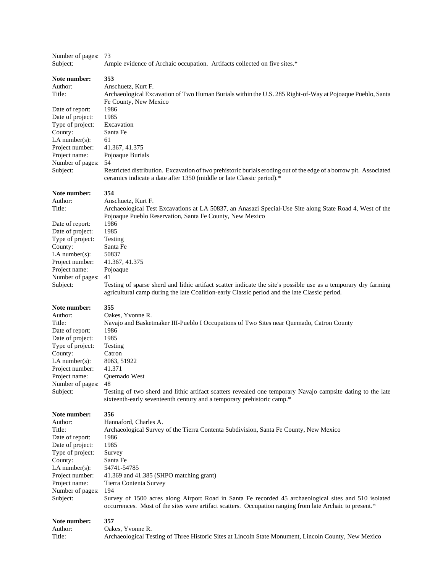| Subject:            | Ample evidence of Archaic occupation. Artifacts collected on five sites.*                                                                                                                                         |
|---------------------|-------------------------------------------------------------------------------------------------------------------------------------------------------------------------------------------------------------------|
| Note number:        | 353                                                                                                                                                                                                               |
| Author:             | Anschuetz, Kurt F.                                                                                                                                                                                                |
| Title:              | Archaeological Excavation of Two Human Burials within the U.S. 285 Right-of-Way at Pojoaque Pueblo, Santa<br>Fe County, New Mexico                                                                                |
| Date of report:     | 1986                                                                                                                                                                                                              |
| Date of project:    | 1985                                                                                                                                                                                                              |
| Type of project:    | Excavation                                                                                                                                                                                                        |
| County:             | Santa Fe                                                                                                                                                                                                          |
| $LA$ number(s):     | 61                                                                                                                                                                                                                |
|                     |                                                                                                                                                                                                                   |
| Project number:     | 41.367, 41.375                                                                                                                                                                                                    |
| Project name:       | Pojoaque Burials                                                                                                                                                                                                  |
| Number of pages:    | 54                                                                                                                                                                                                                |
| Subject:            | Restricted distribution. Excavation of two prehistoric burials eroding out of the edge of a borrow pit. Associated<br>ceramics indicate a date after 1350 (middle or late Classic period).*                       |
| Note number:        | 354                                                                                                                                                                                                               |
| Author:             | Anschuetz, Kurt F.                                                                                                                                                                                                |
| Title:              | Archaeological Test Excavations at LA 50837, an Anasazi Special-Use Site along State Road 4, West of the                                                                                                          |
|                     | Pojoaque Pueblo Reservation, Santa Fe County, New Mexico                                                                                                                                                          |
| Date of report:     | 1986                                                                                                                                                                                                              |
| Date of project:    | 1985                                                                                                                                                                                                              |
| Type of project:    | Testing                                                                                                                                                                                                           |
| County:             | Santa Fe                                                                                                                                                                                                          |
| LA number $(s)$ :   | 50837                                                                                                                                                                                                             |
| Project number:     | 41.367, 41.375                                                                                                                                                                                                    |
| Project name:       | Pojoaque                                                                                                                                                                                                          |
| Number of pages:    | 41                                                                                                                                                                                                                |
| Subject:            | Testing of sparse sherd and lithic artifact scatter indicate the site's possible use as a temporary dry farming<br>agricultural camp during the late Coalition-early Classic period and the late Classic period.  |
|                     |                                                                                                                                                                                                                   |
| Note number:        | 355                                                                                                                                                                                                               |
| Author:             |                                                                                                                                                                                                                   |
| Title:              | Oakes, Yvonne R.                                                                                                                                                                                                  |
|                     | Navajo and Basketmaker III-Pueblo I Occupations of Two Sites near Quemado, Catron County                                                                                                                          |
| Date of report:     | 1986                                                                                                                                                                                                              |
| Date of project:    | 1985                                                                                                                                                                                                              |
| Type of project:    | Testing                                                                                                                                                                                                           |
| County:             | Catron                                                                                                                                                                                                            |
| $LA$ number(s):     | 8063, 51922                                                                                                                                                                                                       |
| Project number:     | 41.371                                                                                                                                                                                                            |
| Project name:       | Quemado West                                                                                                                                                                                                      |
| Number of pages: 48 |                                                                                                                                                                                                                   |
| Subject:            | Testing of two sherd and lithic artifact scatters revealed one temporary Navajo campsite dating to the late<br>sixteenth-early seventeenth century and a temporary prehistoric camp.*                             |
| Note number:        | 356                                                                                                                                                                                                               |
| Author:             | Hannaford, Charles A.                                                                                                                                                                                             |
| Title:              | Archaeological Survey of the Tierra Contenta Subdivision, Santa Fe County, New Mexico                                                                                                                             |
| Date of report:     | 1986                                                                                                                                                                                                              |
| Date of project:    | 1985                                                                                                                                                                                                              |
| Type of project:    | Survey                                                                                                                                                                                                            |
| County:             | Santa Fe                                                                                                                                                                                                          |
| $LA$ number(s):     | 54741-54785                                                                                                                                                                                                       |
| Project number:     | 41.369 and 41.385 (SHPO matching grant)                                                                                                                                                                           |
| Project name:       | Tierra Contenta Survey                                                                                                                                                                                            |
|                     | 194                                                                                                                                                                                                               |
| Number of pages:    |                                                                                                                                                                                                                   |
| Subject:            | Survey of 1500 acres along Airport Road in Santa Fe recorded 45 archaeological sites and 510 isolated<br>occurrences. Most of the sites were artifact scatters. Occupation ranging from late Archaic to present.* |
| Note number:        | 357                                                                                                                                                                                                               |
| Author:             | Oakes, Yvonne R.                                                                                                                                                                                                  |

Number of pages: 73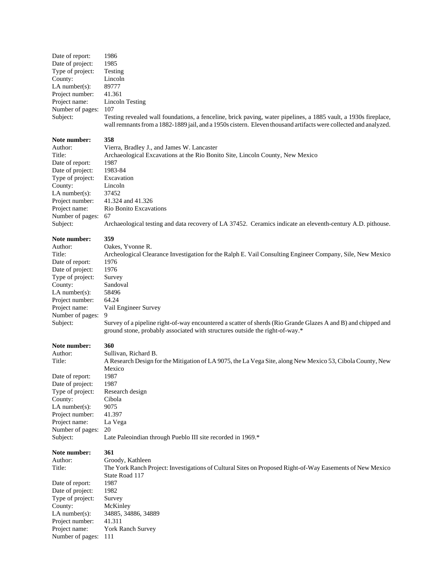| Date of report:                      | 1986                                                                                                                                                                                                                                |
|--------------------------------------|-------------------------------------------------------------------------------------------------------------------------------------------------------------------------------------------------------------------------------------|
| Date of project:                     | 1985                                                                                                                                                                                                                                |
| Type of project:                     | Testing                                                                                                                                                                                                                             |
| County:                              | Lincoln                                                                                                                                                                                                                             |
| LA number $(s)$ :                    | 89777                                                                                                                                                                                                                               |
| Project number:                      | 41.361                                                                                                                                                                                                                              |
| Project name:                        | <b>Lincoln Testing</b>                                                                                                                                                                                                              |
| Number of pages:                     | 107                                                                                                                                                                                                                                 |
| Subject:                             | Testing revealed wall foundations, a fenceline, brick paving, water pipelines, a 1885 vault, a 1930s fireplace,<br>wall remnants from a 1882-1889 jail, and a 1950s cistern. Eleven thousand artifacts were collected and analyzed. |
| Note number:                         | 358                                                                                                                                                                                                                                 |
| Author:                              | Vierra, Bradley J., and James W. Lancaster                                                                                                                                                                                          |
| Title:                               | Archaeological Excavations at the Rio Bonito Site, Lincoln County, New Mexico                                                                                                                                                       |
| Date of report:                      | 1987                                                                                                                                                                                                                                |
| Date of project:                     | 1983-84                                                                                                                                                                                                                             |
| Type of project:                     | Excavation                                                                                                                                                                                                                          |
| County:                              | Lincoln                                                                                                                                                                                                                             |
| LA number $(s)$ :                    | 37452                                                                                                                                                                                                                               |
| Project number:                      | 41.324 and 41.326                                                                                                                                                                                                                   |
| Project name:                        | Rio Bonito Excavations                                                                                                                                                                                                              |
| Number of pages:                     | 67                                                                                                                                                                                                                                  |
| Subject:                             | Archaeological testing and data recovery of LA 37452. Ceramics indicate an eleventh-century A.D. pithouse.                                                                                                                          |
| Note number:                         | 359                                                                                                                                                                                                                                 |
| Author:                              | Oakes, Yvonne R.                                                                                                                                                                                                                    |
| Title:                               | Archeological Clearance Investigation for the Ralph E. Vail Consulting Engineer Company, Sile, New Mexico                                                                                                                           |
| Date of report:                      | 1976                                                                                                                                                                                                                                |
| Date of project:                     | 1976                                                                                                                                                                                                                                |
| Type of project:                     | Survey                                                                                                                                                                                                                              |
| County:<br>LA number $(s)$ :         | Sandoval<br>58496                                                                                                                                                                                                                   |
| Project number:                      | 64.24                                                                                                                                                                                                                               |
| Project name:                        | Vail Engineer Survey                                                                                                                                                                                                                |
| Number of pages:                     | 9                                                                                                                                                                                                                                   |
| Subject:                             | Survey of a pipeline right-of-way encountered a scatter of sherds (Rio Grande Glazes A and B) and chipped and                                                                                                                       |
|                                      | ground stone, probably associated with structures outside the right-of-way.*                                                                                                                                                        |
| Note number:                         | 360                                                                                                                                                                                                                                 |
| Author:                              | Sullivan, Richard B.                                                                                                                                                                                                                |
| Title:                               | A Research Design for the Mitigation of LA 9075, the La Vega Site, along New Mexico 53, Cibola County, New                                                                                                                          |
| Date of report:                      | Mexico<br>1987                                                                                                                                                                                                                      |
| Date of project:                     | 1987                                                                                                                                                                                                                                |
| Type of project:                     | Research design                                                                                                                                                                                                                     |
| County:                              | Cibola                                                                                                                                                                                                                              |
| LA number $(s)$ :                    | 9075                                                                                                                                                                                                                                |
| Project number:                      | 41.397                                                                                                                                                                                                                              |
| Project name:                        | La Vega                                                                                                                                                                                                                             |
| Number of pages:                     | 20                                                                                                                                                                                                                                  |
| Subject:                             | Late Paleoindian through Pueblo III site recorded in 1969.*                                                                                                                                                                         |
| Note number:                         | 361                                                                                                                                                                                                                                 |
| Author:                              | Groody, Kathleen                                                                                                                                                                                                                    |
| Title:                               | The York Ranch Project: Investigations of Cultural Sites on Proposed Right-of-Way Easements of New Mexico                                                                                                                           |
|                                      | State Road 117                                                                                                                                                                                                                      |
| Date of report:                      | 1987                                                                                                                                                                                                                                |
| Date of project:<br>Type of project: | 1982                                                                                                                                                                                                                                |
| County:                              | Survey<br>McKinley                                                                                                                                                                                                                  |
| LA number $(s)$ :                    | 34885, 34886, 34889                                                                                                                                                                                                                 |
| Project number:                      | 41.311                                                                                                                                                                                                                              |
|                                      |                                                                                                                                                                                                                                     |

Project name: York Ranch Survey

Number of pages: 111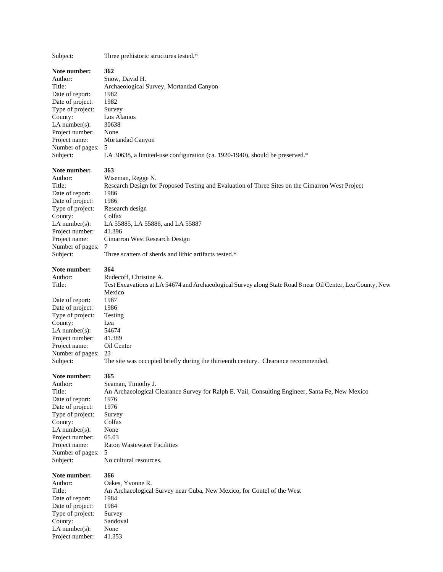Subject: Three prehistoric structures tested.\*

#### **Note number: 362**

Author: Snow, David H. Title: Archaeological Survey, Mortandad Canyon Date of report: 1982 Date of project: 1982 Type of project: Survey County: Los Alamos<br>LA number(s): 30638 LA number(s): Project number: None Project name: Mortandad Canyon Number of pages: 5 Subject: LA 30638, a limited-use configuration (ca. 1920-1940), should be preserved.\*

### **Note number: 363**

Author: Wiseman, Regge N. Title: Research Design for Proposed Testing and Evaluation of Three Sites on the Cimarron West Project Date of report: 1986 Date of project: 1986 Type of project: Research design County: Colfax LA number(s): LA 55885, LA 55886, and LA 55887 Project number: 41.396 Project name: Cimarron West Research Design Number of pages: 7 Subject: Three scatters of sherds and lithic artifacts tested.\*

#### **Note number: 364**

| Author:           | Rudecoff, Christine A.                                                                                     |
|-------------------|------------------------------------------------------------------------------------------------------------|
| Title:            | Test Excavations at LA 54674 and Archaeological Survey along State Road 8 near Oil Center, Lea County, New |
|                   | Mexico                                                                                                     |
| Date of report:   | 1987                                                                                                       |
| Date of project:  | 1986                                                                                                       |
| Type of project:  | Testing                                                                                                    |
| County:           | Lea                                                                                                        |
| LA number $(s)$ : | 54674                                                                                                      |
| Project number:   | 41.389                                                                                                     |
| Project name:     | Oil Center                                                                                                 |
| Number of pages:  | 23                                                                                                         |
| Subject:          | The site was occupied briefly during the thirteenth century. Clearance recommended.                        |
|                   |                                                                                                            |

**Note number: 365**

County:

Author: Seaman, Timothy J. Title: An Archaeological Clearance Survey for Ralph E. Vail, Consulting Engineer, Santa Fe, New Mexico Date of report: 1976 Date of project: 1976 Type of project: Survey<br>County: Colfax LA number(s): None Project number: 65.03 Project name: Raton Wastewater Facilities Number of pages: 5 Subject: No cultural resources.

#### **Note number: 366**

Author: Oakes, Yvonne R. Title: An Archaeological Survey near Cuba, New Mexico, for Contel of the West Date of report: 1984 Date of project: 1984<br>Type of project: Survey Type of project: County: Sandoval LA number(s): None Project number: 41.353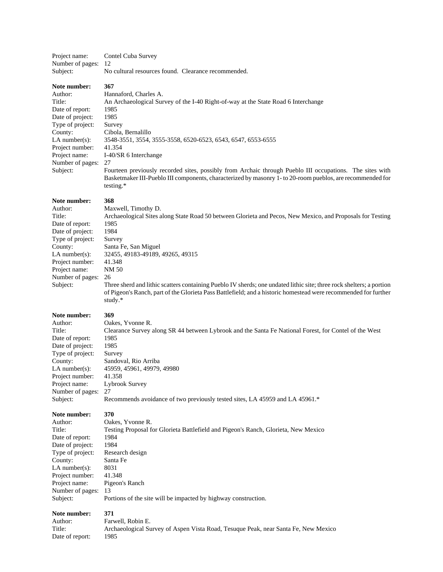| Project name:       | Contel Cuba Survey                                  |  |
|---------------------|-----------------------------------------------------|--|
| Number of pages: 12 |                                                     |  |
| Subject:            | No cultural resources found. Clearance recommended. |  |

Date of report: 1985 Date of project: 1985 Type of project: Survey<br>County: Cibola. Project number: 41.354 Number of pages: 27

Author: Hannaford, Charles A. Title: An Archaeological Survey of the I-40 Right-of-way at the State Road 6 Interchange Cibola, Bernalillo LA number(s): 3548-3551, 3554, 3555-3558, 6520-6523, 6543, 6547, 6553-6555 Project name: I-40/SR 6 Interchange

Subject: Fourteen previously recorded sites, possibly from Archaic through Pueblo III occupations. The sites with Basketmaker III-Pueblo III components, characterized by masonry 1- to 20-room pueblos, are recommended for testing.\*

#### **Note number: 368**

Author: Maxwell, Timothy D. Title: Archaeological Sites along State Road 50 between Glorieta and Pecos, New Mexico, and Proposals for Testing Date of report: 1985 Date of project: 1984 Type of project: Survey County: Santa Fe, San Miguel LA number(s): 32455, 49183-49189, 49265, 49315 Project number: 41.348 Project name: NM 50 Number of pages: 26

Subject: Three sherd and lithic scatters containing Pueblo IV sherds; one undated lithic site; three rock shelters; a portion of Pigeon's Ranch, part of the Glorieta Pass Battlefield; and a historic homestead were recommended for further study.\*

#### **Note number: 369**

Author: Oakes, Yvonne R. Title: Clearance Survey along SR 44 between Lybrook and the Santa Fe National Forest, for Contel of the West Date of report: 1985 Date of project: 1985 Type of project: Survey County: Sandoval, Rio Arriba LA number(s): 45959, 45961, 49979, 49980 Project number: 41.358 Project name: Lybrook Survey Number of pages: 27 Subject: Recommends avoidance of two previously tested sites, LA 45959 and LA 45961.\*

#### **Note number: 370**

| Author:           | Oakes, Yvonne R.                                                                   |
|-------------------|------------------------------------------------------------------------------------|
| Title:            | Testing Proposal for Glorieta Battlefield and Pigeon's Ranch, Glorieta, New Mexico |
| Date of report:   | 1984                                                                               |
| Date of project:  | 1984                                                                               |
| Type of project:  | Research design                                                                    |
| County:           | Santa Fe                                                                           |
| LA number $(s)$ : | 8031                                                                               |
| Project number:   | 41.348                                                                             |
| Project name:     | Pigeon's Ranch                                                                     |
| Number of pages:  | -13                                                                                |
| Subject:          | Portions of the site will be impacted by highway construction.                     |

#### **Note number: 371**

Author: Farwell, Robin E. Title: Archaeological Survey of Aspen Vista Road, Tesuque Peak, near Santa Fe, New Mexico Date of report: 1985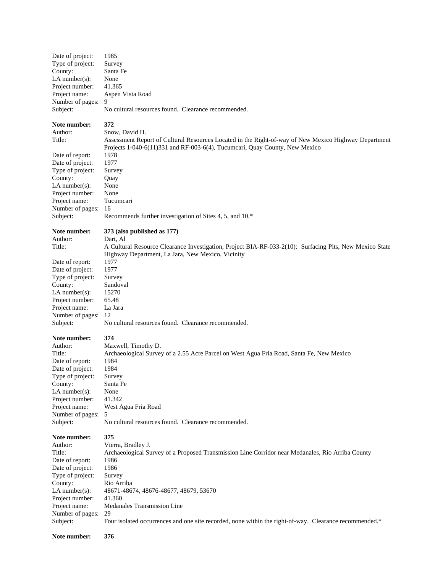| Date of project:                                                                                                                                            | 1985                                                                                                                                                                                                         |
|-------------------------------------------------------------------------------------------------------------------------------------------------------------|--------------------------------------------------------------------------------------------------------------------------------------------------------------------------------------------------------------|
| Type of project:                                                                                                                                            | Survey                                                                                                                                                                                                       |
| County:                                                                                                                                                     | Santa Fe                                                                                                                                                                                                     |
| LA number(s):                                                                                                                                               | None                                                                                                                                                                                                         |
| Project number:                                                                                                                                             | 41.365                                                                                                                                                                                                       |
| Project name:                                                                                                                                               | Aspen Vista Road                                                                                                                                                                                             |
| Number of pages:                                                                                                                                            | 9                                                                                                                                                                                                            |
| Subject:                                                                                                                                                    | No cultural resources found. Clearance recommended.                                                                                                                                                          |
| Note number:<br>Author:<br>Title:                                                                                                                           | 372<br>Snow, David H.<br>Assessment Report of Cultural Resources Located in the Right-of-way of New Mexico Highway Department<br>Projects 1-040-6(11)331 and RF-003-6(4), Tucumcari, Quay County, New Mexico |
| Date of report:                                                                                                                                             | 1978                                                                                                                                                                                                         |
| Date of project:                                                                                                                                            | 1977                                                                                                                                                                                                         |
| Type of project:                                                                                                                                            | Survey                                                                                                                                                                                                       |
| County:                                                                                                                                                     | Quay                                                                                                                                                                                                         |
| $LA$ number(s):                                                                                                                                             | None                                                                                                                                                                                                         |
| Project number:                                                                                                                                             | None                                                                                                                                                                                                         |
| Project name:                                                                                                                                               | Tucumcari                                                                                                                                                                                                    |
| Number of pages:                                                                                                                                            | 16                                                                                                                                                                                                           |
| Subject:                                                                                                                                                    | Recommends further investigation of Sites 4, 5, and 10.*                                                                                                                                                     |
| Note number:                                                                                                                                                | 373 (also published as 177)                                                                                                                                                                                  |
| Author:                                                                                                                                                     | Dart, Al                                                                                                                                                                                                     |
| Title:                                                                                                                                                      | A Cultural Resource Clearance Investigation, Project BIA-RF-033-2(10): Surfacing Pits, New Mexico State                                                                                                      |
| Date of report:<br>Date of project:<br>Type of project:<br>County:<br>LA number $(s)$ :<br>Project number:<br>Project name:<br>Number of pages:<br>Subject: | Highway Department, La Jara, New Mexico, Vicinity<br>1977<br>1977<br>Survey<br>Sandoval<br>15270<br>65.48<br>La Jara<br>12<br>No cultural resources found. Clearance recommended.                            |
| Note number:                                                                                                                                                | 374                                                                                                                                                                                                          |
| Author:                                                                                                                                                     | Maxwell, Timothy D.                                                                                                                                                                                          |
| Title:                                                                                                                                                      | Archaeological Survey of a 2.55 Acre Parcel on West Agua Fria Road, Santa Fe, New Mexico                                                                                                                     |
| Date of report:                                                                                                                                             | 1984                                                                                                                                                                                                         |
| Date of project:                                                                                                                                            | 1984                                                                                                                                                                                                         |
| Type of project:                                                                                                                                            | Survey                                                                                                                                                                                                       |
| County:                                                                                                                                                     | Santa Fe                                                                                                                                                                                                     |
| $LA$ number(s):                                                                                                                                             | None                                                                                                                                                                                                         |
| Project number:                                                                                                                                             | 41.342                                                                                                                                                                                                       |
| Project name:                                                                                                                                               | West Agua Fria Road                                                                                                                                                                                          |
| Number of pages:                                                                                                                                            | 5                                                                                                                                                                                                            |
| Subject:                                                                                                                                                    | No cultural resources found. Clearance recommended.                                                                                                                                                          |
| Note number:                                                                                                                                                | 375                                                                                                                                                                                                          |
| Author:                                                                                                                                                     | Vierra, Bradley J.                                                                                                                                                                                           |
| Title:                                                                                                                                                      | Archaeological Survey of a Proposed Transmission Line Corridor near Medanales, Rio Arriba County                                                                                                             |
| Date of report:                                                                                                                                             | 1986                                                                                                                                                                                                         |
| Date of project:                                                                                                                                            | 1986                                                                                                                                                                                                         |
| Type of project:                                                                                                                                            | Survey                                                                                                                                                                                                       |
| County:                                                                                                                                                     | Rio Arriba                                                                                                                                                                                                   |
| $LA$ number(s):                                                                                                                                             | 48671-48674, 48676-48677, 48679, 53670                                                                                                                                                                       |
| Project number:                                                                                                                                             | 41.360                                                                                                                                                                                                       |
| Project name:                                                                                                                                               | Medanales Transmission Line                                                                                                                                                                                  |
| Number of pages:                                                                                                                                            | 29                                                                                                                                                                                                           |
| Subject:                                                                                                                                                    | Four isolated occurrences and one site recorded, none within the right-of-way. Clearance recommended.*                                                                                                       |
| Note number:                                                                                                                                                | 376                                                                                                                                                                                                          |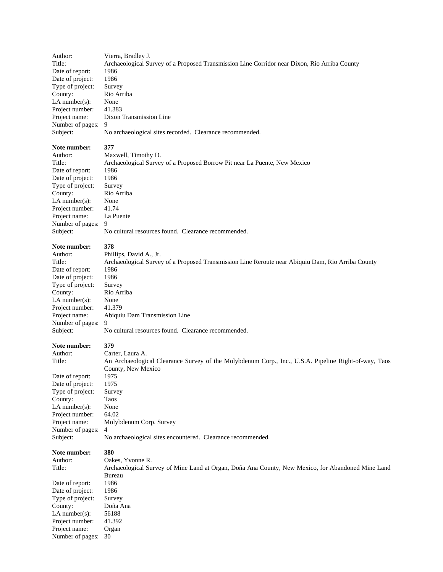Author: Vierra, Bradley J. Title: Archaeological Survey of a Proposed Transmission Line Corridor near Dixon, Rio Arriba County Date of report: 1986 Date of project: 1986 Type of project: Survey County: Rio Arriba LA number(s): None Project number: 41.383 Project name: Dixon Transmission Line Number of pages: 9 Subject: No archaeological sites recorded. Clearance recommended. **Note number: 377** Author: Maxwell, Timothy D.

Date of report: 1986 Date of project: 1986 Type of project: Survey County: Rio Arriba LA number(s): None Project number: 41.74 Project name: La Puente Number of pages: 9

Title: Archaeological Survey of a Proposed Borrow Pit near La Puente, New Mexico Subject: No cultural resources found. Clearance recommended.

#### **Note number: 378**

Author: Phillips, David A., Jr. Title: Archaeological Survey of a Proposed Transmission Line Reroute near Abiquiu Dam, Rio Arriba County Date of report: 1986 Date of project: 1986 Type of project: Survey County: Rio Arriba<br>LA number(s): None LA number $(s)$ : Project number: 41.379 Number of pages: 9

#### **Note number: 379**

Date of report: 1975 Date of project: 1975 Type of project: Survey County: Taos LA number(s): None Project number: 64.02 Number of pages: 4

Project name: Abiquiu Dam Transmission Line Subject: No cultural resources found. Clearance recommended. Author: Carter, Laura A. Title: An Archaeological Clearance Survey of the Molybdenum Corp., Inc., U.S.A. Pipeline Right-of-way, Taos

County, New Mexico Project name: Molybdenum Corp. Survey Subject: No archaeological sites encountered. Clearance recommended.

## **Note number: 380**

Author: Oakes, Yvonne R.

Title: Archaeological Survey of Mine Land at Organ, Doña Ana County, New Mexico, for Abandoned Mine Land Bureau Date of report: 1986 Date of project: 1986 Type of project: Survey County: Doña Ana LA number(s): 56188 Project number: 41.392 Project name: Organ Number of pages: 30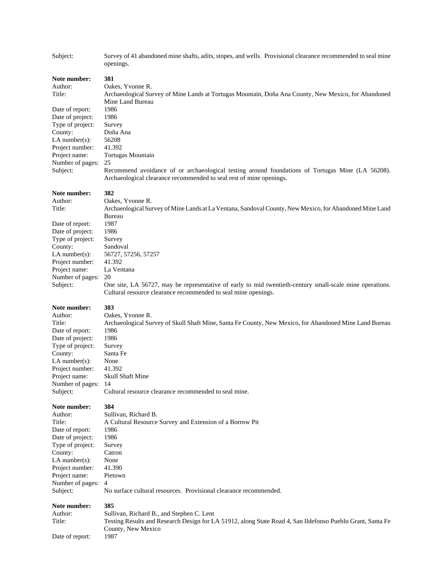| Subject:                          | Survey of 41 abandoned mine shafts, adits, stopes, and wells. Provisional clearance recommended to seal mine<br>openings.                                                     |
|-----------------------------------|-------------------------------------------------------------------------------------------------------------------------------------------------------------------------------|
| Note number:<br>Author:<br>Title: | 381<br>Oakes, Yvonne R.<br>Archaeological Survey of Mine Lands at Tortugas Mountain, Doña Ana County, New Mexico, for Abandoned<br>Mine Land Bureau                           |
| Date of report:                   | 1986                                                                                                                                                                          |
| Date of project:                  | 1986                                                                                                                                                                          |
| Type of project:                  | Survey                                                                                                                                                                        |
| County:                           | Doña Ana                                                                                                                                                                      |
| LA number $(s)$ :                 | 56208                                                                                                                                                                         |
| Project number:                   | 41.392                                                                                                                                                                        |
| Project name:                     | <b>Tortugas Mountain</b>                                                                                                                                                      |
| Number of pages:<br>Subject:      | 25<br>Recommend avoidance of or archaeological testing around foundations of Tortugas Mine (LA 56208).<br>Archaeological clearance recommended to seal rest of mine openings. |
| Note number:                      | 382                                                                                                                                                                           |
| Author:                           | Oakes, Yvonne R.                                                                                                                                                              |
| Title:                            | Archaeological Survey of Mine Lands at La Ventana, Sandoval County, New Mexico, for Abandoned Mine Land<br>Bureau                                                             |
| Date of report:                   | 1987                                                                                                                                                                          |
| Date of project:                  | 1986                                                                                                                                                                          |
| Type of project:                  | Survey                                                                                                                                                                        |
| County:                           | Sandoval                                                                                                                                                                      |
| LA number $(s)$ :                 | 56727, 57256, 57257                                                                                                                                                           |
| Project number:                   | 41.392                                                                                                                                                                        |
| Project name:                     | La Ventana                                                                                                                                                                    |
| Number of pages:                  | 20                                                                                                                                                                            |
| Subject:                          | One site, LA 56727, may be representative of early to mid twentieth-century small-scale mine operations.<br>Cultural resource clearance recommended to seal mine openings.    |
| Note number:                      | 383                                                                                                                                                                           |
| Author:                           | Oakes, Yvonne R.                                                                                                                                                              |
| Title:                            | Archaeological Survey of Skull Shaft Mine, Santa Fe County, New Mexico, for Abandoned Mine Land Bureau                                                                        |
| Date of report:                   | 1986                                                                                                                                                                          |
| Date of project:                  | 1986                                                                                                                                                                          |
| Type of project:                  | Survey                                                                                                                                                                        |
| County:                           | Santa Fe                                                                                                                                                                      |
| LA number $(s)$ :                 | None                                                                                                                                                                          |
| Project number:                   | 41.392                                                                                                                                                                        |
| Project name:                     | Skull Shaft Mine                                                                                                                                                              |
| Number of pages:                  | 14                                                                                                                                                                            |
| Subject:                          | Cultural resource clearance recommended to seal mine.                                                                                                                         |
| Note number:                      | 384                                                                                                                                                                           |
| Author:                           | Sullivan, Richard B.                                                                                                                                                          |
| Title:                            | A Cultural Resource Survey and Extension of a Borrow Pit                                                                                                                      |
| Date of report:                   | 1986                                                                                                                                                                          |
| Date of project:                  | 1986                                                                                                                                                                          |
| Type of project:                  | Survey                                                                                                                                                                        |
| County:                           | Catron                                                                                                                                                                        |
| LA number $(s)$ :                 | None                                                                                                                                                                          |
| Project number:                   | 41.390                                                                                                                                                                        |
| Project name:                     | Pietown                                                                                                                                                                       |
| Number of pages:                  | 4                                                                                                                                                                             |
| Subject:                          | No surface cultural resources. Provisional clearance recommended.                                                                                                             |
| Note number:                      | 385                                                                                                                                                                           |
| Author:                           | Sullivan, Richard B., and Stephen C. Lent                                                                                                                                     |
| Title:                            | Testing Results and Research Design for LA 51912, along State Road 4, San Ildefonso Pueblo Grant, Santa Fe                                                                    |
| Date of report:                   | County, New Mexico<br>1987                                                                                                                                                    |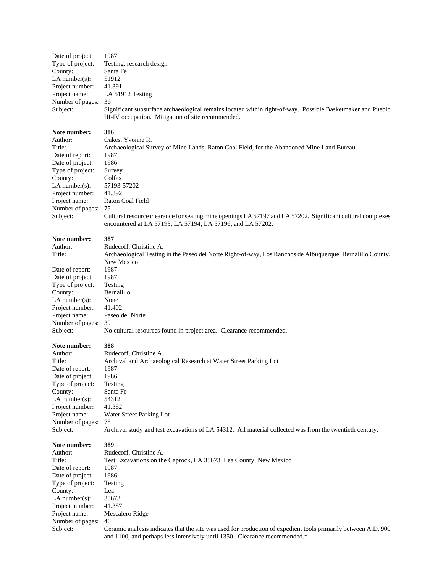Date of project: 1987 County: Santa Fe LA number(s):  $51912$ Project number: 41.391 Number of pages: 36

Type of project: Testing, research design Project name: LA 51912 Testing Subject: Significant subsurface archaeological remains located within right-of-way. Possible Basketmaker and Pueblo III-IV occupation. Mitigation of site recommended.

#### **Note number: 386**

Date of report: 1987 Date of project: 1986 Type of project: Survey County: Colfax LA number(s): 57193-57202 Project number: 41.392 Number of pages: 75

Author: Oakes, Yvonne R. Title: Archaeological Survey of Mine Lands, Raton Coal Field, for the Abandoned Mine Land Bureau Project name: Raton Coal Field Subject: Cultural resource clearance for sealing mine openings LA 57197 and LA 57202. Significant cultural complexes encountered at LA 57193, LA 57194, LA 57196, and LA 57202.

#### **Note number: 387**

Author: Rudecoff, Christine A. Title: Archaeological Testing in the Paseo del Norte Right-of-way, Los Ranchos de Albuquerque, Bernalillo County,

Date of report: 1987 Date of project: 1987 Type of project: Testing County: Bernalillo LA number(s): None Project number: 41.402

New Mexico Project name: Paseo del Norte Number of pages: 39

#### Subject: No cultural resources found in project area. Clearance recommended.

#### **Note number: 388**

| Author:           | Rudecoff, Christine A.                                                                                  |
|-------------------|---------------------------------------------------------------------------------------------------------|
| Title:            | Archival and Archaeological Research at Water Street Parking Lot                                        |
| Date of report:   | 1987                                                                                                    |
| Date of project:  | 1986                                                                                                    |
| Type of project:  | Testing                                                                                                 |
| County:           | Santa Fe                                                                                                |
| LA number $(s)$ : | 54312                                                                                                   |
| Project number:   | 41.382                                                                                                  |
| Project name:     | Water Street Parking Lot                                                                                |
| Number of pages:  | 78                                                                                                      |
| Subject:          | Archival study and test excavations of LA 54312. All material collected was from the twentieth century. |

#### **Note number: 389**

Author: Rudecoff, Christine A. Title: Test Excavations on the Caprock, LA 35673, Lea County, New Mexico Date of report: 1987 Date of project: 1986 Type of project: Testing County: Lea LA number(s):  $35673$ Project number: 41.387 Project name: Mescalero Ridge Number of pages: 46 Subject: Ceramic analysis indicates that the site was used for production of expedient tools primarily between A.D. 900 and 1100, and perhaps less intensively until 1350. Clearance recommended.\*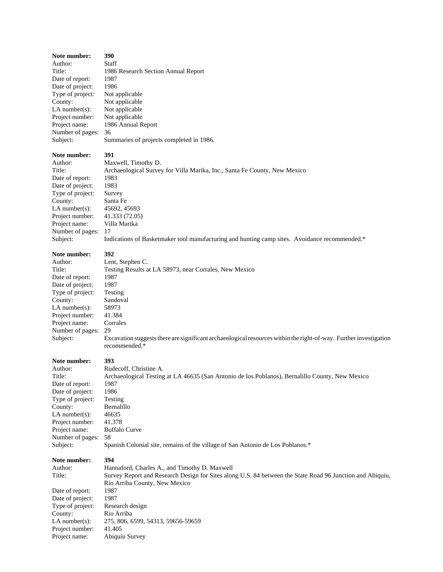| Note number:     | 390                                      |
|------------------|------------------------------------------|
| Author:          | Staff                                    |
| Title:           | 1986 Research Section Annual Report      |
| Date of report:  | 1987                                     |
| Date of project: | 1986                                     |
| Type of project: | Not applicable                           |
| County:          | Not applicable                           |
| $LA$ number(s):  | Not applicable                           |
| Project number:  | Not applicable                           |
| Project name:    | 1986 Annual Report                       |
| Number of pages: | 36                                       |
| Subject:         | Summaries of projects completed in 1986. |
|                  |                                          |

# **Note number:** 391<br>Author: Max

Date of report: 1983 Date of project: 1983 Type of project: Survey County: Santa Fe<br>LA number(s): 45692, 45693 LA number(s): 45692, 45693<br>Project number: 41.333 (72.05) Project number: 41.333 (72.05<br>Project name: Villa Marika Project name: Number of pages: 17<br>Subject: Ind

Maxwell, Timothy D. Title: Archaeological Survey for Villa Marika, Inc., Santa Fe County, New Mexico Indications of Basketmaker tool manufacturing and hunting camp sites. Avoidance recommended.\*

| Note number:     | 392                                                                                                                                |
|------------------|------------------------------------------------------------------------------------------------------------------------------------|
| Author:          | Lent, Stephen C.                                                                                                                   |
| Title:           | Testing Results at LA 58973, near Corrales, New Mexico                                                                             |
| Date of report:  | 1987                                                                                                                               |
| Date of project: | 1987                                                                                                                               |
| Type of project: | Testing                                                                                                                            |
| County:          | Sandoval                                                                                                                           |
| LA number(s):    | 58973                                                                                                                              |
| Project number:  | 41.384                                                                                                                             |
| Project name:    | Corrales                                                                                                                           |
| Number of pages: | 29                                                                                                                                 |
| Subject:         | Excavation suggests there are significant archaeological resources within the right-of-way. Further investigation<br>recommended.* |

### **Note number: 393**

#### Author: Rudecoff, Christine A. Title: Archaeological Testing at LA 46635 (San Antonio de los Poblanos), Bernalillo County, New Mexico Date of report: 1987 Date of project: 1986 Type of project: Testing<br>County: Bernalillo County: Bernal<br>LA number(s): 46635 LA number(s): 46635<br>Project number: 41.378 Project number: 41.378<br>Project name: Buffalo Curve Project name: Number of pages: 58<br>Subject: Spa Spanish Colonial site, remains of the village of San Antonio de Los Poblanos.\*

### **Note number: 394**

| Author:          | Hannaford, Charles A., and Timothy D. Maxwell                                                             |
|------------------|-----------------------------------------------------------------------------------------------------------|
| Title:           | Survey Report and Research Design for Sites along U.S. 84 between the State Road 96 Junction and Abiquiu, |
|                  | Rio Arriba County, New Mexico                                                                             |
| Date of report:  | 1987                                                                                                      |
| Date of project: | 1987                                                                                                      |
| Type of project: | Research design                                                                                           |
| County:          | Rio Arriba                                                                                                |
| $LA$ number(s):  | 275, 806, 6599, 54313, 59656-59659                                                                        |
| Project number:  | 41.405                                                                                                    |
| Project name:    | Abiquiu Survey                                                                                            |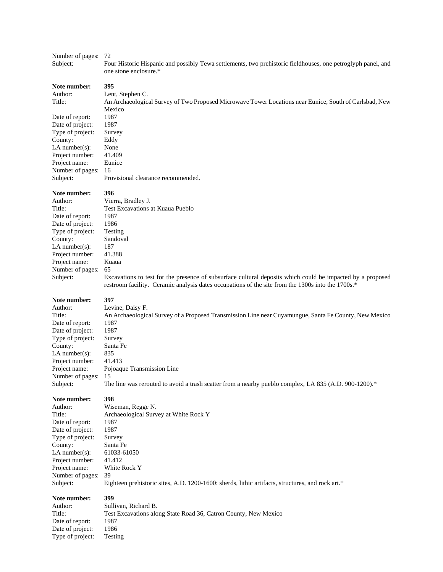# Number of pages: 72

Subject: Four Historic Hispanic and possibly Tewa settlements, two prehistoric fieldhouses, one petroglyph panel, and one stone enclosure.\*

**Note number: 395** Author: Lent, Stephen C. Title: An Archaeological Survey of Two Proposed Microwave Tower Locations near Eunice, South of Carlsbad, New Mexico Date of report: 1987 Date of project: 1987 Type of project: Survey County: Eddy LA number(s): None<br>Project number: 41.409 Project number: Project name: Eunice Number of pages: 16 Subject: Provisional clearance recommended.

#### **Note number: 396**

| Author:          | Vierra, Bradley J.                                                                                                                                                                                              |
|------------------|-----------------------------------------------------------------------------------------------------------------------------------------------------------------------------------------------------------------|
| Title:           | <b>Test Excavations at Kuaua Pueblo</b>                                                                                                                                                                         |
| Date of report:  | 1987                                                                                                                                                                                                            |
| Date of project: | 1986                                                                                                                                                                                                            |
| Type of project: | Testing                                                                                                                                                                                                         |
| County:          | Sandoval                                                                                                                                                                                                        |
| LA number(s):    | 187                                                                                                                                                                                                             |
| Project number:  | 41.388                                                                                                                                                                                                          |
| Project name:    | Kuaua                                                                                                                                                                                                           |
| Number of pages: | 65                                                                                                                                                                                                              |
| Subject:         | Excavations to test for the presence of subsurface cultural deposits which could be impacted by a proposed<br>restroom facility. Ceramic analysis dates occupations of the site from the 1300s into the 1700s.* |
| Note number:     | 397                                                                                                                                                                                                             |
| Author:          | Levine, Daisy F.                                                                                                                                                                                                |
| Title:           | An Archaeological Survey of a Proposed Transmission Line near Cuyamungue, Santa Fe County, New Mexico                                                                                                           |
| Date of report:  | 1987                                                                                                                                                                                                            |
| Date of project: | 1987                                                                                                                                                                                                            |
| Type of project: | Survey                                                                                                                                                                                                          |
| County:          | Santa Fe                                                                                                                                                                                                        |
| LA number(s):    | 835                                                                                                                                                                                                             |
| Project number:  | 41.413                                                                                                                                                                                                          |

Number of pages: 15 Subject: The line was rerouted to avoid a trash scatter from a nearby pueblo complex, LA 835 (A.D. 900-1200).\*

**Note number: 398**

Date of project:

LA number(s):

Project name: Pojoaque Transmission Line

Author: Wiseman, Regge N. Title: Archaeological Survey at White Rock Y Date of report: 1987<br>Date of project: 1987 Type of project: Survey County: Santa Fe<br>LA number(s): 61033-61050 Project number: 41.412 Project name: White Rock Y Number of pages: 39 Subject: Eighteen prehistoric sites, A.D. 1200-1600: sherds, lithic artifacts, structures, and rock art.\*

#### **Note number: 399**

| Author:          | Sullivar |
|------------------|----------|
| Title:           | Test Exe |
| Date of report:  | 1987     |
| Date of project: | 1986     |
| Type of project: | Testing  |

Sullivan, Richard B. Test Excavations along State Road 36, Catron County, New Mexico 1987 1986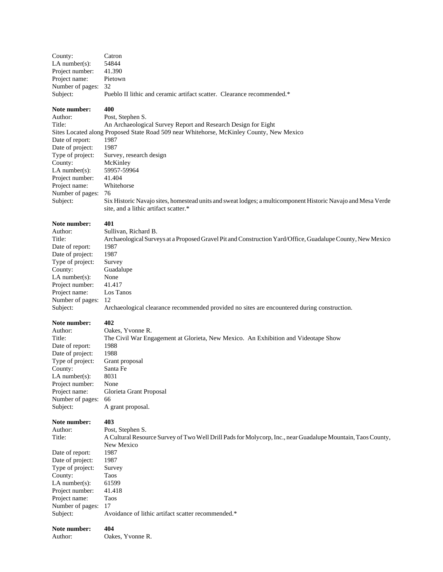| County:                                                                                                                                                                                          | Catron                                                                                                                                                                                                                                                                                                                                                                                                                                            |
|--------------------------------------------------------------------------------------------------------------------------------------------------------------------------------------------------|---------------------------------------------------------------------------------------------------------------------------------------------------------------------------------------------------------------------------------------------------------------------------------------------------------------------------------------------------------------------------------------------------------------------------------------------------|
| LA number $(s)$ :                                                                                                                                                                                | 54844                                                                                                                                                                                                                                                                                                                                                                                                                                             |
| Project number:                                                                                                                                                                                  | 41.390                                                                                                                                                                                                                                                                                                                                                                                                                                            |
| Project name:                                                                                                                                                                                    | Pietown                                                                                                                                                                                                                                                                                                                                                                                                                                           |
| Number of pages:                                                                                                                                                                                 | 32                                                                                                                                                                                                                                                                                                                                                                                                                                                |
| Subject:                                                                                                                                                                                         | Pueblo II lithic and ceramic artifact scatter. Clearance recommended.*                                                                                                                                                                                                                                                                                                                                                                            |
| Note number:<br>Author:<br>Title:<br>Date of report:<br>Date of project:<br>Type of project:<br>County:<br>LA number $(s)$ :<br>Project number:<br>Project name:<br>Number of pages:<br>Subject: | 400<br>Post, Stephen S.<br>An Archaeological Survey Report and Research Design for Eight<br>Sites Located along Proposed State Road 509 near Whitehorse, McKinley County, New Mexico<br>1987<br>1987<br>Survey, research design<br>McKinley<br>59957-59964<br>41.404<br>Whitehorse<br>76<br>Six Historic Navajo sites, homestead units and sweat lodges; a multicomponent Historic Navajo and Mesa Verde<br>site, and a lithic artifact scatter.* |
| Note number:                                                                                                                                                                                     | 401                                                                                                                                                                                                                                                                                                                                                                                                                                               |
| Author:                                                                                                                                                                                          | Sullivan, Richard B.                                                                                                                                                                                                                                                                                                                                                                                                                              |
| Title:                                                                                                                                                                                           | Archaeological Surveys at a Proposed Gravel Pit and Construction Yard/Office, Guadalupe County, New Mexico                                                                                                                                                                                                                                                                                                                                        |
| Date of report:                                                                                                                                                                                  | 1987                                                                                                                                                                                                                                                                                                                                                                                                                                              |
| Date of project:                                                                                                                                                                                 | 1987                                                                                                                                                                                                                                                                                                                                                                                                                                              |
| Type of project:                                                                                                                                                                                 | Survey                                                                                                                                                                                                                                                                                                                                                                                                                                            |
| County:                                                                                                                                                                                          | Guadalupe                                                                                                                                                                                                                                                                                                                                                                                                                                         |
| $LA$ number $(s)$ :                                                                                                                                                                              | None                                                                                                                                                                                                                                                                                                                                                                                                                                              |
| Project number:                                                                                                                                                                                  | 41.417                                                                                                                                                                                                                                                                                                                                                                                                                                            |
| Project name:                                                                                                                                                                                    | Los Tanos                                                                                                                                                                                                                                                                                                                                                                                                                                         |
| Number of pages:                                                                                                                                                                                 | 12                                                                                                                                                                                                                                                                                                                                                                                                                                                |
| Subject:                                                                                                                                                                                         | Archaeological clearance recommended provided no sites are encountered during construction.                                                                                                                                                                                                                                                                                                                                                       |
| Note number:                                                                                                                                                                                     | 402                                                                                                                                                                                                                                                                                                                                                                                                                                               |
| Author:                                                                                                                                                                                          | Oakes, Yvonne R.                                                                                                                                                                                                                                                                                                                                                                                                                                  |
| Title:                                                                                                                                                                                           | The Civil War Engagement at Glorieta, New Mexico. An Exhibition and Videotape Show                                                                                                                                                                                                                                                                                                                                                                |
| Date of report:                                                                                                                                                                                  | 1988                                                                                                                                                                                                                                                                                                                                                                                                                                              |
| Date of project:                                                                                                                                                                                 | 1988                                                                                                                                                                                                                                                                                                                                                                                                                                              |
| Type of project:                                                                                                                                                                                 | Grant proposal                                                                                                                                                                                                                                                                                                                                                                                                                                    |
| County:                                                                                                                                                                                          | Santa Fe                                                                                                                                                                                                                                                                                                                                                                                                                                          |
| $LA$ number $(s)$ :                                                                                                                                                                              | 8031                                                                                                                                                                                                                                                                                                                                                                                                                                              |
| Project number:                                                                                                                                                                                  | None                                                                                                                                                                                                                                                                                                                                                                                                                                              |
| Project name:                                                                                                                                                                                    | Glorieta Grant Proposal                                                                                                                                                                                                                                                                                                                                                                                                                           |
| Number of pages:                                                                                                                                                                                 | 66                                                                                                                                                                                                                                                                                                                                                                                                                                                |
| Subject:                                                                                                                                                                                         | A grant proposal.                                                                                                                                                                                                                                                                                                                                                                                                                                 |
| Note number:<br>Author:<br>Title:<br>Date of report:<br>Date of project:<br>Type of project:<br>County:<br>$LA$ number(s):<br>Project number:<br>Project name:<br>Number of pages:<br>Subject:   | 403<br>Post, Stephen S.<br>A Cultural Resource Survey of Two Well Drill Pads for Molycorp, Inc., near Guadalupe Mountain, Taos County,<br>New Mexico<br>1987<br>1987<br>Survey<br>Taos<br>61599<br>41.418<br>Taos<br>17<br>Avoidance of lithic artifact scatter recommended.*                                                                                                                                                                     |
| Note number:                                                                                                                                                                                     | 404                                                                                                                                                                                                                                                                                                                                                                                                                                               |
| Author:                                                                                                                                                                                          | Oakes, Yvonne R.                                                                                                                                                                                                                                                                                                                                                                                                                                  |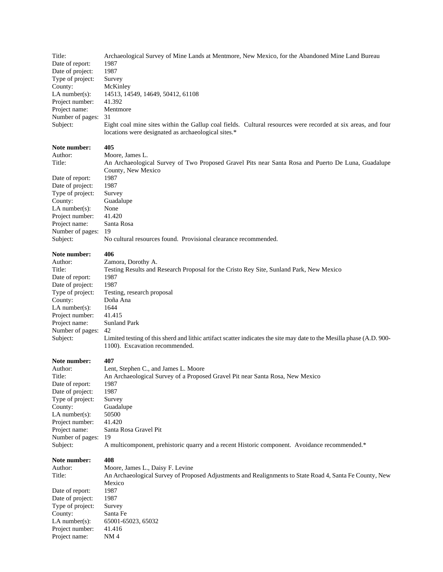| Title:            | Archaeological Survey of Mine Lands at Mentmore, New Mexico, for the Abandoned Mine Land Bureau              |
|-------------------|--------------------------------------------------------------------------------------------------------------|
| Date of report:   | 1987                                                                                                         |
| Date of project:  | 1987                                                                                                         |
| Type of project:  | Survey                                                                                                       |
| County:           | McKinley                                                                                                     |
| LA number $(s)$ : | 14513, 14549, 14649, 50412, 61108                                                                            |
| Project number:   | 41.392                                                                                                       |
| Project name:     | Mentmore                                                                                                     |
| Number of pages:  | -31                                                                                                          |
| Subject:          | Eight coal mine sites within the Gallup coal fields. Cultural resources were recorded at six areas, and four |
|                   | locations were designated as archaeological sites.*                                                          |

# **Note number:** 405<br>Author: Moo

Author: Moore, James L.<br>Title: An Archaeologic An Archaeological Survey of Two Proposed Gravel Pits near Santa Rosa and Puerto De Luna, Guadalupe County, New Mexico Date of report: 1987 Date of project: 1987 Type of project: Survey County: Guadalupe LA number(s): None<br>Project number: 41.420 Project number: 41.420<br>Project name: Santa Rosa Number of pages: 19<br>Subject: No No cultural resources found. Provisional clearance recommended.

#### **Note number: 406**

Project name:

| Zamora, Dorothy A.                                                                                                    |
|-----------------------------------------------------------------------------------------------------------------------|
| Testing Results and Research Proposal for the Cristo Rey Site, Sunland Park, New Mexico                               |
| 1987                                                                                                                  |
| 1987                                                                                                                  |
| Testing, research proposal                                                                                            |
| Doña Ana                                                                                                              |
| 1644                                                                                                                  |
| 41.415                                                                                                                |
| <b>Sunland Park</b>                                                                                                   |
| 42                                                                                                                    |
| Limited testing of this sherd and lithic artifact scatter indicates the site may date to the Mesilla phase (A.D. 900- |
| 1100). Excavation recommended.                                                                                        |
|                                                                                                                       |

#### **Note number: 407**

| Author:           | Lent, Stephen C., and James L. Moore                                                                    |
|-------------------|---------------------------------------------------------------------------------------------------------|
| Title:            | An Archaeological Survey of a Proposed Gravel Pit near Santa Rosa, New Mexico                           |
| Date of report:   | 1987                                                                                                    |
| Date of project:  | 1987                                                                                                    |
| Type of project:  | Survey                                                                                                  |
| County:           | Guadalupe                                                                                               |
| LA number $(s)$ : | 50500                                                                                                   |
| Project number:   | 41.420                                                                                                  |
| Project name:     | Santa Rosa Gravel Pit                                                                                   |
| Number of pages:  | 19                                                                                                      |
| Subject:          | A multicomponent, prehistoric quarry and a recent Historic component. Avoidance recommended.*           |
| Note number:      | 408                                                                                                     |
| Author:           | Moore, James L., Daisy F. Levine                                                                        |
| Title:            | An Archaeological Survey of Proposed Adjustments and Realignments to State Road 4, Santa Fe County, New |
|                   | Mexico                                                                                                  |
| Date of report:   | 1987                                                                                                    |

Date of project: 1987 Type of project: Survey<br>County: Santa Fe  $Country: LA number(s):$ Project number: 41.416<br>Project name: NM 4 Project name:

65001-65023, 65032<br>41.416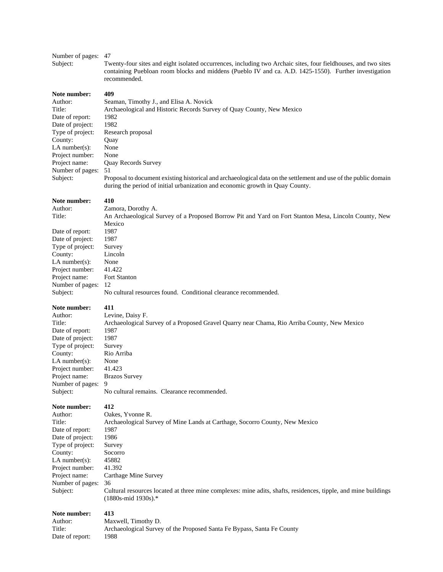| Number of pages:<br>Subject:                                                                                                                                                                       | 47<br>Twenty-four sites and eight isolated occurrences, including two Archaic sites, four fieldhouses, and two sites<br>containing Puebloan room blocks and middens (Pueblo IV and ca. A.D. 1425-1550). Further investigation<br>recommended.                                                                                                                                                                         |
|----------------------------------------------------------------------------------------------------------------------------------------------------------------------------------------------------|-----------------------------------------------------------------------------------------------------------------------------------------------------------------------------------------------------------------------------------------------------------------------------------------------------------------------------------------------------------------------------------------------------------------------|
| Note number:<br>Author:<br>Title:<br>Date of report:<br>Date of project:<br>Type of project:<br>County:<br>$LA$ number(s):<br>Project number:<br>Project name:<br>Number of pages:<br>Subject:     | 409<br>Seaman, Timothy J., and Elisa A. Novick<br>Archaeological and Historic Records Survey of Quay County, New Mexico<br>1982<br>1982<br>Research proposal<br>Quay<br>None<br>None<br>Quay Records Survey<br>51<br>Proposal to document existing historical and archaeological data on the settlement and use of the public domain<br>during the period of initial urbanization and economic growth in Quay County. |
| Note number:<br>Author:<br>Title:<br>Date of report:<br>Date of project:<br>Type of project:<br>County:<br>LA number( $s$ ):<br>Project number:<br>Project name:<br>Number of pages:<br>Subject:   | 410<br>Zamora, Dorothy A.<br>An Archaeological Survey of a Proposed Borrow Pit and Yard on Fort Stanton Mesa, Lincoln County, New<br>Mexico<br>1987<br>1987<br>Survey<br>Lincoln<br>None<br>41.422<br>Fort Stanton<br>-12<br>No cultural resources found. Conditional clearance recommended.                                                                                                                          |
| Note number:<br>Author:<br>Title:<br>Date of report:<br>Date of project:<br>Type of project:<br>County:<br>$LA$ number(s):<br>Project number:<br>Project name:<br>Number of pages:<br>Subject:     | 411<br>Levine, Daisy F.<br>Archaeological Survey of a Proposed Gravel Quarry near Chama, Rio Arriba County, New Mexico<br>1987<br>1987<br>Survey<br>Rio Arriba<br>None<br>41.423<br><b>Brazos Survey</b><br>9<br>No cultural remains. Clearance recommended.                                                                                                                                                          |
| Note number:<br>Author:<br>Title:<br>Date of report:<br>Date of project:<br>Type of project:<br>County:<br>$LA$ number $(s)$ :<br>Project number:<br>Project name:<br>Number of pages:<br>Subject: | 412<br>Oakes, Yvonne R.<br>Archaeological Survey of Mine Lands at Carthage, Socorro County, New Mexico<br>1987<br>1986<br>Survey<br>Socorro<br>45882<br>41.392<br>Carthage Mine Survey<br>36<br>Cultural resources located at three mine complexes: mine adits, shafts, residences, tipple, and mine buildings<br>(1880s-mid 1930s).*                                                                                 |
| Note number:<br>Author:<br>Title:<br>Date of report:                                                                                                                                               | 413<br>Maxwell, Timothy D.<br>Archaeological Survey of the Proposed Santa Fe Bypass, Santa Fe County<br>1988                                                                                                                                                                                                                                                                                                          |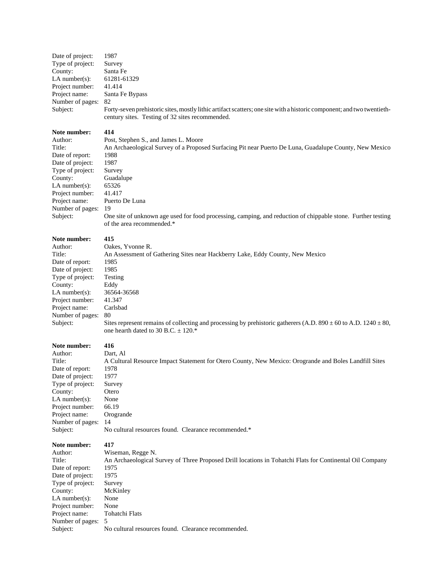| Note number:      | 414                                                                                                                    |
|-------------------|------------------------------------------------------------------------------------------------------------------------|
|                   | century sites. Testing of 32 sites recommended.                                                                        |
| Subject:          | Forty-seven prehistoric sites, mostly lithic artifact scatters; one site with a historic component; and two twentieth- |
| Number of pages:  | -82                                                                                                                    |
| Project name:     | Santa Fe Bypass                                                                                                        |
| Project number:   | 41.414                                                                                                                 |
| LA number $(s)$ : | 61281-61329                                                                                                            |
| County:           | Santa Fe                                                                                                               |
| Type of project:  | Survey                                                                                                                 |
| Date of project:  | 1987                                                                                                                   |

| --------- |  |  |
|-----------|--|--|
| thor:     |  |  |

| Author:           | Post, Stephen S., and James L. Moore                                                                         |
|-------------------|--------------------------------------------------------------------------------------------------------------|
| Title:            | An Archaeological Survey of a Proposed Surfacing Pit near Puerto De Luna, Guadalupe County, New Mexico       |
| Date of report:   | 1988                                                                                                         |
| Date of project:  | 1987                                                                                                         |
| Type of project:  | Survey                                                                                                       |
| County:           | Guadalupe                                                                                                    |
| LA number $(s)$ : | 65326                                                                                                        |
| Project number:   | 41.417                                                                                                       |
| Project name:     | Puerto De Luna                                                                                               |
| Number of pages:  | -19                                                                                                          |
| Subject:          | One site of unknown age used for food processing, camping, and reduction of chippable stone. Further testing |
|                   | of the area recommended.*                                                                                    |

#### **Note number: 415**

| .                 |                                                                                                                                                                    |
|-------------------|--------------------------------------------------------------------------------------------------------------------------------------------------------------------|
| Author:           | Oakes, Yvonne R.                                                                                                                                                   |
| Title:            | An Assessment of Gathering Sites near Hackberry Lake, Eddy County, New Mexico                                                                                      |
| Date of report:   | 1985                                                                                                                                                               |
| Date of project:  | 1985                                                                                                                                                               |
| Type of project:  | Testing                                                                                                                                                            |
| County:           | Eddy                                                                                                                                                               |
| LA number $(s)$ : | 36564-36568                                                                                                                                                        |
| Project number:   | 41.347                                                                                                                                                             |
| Project name:     | Carlsbad                                                                                                                                                           |
| Number of pages:  | 80                                                                                                                                                                 |
| Subject:          | Sites represent remains of collecting and processing by prehistoric gatherers (A.D. 890 $\pm$ 60 to A.D. 1240 $\pm$ 80,<br>one hearth dated to 30 B.C. $\pm$ 120.* |

**Note number:** 416<br>Author: Dart Dart, Al Title: A Cultural Resource Impact Statement for Otero County, New Mexico: Orogrande and Boles Landfill Sites Date of report: 1978 Date of project: 1977 Type of project: Survey County: Otero LA number(s): None Project number: 66.19 Project name: Orogrande Number of pages: 14<br>Subject: No No cultural resources found. Clearance recommended.\*

**Note number:** 417<br>Author: Wis Wiseman, Regge N. Title: An Archaeological Survey of Three Proposed Drill locations in Tohatchi Flats for Continental Oil Company Date of report: 1975 Date of project: 1975 Type of project: Survey County: McKinley LA number(s): None<br>Project number: None Project number: None<br>Project name: Tohatchi Flats Project name: Number of pages: 5<br>Subject: N No cultural resources found. Clearance recommended.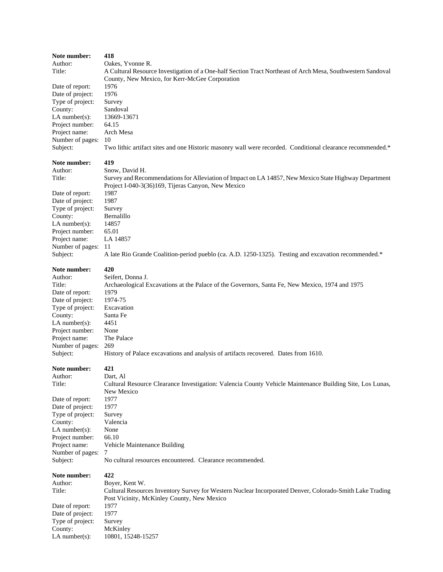| Note number:      | 418                                                                                                                                                         |
|-------------------|-------------------------------------------------------------------------------------------------------------------------------------------------------------|
| Author:           | Oakes, Yvonne R.                                                                                                                                            |
| Title:            | A Cultural Resource Investigation of a One-half Section Tract Northeast of Arch Mesa, Southwestern Sandoval                                                 |
|                   | County, New Mexico, for Kerr-McGee Corporation                                                                                                              |
| Date of report:   | 1976                                                                                                                                                        |
| Date of project:  | 1976                                                                                                                                                        |
| Type of project:  | Survey                                                                                                                                                      |
| County:           | Sandoval                                                                                                                                                    |
| $LA$ number(s):   | 13669-13671                                                                                                                                                 |
| Project number:   | 64.15                                                                                                                                                       |
| Project name:     | Arch Mesa                                                                                                                                                   |
| Number of pages:  | 10                                                                                                                                                          |
| Subject:          | Two lithic artifact sites and one Historic masonry wall were recorded. Conditional clearance recommended.*                                                  |
| Note number:      | 419                                                                                                                                                         |
| Author:           | Snow, David H.                                                                                                                                              |
| Title:            | Survey and Recommendations for Alleviation of Impact on LA 14857, New Mexico State Highway Department<br>Project I-040-3(36)169, Tijeras Canyon, New Mexico |
| Date of report:   | 1987                                                                                                                                                        |
| Date of project:  | 1987                                                                                                                                                        |
| Type of project:  | Survey                                                                                                                                                      |
| County:           | Bernalillo                                                                                                                                                  |
| LA number $(s)$ : | 14857                                                                                                                                                       |
| Project number:   | 65.01                                                                                                                                                       |
| Project name:     | LA 14857                                                                                                                                                    |
| Number of pages:  | -11                                                                                                                                                         |
| Subject:          | A late Rio Grande Coalition-period pueblo (ca. A.D. 1250-1325). Testing and excavation recommended.*                                                        |
| Note number:      | 420                                                                                                                                                         |
| Author:           | Seifert, Donna J.                                                                                                                                           |
| Title:            | Archaeological Excavations at the Palace of the Governors, Santa Fe, New Mexico, 1974 and 1975                                                              |
| Date of report:   | 1979                                                                                                                                                        |
| Date of project:  | 1974-75                                                                                                                                                     |
| Type of project:  | Excavation                                                                                                                                                  |
| County:           | Santa Fe                                                                                                                                                    |
| $LA$ number(s):   | 4451                                                                                                                                                        |
| Project number:   | None                                                                                                                                                        |
| Project name:     | The Palace                                                                                                                                                  |
| Number of pages:  | 269                                                                                                                                                         |
| Subject:          | History of Palace excavations and analysis of artifacts recovered. Dates from 1610.                                                                         |
| Note number:      | 421                                                                                                                                                         |
| Author:           | Dart, Al                                                                                                                                                    |
| Title:            | Cultural Resource Clearance Investigation: Valencia County Vehicle Maintenance Building Site, Los Lunas,<br>New Mexico                                      |
| Date of report:   | 1977                                                                                                                                                        |
| Date of project:  | 1977                                                                                                                                                        |
| Type of project:  | Survey                                                                                                                                                      |
| County:           | Valencia                                                                                                                                                    |
| LA number $(s)$ : | None                                                                                                                                                        |
| Project number:   | 66.10                                                                                                                                                       |
| Project name:     | Vehicle Maintenance Building                                                                                                                                |
| Number of pages:  | 7                                                                                                                                                           |
| Subject:          | No cultural resources encountered. Clearance recommended.                                                                                                   |
| Note number:      | 422                                                                                                                                                         |
| Author:           | Boyer, Kent W.                                                                                                                                              |
| Title:            | Cultural Resources Inventory Survey for Western Nuclear Incorporated Denver, Colorado-Smith Lake Trading<br>Post Vicinity, McKinley County, New Mexico      |
| Date of report:   | 1977                                                                                                                                                        |
| Date of project:  | 1977                                                                                                                                                        |
| Type of project:  | Survey                                                                                                                                                      |
| County:           | McKinley                                                                                                                                                    |
| $LA$ number(s):   | 10801, 15248-15257                                                                                                                                          |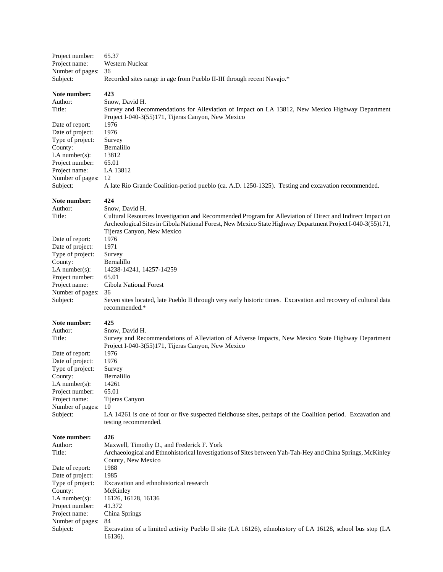| Project number:                  | 65.37                                                                                                                                                                                                                                                 |
|----------------------------------|-------------------------------------------------------------------------------------------------------------------------------------------------------------------------------------------------------------------------------------------------------|
| Project name:                    | Western Nuclear                                                                                                                                                                                                                                       |
| Number of pages:                 | 36                                                                                                                                                                                                                                                    |
| Subject:                         | Recorded sites range in age from Pueblo II-III through recent Navajo.*                                                                                                                                                                                |
| Note number:<br>Author:          | 423<br>Snow, David H.                                                                                                                                                                                                                                 |
| Title:                           | Survey and Recommendations for Alleviation of Impact on LA 13812, New Mexico Highway Department                                                                                                                                                       |
|                                  | Project I-040-3(55)171, Tijeras Canyon, New Mexico                                                                                                                                                                                                    |
| Date of report:                  | 1976                                                                                                                                                                                                                                                  |
| Date of project:                 | 1976                                                                                                                                                                                                                                                  |
| Type of project:                 | Survey                                                                                                                                                                                                                                                |
| County:                          | Bernalillo                                                                                                                                                                                                                                            |
| LA number $(s)$ :                | 13812                                                                                                                                                                                                                                                 |
| Project number:                  | 65.01                                                                                                                                                                                                                                                 |
| Project name:                    | LA 13812                                                                                                                                                                                                                                              |
| Number of pages:                 | 12                                                                                                                                                                                                                                                    |
| Subject:                         | A late Rio Grande Coalition-period pueblo (ca. A.D. 1250-1325). Testing and excavation recommended.                                                                                                                                                   |
| Note number:                     | 424                                                                                                                                                                                                                                                   |
| Author:                          | Snow, David H.                                                                                                                                                                                                                                        |
| Title:                           | Cultural Resources Investigation and Recommended Program for Alleviation of Direct and Indirect Impact on<br>Archeological Sites in Cibola National Forest, New Mexico State Highway Department Project I-040-3(55)171,<br>Tijeras Canyon, New Mexico |
| Date of report:                  | 1976                                                                                                                                                                                                                                                  |
| Date of project:                 | 1971                                                                                                                                                                                                                                                  |
| Type of project:                 | Survey                                                                                                                                                                                                                                                |
| County:                          | Bernalillo                                                                                                                                                                                                                                            |
| LA number $(s)$ :                | 14238-14241, 14257-14259                                                                                                                                                                                                                              |
| Project number:                  | 65.01                                                                                                                                                                                                                                                 |
| Project name:                    | Cibola National Forest                                                                                                                                                                                                                                |
| Number of pages:                 | 36                                                                                                                                                                                                                                                    |
| Subject:                         | Seven sites located, late Pueblo II through very early historic times. Excavation and recovery of cultural data<br>recommended.*                                                                                                                      |
| Note number:                     | 425                                                                                                                                                                                                                                                   |
| Author:                          | Snow, David H.                                                                                                                                                                                                                                        |
| Title:                           | Survey and Recommendations of Alleviation of Adverse Impacts, New Mexico State Highway Department<br>Project I-040-3(55)171, Tijeras Canyon, New Mexico                                                                                               |
| Date of report:                  | 1976                                                                                                                                                                                                                                                  |
| Date of project:                 | 1976                                                                                                                                                                                                                                                  |
| Type of project:                 | Survey                                                                                                                                                                                                                                                |
| County:                          | Bernalillo                                                                                                                                                                                                                                            |
| $LA$ number(s):                  | 14261                                                                                                                                                                                                                                                 |
| Project number:                  | 65.01                                                                                                                                                                                                                                                 |
| Project name:                    | Tijeras Canyon                                                                                                                                                                                                                                        |
| Number of pages:<br>Subject:     | 10<br>LA 14261 is one of four or five suspected fieldhouse sites, perhaps of the Coalition period. Excavation and                                                                                                                                     |
|                                  | testing recommended.                                                                                                                                                                                                                                  |
| Note number:                     | 426                                                                                                                                                                                                                                                   |
| Author:                          | Maxwell, Timothy D., and Frederick F. York                                                                                                                                                                                                            |
| Title:                           | Archaeological and Ethnohistorical Investigations of Sites between Yah-Tah-Hey and China Springs, McKinley                                                                                                                                            |
|                                  | County, New Mexico                                                                                                                                                                                                                                    |
| Date of report:                  | 1988                                                                                                                                                                                                                                                  |
| Date of project:                 | 1985                                                                                                                                                                                                                                                  |
| Type of project:                 | Excavation and ethnohistorical research                                                                                                                                                                                                               |
| County:                          | McKinley                                                                                                                                                                                                                                              |
| LA number $(s)$ :                | 16126, 16128, 16136                                                                                                                                                                                                                                   |
| Project number:<br>Project name: | 41.372<br>China Springs                                                                                                                                                                                                                               |
| Number of pages:                 | 84                                                                                                                                                                                                                                                    |
| Subject:                         | Excavation of a limited activity Pueblo II site (LA 16126), ethnohistory of LA 16128, school bus stop (LA                                                                                                                                             |
|                                  | 16136).                                                                                                                                                                                                                                               |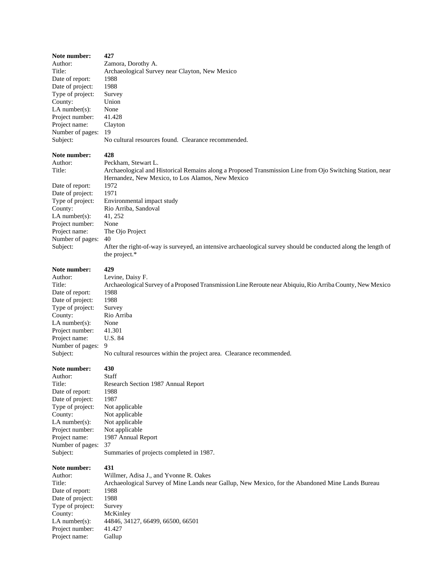| Note number:                      | 427                                                                                                                             |
|-----------------------------------|---------------------------------------------------------------------------------------------------------------------------------|
| Author:                           | Zamora, Dorothy A.                                                                                                              |
| Title:                            | Archaeological Survey near Clayton, New Mexico                                                                                  |
| Date of report:                   | 1988                                                                                                                            |
| Date of project:                  | 1988                                                                                                                            |
| Type of project:                  | Survey                                                                                                                          |
| County:                           | Union                                                                                                                           |
| LA number $(s)$ :                 | None                                                                                                                            |
| Project number:                   | 41.428                                                                                                                          |
| Project name:                     | Clayton                                                                                                                         |
| Number of pages:<br>Subject:      | 19<br>No cultural resources found. Clearance recommended.                                                                       |
|                                   |                                                                                                                                 |
| Note number:                      | 428                                                                                                                             |
| Author:                           | Peckham, Stewart L.                                                                                                             |
| Title:                            | Archaeological and Historical Remains along a Proposed Transmission Line from Ojo Switching Station, near                       |
|                                   | Hernandez, New Mexico, to Los Alamos, New Mexico                                                                                |
| Date of report:                   | 1972                                                                                                                            |
| Date of project:                  | 1971                                                                                                                            |
| Type of project:                  | Environmental impact study                                                                                                      |
| County:                           | Rio Arriba, Sandoval                                                                                                            |
| $LA$ number(s):                   | 41, 252                                                                                                                         |
| Project number:                   | None                                                                                                                            |
| Project name:                     | The Ojo Project                                                                                                                 |
| Number of pages:                  | 40                                                                                                                              |
| Subject:                          | After the right-of-way is surveyed, an intensive archaeological survey should be conducted along the length of<br>the project.* |
|                                   |                                                                                                                                 |
| Note number:                      | 429                                                                                                                             |
| Author:                           | Levine, Daisy F.                                                                                                                |
| Title:                            | Archaeological Survey of a Proposed Transmission Line Reroute near Abiquiu, Rio Arriba County, New Mexico                       |
| Date of report:                   | 1988                                                                                                                            |
| Date of project:                  | 1988                                                                                                                            |
| Type of project:                  | Survey                                                                                                                          |
| County:                           | Rio Arriba                                                                                                                      |
| LA number $(s)$ :                 | None                                                                                                                            |
| Project number:                   | 41.301                                                                                                                          |
| Project name:<br>Number of pages: | U.S. 84<br>9                                                                                                                    |
| Subject:                          | No cultural resources within the project area. Clearance recommended.                                                           |
|                                   |                                                                                                                                 |
| <b>Note number:</b>               | 430                                                                                                                             |
| Author:                           | Staff                                                                                                                           |
| Title:                            | Research Section 1987 Annual Report                                                                                             |
| Date of report:                   | 1988                                                                                                                            |
| Date of project:                  | 1987                                                                                                                            |
| Type of project:                  | Not applicable                                                                                                                  |
| County:                           | Not applicable                                                                                                                  |
| LA number $(s)$ :                 | Not applicable                                                                                                                  |
| Project number:                   | Not applicable                                                                                                                  |
| Project name:<br>Number of pages: | 1987 Annual Report<br>37                                                                                                        |
| Subject:                          | Summaries of projects completed in 1987.                                                                                        |
|                                   |                                                                                                                                 |
| Note number:                      | 431                                                                                                                             |
| Author:                           | Willmer, Adisa J., and Yvonne R. Oakes                                                                                          |
| Title:                            | Archaeological Survey of Mine Lands near Gallup, New Mexico, for the Abandoned Mine Lands Bureau                                |
| Date of report:                   | 1988                                                                                                                            |
| Date of project:                  | 1988                                                                                                                            |
| Type of project:                  | Survey                                                                                                                          |
| County:                           | McKinley                                                                                                                        |
| LA number $(s)$ :                 | 44846, 34127, 66499, 66500, 66501                                                                                               |
| Project number:                   | 41.427                                                                                                                          |
| Project name:                     | Gallup                                                                                                                          |
|                                   |                                                                                                                                 |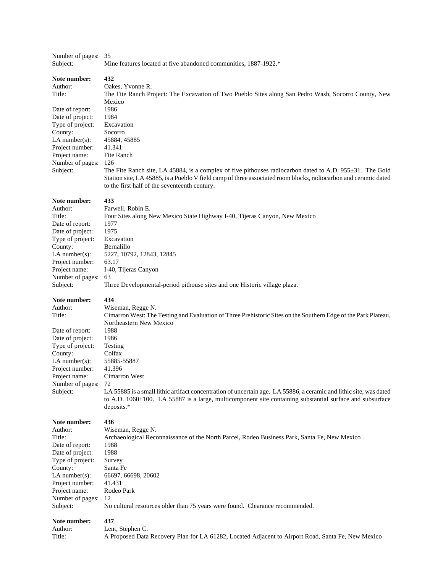| Number of pages: 35<br>Subject:                                                                                                                                                                | Mine features located at five abandoned communities, 1887-1922.*                                                                                                                                                                                                                                                                                                                                                                                                                                                       |
|------------------------------------------------------------------------------------------------------------------------------------------------------------------------------------------------|------------------------------------------------------------------------------------------------------------------------------------------------------------------------------------------------------------------------------------------------------------------------------------------------------------------------------------------------------------------------------------------------------------------------------------------------------------------------------------------------------------------------|
| Note number:<br>Author:<br>Title:<br>Date of report:<br>Date of project:<br>Type of project:<br>County:<br>$LA$ number(s):<br>Project number:<br>Project name:<br>Number of pages:<br>Subject: | 432<br>Oakes, Yvonne R.<br>The Fite Ranch Project: The Excavation of Two Pueblo Sites along San Pedro Wash, Socorro County, New<br>Mexico<br>1986<br>1984<br>Excavation<br>Socorro<br>45884, 45885<br>41.341<br>Fite Ranch<br>126<br>The Fite Ranch site, LA 45884, is a complex of five pithouses radiocarbon dated to A.D. $955\pm31$ . The Gold<br>Station site, LA 45885, is a Pueblo V field camp of three associated room blocks, radiocarbon and ceramic dated<br>to the first half of the seventeenth century. |
| Note number:                                                                                                                                                                                   | 433                                                                                                                                                                                                                                                                                                                                                                                                                                                                                                                    |
| Author:                                                                                                                                                                                        | Farwell, Robin E.                                                                                                                                                                                                                                                                                                                                                                                                                                                                                                      |
| Title:                                                                                                                                                                                         | Four Sites along New Mexico State Highway I-40, Tijeras Canyon, New Mexico                                                                                                                                                                                                                                                                                                                                                                                                                                             |
| Date of report:                                                                                                                                                                                | 1977                                                                                                                                                                                                                                                                                                                                                                                                                                                                                                                   |
| Date of project:                                                                                                                                                                               | 1975                                                                                                                                                                                                                                                                                                                                                                                                                                                                                                                   |
| Type of project:                                                                                                                                                                               | Excavation                                                                                                                                                                                                                                                                                                                                                                                                                                                                                                             |
| County:                                                                                                                                                                                        | Bernalillo                                                                                                                                                                                                                                                                                                                                                                                                                                                                                                             |
| $LA$ number(s):                                                                                                                                                                                | 5227, 10792, 12843, 12845                                                                                                                                                                                                                                                                                                                                                                                                                                                                                              |
| Project number:                                                                                                                                                                                | 63.17                                                                                                                                                                                                                                                                                                                                                                                                                                                                                                                  |
| Project name:                                                                                                                                                                                  | I-40, Tijeras Canyon                                                                                                                                                                                                                                                                                                                                                                                                                                                                                                   |
| Number of pages:                                                                                                                                                                               | 63                                                                                                                                                                                                                                                                                                                                                                                                                                                                                                                     |
| Subject:                                                                                                                                                                                       | Three Developmental-period pithouse sites and one Historic village plaza.                                                                                                                                                                                                                                                                                                                                                                                                                                              |
| Note number:                                                                                                                                                                                   | 434                                                                                                                                                                                                                                                                                                                                                                                                                                                                                                                    |
| Author:                                                                                                                                                                                        | Wiseman, Regge N.                                                                                                                                                                                                                                                                                                                                                                                                                                                                                                      |
| Title:                                                                                                                                                                                         | Cimarron West: The Testing and Evaluation of Three Prehistoric Sites on the Southern Edge of the Park Plateau,                                                                                                                                                                                                                                                                                                                                                                                                         |
| Date of report:                                                                                                                                                                                | Northeastern New Mexico                                                                                                                                                                                                                                                                                                                                                                                                                                                                                                |
| Date of project:                                                                                                                                                                               | 1988                                                                                                                                                                                                                                                                                                                                                                                                                                                                                                                   |
| Type of project:                                                                                                                                                                               | 1986                                                                                                                                                                                                                                                                                                                                                                                                                                                                                                                   |
| County:                                                                                                                                                                                        | Testing                                                                                                                                                                                                                                                                                                                                                                                                                                                                                                                |
| LA number(s):                                                                                                                                                                                  | Colfax                                                                                                                                                                                                                                                                                                                                                                                                                                                                                                                 |
| Project number:                                                                                                                                                                                | 55885-55887                                                                                                                                                                                                                                                                                                                                                                                                                                                                                                            |
| Project name:                                                                                                                                                                                  | 41.396                                                                                                                                                                                                                                                                                                                                                                                                                                                                                                                 |
| Number of pages:                                                                                                                                                                               | Cimarron West                                                                                                                                                                                                                                                                                                                                                                                                                                                                                                          |
| Subject:                                                                                                                                                                                       | 72<br>LA 55885 is a small lithic artifact concentration of uncertain age. LA 55886, a ceramic and lithic site, was dated<br>to A.D. $1060 \pm 100$ . LA 55887 is a large, multicomponent site containing substantial surface and subsurface<br>deposits.*                                                                                                                                                                                                                                                              |
| Note number:                                                                                                                                                                                   | 436                                                                                                                                                                                                                                                                                                                                                                                                                                                                                                                    |
| Author:                                                                                                                                                                                        | Wiseman, Regge N.                                                                                                                                                                                                                                                                                                                                                                                                                                                                                                      |
| Title:                                                                                                                                                                                         | Archaeological Reconnaissance of the North Parcel, Rodeo Business Park, Santa Fe, New Mexico                                                                                                                                                                                                                                                                                                                                                                                                                           |
| Date of report:                                                                                                                                                                                | 1988                                                                                                                                                                                                                                                                                                                                                                                                                                                                                                                   |
| Date of project:                                                                                                                                                                               | 1988                                                                                                                                                                                                                                                                                                                                                                                                                                                                                                                   |
| Type of project:                                                                                                                                                                               | Survey                                                                                                                                                                                                                                                                                                                                                                                                                                                                                                                 |
| County:                                                                                                                                                                                        | Santa Fe                                                                                                                                                                                                                                                                                                                                                                                                                                                                                                               |
| $LA$ number(s):                                                                                                                                                                                | 66697, 66698, 20602                                                                                                                                                                                                                                                                                                                                                                                                                                                                                                    |
| Project number:                                                                                                                                                                                | 41.431                                                                                                                                                                                                                                                                                                                                                                                                                                                                                                                 |
| Project name:                                                                                                                                                                                  | Rodeo Park                                                                                                                                                                                                                                                                                                                                                                                                                                                                                                             |
| Number of pages:                                                                                                                                                                               | 12                                                                                                                                                                                                                                                                                                                                                                                                                                                                                                                     |
| Subject:                                                                                                                                                                                       | No cultural resources older than 75 years were found. Clearance recommended.                                                                                                                                                                                                                                                                                                                                                                                                                                           |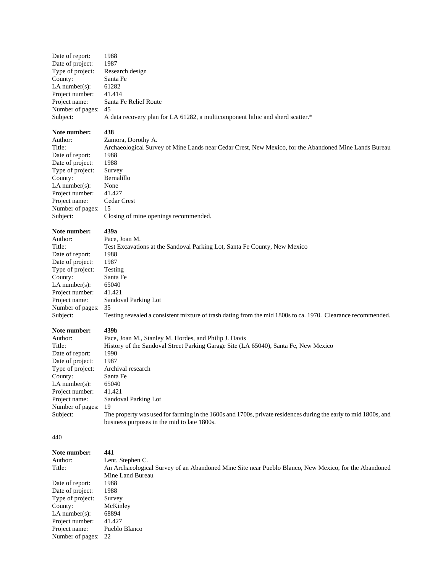| Date of report:     | 1988                                                                           |
|---------------------|--------------------------------------------------------------------------------|
| Date of project:    | 1987                                                                           |
| Type of project:    | Research design                                                                |
| County:             | Santa Fe                                                                       |
| LA number $(s)$ :   | 61282                                                                          |
| Project number:     | 41.414                                                                         |
| Project name:       | Santa Fe Relief Route                                                          |
| Number of pages: 45 |                                                                                |
| Subject:            | A data recovery plan for LA 61282, a multicomponent lithic and sherd scatter.* |

### **Note number:** 438<br>Author: **2**am

Date of report: 1988<br>Date of project: 1988 Date of project: Type of project: Survey County: Bernalillo LA number(s): None Project number: 41.427 Project name: Cedar Crest Number of pages: 15<br>Subject: Clo

Author: Zamora, Dorothy A.<br>Title: Archaeological Surve Archaeological Survey of Mine Lands near Cedar Crest, New Mexico, for the Abandoned Mine Lands Bureau<br>1988 Closing of mine openings recommended.

#### **Note number: 439a**

| Author:              | Pace, Joa       |
|----------------------|-----------------|
| Title:               | <b>Test Exc</b> |
| Date of report:      | 1988            |
| Date of project:     | 1987            |
| Type of project:     | Testing         |
| County:              | Santa Fe        |
| LA number $(s)$ :    | 65040           |
| Project number:      | 41.421          |
| Project name:        | Sandova         |
| Number of pages:     | 35              |
| $\mathsf{C}$ uhioct: | Toeting 1       |

# Joan M. Ixcavations at the Sandoval Parking Lot, Santa Fe County, New Mexico val Parking Lot

#### Subject: Testing revealed a consistent mixture of trash dating from the mid 1800s to ca. 1970. Clearance recommended.

### **Note number: 439b**

| Author:           | Pace, Joan M., Stanley M. Hordes, and Philip J. Davis                                                           |
|-------------------|-----------------------------------------------------------------------------------------------------------------|
| Title:            | History of the Sandoval Street Parking Garage Site (LA 65040), Santa Fe, New Mexico                             |
| Date of report:   | 1990                                                                                                            |
| Date of project:  | 1987                                                                                                            |
| Type of project:  | Archival research                                                                                               |
| County:           | Santa Fe                                                                                                        |
| LA number $(s)$ : | 65040                                                                                                           |
| Project number:   | 41.421                                                                                                          |
| Project name:     | Sandoval Parking Lot                                                                                            |
| Number of pages:  | 19                                                                                                              |
| Subject:          | The property was used for farming in the 1600s and 1700s, private residences during the early to mid 1800s, and |
|                   | business purposes in the mid to late 1800s.                                                                     |

440

| Note number:        | 441                                                                                                  |
|---------------------|------------------------------------------------------------------------------------------------------|
| Author:             | Lent, Stephen C.                                                                                     |
| Title:              | An Archaeological Survey of an Abandoned Mine Site near Pueblo Blanco, New Mexico, for the Abandoned |
|                     | Mine Land Bureau                                                                                     |
| Date of report:     | 1988                                                                                                 |
| Date of project:    | 1988                                                                                                 |
| Type of project:    | Survey                                                                                               |
| County:             | McKinley                                                                                             |
| LA number $(s)$ :   | 68894                                                                                                |
| Project number:     | 41.427                                                                                               |
| Project name:       | Pueblo Blanco                                                                                        |
| Number of pages: 22 |                                                                                                      |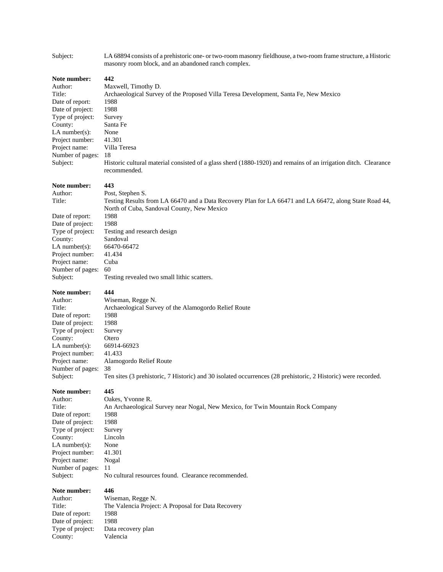| Note number:<br>442<br>Author:<br>Maxwell, Timothy D.<br>Title:<br>Archaeological Survey of the Proposed Villa Teresa Development, Santa Fe, New Mexico<br>Date of report:<br>1988<br>Date of project:<br>1988<br>Type of project:<br>Survey<br>County:<br>Santa Fe<br>LA number $(s)$ :<br>None<br>Project number:<br>41.301<br>Project name:<br>Villa Teresa<br>Number of pages:<br>18<br>Subject:<br>Historic cultural material consisted of a glass sherd (1880-1920) and remains of an irrigation ditch. Clearance<br>recommended.<br>443<br>Note number:<br>Post, Stephen S.<br>Author:<br>Title:<br>Testing Results from LA 66470 and a Data Recovery Plan for LA 66471 and LA 66472, along State Road 44,<br>North of Cuba, Sandoval County, New Mexico<br>Date of report:<br>1988<br>1988<br>Date of project:<br>Type of project:<br>Testing and research design<br>Sandoval<br>County:<br>LA number $(s)$ :<br>66470-66472<br>Project number:<br>41.434<br>Project name:<br>Cuba<br>Number of pages:<br>60<br>Subject:<br>Testing revealed two small lithic scatters.<br>444<br>Note number:<br>Author:<br>Wiseman, Regge N.<br>Title:<br>Archaeological Survey of the Alamogordo Relief Route<br>1988<br>Date of report:<br>Date of project:<br>1988<br>Type of project:<br>Survey<br>County:<br>Otero<br>LA number $(s)$ :<br>66914-66923<br>Project number:<br>41.433<br>Project name:<br>Alamogordo Relief Route<br>Number of pages:<br>38<br>Ten sites (3 prehistoric, 7 Historic) and 30 isolated occurrences (28 prehistoric, 2 Historic) were recorded.<br>Subject:<br>445<br>Note number:<br>Oakes, Yvonne R.<br>Author:<br>Title:<br>An Archaeological Survey near Nogal, New Mexico, for Twin Mountain Rock Company<br>Date of report:<br>1988<br>Date of project:<br>1988<br>Type of project:<br>Survey<br>County:<br>Lincoln<br>LA number $(s)$ :<br>None<br>Project number:<br>41.301<br>Project name:<br>Nogal<br>Number of pages:<br>-11<br>No cultural resources found. Clearance recommended.<br>Subject:<br>Note number:<br>446<br>Author:<br>Wiseman, Regge N.<br>Title:<br>The Valencia Project: A Proposal for Data Recovery<br>Date of report:<br>1988<br>Date of project:<br>1988<br>Type of project:<br>Data recovery plan<br>County:<br>Valencia | Subject: | LA 68894 consists of a prehistoric one- or two-room masonry fieldhouse, a two-room frame structure, a Historic<br>masonry room block, and an abandoned ranch complex. |
|--------------------------------------------------------------------------------------------------------------------------------------------------------------------------------------------------------------------------------------------------------------------------------------------------------------------------------------------------------------------------------------------------------------------------------------------------------------------------------------------------------------------------------------------------------------------------------------------------------------------------------------------------------------------------------------------------------------------------------------------------------------------------------------------------------------------------------------------------------------------------------------------------------------------------------------------------------------------------------------------------------------------------------------------------------------------------------------------------------------------------------------------------------------------------------------------------------------------------------------------------------------------------------------------------------------------------------------------------------------------------------------------------------------------------------------------------------------------------------------------------------------------------------------------------------------------------------------------------------------------------------------------------------------------------------------------------------------------------------------------------------------------------------------------------------------------------------------------------------------------------------------------------------------------------------------------------------------------------------------------------------------------------------------------------------------------------------------------------------------------------------------------------------------------------------------------------------------------------------------------------------------------------------------|----------|-----------------------------------------------------------------------------------------------------------------------------------------------------------------------|
|                                                                                                                                                                                                                                                                                                                                                                                                                                                                                                                                                                                                                                                                                                                                                                                                                                                                                                                                                                                                                                                                                                                                                                                                                                                                                                                                                                                                                                                                                                                                                                                                                                                                                                                                                                                                                                                                                                                                                                                                                                                                                                                                                                                                                                                                                      |          |                                                                                                                                                                       |
|                                                                                                                                                                                                                                                                                                                                                                                                                                                                                                                                                                                                                                                                                                                                                                                                                                                                                                                                                                                                                                                                                                                                                                                                                                                                                                                                                                                                                                                                                                                                                                                                                                                                                                                                                                                                                                                                                                                                                                                                                                                                                                                                                                                                                                                                                      |          |                                                                                                                                                                       |
|                                                                                                                                                                                                                                                                                                                                                                                                                                                                                                                                                                                                                                                                                                                                                                                                                                                                                                                                                                                                                                                                                                                                                                                                                                                                                                                                                                                                                                                                                                                                                                                                                                                                                                                                                                                                                                                                                                                                                                                                                                                                                                                                                                                                                                                                                      |          |                                                                                                                                                                       |
|                                                                                                                                                                                                                                                                                                                                                                                                                                                                                                                                                                                                                                                                                                                                                                                                                                                                                                                                                                                                                                                                                                                                                                                                                                                                                                                                                                                                                                                                                                                                                                                                                                                                                                                                                                                                                                                                                                                                                                                                                                                                                                                                                                                                                                                                                      |          |                                                                                                                                                                       |
|                                                                                                                                                                                                                                                                                                                                                                                                                                                                                                                                                                                                                                                                                                                                                                                                                                                                                                                                                                                                                                                                                                                                                                                                                                                                                                                                                                                                                                                                                                                                                                                                                                                                                                                                                                                                                                                                                                                                                                                                                                                                                                                                                                                                                                                                                      |          |                                                                                                                                                                       |
|                                                                                                                                                                                                                                                                                                                                                                                                                                                                                                                                                                                                                                                                                                                                                                                                                                                                                                                                                                                                                                                                                                                                                                                                                                                                                                                                                                                                                                                                                                                                                                                                                                                                                                                                                                                                                                                                                                                                                                                                                                                                                                                                                                                                                                                                                      |          |                                                                                                                                                                       |
|                                                                                                                                                                                                                                                                                                                                                                                                                                                                                                                                                                                                                                                                                                                                                                                                                                                                                                                                                                                                                                                                                                                                                                                                                                                                                                                                                                                                                                                                                                                                                                                                                                                                                                                                                                                                                                                                                                                                                                                                                                                                                                                                                                                                                                                                                      |          |                                                                                                                                                                       |
|                                                                                                                                                                                                                                                                                                                                                                                                                                                                                                                                                                                                                                                                                                                                                                                                                                                                                                                                                                                                                                                                                                                                                                                                                                                                                                                                                                                                                                                                                                                                                                                                                                                                                                                                                                                                                                                                                                                                                                                                                                                                                                                                                                                                                                                                                      |          |                                                                                                                                                                       |
|                                                                                                                                                                                                                                                                                                                                                                                                                                                                                                                                                                                                                                                                                                                                                                                                                                                                                                                                                                                                                                                                                                                                                                                                                                                                                                                                                                                                                                                                                                                                                                                                                                                                                                                                                                                                                                                                                                                                                                                                                                                                                                                                                                                                                                                                                      |          |                                                                                                                                                                       |
|                                                                                                                                                                                                                                                                                                                                                                                                                                                                                                                                                                                                                                                                                                                                                                                                                                                                                                                                                                                                                                                                                                                                                                                                                                                                                                                                                                                                                                                                                                                                                                                                                                                                                                                                                                                                                                                                                                                                                                                                                                                                                                                                                                                                                                                                                      |          |                                                                                                                                                                       |
|                                                                                                                                                                                                                                                                                                                                                                                                                                                                                                                                                                                                                                                                                                                                                                                                                                                                                                                                                                                                                                                                                                                                                                                                                                                                                                                                                                                                                                                                                                                                                                                                                                                                                                                                                                                                                                                                                                                                                                                                                                                                                                                                                                                                                                                                                      |          |                                                                                                                                                                       |
|                                                                                                                                                                                                                                                                                                                                                                                                                                                                                                                                                                                                                                                                                                                                                                                                                                                                                                                                                                                                                                                                                                                                                                                                                                                                                                                                                                                                                                                                                                                                                                                                                                                                                                                                                                                                                                                                                                                                                                                                                                                                                                                                                                                                                                                                                      |          |                                                                                                                                                                       |
|                                                                                                                                                                                                                                                                                                                                                                                                                                                                                                                                                                                                                                                                                                                                                                                                                                                                                                                                                                                                                                                                                                                                                                                                                                                                                                                                                                                                                                                                                                                                                                                                                                                                                                                                                                                                                                                                                                                                                                                                                                                                                                                                                                                                                                                                                      |          |                                                                                                                                                                       |
|                                                                                                                                                                                                                                                                                                                                                                                                                                                                                                                                                                                                                                                                                                                                                                                                                                                                                                                                                                                                                                                                                                                                                                                                                                                                                                                                                                                                                                                                                                                                                                                                                                                                                                                                                                                                                                                                                                                                                                                                                                                                                                                                                                                                                                                                                      |          |                                                                                                                                                                       |
|                                                                                                                                                                                                                                                                                                                                                                                                                                                                                                                                                                                                                                                                                                                                                                                                                                                                                                                                                                                                                                                                                                                                                                                                                                                                                                                                                                                                                                                                                                                                                                                                                                                                                                                                                                                                                                                                                                                                                                                                                                                                                                                                                                                                                                                                                      |          |                                                                                                                                                                       |
|                                                                                                                                                                                                                                                                                                                                                                                                                                                                                                                                                                                                                                                                                                                                                                                                                                                                                                                                                                                                                                                                                                                                                                                                                                                                                                                                                                                                                                                                                                                                                                                                                                                                                                                                                                                                                                                                                                                                                                                                                                                                                                                                                                                                                                                                                      |          |                                                                                                                                                                       |
|                                                                                                                                                                                                                                                                                                                                                                                                                                                                                                                                                                                                                                                                                                                                                                                                                                                                                                                                                                                                                                                                                                                                                                                                                                                                                                                                                                                                                                                                                                                                                                                                                                                                                                                                                                                                                                                                                                                                                                                                                                                                                                                                                                                                                                                                                      |          |                                                                                                                                                                       |
|                                                                                                                                                                                                                                                                                                                                                                                                                                                                                                                                                                                                                                                                                                                                                                                                                                                                                                                                                                                                                                                                                                                                                                                                                                                                                                                                                                                                                                                                                                                                                                                                                                                                                                                                                                                                                                                                                                                                                                                                                                                                                                                                                                                                                                                                                      |          |                                                                                                                                                                       |
|                                                                                                                                                                                                                                                                                                                                                                                                                                                                                                                                                                                                                                                                                                                                                                                                                                                                                                                                                                                                                                                                                                                                                                                                                                                                                                                                                                                                                                                                                                                                                                                                                                                                                                                                                                                                                                                                                                                                                                                                                                                                                                                                                                                                                                                                                      |          |                                                                                                                                                                       |
|                                                                                                                                                                                                                                                                                                                                                                                                                                                                                                                                                                                                                                                                                                                                                                                                                                                                                                                                                                                                                                                                                                                                                                                                                                                                                                                                                                                                                                                                                                                                                                                                                                                                                                                                                                                                                                                                                                                                                                                                                                                                                                                                                                                                                                                                                      |          |                                                                                                                                                                       |
|                                                                                                                                                                                                                                                                                                                                                                                                                                                                                                                                                                                                                                                                                                                                                                                                                                                                                                                                                                                                                                                                                                                                                                                                                                                                                                                                                                                                                                                                                                                                                                                                                                                                                                                                                                                                                                                                                                                                                                                                                                                                                                                                                                                                                                                                                      |          |                                                                                                                                                                       |
|                                                                                                                                                                                                                                                                                                                                                                                                                                                                                                                                                                                                                                                                                                                                                                                                                                                                                                                                                                                                                                                                                                                                                                                                                                                                                                                                                                                                                                                                                                                                                                                                                                                                                                                                                                                                                                                                                                                                                                                                                                                                                                                                                                                                                                                                                      |          |                                                                                                                                                                       |
|                                                                                                                                                                                                                                                                                                                                                                                                                                                                                                                                                                                                                                                                                                                                                                                                                                                                                                                                                                                                                                                                                                                                                                                                                                                                                                                                                                                                                                                                                                                                                                                                                                                                                                                                                                                                                                                                                                                                                                                                                                                                                                                                                                                                                                                                                      |          |                                                                                                                                                                       |
|                                                                                                                                                                                                                                                                                                                                                                                                                                                                                                                                                                                                                                                                                                                                                                                                                                                                                                                                                                                                                                                                                                                                                                                                                                                                                                                                                                                                                                                                                                                                                                                                                                                                                                                                                                                                                                                                                                                                                                                                                                                                                                                                                                                                                                                                                      |          |                                                                                                                                                                       |
|                                                                                                                                                                                                                                                                                                                                                                                                                                                                                                                                                                                                                                                                                                                                                                                                                                                                                                                                                                                                                                                                                                                                                                                                                                                                                                                                                                                                                                                                                                                                                                                                                                                                                                                                                                                                                                                                                                                                                                                                                                                                                                                                                                                                                                                                                      |          |                                                                                                                                                                       |
|                                                                                                                                                                                                                                                                                                                                                                                                                                                                                                                                                                                                                                                                                                                                                                                                                                                                                                                                                                                                                                                                                                                                                                                                                                                                                                                                                                                                                                                                                                                                                                                                                                                                                                                                                                                                                                                                                                                                                                                                                                                                                                                                                                                                                                                                                      |          |                                                                                                                                                                       |
|                                                                                                                                                                                                                                                                                                                                                                                                                                                                                                                                                                                                                                                                                                                                                                                                                                                                                                                                                                                                                                                                                                                                                                                                                                                                                                                                                                                                                                                                                                                                                                                                                                                                                                                                                                                                                                                                                                                                                                                                                                                                                                                                                                                                                                                                                      |          |                                                                                                                                                                       |
|                                                                                                                                                                                                                                                                                                                                                                                                                                                                                                                                                                                                                                                                                                                                                                                                                                                                                                                                                                                                                                                                                                                                                                                                                                                                                                                                                                                                                                                                                                                                                                                                                                                                                                                                                                                                                                                                                                                                                                                                                                                                                                                                                                                                                                                                                      |          |                                                                                                                                                                       |
|                                                                                                                                                                                                                                                                                                                                                                                                                                                                                                                                                                                                                                                                                                                                                                                                                                                                                                                                                                                                                                                                                                                                                                                                                                                                                                                                                                                                                                                                                                                                                                                                                                                                                                                                                                                                                                                                                                                                                                                                                                                                                                                                                                                                                                                                                      |          |                                                                                                                                                                       |
|                                                                                                                                                                                                                                                                                                                                                                                                                                                                                                                                                                                                                                                                                                                                                                                                                                                                                                                                                                                                                                                                                                                                                                                                                                                                                                                                                                                                                                                                                                                                                                                                                                                                                                                                                                                                                                                                                                                                                                                                                                                                                                                                                                                                                                                                                      |          |                                                                                                                                                                       |
|                                                                                                                                                                                                                                                                                                                                                                                                                                                                                                                                                                                                                                                                                                                                                                                                                                                                                                                                                                                                                                                                                                                                                                                                                                                                                                                                                                                                                                                                                                                                                                                                                                                                                                                                                                                                                                                                                                                                                                                                                                                                                                                                                                                                                                                                                      |          |                                                                                                                                                                       |
|                                                                                                                                                                                                                                                                                                                                                                                                                                                                                                                                                                                                                                                                                                                                                                                                                                                                                                                                                                                                                                                                                                                                                                                                                                                                                                                                                                                                                                                                                                                                                                                                                                                                                                                                                                                                                                                                                                                                                                                                                                                                                                                                                                                                                                                                                      |          |                                                                                                                                                                       |
|                                                                                                                                                                                                                                                                                                                                                                                                                                                                                                                                                                                                                                                                                                                                                                                                                                                                                                                                                                                                                                                                                                                                                                                                                                                                                                                                                                                                                                                                                                                                                                                                                                                                                                                                                                                                                                                                                                                                                                                                                                                                                                                                                                                                                                                                                      |          |                                                                                                                                                                       |
|                                                                                                                                                                                                                                                                                                                                                                                                                                                                                                                                                                                                                                                                                                                                                                                                                                                                                                                                                                                                                                                                                                                                                                                                                                                                                                                                                                                                                                                                                                                                                                                                                                                                                                                                                                                                                                                                                                                                                                                                                                                                                                                                                                                                                                                                                      |          |                                                                                                                                                                       |
|                                                                                                                                                                                                                                                                                                                                                                                                                                                                                                                                                                                                                                                                                                                                                                                                                                                                                                                                                                                                                                                                                                                                                                                                                                                                                                                                                                                                                                                                                                                                                                                                                                                                                                                                                                                                                                                                                                                                                                                                                                                                                                                                                                                                                                                                                      |          |                                                                                                                                                                       |
|                                                                                                                                                                                                                                                                                                                                                                                                                                                                                                                                                                                                                                                                                                                                                                                                                                                                                                                                                                                                                                                                                                                                                                                                                                                                                                                                                                                                                                                                                                                                                                                                                                                                                                                                                                                                                                                                                                                                                                                                                                                                                                                                                                                                                                                                                      |          |                                                                                                                                                                       |
|                                                                                                                                                                                                                                                                                                                                                                                                                                                                                                                                                                                                                                                                                                                                                                                                                                                                                                                                                                                                                                                                                                                                                                                                                                                                                                                                                                                                                                                                                                                                                                                                                                                                                                                                                                                                                                                                                                                                                                                                                                                                                                                                                                                                                                                                                      |          |                                                                                                                                                                       |
|                                                                                                                                                                                                                                                                                                                                                                                                                                                                                                                                                                                                                                                                                                                                                                                                                                                                                                                                                                                                                                                                                                                                                                                                                                                                                                                                                                                                                                                                                                                                                                                                                                                                                                                                                                                                                                                                                                                                                                                                                                                                                                                                                                                                                                                                                      |          |                                                                                                                                                                       |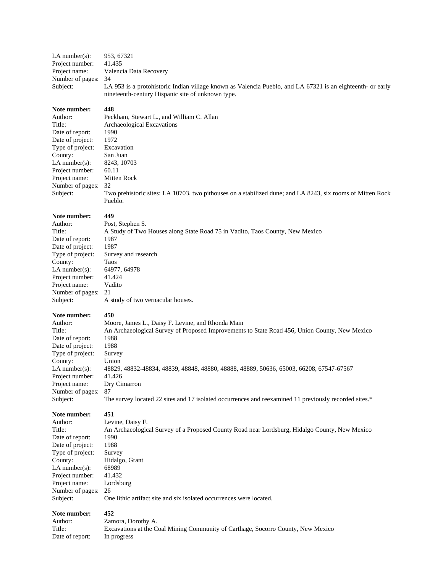LA number(s): 953, 67321<br>Project number: 41.435 Project number:<br>Project name: Valencia Data Recovery Number of pages: 34 Subject: LA 953 is a protohistoric Indian village known as Valencia Pueblo, and LA 67321 is an eighteenth- or early nineteenth-century Hispanic site of unknown type.

#### **Note number: 448**

| Author:             | Peckham, Stewart L., and William C. Allan                                                                             |
|---------------------|-----------------------------------------------------------------------------------------------------------------------|
| Title:              | Archaeological Excavations                                                                                            |
| Date of report:     | 1990                                                                                                                  |
| Date of project:    | 1972                                                                                                                  |
| Type of project:    | Excavation                                                                                                            |
| County:             | San Juan                                                                                                              |
| LA number $(s)$ :   | 8243, 10703                                                                                                           |
| Project number:     | 60.11                                                                                                                 |
| Project name:       | Mitten Rock                                                                                                           |
| Number of pages: 32 |                                                                                                                       |
| Subject:            | Two prehistoric sites: LA 10703, two pithouses on a stabilized dune; and LA 8243, six rooms of Mitten Rock<br>Pueblo. |
|                     |                                                                                                                       |

## **Note number:** 449<br>Author: Post

Author: Post, Stephen S.<br>Title: A Study of Two Date of report: Date of project: Type of project: County: LA number(s): Project number: Project name: Number of pages: Subject:

|                     | - 00 the best best for                                                       |
|---------------------|------------------------------------------------------------------------------|
| Title:              | A Study of Two Houses along State Road 75 in Vadito, Taos County, New Mexico |
| Date of report:     | 1987                                                                         |
| Date of project:    | 1987                                                                         |
| Type of project:    | Survey and research                                                          |
| County:             | Taos                                                                         |
| LA number $(s)$ :   | 64977, 64978                                                                 |
| Project number:     | 41.424                                                                       |
| Project name:       | Vadito                                                                       |
| Number of pages: 21 |                                                                              |
| Subject:            | A study of two vernacular houses.                                            |
|                     |                                                                              |

### **Note number:** 450<br>Author: Moo

| Author:          | Moore, James L., Daisy F. Levine, and Rhonda Main                                                     |
|------------------|-------------------------------------------------------------------------------------------------------|
| Title:           | An Archaeological Survey of Proposed Improvements to State Road 456, Union County, New Mexico         |
| Date of report:  | 1988                                                                                                  |
| Date of project: | 1988                                                                                                  |
| Type of project: | Survey                                                                                                |
| County:          | Union                                                                                                 |
| LA number(s):    | 48829, 48832-48834, 48839, 48848, 48880, 48888, 48889, 50636, 65003, 66208, 67547-67567               |
| Project number:  | 41.426                                                                                                |
| Project name:    | Dry Cimarron                                                                                          |
| Number of pages: | -87                                                                                                   |
| Subject:         | The survey located 22 sites and 17 isolated occurrences and reexamined 11 previously recorded sites.* |

#### **Note number: 451**

| Author:             | Levine, Daisy F.                                                                              |
|---------------------|-----------------------------------------------------------------------------------------------|
| Title:              | An Archaeological Survey of a Proposed County Road near Lordsburg, Hidalgo County, New Mexico |
| Date of report:     | 1990                                                                                          |
| Date of project:    | 1988                                                                                          |
| Type of project:    | Survey                                                                                        |
| County:             | Hidalgo, Grant                                                                                |
| LA number(s):       | 68989                                                                                         |
| Project number:     | 41.432                                                                                        |
| Project name:       | Lordsburg                                                                                     |
| Number of pages: 26 |                                                                                               |
| Subject:            | One lithic artifact site and six isolated occurrences were located.                           |
|                     |                                                                                               |

| Author:         | Zamora, Dorothy A.                                                               |
|-----------------|----------------------------------------------------------------------------------|
| Title:          | Excavations at the Coal Mining Community of Carthage, Socorro County, New Mexico |
| Date of report: | In progress                                                                      |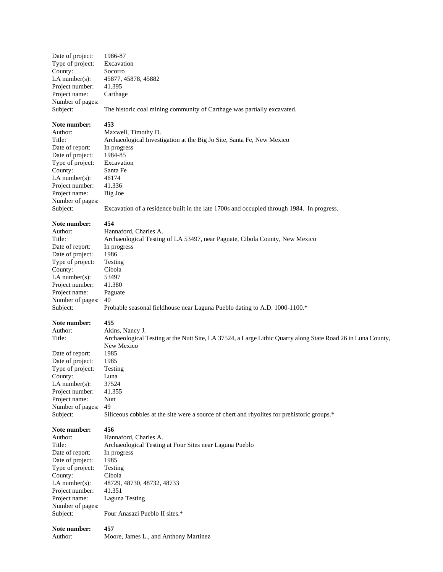| Date of project:<br>Type of project:<br>County:<br>$LA$ number(s):<br>Project number:<br>Project name:<br>Number of pages:<br>Subject:                                                           | 1986-87<br>Excavation<br>Socorro<br>45877, 45878, 45882<br>41.395<br>Carthage<br>The historic coal mining community of Carthage was partially excavated.                                                                                                                                                                |
|--------------------------------------------------------------------------------------------------------------------------------------------------------------------------------------------------|-------------------------------------------------------------------------------------------------------------------------------------------------------------------------------------------------------------------------------------------------------------------------------------------------------------------------|
| Note number:<br>Author:<br>Title:<br>Date of report:<br>Date of project:<br>Type of project:<br>County:<br>$LA$ number(s):<br>Project number:<br>Project name:<br>Number of pages:<br>Subject:   | 453<br>Maxwell, Timothy D.<br>Archaeological Investigation at the Big Jo Site, Santa Fe, New Mexico<br>In progress<br>1984-85<br>Excavation<br>Santa Fe<br>46174<br>41.336<br>Big Joe<br>Excavation of a residence built in the late 1700s and occupied through 1984. In progress.                                      |
| Note number:<br>Author:<br>Title:<br>Date of report:<br>Date of project:<br>Type of project:<br>County:<br>$LA$ number(s):<br>Project number:<br>Project name:<br>Number of pages:<br>Subject:   | 454<br>Hannaford, Charles A.<br>Archaeological Testing of LA 53497, near Paguate, Cibola County, New Mexico<br>In progress<br>1986<br>Testing<br>Cibola<br>53497<br>41.380<br>Paguate<br>40<br>Probable seasonal fieldhouse near Laguna Pueblo dating to A.D. 1000-1100.*                                               |
| Note number:<br>Author:<br>Title:<br>Date of report:<br>Date of project:<br>Type of project:<br>County:<br>LA number $(s)$ :<br>Project number:<br>Project name:<br>Number of pages:<br>Subject: | 455<br>Akins, Nancy J.<br>Archaeological Testing at the Nutt Site, LA 37524, a Large Lithic Quarry along State Road 26 in Luna County,<br>New Mexico<br>1985<br>1985<br>Testing<br>Luna<br>37524<br>41.355<br>Nutt<br>49<br>Siliceous cobbles at the site were a source of chert and rhyolites for prehistoric groups.* |
| Note number:<br>Author:<br>Title:<br>Date of report:<br>Date of project:<br>Type of project:<br>County:<br>$LA$ number(s):<br>Project number:<br>Project name:<br>Number of pages:<br>Subject:   | 456<br>Hannaford, Charles A.<br>Archaeological Testing at Four Sites near Laguna Pueblo<br>In progress<br>1985<br>Testing<br>Cibola<br>48729, 48730, 48732, 48733<br>41.351<br>Laguna Testing<br>Four Anasazi Pueblo II sites.*                                                                                         |
| Note number:<br>Author:                                                                                                                                                                          | 457<br>Moore, James L., and Anthony Martinez                                                                                                                                                                                                                                                                            |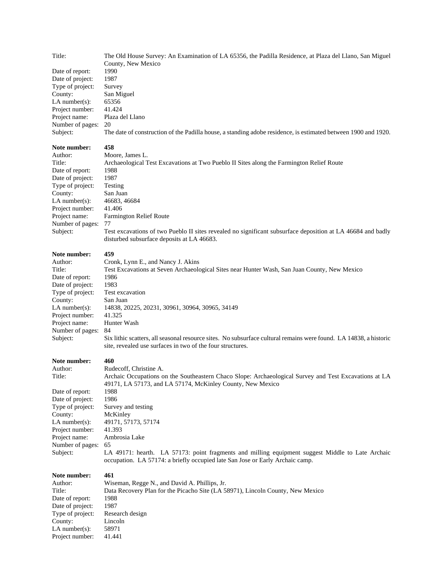Title: The Old House Survey: An Examination of LA 65356, the Padilla Residence, at Plaza del Llano, San Miguel County, New Mexico Date of report: Date of project: 1987 Type of project: Survey County: San Miguel LA number(s):  $65356$ Project number: 41.424 Project name: Plaza del Llano Number of pages: 20 Subject: The date of construction of the Padilla house, a standing adobe residence, is estimated between 1900 and 1920.

#### **Note number: 458**

| Author:          | Moore, James L.                                                                                                                                           |
|------------------|-----------------------------------------------------------------------------------------------------------------------------------------------------------|
| Title:           | Archaeological Test Excavations at Two Pueblo II Sites along the Farmington Relief Route                                                                  |
| Date of report:  | 1988                                                                                                                                                      |
| Date of project: | 1987                                                                                                                                                      |
| Type of project: | Testing                                                                                                                                                   |
| County:          | San Juan                                                                                                                                                  |
| $LA$ number(s):  | 46683, 46684                                                                                                                                              |
| Project number:  | 41.406                                                                                                                                                    |
| Project name:    | <b>Farmington Relief Route</b>                                                                                                                            |
| Number of pages: | 77                                                                                                                                                        |
| Subject:         | Test excavations of two Pueblo II sites revealed no significant subsurface deposition at LA 46684 and badly<br>disturbed subsurface deposits at LA 46683. |

#### **Note number: 459**

| Author:           | Cronk, Lynn E., and Nancy J. Akins                                                                                                                                              |
|-------------------|---------------------------------------------------------------------------------------------------------------------------------------------------------------------------------|
| Title:            | Test Excavations at Seven Archaeological Sites near Hunter Wash, San Juan County, New Mexico                                                                                    |
| Date of report:   | 1986                                                                                                                                                                            |
| Date of project:  | 1983                                                                                                                                                                            |
| Type of project:  | Test excavation                                                                                                                                                                 |
| County:           | San Juan                                                                                                                                                                        |
| LA number $(s)$ : | 14838, 20225, 20231, 30961, 30964, 30965, 34149                                                                                                                                 |
| Project number:   | 41.325                                                                                                                                                                          |
| Project name:     | Hunter Wash                                                                                                                                                                     |
| Number of pages:  | 84                                                                                                                                                                              |
| Subject:          | Six lithic scatters, all seasonal resource sites. No subsurface cultural remains were found. LA 14838, a historic<br>site, revealed use surfaces in two of the four structures. |

#### **Note number: 460**

#### Author: Rudecoff, Christine A.

Title: Archaic Occupations on the Southeastern Chaco Slope: Archaeological Survey and Test Excavations at LA 49171, LA 57173, and LA 57174, McKinley County, New Mexico Date of report: 1988 Date of project: 1986 Type of project: Survey and testing County: McKinley LA number(s): 49171, 57173, 57174 Project number: 41.393 Project name: Ambrosia Lake Number of pages: 65 Subject: LA 49171: hearth. LA 57173: point fragments and milling equipment suggest Middle to Late Archaic occupation. LA 57174: a briefly occupied late San Jose or Early Archaic camp.

**Note number: 461** Author: Wiseman, Regge N., and David A. Phillips, Jr. Title: Data Recovery Plan for the Picacho Site (LA 58971), Lincoln County, New Mexico Date of report: 1988 Date of project: 1987 Type of project: Research design County: Lincoln LA number(s): 58971 Project number: 41.441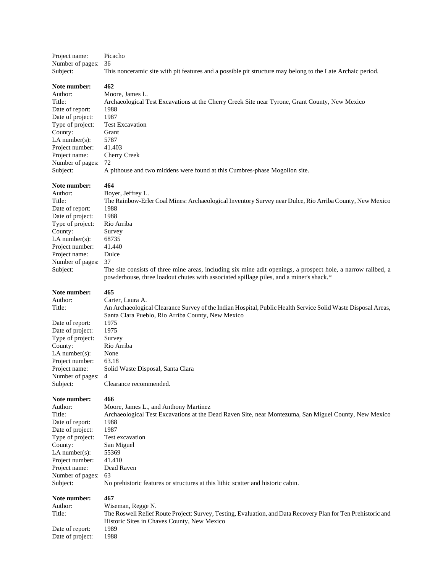| Project name:<br>Number of pages: | Picacho<br>36                                                                                                                                                                                            |
|-----------------------------------|----------------------------------------------------------------------------------------------------------------------------------------------------------------------------------------------------------|
| Subject:                          | This nonceramic site with pit features and a possible pit structure may belong to the Late Archaic period.                                                                                               |
| Note number:                      | 462                                                                                                                                                                                                      |
| Author:                           | Moore, James L.                                                                                                                                                                                          |
| Title:                            | Archaeological Test Excavations at the Cherry Creek Site near Tyrone, Grant County, New Mexico                                                                                                           |
| Date of report:                   | 1988                                                                                                                                                                                                     |
| Date of project:                  | 1987                                                                                                                                                                                                     |
| Type of project:                  | <b>Test Excavation</b>                                                                                                                                                                                   |
| County:                           | Grant                                                                                                                                                                                                    |
| LA number $(s)$ :                 | 5787                                                                                                                                                                                                     |
| Project number:                   | 41.403                                                                                                                                                                                                   |
| Project name:                     | Cherry Creek                                                                                                                                                                                             |
| Number of pages:                  | 72                                                                                                                                                                                                       |
| Subject:                          | A pithouse and two middens were found at this Cumbres-phase Mogollon site.                                                                                                                               |
| Note number:                      | 464                                                                                                                                                                                                      |
| Author:                           | Boyer, Jeffrey L.                                                                                                                                                                                        |
| Title:                            | The Rainbow-Erler Coal Mines: Archaeological Inventory Survey near Dulce, Rio Arriba County, New Mexico                                                                                                  |
| Date of report:                   | 1988                                                                                                                                                                                                     |
| Date of project:                  | 1988                                                                                                                                                                                                     |
| Type of project:                  | Rio Arriba                                                                                                                                                                                               |
| County:                           | Survey                                                                                                                                                                                                   |
| LA number $(s)$ :                 | 68735                                                                                                                                                                                                    |
| Project number:                   | 41.440                                                                                                                                                                                                   |
| Project name:                     | Dulce                                                                                                                                                                                                    |
| Number of pages:                  | 37                                                                                                                                                                                                       |
| Subject:                          | The site consists of three mine areas, including six mine adit openings, a prospect hole, a narrow railbed, a<br>powderhouse, three loadout chutes with associated spillage piles, and a miner's shack.* |
| Note number:                      | 465                                                                                                                                                                                                      |
| Author:                           | Carter, Laura A.                                                                                                                                                                                         |
| Title:                            | An Archaeological Clearance Survey of the Indian Hospital, Public Health Service Solid Waste Disposal Areas,<br>Santa Clara Pueblo, Rio Arriba County, New Mexico                                        |
| Date of report:                   | 1975                                                                                                                                                                                                     |
| Date of project:                  | 1975                                                                                                                                                                                                     |
| Type of project:                  | Survey                                                                                                                                                                                                   |
| County:                           | Rio Arriba                                                                                                                                                                                               |
| LA number $(s)$ :                 | None                                                                                                                                                                                                     |
| Project number:                   | 63.18                                                                                                                                                                                                    |
| Project name:                     | Solid Waste Disposal, Santa Clara                                                                                                                                                                        |
| Number of pages: 4                |                                                                                                                                                                                                          |
| Subject:                          | Clearance recommended.                                                                                                                                                                                   |
| Note number:                      | 466                                                                                                                                                                                                      |
| Author:                           | Moore, James L., and Anthony Martinez                                                                                                                                                                    |
| Title:                            | Archaeological Test Excavations at the Dead Raven Site, near Montezuma, San Miguel County, New Mexico                                                                                                    |
| Date of report:                   | 1988                                                                                                                                                                                                     |
| Date of project:                  | 1987                                                                                                                                                                                                     |
| Type of project:                  | Test excavation                                                                                                                                                                                          |
| County:                           | San Miguel                                                                                                                                                                                               |
| LA number $(s)$ :                 | 55369                                                                                                                                                                                                    |
| Project number:                   | 41.410                                                                                                                                                                                                   |
| Project name:                     | Dead Raven                                                                                                                                                                                               |
| Number of pages:                  | 63                                                                                                                                                                                                       |
| Subject:                          | No prehistoric features or structures at this lithic scatter and historic cabin.                                                                                                                         |
| Note number:                      | 467                                                                                                                                                                                                      |
| Author:                           | Wiseman, Regge N.                                                                                                                                                                                        |
| Title:                            | The Roswell Relief Route Project: Survey, Testing, Evaluation, and Data Recovery Plan for Ten Prehistoric and<br>Historic Sites in Chaves County, New Mexico                                             |
| Date of report:                   | 1989                                                                                                                                                                                                     |
| Date of project:                  | 1988                                                                                                                                                                                                     |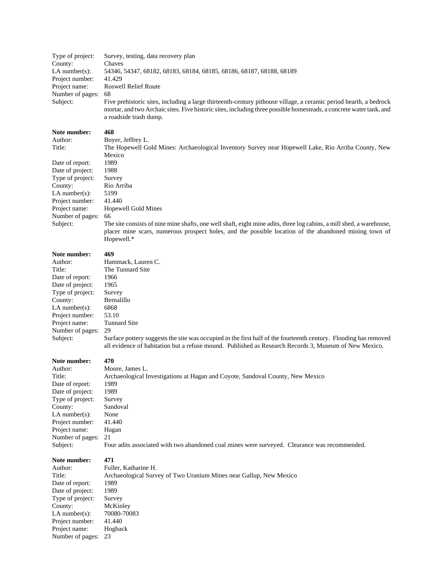| Type of project:  | Survey, testing, data recovery plan                                                                                                                                                                                                                                |
|-------------------|--------------------------------------------------------------------------------------------------------------------------------------------------------------------------------------------------------------------------------------------------------------------|
| County:           | Chaves                                                                                                                                                                                                                                                             |
| $LA$ number(s):   | 54346, 54347, 68182, 68183, 68184, 68185, 68186, 68187, 68188, 68189                                                                                                                                                                                               |
| Project number:   | 41.429                                                                                                                                                                                                                                                             |
| Project name:     | <b>Roswell Relief Route</b>                                                                                                                                                                                                                                        |
| Number of pages:  | 68                                                                                                                                                                                                                                                                 |
| Subject:          | Five prehistoric sites, including a large thirteenth-century pithouse village, a ceramic period hearth, a bedrock<br>mortar, and two Archaic sites. Five historic sites, including three possible homesteads, a concrete water tank, and<br>a roadside trash dump. |
| Note number:      | 468                                                                                                                                                                                                                                                                |
| Author:           | Boyer, Jeffrey L.                                                                                                                                                                                                                                                  |
| Title:            | The Hopewell Gold Mines: Archaeological Inventory Survey near Hopewell Lake, Rio Arriba County, New                                                                                                                                                                |
|                   | Mexico                                                                                                                                                                                                                                                             |
| Date of report:   | 1989                                                                                                                                                                                                                                                               |
| Date of project:  | 1988                                                                                                                                                                                                                                                               |
| Type of project:  | Survey                                                                                                                                                                                                                                                             |
| County:           | Rio Arriba                                                                                                                                                                                                                                                         |
| LA number $(s)$ : | 5199                                                                                                                                                                                                                                                               |
| Project number:   | 41.440                                                                                                                                                                                                                                                             |
| Project name:     | Hopewell Gold Mines                                                                                                                                                                                                                                                |

Number of pages: 66<br>Subject: The The site consists of nine mine shafts, one well shaft, eight mine adits, three log cabins, a mill shed, a warehouse, placer mine scars, numerous prospect holes, and the possible location of the abandoned mining town of Hopewell.\*

#### **Note number: 469**

| Author:             | Hammack, Lauren C.    |
|---------------------|-----------------------|
| Title:              | The Tunnard Site      |
| Date of report:     | 1966                  |
| Date of project:    | 1965                  |
| Type of project:    | Survey                |
| County:             | Bernalillo            |
| $LA$ number $(s)$ : | 6868                  |
| Project number:     | 53.10                 |
| Project name:       | <b>Tunnard Site</b>   |
| Number of pages:    | 29                    |
| Subject:            | Surface pottery sugge |
|                     |                       |

53.10 Tunnard Site 29 Surface pottery suggests the site was occupied in the first half of the fourteenth century. Flooding has removed all evidence of habitation but a refuse mound. Published as Research Records 3, Museum of New Mexico.

#### **Note number: 470**

| Author:             | Moore.  |
|---------------------|---------|
| Title:              | Archae  |
| Date of report:     | 1989    |
| Date of project:    | 1989    |
| Type of project:    | Survey  |
| County:             | Sandoy  |
| $LA$ number $(s)$ : | None    |
| Project number:     | 41.440  |
| Project name:       | Hagan   |
| Number of pages:    | 21      |
| Subject:            | Four ao |

re, James L. aeological Investigations at Hagan and Coyote, Sandoval County, New Mexico oval

adits associated with two abandoned coal mines were surveyed. Clearance was recommended.

| Author:          | Fuller, Katharine H.                                               |
|------------------|--------------------------------------------------------------------|
| Title:           | Archaeological Survey of Two Uranium Mines near Gallup, New Mexico |
| Date of report:  | 1989                                                               |
| Date of project: | 1989                                                               |
| Type of project: | Survey                                                             |
| County:          | McKinley                                                           |
| $LA$ number(s):  | 70080-70083                                                        |
| Project number:  | 41.440                                                             |
| Project name:    | Hogback                                                            |
| Number of pages: | 23                                                                 |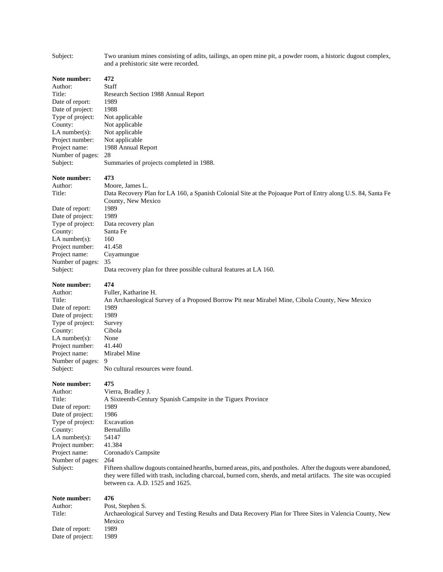| Subject:                                                                                                                                                                                         | Two uranium mines consisting of adits, tailings, an open mine pit, a powder room, a historic dugout complex,<br>and a prehistoric site were recorded.                                                                                                                                                                                                                                                                                                           |
|--------------------------------------------------------------------------------------------------------------------------------------------------------------------------------------------------|-----------------------------------------------------------------------------------------------------------------------------------------------------------------------------------------------------------------------------------------------------------------------------------------------------------------------------------------------------------------------------------------------------------------------------------------------------------------|
| Note number:<br>Author:<br>Title:<br>Date of report:<br>Date of project:<br>Type of project:<br>County:<br>LA number $(s)$ :<br>Project number:<br>Project name:<br>Number of pages:<br>Subject: | 472<br>Staff<br>Research Section 1988 Annual Report<br>1989<br>1988<br>Not applicable<br>Not applicable<br>Not applicable<br>Not applicable<br>1988 Annual Report<br>28<br>Summaries of projects completed in 1988.                                                                                                                                                                                                                                             |
| Note number:<br>Author:<br>Title:<br>Date of report:<br>Date of project:<br>Type of project:<br>County:<br>$LA$ number(s):<br>Project number:<br>Project name:<br>Number of pages:<br>Subject:   | 473<br>Moore, James L.<br>Data Recovery Plan for LA 160, a Spanish Colonial Site at the Pojoaque Port of Entry along U.S. 84, Santa Fe<br>County, New Mexico<br>1989<br>1989<br>Data recovery plan<br>Santa Fe<br>160<br>41.458<br>Cuyamungue<br>35<br>Data recovery plan for three possible cultural features at LA 160.                                                                                                                                       |
| Note number:<br>Author:<br>Title:<br>Date of report:<br>Date of project:<br>Type of project:<br>County:<br>$LA$ number(s):<br>Project number:<br>Project name:<br>Number of pages:<br>Subject:   | 474<br>Fuller, Katharine H.<br>An Archaeological Survey of a Proposed Borrow Pit near Mirabel Mine, Cibola County, New Mexico<br>1989<br>1989<br>Survey<br>Cibola<br>None<br>41.440<br>Mirabel Mine<br>9<br>No cultural resources were found.                                                                                                                                                                                                                   |
| Note number:<br>Author:<br>Title:<br>Date of report:<br>Date of project:<br>Type of project:<br>County:<br>LA number $(s)$ :<br>Project number:<br>Project name:<br>Number of pages:<br>Subject: | 475<br>Vierra, Bradley J.<br>A Sixteenth-Century Spanish Campsite in the Tiguex Province<br>1989<br>1986<br>Excavation<br>Bernalillo<br>54147<br>41.384<br>Coronado's Campsite<br>264<br>Fifteen shallow dugouts contained hearths, burned areas, pits, and postholes. After the dugouts were abandoned,<br>they were filled with trash, including charcoal, burned corn, sherds, and metal artifacts. The site was occupied<br>between ca. A.D. 1525 and 1625. |
| Note number:<br>Author:<br>Title:<br>Date of report:<br>Date of project:                                                                                                                         | 476<br>Post, Stephen S.<br>Archaeological Survey and Testing Results and Data Recovery Plan for Three Sites in Valencia County, New<br>Mexico<br>1989<br>1989                                                                                                                                                                                                                                                                                                   |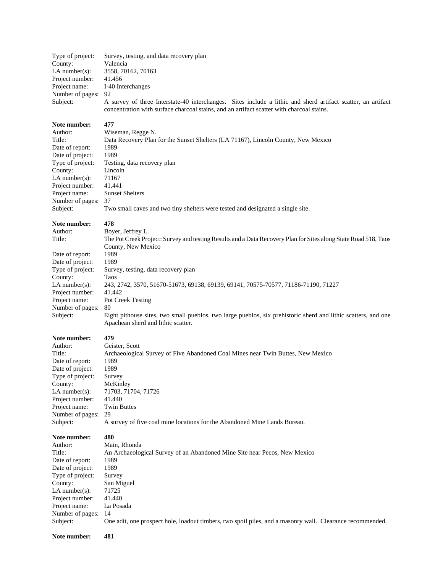| Type of project:<br>County:<br>$LA$ number(s):<br>Project number:<br>Project name:<br>Number of pages:<br>Subject:                                                                             | Survey, testing, and data recovery plan<br>Valencia<br>3558, 70162, 70163<br>41.456<br>I-40 Interchanges<br>92<br>A survey of three Interstate-40 interchanges. Sites include a lithic and sherd artifact scatter, an artifact<br>concentration with surface charcoal stains, and an artifact scatter with charcoal stains.                                                                                                                                                                                         |
|------------------------------------------------------------------------------------------------------------------------------------------------------------------------------------------------|---------------------------------------------------------------------------------------------------------------------------------------------------------------------------------------------------------------------------------------------------------------------------------------------------------------------------------------------------------------------------------------------------------------------------------------------------------------------------------------------------------------------|
| Note number:                                                                                                                                                                                   | 477                                                                                                                                                                                                                                                                                                                                                                                                                                                                                                                 |
| Author:                                                                                                                                                                                        | Wiseman, Regge N.                                                                                                                                                                                                                                                                                                                                                                                                                                                                                                   |
| Title:                                                                                                                                                                                         | Data Recovery Plan for the Sunset Shelters (LA 71167), Lincoln County, New Mexico                                                                                                                                                                                                                                                                                                                                                                                                                                   |
| Date of report:                                                                                                                                                                                | 1989                                                                                                                                                                                                                                                                                                                                                                                                                                                                                                                |
| Date of project:                                                                                                                                                                               | 1989                                                                                                                                                                                                                                                                                                                                                                                                                                                                                                                |
| Type of project:                                                                                                                                                                               | Testing, data recovery plan                                                                                                                                                                                                                                                                                                                                                                                                                                                                                         |
| County:                                                                                                                                                                                        | Lincoln                                                                                                                                                                                                                                                                                                                                                                                                                                                                                                             |
| LA number(s):                                                                                                                                                                                  | 71167                                                                                                                                                                                                                                                                                                                                                                                                                                                                                                               |
| Project number:                                                                                                                                                                                | 41.441                                                                                                                                                                                                                                                                                                                                                                                                                                                                                                              |
| Project name:                                                                                                                                                                                  | <b>Sunset Shelters</b>                                                                                                                                                                                                                                                                                                                                                                                                                                                                                              |
| Number of pages:                                                                                                                                                                               | 37                                                                                                                                                                                                                                                                                                                                                                                                                                                                                                                  |
| Subject:                                                                                                                                                                                       | Two small caves and two tiny shelters were tested and designated a single site.                                                                                                                                                                                                                                                                                                                                                                                                                                     |
| Note number:<br>Author:<br>Title:<br>Date of report:<br>Date of project:<br>Type of project:<br>County:<br>$LA$ number(s):<br>Project number:<br>Project name:<br>Number of pages:<br>Subject: | 478<br>Boyer, Jeffrey L.<br>The Pot Creek Project: Survey and testing Results and a Data Recovery Plan for Sites along State Road 518, Taos<br>County, New Mexico<br>1989<br>1989<br>Survey, testing, data recovery plan<br>Taos<br>243, 2742, 3570, 51670-51673, 69138, 69139, 69141, 70575-70577, 71186-71190, 71227<br>41.442<br>Pot Creek Testing<br>80<br>Eight pithouse sites, two small pueblos, two large pueblos, six prehistoric sherd and lithic scatters, and one<br>Apachean sherd and lithic scatter. |
| Note number:                                                                                                                                                                                   | 479                                                                                                                                                                                                                                                                                                                                                                                                                                                                                                                 |
| Author:                                                                                                                                                                                        | Geister, Scott                                                                                                                                                                                                                                                                                                                                                                                                                                                                                                      |
| Title:                                                                                                                                                                                         | Archaeological Survey of Five Abandoned Coal Mines near Twin Buttes, New Mexico                                                                                                                                                                                                                                                                                                                                                                                                                                     |
| Date of report:                                                                                                                                                                                | 1989                                                                                                                                                                                                                                                                                                                                                                                                                                                                                                                |
| Date of project:                                                                                                                                                                               | 1989                                                                                                                                                                                                                                                                                                                                                                                                                                                                                                                |
| Type of project:                                                                                                                                                                               | Survey                                                                                                                                                                                                                                                                                                                                                                                                                                                                                                              |
| County:                                                                                                                                                                                        | McKinley                                                                                                                                                                                                                                                                                                                                                                                                                                                                                                            |
| $LA$ number(s):                                                                                                                                                                                | 71703, 71704, 71726                                                                                                                                                                                                                                                                                                                                                                                                                                                                                                 |
| Project number:                                                                                                                                                                                | 41.440                                                                                                                                                                                                                                                                                                                                                                                                                                                                                                              |
| Project name:                                                                                                                                                                                  | <b>Twin Buttes</b>                                                                                                                                                                                                                                                                                                                                                                                                                                                                                                  |
| Number of pages:                                                                                                                                                                               | 29                                                                                                                                                                                                                                                                                                                                                                                                                                                                                                                  |
| Subject:                                                                                                                                                                                       | A survey of five coal mine locations for the Abandoned Mine Lands Bureau.                                                                                                                                                                                                                                                                                                                                                                                                                                           |
| Note number:                                                                                                                                                                                   | 480                                                                                                                                                                                                                                                                                                                                                                                                                                                                                                                 |
| Author:                                                                                                                                                                                        | Main, Rhonda                                                                                                                                                                                                                                                                                                                                                                                                                                                                                                        |
| Title:                                                                                                                                                                                         | An Archaeological Survey of an Abandoned Mine Site near Pecos, New Mexico                                                                                                                                                                                                                                                                                                                                                                                                                                           |
| Date of report:                                                                                                                                                                                | 1989                                                                                                                                                                                                                                                                                                                                                                                                                                                                                                                |
| Date of project:                                                                                                                                                                               | 1989                                                                                                                                                                                                                                                                                                                                                                                                                                                                                                                |
| Type of project:                                                                                                                                                                               | Survey                                                                                                                                                                                                                                                                                                                                                                                                                                                                                                              |
| County:                                                                                                                                                                                        | San Miguel                                                                                                                                                                                                                                                                                                                                                                                                                                                                                                          |
| LA number( $s$ ):                                                                                                                                                                              | 71725                                                                                                                                                                                                                                                                                                                                                                                                                                                                                                               |
| Project number:                                                                                                                                                                                | 41.440                                                                                                                                                                                                                                                                                                                                                                                                                                                                                                              |
| Project name:                                                                                                                                                                                  | La Posada                                                                                                                                                                                                                                                                                                                                                                                                                                                                                                           |
| Number of pages:                                                                                                                                                                               | 14                                                                                                                                                                                                                                                                                                                                                                                                                                                                                                                  |
| Subject:                                                                                                                                                                                       | One adit, one prospect hole, loadout timbers, two spoil piles, and a masonry wall. Clearance recommended.                                                                                                                                                                                                                                                                                                                                                                                                           |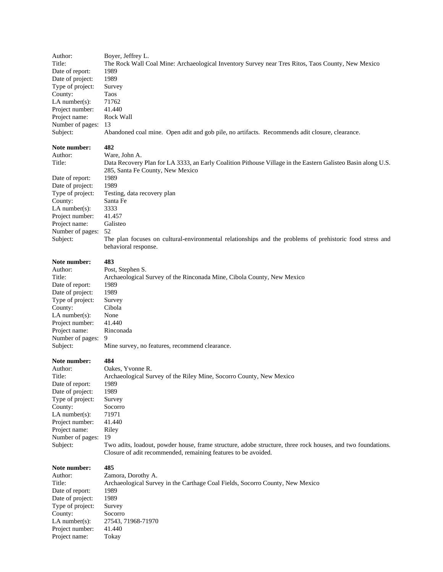| Author:                                                                                                                                                                                        | Boyer, Jeffrey L.                                                                                                                                                                                                                                                                                                                                      |
|------------------------------------------------------------------------------------------------------------------------------------------------------------------------------------------------|--------------------------------------------------------------------------------------------------------------------------------------------------------------------------------------------------------------------------------------------------------------------------------------------------------------------------------------------------------|
| Title:                                                                                                                                                                                         | The Rock Wall Coal Mine: Archaeological Inventory Survey near Tres Ritos, Taos County, New Mexico                                                                                                                                                                                                                                                      |
| Date of report:                                                                                                                                                                                | 1989                                                                                                                                                                                                                                                                                                                                                   |
| Date of project:                                                                                                                                                                               | 1989                                                                                                                                                                                                                                                                                                                                                   |
| Type of project:                                                                                                                                                                               | Survey                                                                                                                                                                                                                                                                                                                                                 |
| County:                                                                                                                                                                                        | Taos                                                                                                                                                                                                                                                                                                                                                   |
| LA number $(s)$ :                                                                                                                                                                              | 71762                                                                                                                                                                                                                                                                                                                                                  |
| Project number:                                                                                                                                                                                | 41.440                                                                                                                                                                                                                                                                                                                                                 |
| Project name:                                                                                                                                                                                  | Rock Wall                                                                                                                                                                                                                                                                                                                                              |
| Number of pages:                                                                                                                                                                               | 13                                                                                                                                                                                                                                                                                                                                                     |
| Subject:                                                                                                                                                                                       | Abandoned coal mine. Open adit and gob pile, no artifacts. Recommends adit closure, clearance.                                                                                                                                                                                                                                                         |
| Note number:<br>Author:<br>Title:                                                                                                                                                              | 482<br>Ware, John A.<br>Data Recovery Plan for LA 3333, an Early Coalition Pithouse Village in the Eastern Galisteo Basin along U.S.<br>285, Santa Fe County, New Mexico                                                                                                                                                                               |
| Date of report:<br>Date of project:<br>Type of project:<br>County:<br>$LA$ number(s):<br>Project number:<br>Project name:<br>Number of pages:<br>Subject:                                      | 1989<br>1989<br>Testing, data recovery plan<br>Santa Fe<br>3333<br>41.457<br>Galisteo<br>52<br>The plan focuses on cultural-environmental relationships and the problems of prehistoric food stress and<br>behavioral response.                                                                                                                        |
| Note number:                                                                                                                                                                                   | 483                                                                                                                                                                                                                                                                                                                                                    |
| Author:                                                                                                                                                                                        | Post, Stephen S.                                                                                                                                                                                                                                                                                                                                       |
| Title:                                                                                                                                                                                         | Archaeological Survey of the Rinconada Mine, Cibola County, New Mexico                                                                                                                                                                                                                                                                                 |
| Date of report:                                                                                                                                                                                | 1989                                                                                                                                                                                                                                                                                                                                                   |
| Date of project:                                                                                                                                                                               | 1989                                                                                                                                                                                                                                                                                                                                                   |
| Type of project:                                                                                                                                                                               | Survey                                                                                                                                                                                                                                                                                                                                                 |
| County:                                                                                                                                                                                        | Cibola                                                                                                                                                                                                                                                                                                                                                 |
| $LA$ number(s):                                                                                                                                                                                | None                                                                                                                                                                                                                                                                                                                                                   |
| Project number:                                                                                                                                                                                | 41.440                                                                                                                                                                                                                                                                                                                                                 |
| Project name:                                                                                                                                                                                  | Rinconada                                                                                                                                                                                                                                                                                                                                              |
| Number of pages:                                                                                                                                                                               | 9                                                                                                                                                                                                                                                                                                                                                      |
| Subject:                                                                                                                                                                                       | Mine survey, no features, recommend clearance.                                                                                                                                                                                                                                                                                                         |
| Note number:<br>Author:<br>Title:<br>Date of report:<br>Date of project:<br>Type of project:<br>County:<br>$LA$ number(s):<br>Project number:<br>Project name:<br>Number of pages:<br>Subject: | 484<br>Oakes, Yvonne R.<br>Archaeological Survey of the Riley Mine, Socorro County, New Mexico<br>1989<br>1989<br>Survey<br>Socorro<br>71971<br>41.440<br>Riley<br>19<br>Two adits, loadout, powder house, frame structure, adobe structure, three rock houses, and two foundations.<br>Closure of adit recommended, remaining features to be avoided. |
| Note number:                                                                                                                                                                                   | 485                                                                                                                                                                                                                                                                                                                                                    |
| Author:                                                                                                                                                                                        | Zamora, Dorothy A.                                                                                                                                                                                                                                                                                                                                     |
| Title:                                                                                                                                                                                         | Archaeological Survey in the Carthage Coal Fields, Socorro County, New Mexico                                                                                                                                                                                                                                                                          |
| Date of report:                                                                                                                                                                                | 1989                                                                                                                                                                                                                                                                                                                                                   |
| Date of project:                                                                                                                                                                               | 1989                                                                                                                                                                                                                                                                                                                                                   |
| Type of project:                                                                                                                                                                               | Survey                                                                                                                                                                                                                                                                                                                                                 |
| County:                                                                                                                                                                                        | Socorro                                                                                                                                                                                                                                                                                                                                                |
| LA number(s):                                                                                                                                                                                  | 27543, 71968-71970                                                                                                                                                                                                                                                                                                                                     |
| Project number:                                                                                                                                                                                | 41.440                                                                                                                                                                                                                                                                                                                                                 |
| Project name:                                                                                                                                                                                  | Tokay                                                                                                                                                                                                                                                                                                                                                  |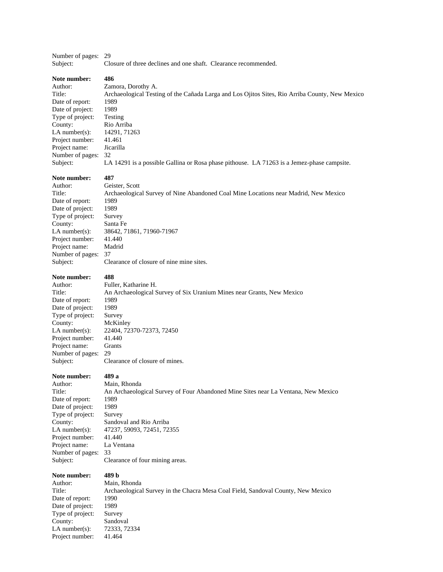#### Number of pages: 29 Subject: Closure of three declines and one shaft. Clearance recommended.

#### **Note number: 486**

Date of report: 1989 Date of project: 1989 Type of project: Testing County: Rio Arriba LA number(s): 14291, 71263 Project number: 41.461 Project name: Jicarilla Number of pages: 32

Author: Zamora, Dorothy A. Title: Archaeological Testing of the Cañada Larga and Los Ojitos Sites, Rio Arriba County, New Mexico

Subject: LA 14291 is a possible Gallina or Rosa phase pithouse. LA 71263 is a Jemez-phase campsite.

#### **Note number: 487**

Date of report: 1989 Date of project: 1989 Type of project: Survey County: Santa Fe Project number: 41.440 Project name: Madrid Number of pages: 37

Author: Geister, Scott Title: Archaeological Survey of Nine Abandoned Coal Mine Locations near Madrid, New Mexico LA number(s): 38642, 71861, 71960-71967 Subject: Clearance of closure of nine mine sites.

#### **Note number: 488**

Author: Fuller, Katharine H. Date of report: 1989 Date of project: 1989 Type of project: Survey County: McKinley Project number: Project name: Grants Number of pages: 29

Title: An Archaeological Survey of Six Uranium Mines near Grants, New Mexico LA number(s): 22404, 72370-72373, 72450<br>Project number: 41.440 Subject: Clearance of closure of mines.

#### **Note number: 489 a**

Author: Main, Rhonda Date of report: 1989 Date of project: 1989<br>Type of project: Survey Type of project: Project number: 41.440<br>Project name: La Ventana Project name: Number of pages: 33

Title: An Archaeological Survey of Four Abandoned Mine Sites near La Ventana, New Mexico County: Sandoval and Rio Arriba LA number(s): 47237, 59093, 72451, 72355 Subject: Clearance of four mining areas.

#### **Note number: 489 b**

Author: Main, Rhonda Title: Archaeological Survey in the Chacra Mesa Coal Field, Sandoval County, New Mexico Date of report: 1990 Date of project: 1989 Type of project: Survey County: Sandoval LA number(s): 72333, 72334 Project number: 41.464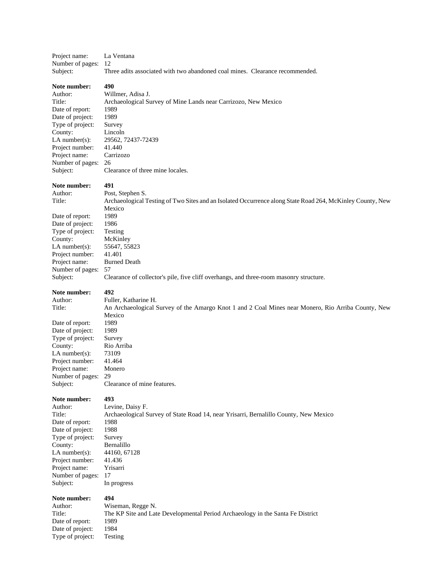| Project name:                        | La Ventana                                                                                                |
|--------------------------------------|-----------------------------------------------------------------------------------------------------------|
| Number of pages:                     | 12                                                                                                        |
| Subject:                             | Three adits associated with two abandoned coal mines. Clearance recommended.                              |
| Note number:                         | 490                                                                                                       |
| Author:                              | Willmer, Adisa J.                                                                                         |
| Title:                               | Archaeological Survey of Mine Lands near Carrizozo, New Mexico                                            |
| Date of report:                      | 1989                                                                                                      |
| Date of project:                     | 1989                                                                                                      |
| Type of project:                     | Survey                                                                                                    |
| County:                              | Lincoln                                                                                                   |
| $LA$ number $(s)$ :                  | 29562, 72437-72439                                                                                        |
| Project number:                      | 41.440                                                                                                    |
| Project name:                        | Carrizozo                                                                                                 |
| Number of pages:                     | 26                                                                                                        |
| Subject:                             | Clearance of three mine locales.                                                                          |
| Note number:                         | 491                                                                                                       |
| Author:                              | Post, Stephen S.                                                                                          |
| Title:                               | Archaeological Testing of Two Sites and an Isolated Occurrence along State Road 264, McKinley County, New |
|                                      | Mexico                                                                                                    |
| Date of report:                      | 1989                                                                                                      |
| Date of project:                     | 1986                                                                                                      |
| Type of project:                     | Testing                                                                                                   |
| County:                              | McKinley                                                                                                  |
| $LA$ number $(s)$ :                  | 55647, 55823                                                                                              |
| Project number:                      | 41.401                                                                                                    |
| Project name:<br>Number of pages: 57 | <b>Burned Death</b>                                                                                       |
| Subject:                             | Clearance of collector's pile, five cliff overhangs, and three-room masonry structure.                    |
|                                      |                                                                                                           |
| Note number:                         | 492                                                                                                       |
| Author:                              | Fuller, Katharine H.                                                                                      |
| Title:                               | An Archaeological Survey of the Amargo Knot 1 and 2 Coal Mines near Monero, Rio Arriba County, New        |
|                                      | Mexico                                                                                                    |
| Date of report:                      | 1989<br>1989                                                                                              |
| Date of project:<br>Type of project: | Survey                                                                                                    |
| County:                              | Rio Arriba                                                                                                |
| $LA$ number $(s)$ :                  | 73109                                                                                                     |
| Project number:                      | 41.464                                                                                                    |
| Project name:                        | Monero                                                                                                    |
| Number of pages:                     | 29                                                                                                        |
| Subject:                             | Clearance of mine features.                                                                               |
|                                      |                                                                                                           |
| Note number:                         | 493                                                                                                       |
| Author:                              | Levine, Daisy F.                                                                                          |
| Title:                               | Archaeological Survey of State Road 14, near Yrisarri, Bernalillo County, New Mexico                      |
| Date of report:                      | 1988                                                                                                      |
| Date of project:                     | 1988                                                                                                      |
| Type of project:                     | Survey                                                                                                    |
| County:                              | Bernalillo                                                                                                |
| $LA$ number(s):                      | 44160, 67128                                                                                              |
| Project number:                      | 41.436                                                                                                    |
| Project name:<br>Number of pages:    | Yrisarri<br>17                                                                                            |
| Subject:                             | In progress                                                                                               |
| Note number:                         | 494                                                                                                       |
| Author:                              | Wiseman, Regge N.                                                                                         |
| Title:                               | The KP Site and Late Developmental Period Archaeology in the Santa Fe District                            |
| Date of report:                      | 1989                                                                                                      |
| Date of project:                     | 1984                                                                                                      |
| Type of project:                     | Testing                                                                                                   |
|                                      |                                                                                                           |
|                                      |                                                                                                           |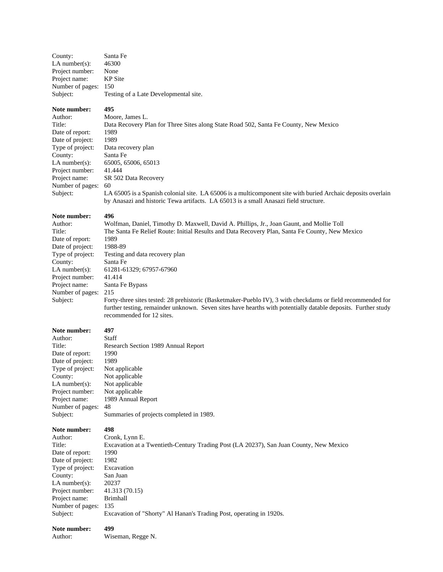| Santa Fe                              |
|---------------------------------------|
| 46300                                 |
| None                                  |
| <b>KP</b> Site                        |
| 150                                   |
| Testing of a Late Developmental site. |
|                                       |

#### **Note number: 495**

| Author:          | Moore, James L.                                                                                              |
|------------------|--------------------------------------------------------------------------------------------------------------|
| Title:           | Data Recovery Plan for Three Sites along State Road 502, Santa Fe County, New Mexico                         |
| Date of report:  | 1989                                                                                                         |
| Date of project: | 1989                                                                                                         |
| Type of project: | Data recovery plan                                                                                           |
| County:          | Santa Fe                                                                                                     |
| LA number(s):    | 65005, 65006, 65013                                                                                          |
| Project number:  | 41.444                                                                                                       |
| Project name:    | SR 502 Data Recovery                                                                                         |
| Number of pages: | 60                                                                                                           |
| Subject:         | LA 65005 is a Spanish colonial site. LA 65006 is a multicomponent site with buried Archaic deposits overlain |
|                  | by Anasazi and historic Tewa artifacts. LA 65013 is a small Anasazi field structure.                         |

### **Note number:** 496<br>Author: Wol

Date of report: 1989<br>Date of project: 1988-89 Date of project:<br>Type of project: Project number: 41.414 Number of pages: 215

Author: Wolfman, Daniel, Timothy D. Maxwell, David A. Phillips, Jr., Joan Gaunt, and Mollie Toll<br>Title: The Santa Fe Relief Route: Initial Results and Data Recovery Plan. Santa Fe County. New N The Santa Fe Relief Route: Initial Results and Data Recovery Plan, Santa Fe County, New Mexico Type of project: Testing and data recovery plan<br>County: Santa Fe Santa Fe LA number(s): 61281-61329; 67957-67960 Project name: Santa Fe Bypass Subject: Forty-three sites tested: 28 prehistoric (Basketmaker-Pueblo IV), 3 with checkdams or field recommended for further testing, remainder unknown. Seven sites have hearths with potentially datable deposits. Further study recommended for 12 sites.

#### **Note number: 497**

Author:<br>Title:

| Author:          | Staff                                    |
|------------------|------------------------------------------|
| Title:           | Research Section 1989 Annual Report      |
| Date of report:  | 1990                                     |
| Date of project: | 1989                                     |
| Type of project: | Not applicable                           |
| County:          | Not applicable                           |
| $LA$ number(s):  | Not applicable                           |
| Project number:  | Not applicable                           |
| Project name:    | 1989 Annual Report                       |
| Number of pages: | 48                                       |
| Subject:         | Summaries of projects completed in 1989. |

| том папрет.       | -71                                                                                    |
|-------------------|----------------------------------------------------------------------------------------|
| Author:           | Cronk, Lynn E.                                                                         |
| Title:            | Excavation at a Twentieth-Century Trading Post (LA 20237), San Juan County, New Mexico |
| Date of report:   | 1990                                                                                   |
| Date of project:  | 1982                                                                                   |
| Type of project:  | Excavation                                                                             |
| County:           | San Juan                                                                               |
| LA number $(s)$ : | 20237                                                                                  |
| Project number:   | 41.313 (70.15)                                                                         |
| Project name:     | Brimhall                                                                               |
| Number of pages:  | 135                                                                                    |
| Subject:          | Excavation of "Shorty" Al Hanan's Trading Post, operating in 1920s.                    |
|                   |                                                                                        |

| Note number: | 499               |
|--------------|-------------------|
| Author:      | Wiseman, Regge N. |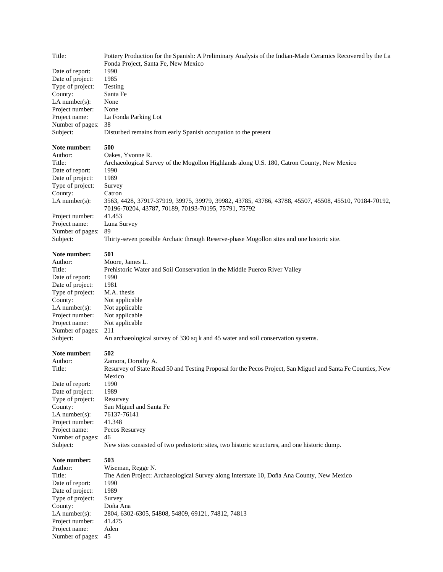| Title:                              | Pottery Production for the Spanish: A Preliminary Analysis of the Indian-Made Ceramics Recovered by the La<br>Fonda Project, Santa Fe, New Mexico            |
|-------------------------------------|--------------------------------------------------------------------------------------------------------------------------------------------------------------|
| Date of report:                     | 1990                                                                                                                                                         |
| Date of project:                    | 1985                                                                                                                                                         |
| Type of project:                    | Testing                                                                                                                                                      |
| County:                             | Santa Fe                                                                                                                                                     |
| $LA$ number(s):                     | None                                                                                                                                                         |
| Project number:<br>Project name:    | None<br>La Fonda Parking Lot                                                                                                                                 |
| Number of pages:                    | 38                                                                                                                                                           |
| Subject:                            | Disturbed remains from early Spanish occupation to the present                                                                                               |
| Note number:                        | 500                                                                                                                                                          |
| Author:                             | Oakes, Yvonne R.                                                                                                                                             |
| Title:                              | Archaeological Survey of the Mogollon Highlands along U.S. 180, Catron County, New Mexico<br>1990                                                            |
| Date of report:<br>Date of project: | 1989                                                                                                                                                         |
| Type of project:                    | Survey                                                                                                                                                       |
| County:                             | Catron                                                                                                                                                       |
| LA number(s):                       | 3563, 4428, 37917-37919, 39975, 39979, 39982, 43785, 43786, 43788, 45507, 45508, 45510, 70184-70192,<br>70196-70204, 43787, 70189, 70193-70195, 75791, 75792 |
| Project number:                     | 41.453                                                                                                                                                       |
| Project name:                       | Luna Survey                                                                                                                                                  |
| Number of pages:                    | 89                                                                                                                                                           |
| Subject:                            | Thirty-seven possible Archaic through Reserve-phase Mogollon sites and one historic site.                                                                    |
| Note number:                        | 501                                                                                                                                                          |
| Author:                             | Moore, James L.                                                                                                                                              |
| Title:<br>Date of report:           | Prehistoric Water and Soil Conservation in the Middle Puerco River Valley<br>1990                                                                            |
| Date of project:                    | 1981                                                                                                                                                         |
| Type of project:                    | M.A. thesis                                                                                                                                                  |
| County:                             | Not applicable                                                                                                                                               |
| $LA$ number(s):                     | Not applicable                                                                                                                                               |
| Project number:                     | Not applicable                                                                                                                                               |
| Project name:                       | Not applicable                                                                                                                                               |
| Number of pages:                    | 211                                                                                                                                                          |
| Subject:                            | An archaeological survey of 330 sq k and 45 water and soil conservation systems.                                                                             |
| Note number:                        | 502                                                                                                                                                          |
| Author:                             | Zamora, Dorothy A.                                                                                                                                           |
| Title:                              | Resurvey of State Road 50 and Testing Proposal for the Pecos Project, San Miguel and Santa Fe Counties, New                                                  |
| Date of report:                     | Mexico<br>1990                                                                                                                                               |
| Date of project:                    | 1989                                                                                                                                                         |
| Type of project:                    | Resurvey                                                                                                                                                     |
| County:                             | San Miguel and Santa Fe                                                                                                                                      |
| $LA$ number(s):                     | 76137-76141                                                                                                                                                  |
| Project number:                     | 41.348                                                                                                                                                       |
| Project name:                       | Pecos Resurvey                                                                                                                                               |
| Number of pages:                    | 46                                                                                                                                                           |
| Subject:                            | New sites consisted of two prehistoric sites, two historic structures, and one historic dump.                                                                |
| Note number:                        | 503                                                                                                                                                          |
| Author:                             | Wiseman, Regge N.                                                                                                                                            |
| Title:                              | The Aden Project: Archaeological Survey along Interstate 10, Doña Ana County, New Mexico<br>1990                                                             |
| Date of report:<br>Date of project: | 1989                                                                                                                                                         |
| Type of project:                    | Survey                                                                                                                                                       |
| County:                             | Doña Ana                                                                                                                                                     |
| $LA$ number(s):                     | 2804, 6302-6305, 54808, 54809, 69121, 74812, 74813                                                                                                           |
| Project number:                     | 41.475                                                                                                                                                       |
| Project name:                       | Aden                                                                                                                                                         |
| Number of pages:                    | 45                                                                                                                                                           |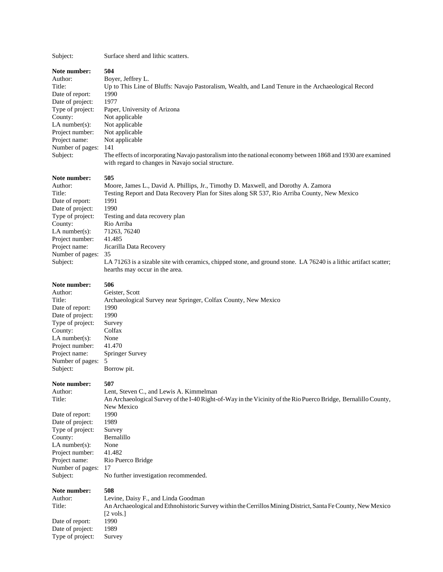#### Subject: Surface sherd and lithic scatters.

**Note number: 504** Author: Boyer, Jeffrey L. Title: Up to This Line of Bluffs: Navajo Pastoralism, Wealth, and Land Tenure in the Archaeological Record Date of report: 1990 Date of project: 1977 Type of project: Paper, University of Arizona County: Not applicable LA number(s): Not applicable Project number: Not applicable Project name: Not applicable Number of pages: 141 Subject: The effects of incorporating Navajo pastoralism into the national economy between 1868 and 1930 are examined with regard to changes in Navajo social structure. **Note number: 505** Author: Moore, James L., David A. Phillips, Jr., Timothy D. Maxwell, and Dorothy A. Zamora Title: Testing Report and Data Recovery Plan for Sites along SR 537, Rio Arriba County, New Mexico Date of report: 1991 Date of project: 1990 Type of project: Testing and data recovery plan County: Rio Arriba LA number(s): 71263, 76240 Project number: 41.485 Project name: Jicarilla Data Recovery Number of pages: 35 Subject: LA 71263 is a sizable site with ceramics, chipped stone, and ground stone. LA 76240 is a lithic artifact scatter; hearths may occur in the area. **Note number: 506** Author: Geister, Scott

Title: Archaeological Survey near Springer, Colfax County, New Mexico Date of report: 1990 Date of project: 1990<br>Type of project: Survey Type of project: County: Colfax LA number(s): None Project number: 41.470 Number of pages: 5 Subject: Borrow pit.

Type of project: Survey

Project name: Springer Survey **Note number: 507**

Author: Lent, Steven C., and Lewis A. Kimmelman Title: An Archaeological Survey of the I-40 Right-of-Way in the Vicinity of the Rio Puerco Bridge, Bernalillo County, New Mexico Date of report: 1990 Date of project: 1989 Type of project: Survey County: Bernalillo LA number(s): None Project number: 41.482 Project name: Rio Puerco Bridge Number of pages: 17 Subject: No further investigation recommended. **Note number: 508** Author: Levine, Daisy F., and Linda Goodman Title: An Archaeological and Ethnohistoric Survey within the Cerrillos Mining District, Santa Fe County, New Mexico [2 vols.]<br>1990 Date of report: Date of project: 1989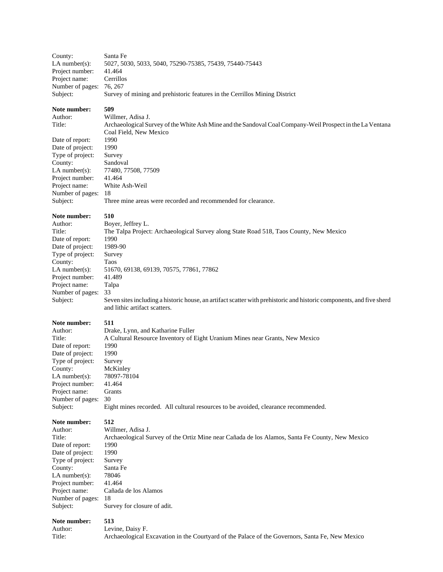| County:                                                                                                                                                                                        | Santa Fe                                                                                                                                                                                                                                                                                                                                                                              |
|------------------------------------------------------------------------------------------------------------------------------------------------------------------------------------------------|---------------------------------------------------------------------------------------------------------------------------------------------------------------------------------------------------------------------------------------------------------------------------------------------------------------------------------------------------------------------------------------|
| $LA$ number(s):                                                                                                                                                                                | 5027, 5030, 5033, 5040, 75290-75385, 75439, 75440-75443                                                                                                                                                                                                                                                                                                                               |
| Project number:                                                                                                                                                                                | 41.464                                                                                                                                                                                                                                                                                                                                                                                |
| Project name:                                                                                                                                                                                  | Cerrillos                                                                                                                                                                                                                                                                                                                                                                             |
| Number of pages:                                                                                                                                                                               | 76, 267                                                                                                                                                                                                                                                                                                                                                                               |
| Subject:                                                                                                                                                                                       | Survey of mining and prehistoric features in the Cerrillos Mining District                                                                                                                                                                                                                                                                                                            |
| Note number:<br>Author:<br>Title:<br>Date of report:                                                                                                                                           | 509<br>Willmer, Adisa J.<br>Archaeological Survey of the White Ash Mine and the Sandoval Coal Company-Weil Prospect in the La Ventana<br>Coal Field, New Mexico<br>1990                                                                                                                                                                                                               |
| Date of project:                                                                                                                                                                               | 1990                                                                                                                                                                                                                                                                                                                                                                                  |
| Type of project:                                                                                                                                                                               | Survey                                                                                                                                                                                                                                                                                                                                                                                |
| County:                                                                                                                                                                                        | Sandoval                                                                                                                                                                                                                                                                                                                                                                              |
| $LA$ number(s):                                                                                                                                                                                | 77480, 77508, 77509                                                                                                                                                                                                                                                                                                                                                                   |
| Project number:                                                                                                                                                                                | 41.464                                                                                                                                                                                                                                                                                                                                                                                |
| Project name:                                                                                                                                                                                  | White Ash-Weil                                                                                                                                                                                                                                                                                                                                                                        |
| Number of pages:                                                                                                                                                                               | 18                                                                                                                                                                                                                                                                                                                                                                                    |
| Subject:                                                                                                                                                                                       | Three mine areas were recorded and recommended for clearance.                                                                                                                                                                                                                                                                                                                         |
| Note number:<br>Author:<br>Title:<br>Date of report:<br>Date of project:<br>Type of project:<br>County:<br>$LA$ number(s):<br>Project number:<br>Project name:<br>Number of pages:<br>Subject: | 510<br>Boyer, Jeffrey L.<br>The Talpa Project: Archaeological Survey along State Road 518, Taos County, New Mexico<br>1990<br>1989-90<br>Survey<br>Taos<br>51670, 69138, 69139, 70575, 77861, 77862<br>41.489<br>Talpa<br>33<br>Seven sites including a historic house, an artifact scatter with prehistoric and historic components, and five sherd<br>and lithic artifact scatters. |
| Note number:                                                                                                                                                                                   | 511                                                                                                                                                                                                                                                                                                                                                                                   |
| Author:                                                                                                                                                                                        | Drake, Lynn, and Katharine Fuller                                                                                                                                                                                                                                                                                                                                                     |
| Title:                                                                                                                                                                                         | A Cultural Resource Inventory of Eight Uranium Mines near Grants, New Mexico                                                                                                                                                                                                                                                                                                          |
| Date of report:                                                                                                                                                                                | 1990                                                                                                                                                                                                                                                                                                                                                                                  |
| Date of project:                                                                                                                                                                               | 1990                                                                                                                                                                                                                                                                                                                                                                                  |
| Type of project:                                                                                                                                                                               | Survey                                                                                                                                                                                                                                                                                                                                                                                |
| County:                                                                                                                                                                                        | McKinley                                                                                                                                                                                                                                                                                                                                                                              |
| $LA$ number(s):                                                                                                                                                                                | 78097-78104                                                                                                                                                                                                                                                                                                                                                                           |
| Project number:                                                                                                                                                                                | 41.464                                                                                                                                                                                                                                                                                                                                                                                |
| Project name:                                                                                                                                                                                  | Grants                                                                                                                                                                                                                                                                                                                                                                                |
| Number of pages:                                                                                                                                                                               | 30                                                                                                                                                                                                                                                                                                                                                                                    |
| Subject:                                                                                                                                                                                       | Eight mines recorded. All cultural resources to be avoided, clearance recommended.                                                                                                                                                                                                                                                                                                    |
| Note number:                                                                                                                                                                                   | 512                                                                                                                                                                                                                                                                                                                                                                                   |
| Author:                                                                                                                                                                                        | Willmer, Adisa J.                                                                                                                                                                                                                                                                                                                                                                     |
| Title:                                                                                                                                                                                         | Archaeological Survey of the Ortiz Mine near Cañada de los Alamos, Santa Fe County, New Mexico                                                                                                                                                                                                                                                                                        |
| Date of report:                                                                                                                                                                                | 1990                                                                                                                                                                                                                                                                                                                                                                                  |
| Date of project:                                                                                                                                                                               | 1990                                                                                                                                                                                                                                                                                                                                                                                  |
| Type of project:                                                                                                                                                                               | Survey                                                                                                                                                                                                                                                                                                                                                                                |
| County:                                                                                                                                                                                        | Santa Fe                                                                                                                                                                                                                                                                                                                                                                              |
| $LA$ number $(s)$ :                                                                                                                                                                            | 78046                                                                                                                                                                                                                                                                                                                                                                                 |
| Project number:                                                                                                                                                                                | 41.464                                                                                                                                                                                                                                                                                                                                                                                |
| Project name:                                                                                                                                                                                  | Cañada de los Alamos                                                                                                                                                                                                                                                                                                                                                                  |
| Number of pages:                                                                                                                                                                               | 18                                                                                                                                                                                                                                                                                                                                                                                    |
| Subject:                                                                                                                                                                                       | Survey for closure of adit.                                                                                                                                                                                                                                                                                                                                                           |
| Note number:                                                                                                                                                                                   | 513                                                                                                                                                                                                                                                                                                                                                                                   |

Author: Levine, Daisy F.<br>Title: Archaeological E Archaeological Excavation in the Courtyard of the Palace of the Governors, Santa Fe, New Mexico